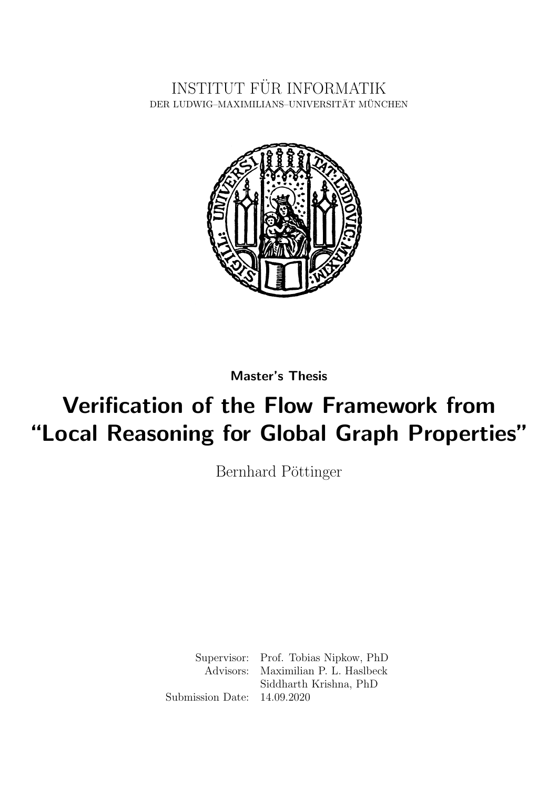INSTITUT FÜR INFORMATIK DER LUDWIG–MAXIMILIANS–UNIVERSITÄT MÜNCHEN



Master's Thesis

# Verification of the Flow Framework from "Local Reasoning for Global Graph Properties"

Bernhard Pöttinger

Supervisor: Prof. Tobias Nipkow, PhD Advisors: Maximilian P. L. Haslbeck Siddharth Krishna, PhD Submission Date: 14.09.2020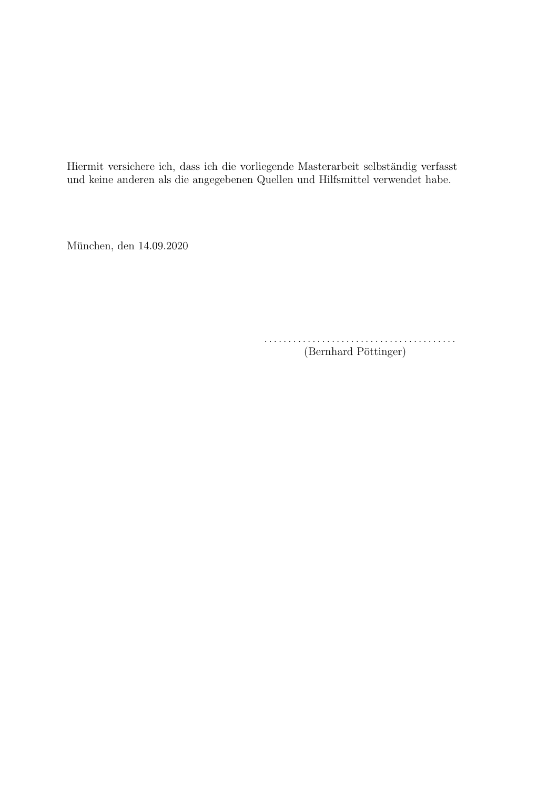Hiermit versichere ich, dass ich die vorliegende Masterarbeit selbständig verfasst und keine anderen als die angegebenen Quellen und Hilfsmittel verwendet habe.

München, den 14.09.2020

. . . . . . . . . . . . . . . . . . . . . . . . . . . . . . . . . . . . . . . . (Bernhard Pöttinger)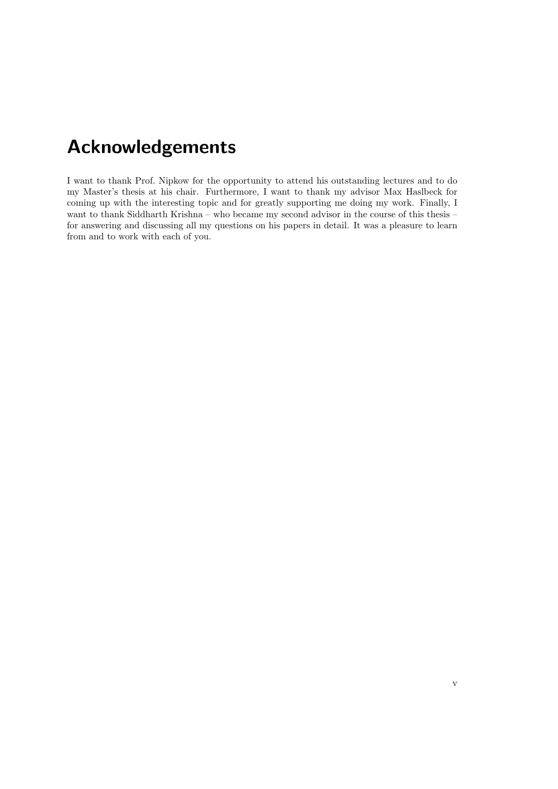# Acknowledgements

I want to thank Prof. Nipkow for the opportunity to attend his outstanding lectures and to do my Master's thesis at his chair. Furthermore, I want to thank my advisor Max Haslbeck for coming up with the interesting topic and for greatly supporting me doing my work. Finally, I want to thank Siddharth Krishna – who became my second advisor in the course of this thesis – for answering and discussing all my questions on his papers in detail. It was a pleasure to learn from and to work with each of you.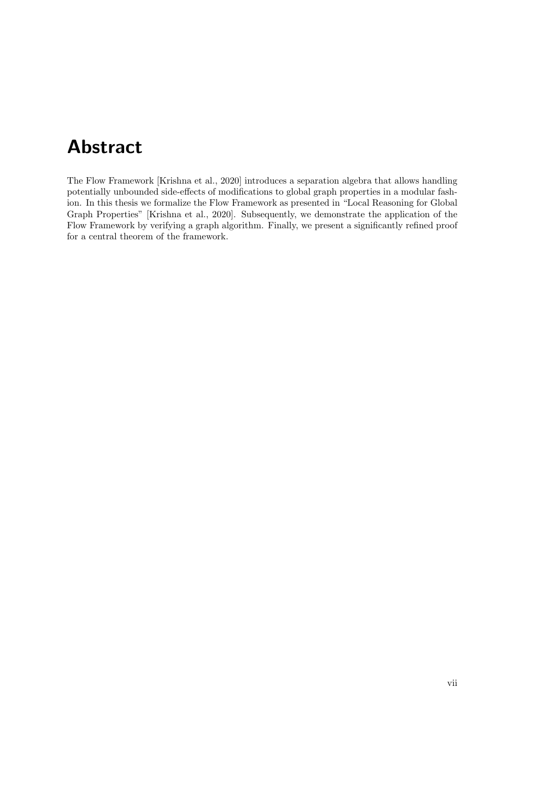## Abstract

The Flow Framework [Krishna et al., 2020] introduces a separation algebra that allows handling potentially unbounded side-effects of modifications to global graph properties in a modular fashion. In this thesis we formalize the Flow Framework as presented in "Local Reasoning for Global Graph Properties" [Krishna et al., 2020]. Subsequently, we demonstrate the application of the Flow Framework by verifying a graph algorithm. Finally, we present a significantly refined proof for a central theorem of the framework.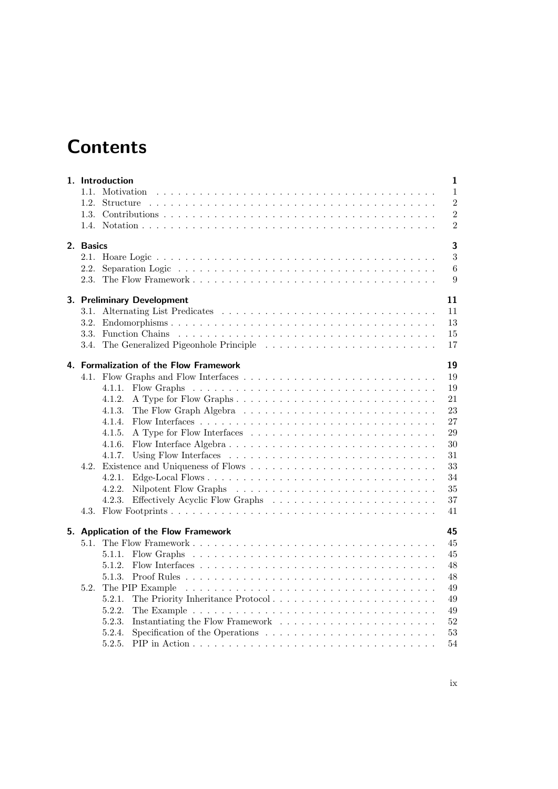# **Contents**

|  |                                              | $\mathbf{1}$<br>1. Introduction                                                                                                                  |  |  |  |  |
|--|----------------------------------------------|--------------------------------------------------------------------------------------------------------------------------------------------------|--|--|--|--|
|  | 1.1.                                         | $\mathbf{1}$<br>Motivation                                                                                                                       |  |  |  |  |
|  | 1.2.                                         | $\overline{2}$                                                                                                                                   |  |  |  |  |
|  |                                              | $\overline{2}$                                                                                                                                   |  |  |  |  |
|  |                                              | $\overline{2}$                                                                                                                                   |  |  |  |  |
|  | 2. Basics                                    |                                                                                                                                                  |  |  |  |  |
|  |                                              | 3                                                                                                                                                |  |  |  |  |
|  | 2.2.                                         | 6                                                                                                                                                |  |  |  |  |
|  | 2.3.                                         | 9                                                                                                                                                |  |  |  |  |
|  | 11<br>3. Preliminary Development             |                                                                                                                                                  |  |  |  |  |
|  |                                              | 11                                                                                                                                               |  |  |  |  |
|  | 3.2.                                         | 13                                                                                                                                               |  |  |  |  |
|  | 3.3.                                         | 15                                                                                                                                               |  |  |  |  |
|  | 3.4.                                         | 17                                                                                                                                               |  |  |  |  |
|  | 19<br>4. Formalization of the Flow Framework |                                                                                                                                                  |  |  |  |  |
|  |                                              | 19                                                                                                                                               |  |  |  |  |
|  |                                              | 19<br>4.1.1.                                                                                                                                     |  |  |  |  |
|  |                                              | 4.1.2.<br>21                                                                                                                                     |  |  |  |  |
|  |                                              | 23<br>4.1.3.                                                                                                                                     |  |  |  |  |
|  |                                              | 27<br>4.1.4.                                                                                                                                     |  |  |  |  |
|  |                                              | 29<br>4.1.5.                                                                                                                                     |  |  |  |  |
|  |                                              | 30<br>4.1.6.                                                                                                                                     |  |  |  |  |
|  |                                              | 31<br>4.1.7.                                                                                                                                     |  |  |  |  |
|  |                                              | 33                                                                                                                                               |  |  |  |  |
|  |                                              | 34<br>4.2.1.                                                                                                                                     |  |  |  |  |
|  |                                              | 35<br>4.2.2.                                                                                                                                     |  |  |  |  |
|  |                                              | 37<br>4.2.3.                                                                                                                                     |  |  |  |  |
|  |                                              | 41                                                                                                                                               |  |  |  |  |
|  | 45<br>5. Application of the Flow Framework   |                                                                                                                                                  |  |  |  |  |
|  | 5.1.                                         | 45                                                                                                                                               |  |  |  |  |
|  |                                              | 45<br>5.1.1.                                                                                                                                     |  |  |  |  |
|  |                                              | 5.1.2.<br>48                                                                                                                                     |  |  |  |  |
|  |                                              | 48<br>5.1.3.                                                                                                                                     |  |  |  |  |
|  | 5.2.                                         | The PIP Example<br><u>. A de la caractería de la caractería de la caractería de la caractería de la caractería de la caractería de la </u><br>49 |  |  |  |  |
|  |                                              | The Priority Inheritance Protocol<br>5.2.1.<br>49                                                                                                |  |  |  |  |
|  |                                              | 5.2.2.<br>49                                                                                                                                     |  |  |  |  |
|  |                                              | 52<br>5.2.3.                                                                                                                                     |  |  |  |  |
|  |                                              | Specification of the Operations $\dots \dots \dots \dots \dots \dots \dots \dots$<br>5.2.4.<br>53                                                |  |  |  |  |
|  |                                              | 5.2.5.<br>54                                                                                                                                     |  |  |  |  |
|  |                                              |                                                                                                                                                  |  |  |  |  |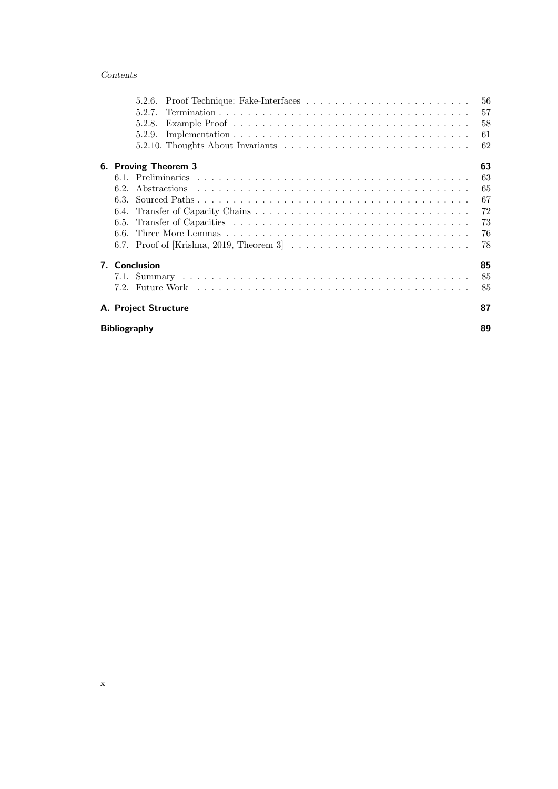### Contents

|                      |                                                                                                    | 56 |  |
|----------------------|----------------------------------------------------------------------------------------------------|----|--|
| 5.2.6.               |                                                                                                    |    |  |
| 5.2.7.               |                                                                                                    | 57 |  |
| 5.2.8.               |                                                                                                    | 58 |  |
| 5.2.9.               |                                                                                                    | 61 |  |
|                      |                                                                                                    | 62 |  |
|                      | 6. Proving Theorem 3                                                                               | 63 |  |
|                      |                                                                                                    | 63 |  |
| 6.2.                 |                                                                                                    | 65 |  |
| 6.3.                 |                                                                                                    | 67 |  |
| 6.4.                 |                                                                                                    | 72 |  |
| 6.5.                 |                                                                                                    | 73 |  |
| 6.6.                 |                                                                                                    | 76 |  |
|                      | 6.7. Proof of [Krishna, 2019, Theorem 3] $\ldots \ldots \ldots \ldots \ldots \ldots \ldots \ldots$ | 78 |  |
| 7. Conclusion        |                                                                                                    | 85 |  |
|                      |                                                                                                    | 85 |  |
|                      |                                                                                                    | 85 |  |
| A. Project Structure |                                                                                                    | 87 |  |
| <b>Bibliography</b>  |                                                                                                    |    |  |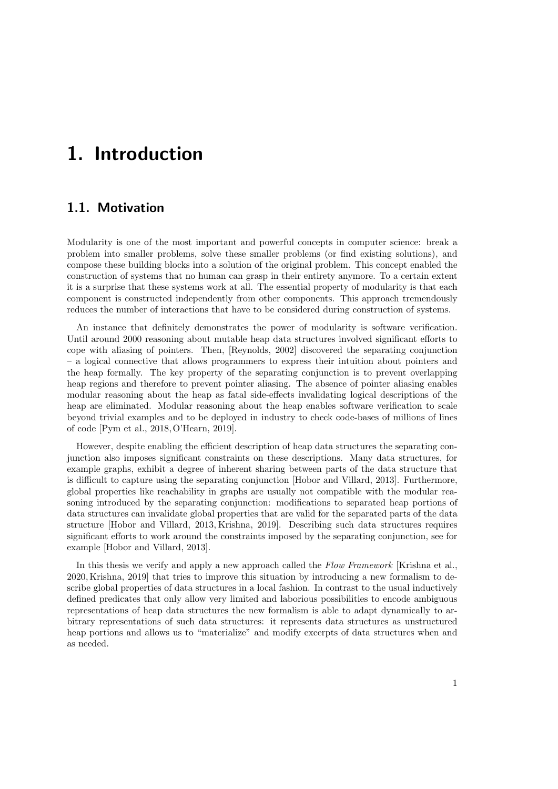## 1. Introduction

## 1.1. Motivation

Modularity is one of the most important and powerful concepts in computer science: break a problem into smaller problems, solve these smaller problems (or find existing solutions), and compose these building blocks into a solution of the original problem. This concept enabled the construction of systems that no human can grasp in their entirety anymore. To a certain extent it is a surprise that these systems work at all. The essential property of modularity is that each component is constructed independently from other components. This approach tremendously reduces the number of interactions that have to be considered during construction of systems.

An instance that definitely demonstrates the power of modularity is software verification. Until around 2000 reasoning about mutable heap data structures involved significant efforts to cope with aliasing of pointers. Then, [Reynolds, 2002] discovered the separating conjunction – a logical connective that allows programmers to express their intuition about pointers and the heap formally. The key property of the separating conjunction is to prevent overlapping heap regions and therefore to prevent pointer aliasing. The absence of pointer aliasing enables modular reasoning about the heap as fatal side-effects invalidating logical descriptions of the heap are eliminated. Modular reasoning about the heap enables software verification to scale beyond trivial examples and to be deployed in industry to check code-bases of millions of lines of code [Pym et al., 2018, O'Hearn, 2019].

However, despite enabling the efficient description of heap data structures the separating conjunction also imposes significant constraints on these descriptions. Many data structures, for example graphs, exhibit a degree of inherent sharing between parts of the data structure that is difficult to capture using the separating conjunction [Hobor and Villard, 2013]. Furthermore, global properties like reachability in graphs are usually not compatible with the modular reasoning introduced by the separating conjunction: modifications to separated heap portions of data structures can invalidate global properties that are valid for the separated parts of the data structure [Hobor and Villard, 2013, Krishna, 2019]. Describing such data structures requires significant efforts to work around the constraints imposed by the separating conjunction, see for example [Hobor and Villard, 2013].

In this thesis we verify and apply a new approach called the Flow Framework [Krishna et al., 2020, Krishna, 2019] that tries to improve this situation by introducing a new formalism to describe global properties of data structures in a local fashion. In contrast to the usual inductively defined predicates that only allow very limited and laborious possibilities to encode ambiguous representations of heap data structures the new formalism is able to adapt dynamically to arbitrary representations of such data structures: it represents data structures as unstructured heap portions and allows us to "materialize" and modify excerpts of data structures when and as needed.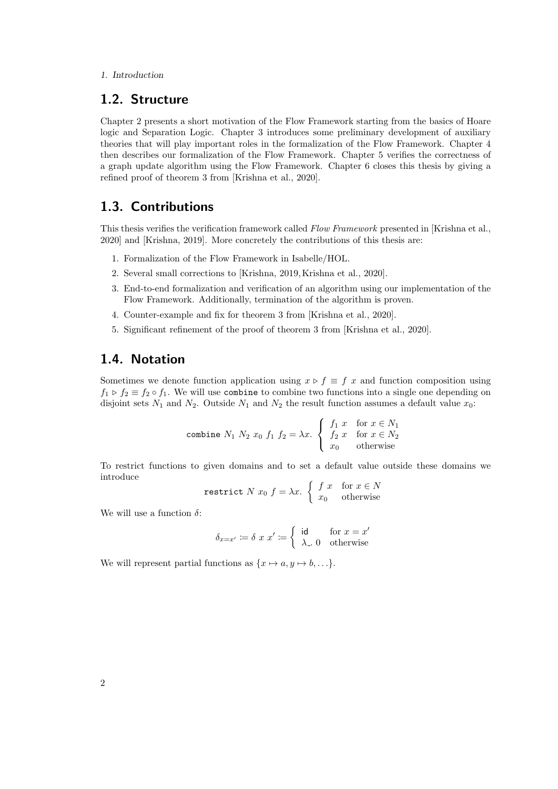#### 1. Introduction

## 1.2. Structure

Chapter 2 presents a short motivation of the Flow Framework starting from the basics of Hoare logic and Separation Logic. Chapter 3 introduces some preliminary development of auxiliary theories that will play important roles in the formalization of the Flow Framework. Chapter 4 then describes our formalization of the Flow Framework. Chapter 5 verifies the correctness of a graph update algorithm using the Flow Framework. Chapter 6 closes this thesis by giving a refined proof of theorem 3 from [Krishna et al., 2020].

## 1.3. Contributions

This thesis verifies the verification framework called Flow Framework presented in [Krishna et al., 2020] and [Krishna, 2019]. More concretely the contributions of this thesis are:

- 1. Formalization of the Flow Framework in Isabelle/HOL.
- 2. Several small corrections to [Krishna, 2019, Krishna et al., 2020].
- 3. End-to-end formalization and verification of an algorithm using our implementation of the Flow Framework. Additionally, termination of the algorithm is proven.
- 4. Counter-example and fix for theorem 3 from [Krishna et al., 2020].
- 5. Significant refinement of the proof of theorem 3 from [Krishna et al., 2020].

## 1.4. Notation

Sometimes we denote function application using  $x \triangleright f \equiv f x$  and function composition using  $f_1 \triangleright f_2 \equiv f_2 \circ f_1$ . We will use combine to combine two functions into a single one depending on disjoint sets  $N_1$  and  $N_2$ . Outside  $N_1$  and  $N_2$  the result function assumes a default value  $x_0$ :

$$
\text{combine } N_1 \ N_2 \ x_0 \ f_1 \ f_2 = \lambda x. \begin{cases} \ f_1 \ x & \text{for } x \in N_1 \\ \ f_2 \ x & \text{for } x \in N_2 \\ \ x_0 & \text{otherwise} \end{cases}
$$

To restrict functions to given domains and to set a default value outside these domains we introduce

$$
\text{restrict } N \ x_0 \ f = \lambda x. \begin{cases} \ f \ x & \text{for } x \in N \\ \ x_0 & \text{otherwise} \end{cases}
$$

We will use a function  $\delta$ :

$$
\delta_{x=x'} \coloneqq \delta \ x \ x' \coloneqq \left\{ \begin{array}{ll} \text{id} & \text{for } x = x' \\ \lambda \_ \text{0} & \text{otherwise} \end{array} \right.
$$

We will represent partial functions as  $\{x \mapsto a, y \mapsto b, \ldots\}.$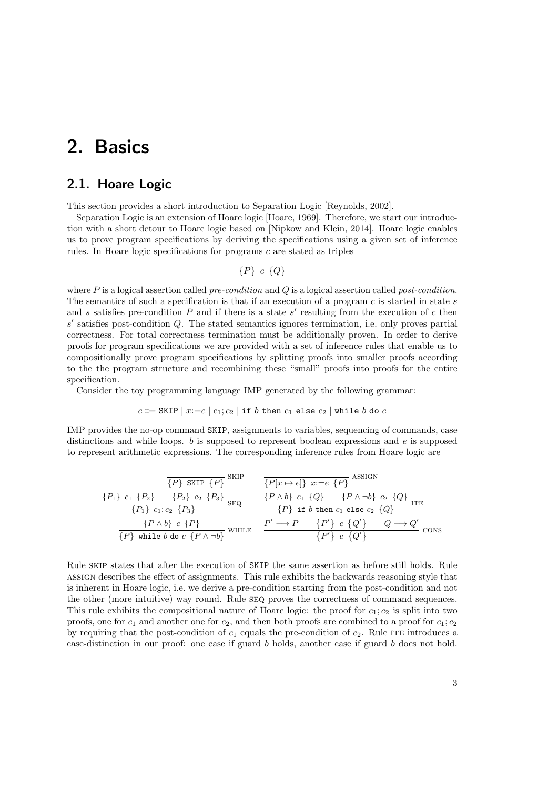## 2. Basics

## 2.1. Hoare Logic

This section provides a short introduction to Separation Logic [Reynolds, 2002].

Separation Logic is an extension of Hoare logic [Hoare, 1969]. Therefore, we start our introduction with a short detour to Hoare logic based on [Nipkow and Klein, 2014]. Hoare logic enables us to prove program specifications by deriving the specifications using a given set of inference rules. In Hoare logic specifications for programs c are stated as triples

$$
\{P\} \ c \ \{Q\}
$$

where  $P$  is a logical assertion called *pre-condition* and  $Q$  is a logical assertion called *post-condition*. The semantics of such a specification is that if an execution of a program  $c$  is started in state  $s$ and s satisfies pre-condition  $P$  and if there is a state  $s'$  resulting from the execution of  $c$  then  $s'$  satisfies post-condition  $Q$ . The stated semantics ignores termination, i.e. only proves partial correctness. For total correctness termination must be additionally proven. In order to derive proofs for program specifications we are provided with a set of inference rules that enable us to compositionally prove program specifications by splitting proofs into smaller proofs according to the the program structure and recombining these "small" proofs into proofs for the entire specification.

Consider the toy programming language IMP generated by the following grammar:

$$
c \Coloneqq \mathtt{SKIP} \mid x = e \mid c_1; c_2 \mid \mathtt{if}~b~\mathtt{then}~c_1~\mathtt{else}~c_2 \mid \mathtt{while}~b~\mathtt{do}~c
$$

IMP provides the no-op command SKIP, assignments to variables, sequencing of commands, case distinctions and while loops.  $b$  is supposed to represent boolean expressions and  $e$  is supposed to represent arithmetic expressions. The corresponding inference rules from Hoare logic are

{P} SKIP {P} skip {P[x 7→ e]} x:=e {P} assign {P1} c<sup>1</sup> {P2} {P2} c<sup>2</sup> {P3} {P1} c1; c<sup>2</sup> {P3} seq {P ∧ b} c<sup>1</sup> {Q} {P ∧ ¬b} c<sup>2</sup> {Q} {P} if b then c<sup>1</sup> else c<sup>2</sup> {Q} ite {P ∧ b} c {P} {P} while b do c {P ∧ ¬b} while P <sup>0</sup> −→ P P 0 c Q 0 Q −→ Q 0 P 0 c Q 0 cons

Rule skip states that after the execution of SKIP the same assertion as before still holds. Rule assign describes the effect of assignments. This rule exhibits the backwards reasoning style that is inherent in Hoare logic, i.e. we derive a pre-condition starting from the post-condition and not the other (more intuitive) way round. Rule seq proves the correctness of command sequences. This rule exhibits the compositional nature of Hoare logic: the proof for  $c_1$ ;  $c_2$  is split into two proofs, one for  $c_1$  and another one for  $c_2$ , and then both proofs are combined to a proof for  $c_1$ ;  $c_2$ by requiring that the post-condition of  $c_1$  equals the pre-condition of  $c_2$ . Rule ITE introduces a case-distinction in our proof: one case if guard b holds, another case if guard b does not hold.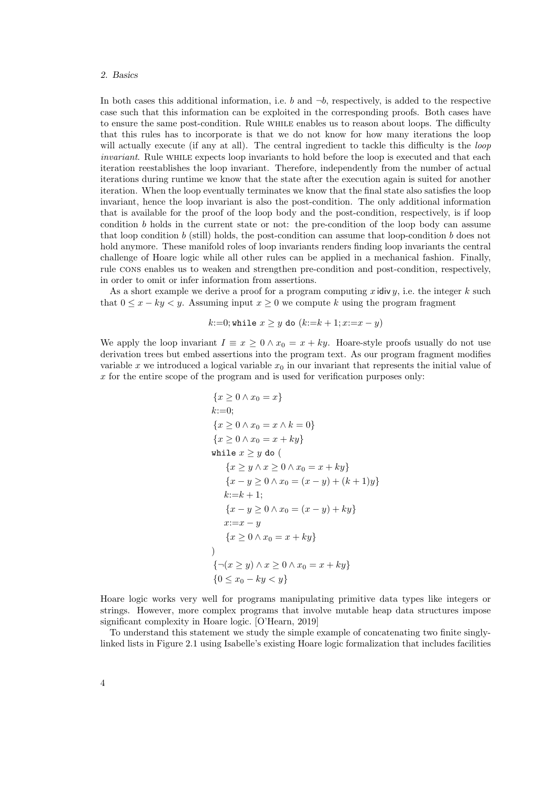#### 2. Basics

In both cases this additional information, i.e. b and  $\neg b$ , respectively, is added to the respective case such that this information can be exploited in the corresponding proofs. Both cases have to ensure the same post-condition. Rule while enables us to reason about loops. The difficulty that this rules has to incorporate is that we do not know for how many iterations the loop will actually execute (if any at all). The central ingredient to tackle this difficulty is the *loop* invariant. Rule while expects loop invariants to hold before the loop is executed and that each iteration reestablishes the loop invariant. Therefore, independently from the number of actual iterations during runtime we know that the state after the execution again is suited for another iteration. When the loop eventually terminates we know that the final state also satisfies the loop invariant, hence the loop invariant is also the post-condition. The only additional information that is available for the proof of the loop body and the post-condition, respectively, is if loop condition  $b$  holds in the current state or not: the pre-condition of the loop body can assume that loop condition b (still) holds, the post-condition can assume that loop-condition b does not hold anymore. These manifold roles of loop invariants renders finding loop invariants the central challenge of Hoare logic while all other rules can be applied in a mechanical fashion. Finally, rule cons enables us to weaken and strengthen pre-condition and post-condition, respectively, in order to omit or infer information from assertions.

As a short example we derive a proof for a program computing x idiv y, i.e. the integer k such that  $0 \leq x - ky \leq y$ . Assuming input  $x \geq 0$  we compute k using the program fragment

k:=0; while 
$$
x \ge y
$$
 do  $(k:=k+1; x:=x-y)$ 

We apply the loop invariant  $I \equiv x \geq 0 \wedge x_0 = x + ky$ . Hoare-style proofs usually do not use derivation trees but embed assertions into the program text. As our program fragment modifies variable x we introduced a logical variable  $x_0$  in our invariant that represents the initial value of  $x$  for the entire scope of the program and is used for verification purposes only:

$$
\{x \ge 0 \land x_0 = x\}
$$
  
\nk:=0;  
\n
$$
\{x \ge 0 \land x_0 = x \land k = 0\}
$$
  
\n
$$
\{x \ge 0 \land x_0 = x + ky\}
$$
  
\nwhile  $x \ge y$  do (  
\n
$$
\{x \ge y \land x \ge 0 \land x_0 = x + ky\}
$$
  
\n
$$
\{x - y \ge 0 \land x_0 = (x - y) + (k + 1)y\}
$$
  
\nk:=k + 1;  
\n
$$
\{x - y \ge 0 \land x_0 = (x - y) + ky\}
$$
  
\n
$$
x:=x - y
$$
  
\n
$$
\{x \ge 0 \land x_0 = x + ky\}
$$
  
\n
$$
\{\neg(x \ge y) \land x \ge 0 \land x_0 = x + ky\}
$$
  
\n
$$
\{0 \le x_0 - ky < y\}
$$

Hoare logic works very well for programs manipulating primitive data types like integers or strings. However, more complex programs that involve mutable heap data structures impose significant complexity in Hoare logic. [O'Hearn, 2019]

To understand this statement we study the simple example of concatenating two finite singlylinked lists in Figure 2.1 using Isabelle's existing Hoare logic formalization that includes facilities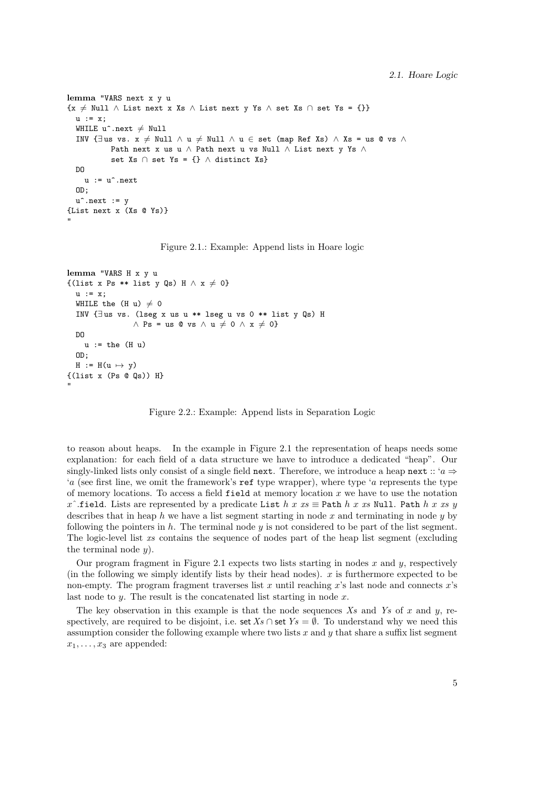```
lemma "VARS next x y u
\{x \neq \text{Null} \land \text{List next } x \text{ Xs } \land \text{List next } y \text{ Ys } \land \text{set Xs } \cap \text{set Ys = }\{\}\}\u := x:
  WHILE u^* . next \neq Null
  INV \{\existsus vs. x \neq Null ∧ u \neq Null ∧ u ∈ set (map Ref Xs) ∧ Xs = us @ vs ∧
            Path next x us u ∧ Path next u vs Null ∧ List next y Ys ∧
             set Xs \cap set Ys = {} \land distinct Xs}
  DO
     u := u^*.\text{next}OD;
  u^*.next := y{List next x (Xs @ Ys)}
"
```
Figure 2.1.: Example: Append lists in Hoare logic

```
lemma "VARS H x y u
\{(list x Ps ** list y Qs) H \wedge x \neq 0\}u := x;WHILE the (H u) \neq 0
  INV {∃ us vs. (lseg x us u ** lseg u vs 0 ** list y Qs) H
                 \land Ps = us @ vs \land u \neq 0 \land x \neq 0}
  DO
    u := the (H u)OD;
  H := H(u \mapsto v)\{(list x (Ps @ Qs)) H\}"
```
Figure 2.2.: Example: Append lists in Separation Logic

to reason about heaps. In the example in Figure 2.1 the representation of heaps needs some explanation: for each field of a data structure we have to introduce a dedicated "heap". Our singly-linked lists only consist of a single field next. Therefore, we introduce a heap next :: ' $a \Rightarrow$ 'a (see first line, we omit the framework's ref type wrapper), where type 'a represents the type of memory locations. To access a field  $field$  at memory location x we have to use the notation x^.field. Lists are represented by a predicate List h x xs  $\equiv$  Path h x xs Null. Path h x xs y describes that in heap h we have a list segment starting in node x and terminating in node  $y$  by following the pointers in  $h$ . The terminal node  $y$  is not considered to be part of the list segment. The logic-level list xs contains the sequence of nodes part of the heap list segment (excluding the terminal node  $y$ ).

Our program fragment in Figure 2.1 expects two lists starting in nodes  $x$  and  $y$ , respectively (in the following we simply identify lists by their head nodes).  $x$  is furthermore expected to be non-empty. The program fragment traverses list x until reaching x's last node and connects  $x$ 's last node to  $y$ . The result is the concatenated list starting in node  $x$ .

The key observation in this example is that the node sequences  $X_s$  and  $Y_s$  of x and y, respectively, are required to be disjoint, i.e. set  $Xs \cap$  set  $Ys = \emptyset$ . To understand why we need this assumption consider the following example where two lists x and y that share a suffix list segment  $x_1, \ldots, x_3$  are appended: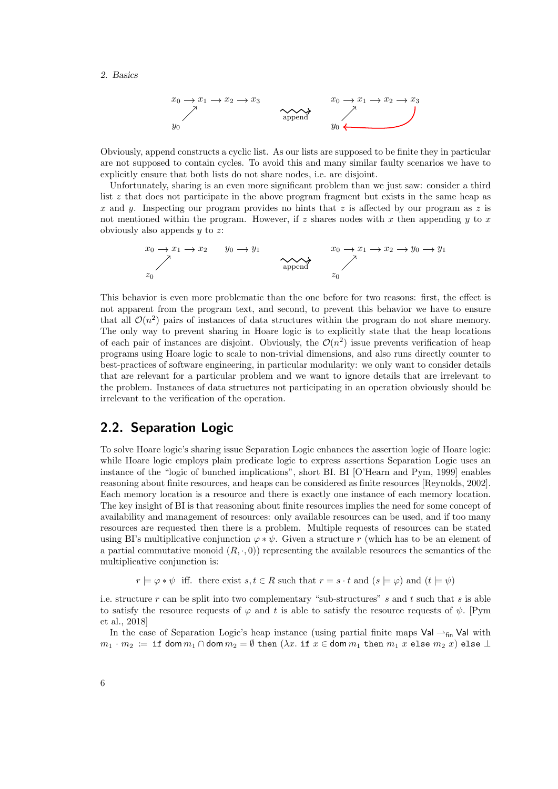#### 2. Basics



Obviously, append constructs a cyclic list. As our lists are supposed to be finite they in particular are not supposed to contain cycles. To avoid this and many similar faulty scenarios we have to explicitly ensure that both lists do not share nodes, i.e. are disjoint.

Unfortunately, sharing is an even more significant problem than we just saw: consider a third list z that does not participate in the above program fragment but exists in the same heap as x and y. Inspecting our program provides no hints that z is affected by our program as z is not mentioned within the program. However, if  $z$  shares nodes with  $x$  then appending  $y$  to  $x$ obviously also appends  $y$  to  $z$ :

$$
x_0 \to x_1 \to x_2 \qquad y_0 \to y_1
$$
\n
$$
x_0 \to x_1 \to x_2 \to y_0 \to y_1
$$
\n
$$
x_0 \to x_1 \to x_2 \to y_0 \to y_1
$$
\n
$$
x_0 \to x_1 \to x_2 \to y_0 \to y_1
$$
\n
$$
x_0 \to x_1 \to x_2 \to y_0 \to y_1
$$

This behavior is even more problematic than the one before for two reasons: first, the effect is not apparent from the program text, and second, to prevent this behavior we have to ensure that all  $\mathcal{O}(n^2)$  pairs of instances of data structures within the program do not share memory. The only way to prevent sharing in Hoare logic is to explicitly state that the heap locations of each pair of instances are disjoint. Obviously, the  $\mathcal{O}(n^2)$  issue prevents verification of heap programs using Hoare logic to scale to non-trivial dimensions, and also runs directly counter to best-practices of software engineering, in particular modularity: we only want to consider details that are relevant for a particular problem and we want to ignore details that are irrelevant to the problem. Instances of data structures not participating in an operation obviously should be irrelevant to the verification of the operation.

## 2.2. Separation Logic

To solve Hoare logic's sharing issue Separation Logic enhances the assertion logic of Hoare logic: while Hoare logic employs plain predicate logic to express assertions Separation Logic uses an instance of the "logic of bunched implications", short BI. BI [O'Hearn and Pym, 1999] enables reasoning about finite resources, and heaps can be considered as finite resources [Reynolds, 2002]. Each memory location is a resource and there is exactly one instance of each memory location. The key insight of BI is that reasoning about finite resources implies the need for some concept of availability and management of resources: only available resources can be used, and if too many resources are requested then there is a problem. Multiple requests of resources can be stated using BI's multiplicative conjunction  $\varphi * \psi$ . Given a structure r (which has to be an element of a partial commutative monoid  $(R, \cdot, 0)$  representing the available resources the semantics of the multiplicative conjunction is:

 $r \models \varphi * \psi$  iff. there exist  $s, t \in R$  such that  $r = s \cdot t$  and  $(s \models \varphi)$  and  $(t \models \psi)$ 

i.e. structure r can be split into two complementary "sub-structures" s and t such that s is able to satisfy the resource requests of  $\varphi$  and t is able to satisfy the resource requests of  $\psi$ . [Pym et al., 2018]

In the case of Separation Logic's heap instance (using partial finite maps  $Val \rightarrow_{fin} Val$  with  $m_1 \cdot m_2 \coloneqq \texttt{if} \texttt{dom} \, m_1 \cap \texttt{dom} \, m_2 = \emptyset \texttt{then } (\lambda x. \texttt{if} \ x \in \texttt{dom} \, m_1 \texttt{ then } m_1 \ x \texttt{ else } m_2 \ x) \texttt{ else } \bot$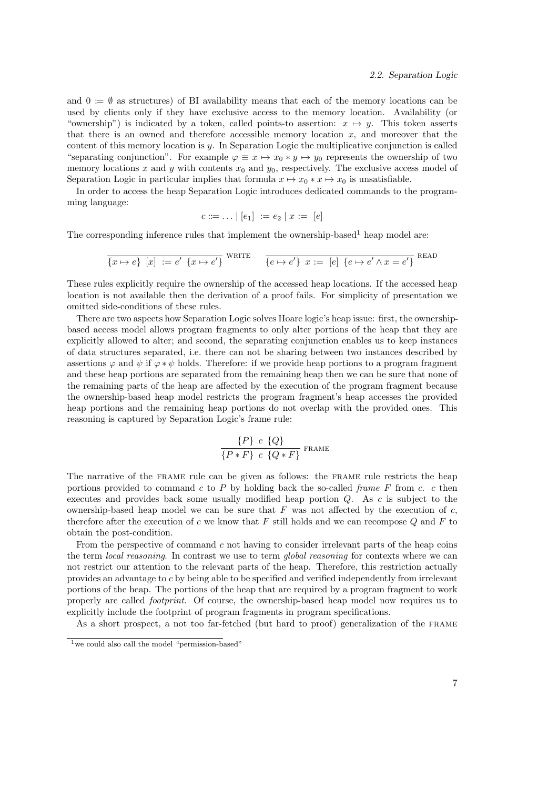and  $0 := \emptyset$  as structures) of BI availability means that each of the memory locations can be used by clients only if they have exclusive access to the memory location. Availability (or "ownership") is indicated by a token, called points-to assertion:  $x \mapsto y$ . This token asserts that there is an owned and therefore accessible memory location  $x$ , and moreover that the content of this memory location is  $y$ . In Separation Logic the multiplicative conjunction is called "separating conjunction". For example  $\varphi \equiv x \mapsto x_0 * y \mapsto y_0$  represents the ownership of two memory locations x and y with contents  $x_0$  and  $y_0$ , respectively. The exclusive access model of Separation Logic in particular implies that formula  $x \mapsto x_0 * x \mapsto x_0$  is unsatisfiable.

In order to access the heap Separation Logic introduces dedicated commands to the programming language:

$$
c ::= \ldots | [e_1] := e_2 | x := [e]
$$

The corresponding inference rules that implement the ownership-based<sup>1</sup> heap model are:

$$
\overline{\{x \mapsto e\} \ [x] \ := e' \ \{x \mapsto e'\}} \quad \text{where} \quad \overline{\{e \mapsto e'\} \ x := \ [e] \ \{e \mapsto e' \wedge x = e'\}} \quad \text{ReadD}
$$

These rules explicitly require the ownership of the accessed heap locations. If the accessed heap location is not available then the derivation of a proof fails. For simplicity of presentation we omitted side-conditions of these rules.

There are two aspects how Separation Logic solves Hoare logic's heap issue: first, the ownershipbased access model allows program fragments to only alter portions of the heap that they are explicitly allowed to alter; and second, the separating conjunction enables us to keep instances of data structures separated, i.e. there can not be sharing between two instances described by assertions  $\varphi$  and  $\psi$  if  $\varphi * \psi$  holds. Therefore: if we provide heap portions to a program fragment and these heap portions are separated from the remaining heap then we can be sure that none of the remaining parts of the heap are affected by the execution of the program fragment because the ownership-based heap model restricts the program fragment's heap accesses the provided heap portions and the remaining heap portions do not overlap with the provided ones. This reasoning is captured by Separation Logic's frame rule:

$$
\frac{\{P\} \ c \ \{Q\}}{\{P*F\} \ c \ \{Q*F\}} \ \text{frame}
$$

The narrative of the frame rule can be given as follows: the frame rule restricts the heap portions provided to command  $c$  to  $P$  by holding back the so-called frame  $F$  from  $c$ .  $c$  then executes and provides back some usually modified heap portion Q. As c is subject to the ownership-based heap model we can be sure that  $F$  was not affected by the execution of  $c$ , therefore after the execution of c we know that  $F$  still holds and we can recompose  $Q$  and  $F$  to obtain the post-condition.

From the perspective of command c not having to consider irrelevant parts of the heap coins the term *local reasoning*. In contrast we use to term *global reasoning* for contexts where we can not restrict our attention to the relevant parts of the heap. Therefore, this restriction actually provides an advantage to c by being able to be specified and verified independently from irrelevant portions of the heap. The portions of the heap that are required by a program fragment to work properly are called footprint. Of course, the ownership-based heap model now requires us to explicitly include the footprint of program fragments in program specifications.

As a short prospect, a not too far-fetched (but hard to proof) generalization of the frame

 $1$  we could also call the model "permission-based"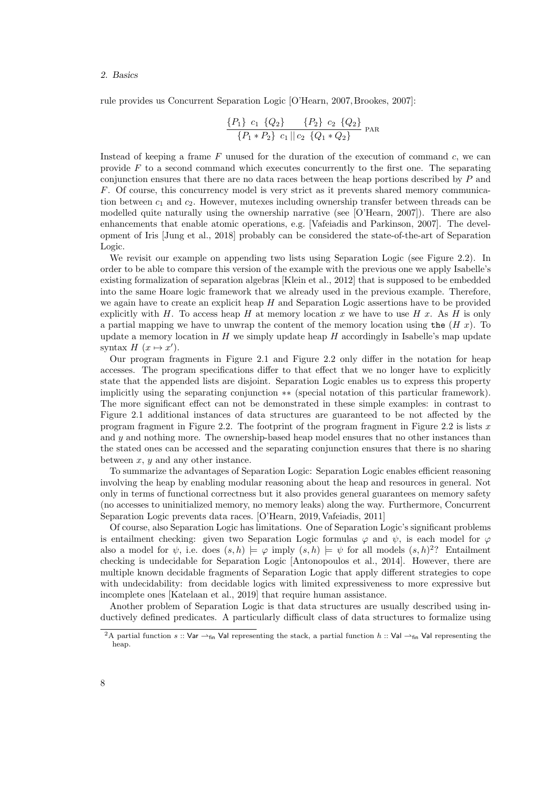rule provides us Concurrent Separation Logic [O'Hearn, 2007, Brookes, 2007]:

$$
\frac{\{P_1\} c_1 \{Q_2\}}{\{P_1 * P_2\} c_1 || c_2 \{Q_1 * Q_2\}} \text{ par}
$$

Instead of keeping a frame  $F$  unused for the duration of the execution of command  $c$ , we can provide  $F$  to a second command which executes concurrently to the first one. The separating conjunction ensures that there are no data races between the heap portions described by P and F. Of course, this concurrency model is very strict as it prevents shared memory communication between  $c_1$  and  $c_2$ . However, mutexes including ownership transfer between threads can be modelled quite naturally using the ownership narrative (see [O'Hearn, 2007]). There are also enhancements that enable atomic operations, e.g. [Vafeiadis and Parkinson, 2007]. The development of Iris [Jung et al., 2018] probably can be considered the state-of-the-art of Separation Logic.

We revisit our example on appending two lists using Separation Logic (see Figure 2.2). In order to be able to compare this version of the example with the previous one we apply Isabelle's existing formalization of separation algebras [Klein et al., 2012] that is supposed to be embedded into the same Hoare logic framework that we already used in the previous example. Therefore, we again have to create an explicit heap  $H$  and Separation Logic assertions have to be provided explicitly with  $H$ . To access heap  $H$  at memory location  $x$  we have to use  $H$   $x$ . As  $H$  is only a partial mapping we have to unwrap the content of the memory location using the  $(H x)$ . To update a memory location in  $H$  we simply update heap  $H$  accordingly in Isabelle's map update syntax  $H(x \mapsto x')$ .

Our program fragments in Figure 2.1 and Figure 2.2 only differ in the notation for heap accesses. The program specifications differ to that effect that we no longer have to explicitly state that the appended lists are disjoint. Separation Logic enables us to express this property implicitly using the separating conjunction ∗∗ (special notation of this particular framework). The more significant effect can not be demonstrated in these simple examples: in contrast to Figure 2.1 additional instances of data structures are guaranteed to be not affected by the program fragment in Figure 2.2. The footprint of the program fragment in Figure 2.2 is lists  $x$ and  $y$  and nothing more. The ownership-based heap model ensures that no other instances than the stated ones can be accessed and the separating conjunction ensures that there is no sharing between  $x, y$  and any other instance.

To summarize the advantages of Separation Logic: Separation Logic enables efficient reasoning involving the heap by enabling modular reasoning about the heap and resources in general. Not only in terms of functional correctness but it also provides general guarantees on memory safety (no accesses to uninitialized memory, no memory leaks) along the way. Furthermore, Concurrent Separation Logic prevents data races. [O'Hearn, 2019, Vafeiadis, 2011]

Of course, also Separation Logic has limitations. One of Separation Logic's significant problems is entailment checking: given two Separation Logic formulas  $\varphi$  and  $\psi$ , is each model for  $\varphi$ also a model for  $\psi$ , i.e. does  $(s,h) \models \varphi$  imply  $(s,h) \models \psi$  for all models  $(s,h)^2$ ? Entailment checking is undecidable for Separation Logic [Antonopoulos et al., 2014]. However, there are multiple known decidable fragments of Separation Logic that apply different strategies to cope with undecidability: from decidable logics with limited expressiveness to more expressive but incomplete ones [Katelaan et al., 2019] that require human assistance.

Another problem of Separation Logic is that data structures are usually described using inductively defined predicates. A particularly difficult class of data structures to formalize using

<sup>&</sup>lt;sup>2</sup>A partial function s :: Var  $\rightarrow$ <sub>fin</sub> Val representing the stack, a partial function h :: Val  $\rightarrow$ <sub>fin</sub> Val representing the heap.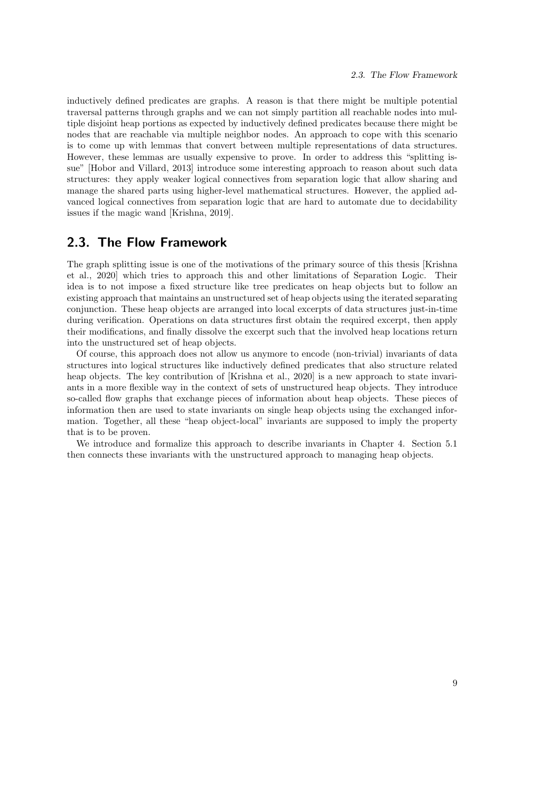inductively defined predicates are graphs. A reason is that there might be multiple potential traversal patterns through graphs and we can not simply partition all reachable nodes into multiple disjoint heap portions as expected by inductively defined predicates because there might be nodes that are reachable via multiple neighbor nodes. An approach to cope with this scenario is to come up with lemmas that convert between multiple representations of data structures. However, these lemmas are usually expensive to prove. In order to address this "splitting issue" [Hobor and Villard, 2013] introduce some interesting approach to reason about such data structures: they apply weaker logical connectives from separation logic that allow sharing and manage the shared parts using higher-level mathematical structures. However, the applied advanced logical connectives from separation logic that are hard to automate due to decidability issues if the magic wand [Krishna, 2019].

## 2.3. The Flow Framework

The graph splitting issue is one of the motivations of the primary source of this thesis [Krishna et al., 2020] which tries to approach this and other limitations of Separation Logic. Their idea is to not impose a fixed structure like tree predicates on heap objects but to follow an existing approach that maintains an unstructured set of heap objects using the iterated separating conjunction. These heap objects are arranged into local excerpts of data structures just-in-time during verification. Operations on data structures first obtain the required excerpt, then apply their modifications, and finally dissolve the excerpt such that the involved heap locations return into the unstructured set of heap objects.

Of course, this approach does not allow us anymore to encode (non-trivial) invariants of data structures into logical structures like inductively defined predicates that also structure related heap objects. The key contribution of [Krishna et al., 2020] is a new approach to state invariants in a more flexible way in the context of sets of unstructured heap objects. They introduce so-called flow graphs that exchange pieces of information about heap objects. These pieces of information then are used to state invariants on single heap objects using the exchanged information. Together, all these "heap object-local" invariants are supposed to imply the property that is to be proven.

We introduce and formalize this approach to describe invariants in Chapter 4. Section 5.1 then connects these invariants with the unstructured approach to managing heap objects.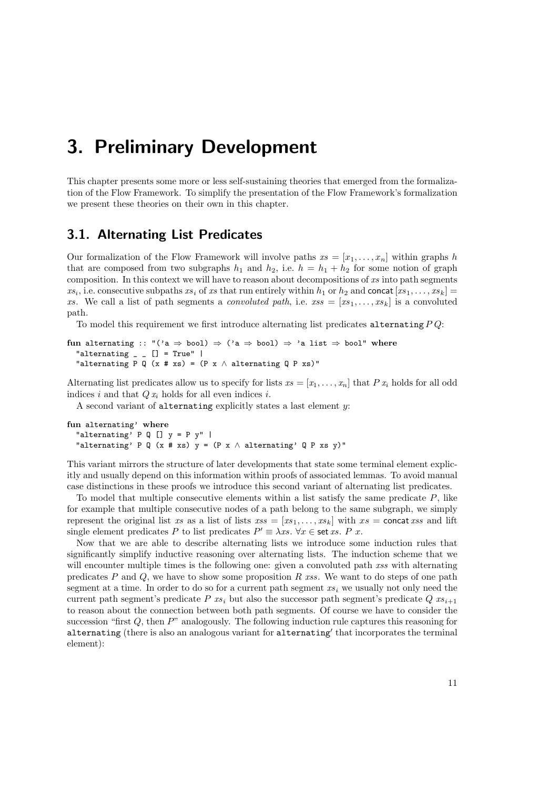## 3. Preliminary Development

This chapter presents some more or less self-sustaining theories that emerged from the formalization of the Flow Framework. To simplify the presentation of the Flow Framework's formalization we present these theories on their own in this chapter.

## 3.1. Alternating List Predicates

Our formalization of the Flow Framework will involve paths  $xs = [x_1, \ldots, x_n]$  within graphs h that are composed from two subgraphs  $h_1$  and  $h_2$ , i.e.  $h = h_1 + h_2$  for some notion of graph composition. In this context we will have to reason about decompositions of  $xs$  into path segments  $xs_i$ , i.e. consecutive subpaths  $xs_i$  of  $xs$  that run entirely within  $h_1$  or  $h_2$  and concat  $[xs_1, \ldots, xs_k] =$ xs. We call a list of path segments a *convoluted path*, i.e.  $xs = [xs_1, \ldots, xs_k]$  is a convoluted path.

To model this requirement we first introduce alternating list predicates alternating  $PQ$ :

```
fun alternating :: "('a \Rightarrow bool) \Rightarrow ('a \Rightarrow bool) \Rightarrow 'a list \Rightarrow bool" where
   "alternating \angle \angle [] = True" |
   "alternating P Q (x # xs) = (P x \land alternating Q P xs)"
```
Alternating list predicates allow us to specify for lists  $xs = [x_1, \ldots, x_n]$  that P  $x_i$  holds for all odd indices i and that  $Q x_i$  holds for all even indices i.

A second variant of alternating explicitly states a last element  $y$ :

```
fun alternating' where
  "alternating' P Q [] y = P y" |
  "alternating' P Q (x # xs) y = (P x \land alternating' Q P xs y)"
```
This variant mirrors the structure of later developments that state some terminal element explicitly and usually depend on this information within proofs of associated lemmas. To avoid manual case distinctions in these proofs we introduce this second variant of alternating list predicates.

To model that multiple consecutive elements within a list satisfy the same predicate  $P$ , like for example that multiple consecutive nodes of a path belong to the same subgraph, we simply represent the original list xs as a list of lists  $xs = [xs_1, \ldots, xs_k]$  with  $xs = \text{concat} xss$  and lift single element predicates P to list predicates  $P' \equiv \lambda xs. \,\forall x \in \text{set } xs. \, P \, x$ .

Now that we are able to describe alternating lists we introduce some induction rules that significantly simplify inductive reasoning over alternating lists. The induction scheme that we will encounter multiple times is the following one: given a convoluted path xss with alternating predicates  $P$  and  $Q$ , we have to show some proposition  $R$  xss. We want to do steps of one path segment at a time. In order to do so for a current path segment  $xs<sub>i</sub>$  we usually not only need the current path segment's predicate P  $xs_i$  but also the successor path segment's predicate Q  $xs_{i+1}$ to reason about the connection between both path segments. Of course we have to consider the succession "first  $Q$ , then  $P$ " analogously. The following induction rule captures this reasoning for alternating (there is also an analogous variant for alternating' that incorporates the terminal element):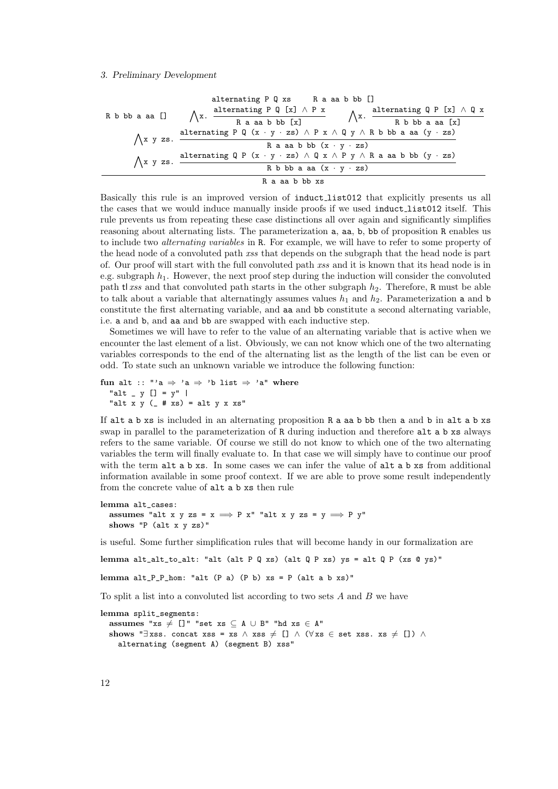#### 3. Preliminary Development

| alternating P Q xs    | R a a a b b b []                                                                                                          |                                                                  |                 |                                                                  |
|-----------------------|---------------------------------------------------------------------------------------------------------------------------|------------------------------------------------------------------|-----------------|------------------------------------------------------------------|
| R b b b a a a []      | $\bigwedge x$ .                                                                                                           | $\frac{\text{alternating P Q [x]} \land P x}{R a a a b b b [x]}$ | $\bigwedge x$ . | $\frac{\text{alternating Q P [x]} \land Q x}{R b b b a a a [x]}$ |
| $\bigwedge x y z s$ . | $\frac{\text{alternating P Q (x · y · zs)} \land P x \land Q y \land R b b b a a a (y · zs)}{R a a a b b b (x · y · zs)}$ |                                                                  |                 |                                                                  |
| $\bigwedge x y z s$ . | $\frac{\text{alternating Q P (x · y · zs)} \land Q x \land P y \land R a a a b b b (y · zs)}{R b b b a a a (x · y · zs)}$ |                                                                  |                 |                                                                  |
| $\bigwedge x y z s$ . | $\frac{\text{alternating Q P (x · y · zs)} \land Q x \land P y \land R a a a b b b (y · zs)}{R a a a b b b x s}$          |                                                                  |                 |                                                                  |

Basically this rule is an improved version of induct list012 that explicitly presents us all the cases that we would induce manually inside proofs if we used induct list012 itself. This rule prevents us from repeating these case distinctions all over again and significantly simplifies reasoning about alternating lists. The parameterization a, aa, b, bb of proposition R enables us to include two alternating variables in R. For example, we will have to refer to some property of the head node of a convoluted path xss that depends on the subgraph that the head node is part of. Our proof will start with the full convoluted path xss and it is known that its head node is in e.g. subgraph  $h_1$ . However, the next proof step during the induction will consider the convoluted path tl xss and that convoluted path starts in the other subgraph  $h_2$ . Therefore, R must be able to talk about a variable that alternatingly assumes values  $h_1$  and  $h_2$ . Parameterization a and b constitute the first alternating variable, and aa and bb constitute a second alternating variable, i.e. a and b, and aa and bb are swapped with each inductive step.

Sometimes we will have to refer to the value of an alternating variable that is active when we encounter the last element of a list. Obviously, we can not know which one of the two alternating variables corresponds to the end of the alternating list as the length of the list can be even or odd. To state such an unknown variable we introduce the following function:

```
fun alt :: "'a \Rightarrow 'a \Rightarrow 'b list \Rightarrow 'a" where
  "alt _ y [] = y" |
  "alt x y (\pm xs) = alt y x xs"
```
If alt a b xs is included in an alternating proposition R a aa b bb then a and b in alt a b xs swap in parallel to the parameterization of R during induction and therefore alt a b xs always refers to the same variable. Of course we still do not know to which one of the two alternating variables the term will finally evaluate to. In that case we will simply have to continue our proof with the term alt a b xs. In some cases we can infer the value of alt a b xs from additional information available in some proof context. If we are able to prove some result independently from the concrete value of alt a b xs then rule

```
lemma alt_cases:
  assumes "alt x y zs = x \implies P x" "alt x y zs = y \implies P y"
  shows "P (alt x y zs)"
```
is useful. Some further simplification rules that will become handy in our formalization are

lemma alt\_alt\_to\_alt: "alt (alt P Q xs) (alt Q P xs) ys = alt Q P (xs @ ys)"

lemma  $alt_P_P_hom: "alt (P a) (P b) xs = P (alt a b xs)"$ 

To split a list into a convoluted list according to two sets  $A$  and  $B$  we have

```
lemma split_segments:
  assumes "xs \neq []" "set xs \subseteq A ∪ B" "hd xs \in A"
  shows "∃xss. concat xss = xs \land xss \neq [] \land (\forallxs \in set xss. xs \neq []) \landalternating (segment A) (segment B) xss"
```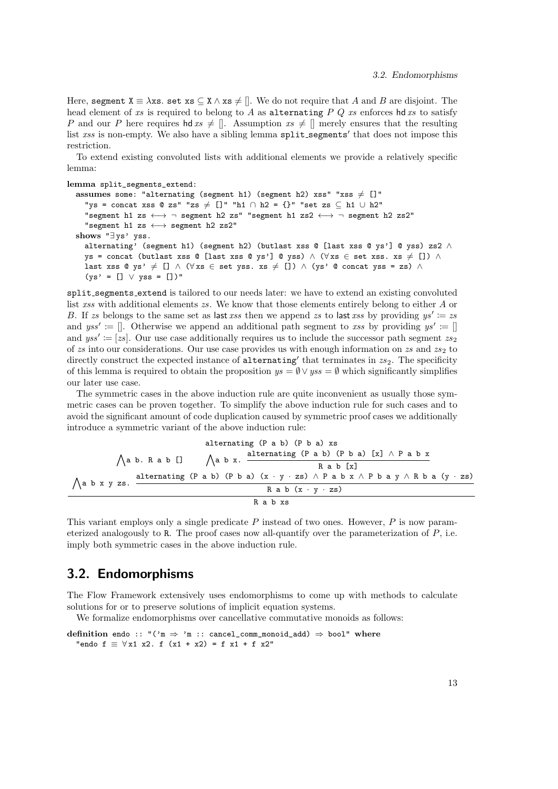Here, segment  $X \equiv \lambda xs$ . set  $xs \subseteq X \wedge xs \neq []$ . We do not require that A and B are disjoint. The head element of xs is required to belong to A as alternating  $PQ$  xs enforces hd xs to satisfy P and our P here requires hd  $xs \neq []$ . Assumption  $xs \neq []$  merely ensures that the resulting list  $xss$  is non-empty. We also have a sibling lemma  $split\_segments'$  that does not impose this restriction.

To extend existing convoluted lists with additional elements we provide a relatively specific lemma:

```
lemma split_segments_extend:
```

```
assumes some: "alternating (segment h1) (segment h2) xss" "xss \neq []"
  "ys = concat xss @ zs" "zs \neq []" "h1 \cap h2 = {}" "set zs \subset h1 \cup h2"
  "segment h1 zs \longleftrightarrow \neg segment h2 zs" "segment h1 zs2 \longleftrightarrow \neg segment h2 zs2"
  "segment h1 zs ←→ segment h2 zs2"
shows "∃ ys' yss.
  alternating' (segment h1) (segment h2) (butlast xss @ [last xss @ ys'] @ yss) zs2 ∧
  ys = concat (butlast xss @ [last xss @ ys'] @ yss) ∧ (\forallxs ∈ set xss. xs \neq []) ∧
  last xss @ ys' \neq [] \wedge (\forall xs \in set yss. xs \neq []) \wedge (ys' @ concat yss = zs) \wedge(ys' = [] \lor yss = [])'
```
split segments extend is tailored to our needs later: we have to extend an existing convoluted list xss with additional elements zs. We know that those elements entirely belong to either A or B. If zs belongs to the same set as last xss then we append zs to last xss by providing  $ys' \coloneqq zs$ and  $yss' := []$ . Otherwise we append an additional path segment to xss by providing  $ys' := []$ and  $yss' := [zs]$ . Our use case additionally requires us to include the successor path segment  $zs_2$ of zs into our considerations. Our use case provides us with enough information on zs and  $zs_2$  to directly construct the expected instance of alternating' that terminates in  $zs_2$ . The specificity of this lemma is required to obtain the proposition  $ys = \emptyset \vee yss = \emptyset$  which significantly simplifies our later use case.

The symmetric cases in the above induction rule are quite inconvenient as usually those symmetric cases can be proven together. To simplify the above induction rule for such cases and to avoid the significant amount of code duplication caused by symmetric proof cases we additionally introduce a symmetric variant of the above induction rule:

| alternating (P a b) (P b a) xs                                                                                                                                     |                                                                                                          |
|--------------------------------------------------------------------------------------------------------------------------------------------------------------------|----------------------------------------------------------------------------------------------------------|
| \n $\bigwedge$ a b. R a b []\n                                                                                                                                     | \n $\bigwedge$ a b x. $\frac{\text{alternating (P a b) (P b a) [x]} \land P a b x}{\text{R a b [x]}}$ \n |
| \n $\bigwedge$ a b x y zs. $\frac{\text{alternating (P a b) (P b a) (x · y · zs) \land P a b x \land P b a y \land R b a (y · zs)}}{\text{R a b (x · y · zs)}}$ \n |                                                                                                          |
| \n $\bigwedge$ a b x s\n                                                                                                                                           | \n $\bigwedge$ a b x s\n                                                                                 |

This variant employs only a single predicate  $P$  instead of two ones. However,  $P$  is now parameterized analogously to R. The proof cases now all-quantify over the parameterization of P, i.e. imply both symmetric cases in the above induction rule.

## 3.2. Endomorphisms

The Flow Framework extensively uses endomorphisms to come up with methods to calculate solutions for or to preserve solutions of implicit equation systems.

We formalize endomorphisms over cancellative commutative monoids as follows:

definition endo :: " $('m \Rightarrow 'm :: cancel_{comm\_monoid\_add}) \Rightarrow bool"$  where "endo  $f \equiv \forall x1 \ x2$ . f  $(x1 + x2) = f x1 + f x2$ "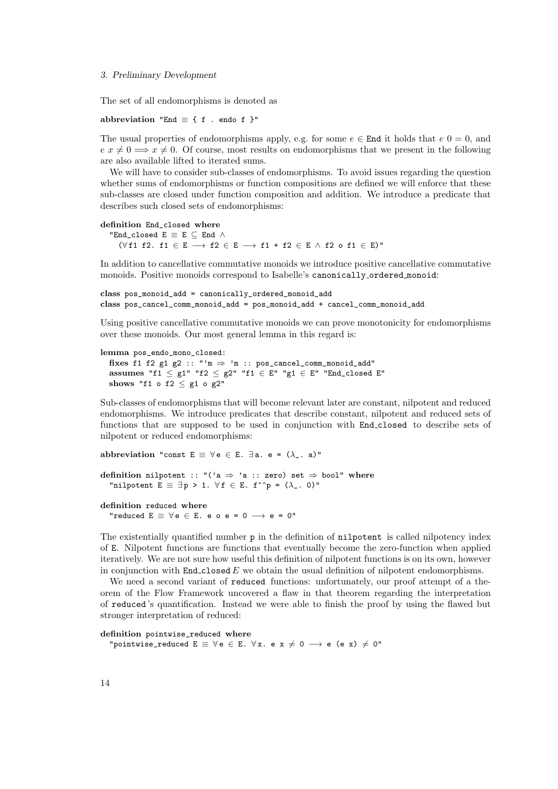#### 3. Preliminary Development

The set of all endomorphisms is denoted as

abbreviation "End  $\equiv$  { f . endo f }"

The usual properties of endomorphisms apply, e.g. for some  $e \in \text{End}$  it holds that  $e \cdot 0 = 0$ , and  $e \ x \neq 0 \implies x \neq 0$ . Of course, most results on endomorphisms that we present in the following are also available lifted to iterated sums.

We will have to consider sub-classes of endomorphisms. To avoid issues regarding the question whether sums of endomorphisms or function compositions are defined we will enforce that these sub-classes are closed under function composition and addition. We introduce a predicate that describes such closed sets of endomorphisms:

```
definition End_closed where
```
"End\_closed  $E \equiv E \subseteq$  End  $\wedge$ ( $\forall$ f1 f2. f1 ∈ E → f2 ∈ E → f1 + f2 ∈ E ∧ f2 o f1 ∈ E)"

In addition to cancellative commutative monoids we introduce positive cancellative commutative monoids. Positive monoids correspond to Isabelle's canonically ordered monoid:

```
class pos_monoid_add = canonically_ordered_monoid_add
class pos_cancel_comm_monoid_add = pos_monoid_add + cancel_comm_monoid_add
```
Using positive cancellative commutative monoids we can prove monotonicity for endomorphisms over these monoids. Our most general lemma in this regard is:

#### lemma pos\_endo\_mono\_closed:

fixes f1 f2 g1 g2 :: "' $m \Rightarrow$  'm :: pos\_cancel\_comm\_monoid\_add" assumes "f1  $\leq$  g1" "f2  $\leq$  g2" "f1  $\in$  E" "g1  $\in$  E" "End\_closed E" shows "f1 o f2  $\leq$  g1 o g2"

Sub-classes of endomorphisms that will become relevant later are constant, nilpotent and reduced endomorphisms. We introduce predicates that describe constant, nilpotent and reduced sets of functions that are supposed to be used in conjunction with End closed to describe sets of nilpotent or reduced endomorphisms:

abbreviation "const  $E \equiv \forall e \in E$ .  $\exists a$ . e =  $(\lambda_{-}, a)$ "

definition nilpotent :: "('a  $\Rightarrow$  'a :: zero) set  $\Rightarrow$  bool" where "nilpotent  $E \equiv \exists p > 1. \forall f \in E$ . f^^p = ( $\lambda$ \_. 0)"

definition reduced where

"reduced  $E \equiv \forall e \in E$ . e o e = 0  $\longrightarrow$  e = 0"

The existentially quantified number p in the definition of nilpotent is called nilpotency index of E. Nilpotent functions are functions that eventually become the zero-function when applied iteratively. We are not sure how useful this definition of nilpotent functions is on its own, however in conjunction with  $End\_closed E$  we obtain the usual definition of nilpotent endomorphisms.

We need a second variant of **reduced** functions: unfortunately, our proof attempt of a theorem of the Flow Framework uncovered a flaw in that theorem regarding the interpretation of reduced 's quantification. Instead we were able to finish the proof by using the flawed but stronger interpretation of reduced:

#### definition pointwise\_reduced where

"pointwise\_reduced  $E \equiv \forall e \in E$ .  $\forall x$ . e  $x \neq 0 \longrightarrow e$  (e x)  $\neq 0$ "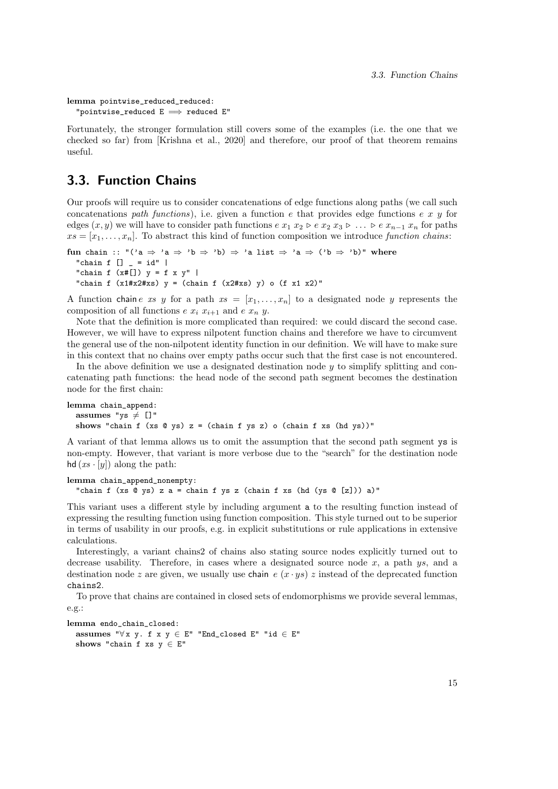```
lemma pointwise_reduced_reduced:
  "pointwise_reduced E \implies reduced E"
```
Fortunately, the stronger formulation still covers some of the examples (i.e. the one that we checked so far) from [Krishna et al., 2020] and therefore, our proof of that theorem remains useful.

## 3.3. Function Chains

Our proofs will require us to consider concatenations of edge functions along paths (we call such concatenations path functions), i.e. given a function e that provides edge functions e x y for edges  $(x, y)$  we will have to consider path functions  $e x_1 x_2 \triangleright e x_2 x_3 \triangleright \ldots \triangleright e x_{n-1} x_n$  for paths  $xs = [x_1, \ldots, x_n]$ . To abstract this kind of function composition we introduce function chains:

```
fun chain :: "('a \Rightarrow 'a \Rightarrow 'b \Rightarrow 'b) \Rightarrow 'a list \Rightarrow 'a \Rightarrow ('b \Rightarrow 'b)" where
   "chain f [] = id" |
   "chain f (x#[]) y = f x y" |
   "chain f (x1#x2#xs) y = (chain f (x2#xs) y) o (f x1 x2)"
```
A function chain e xs y for a path  $xs = [x_1, \ldots, x_n]$  to a designated node y represents the composition of all functions  $e x_i x_{i+1}$  and  $e x_n y$ .

Note that the definition is more complicated than required: we could discard the second case. However, we will have to express nilpotent function chains and therefore we have to circumvent the general use of the non-nilpotent identity function in our definition. We will have to make sure in this context that no chains over empty paths occur such that the first case is not encountered.

In the above definition we use a designated destination node  $y$  to simplify splitting and concatenating path functions: the head node of the second path segment becomes the destination node for the first chain:

```
lemma chain_append:
 assumes "ys \neq []"
 shows "chain f (xs Q ys) z = (chain f ys z) o (chain f xs (hd ys))"
```
A variant of that lemma allows us to omit the assumption that the second path segment ys is non-empty. However, that variant is more verbose due to the "search" for the destination node hd  $(xs \cdot [y])$  along the path:

```
lemma chain_append_nonempty:
  "chain f (xs Q ys) z a = chain f ys z (chain f xs (hd (ys Q [z])) a)"
```
This variant uses a different style by including argument a to the resulting function instead of expressing the resulting function using function composition. This style turned out to be superior in terms of usability in our proofs, e.g. in explicit substitutions or rule applications in extensive calculations.

Interestingly, a variant chains2 of chains also stating source nodes explicitly turned out to decrease usability. Therefore, in cases where a designated source node  $x$ , a path  $ys$ , and a destination node z are given, we usually use chain  $e(x \cdot ys)$  z instead of the deprecated function chains2.

To prove that chains are contained in closed sets of endomorphisms we provide several lemmas, e.g.:

```
lemma endo_chain_closed:
  assumes "\forall x \ y. f x \ y \in E" "End_closed E" "id \in E"
  shows "chain f xs y \in E"
```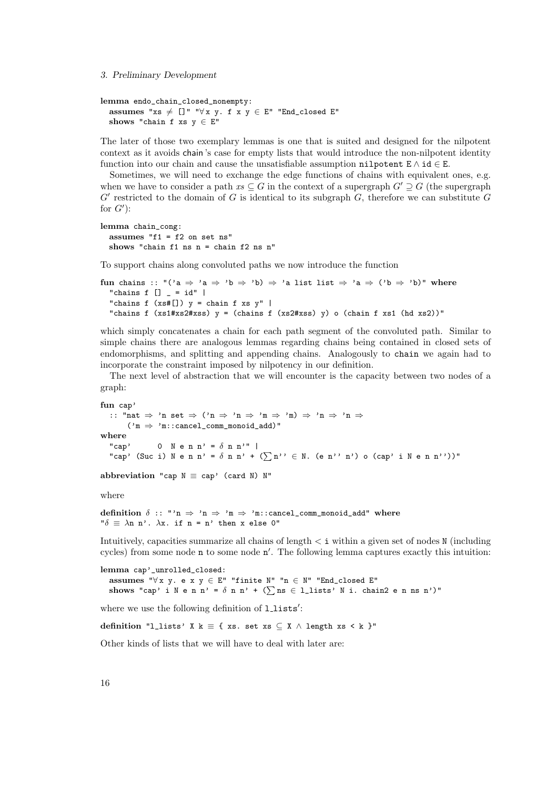3. Preliminary Development

```
lemma endo_chain_closed_nonempty:
  assumes "xs \neq []" "\forallx y. f x y \in E" "End_closed E"
  shows "chain f xs y \in E"
```
The later of those two exemplary lemmas is one that is suited and designed for the nilpotent context as it avoids chain 's case for empty lists that would introduce the non-nilpotent identity function into our chain and cause the unsatisfiable assumption nilpotent  $E \wedge id \in E$ .

Sometimes, we will need to exchange the edge functions of chains with equivalent ones, e.g. when we have to consider a path  $xs\subseteq G$  in the context of a supergraph  $G'\supset G$  (the supergraph  $G'$  restricted to the domain of G is identical to its subgraph  $G$ , therefore we can substitute  $G$ for  $G'$ :

```
lemma chain_cong:
  assumes "f1 = f2 on set ns"
  shows "chain f1 ns n = chain f2 ns n"
```
To support chains along convoluted paths we now introduce the function

```
fun chains :: "('a \Rightarrow 'a \Rightarrow 'b \Rightarrow 'b) \Rightarrow 'a list list \Rightarrow 'a \Rightarrow ('b \Rightarrow 'b)" where
  "chains f [] = id" |"chains f(xs\#[]) y = chain f xs y""chains f (xs1#xs2#xss) y = (chain f (xs2#xss) y) o (chain f xs1 (hd xs2))"
```
which simply concatenates a chain for each path segment of the convoluted path. Similar to simple chains there are analogous lemmas regarding chains being contained in closed sets of endomorphisms, and splitting and appending chains. Analogously to chain we again had to incorporate the constraint imposed by nilpotency in our definition.

The next level of abstraction that we will encounter is the capacity between two nodes of a graph:

```
fun cap'
  :: "nat ⇒ 'n set ⇒ ('n ⇒ 'n ⇒ 'm ⇒ 'm) ⇒ 'n ⇒ 'n ⇒
      ('m \Rightarrow 'm::cancel\_comm\_monoid\_add)"where
  "cap' 0 N e n n' = \delta n n'" |
  "cap' (Suc i) N e n n' = \delta n n' + (\sumn'' \in N. (e n'' n') o (cap' i N e n n''))"
```
abbreviation "cap  $N \equiv$  cap' (card N)  $N''$ 

where

definition  $\delta$  :: "'n  $\Rightarrow$  'n  $\Rightarrow$  'm  $\Rightarrow$  'm::cancel\_comm\_monoid\_add" where " $\delta \equiv \lambda n \; n$ ".  $\lambda x$ . if  $n = n'$  then x else 0"

Intuitively, capacities summarize all chains of length  $\lt i$  within a given set of nodes N (including cycles) from some node  $n$  to some node  $n'$ . The following lemma captures exactly this intuition:

```
lemma cap'_unrolled_closed:
 assumes "∀x y. e x y ∈ E" "finite N" "n ∈ N" "End_closed E"
 shows "cap' i N e n n' = \delta n n' + (\sumns \in 1_lists' N i. chain2 e n ns n')"
```
where we use the following definition of **llists'**:

definition "l\_lists' X k = { xs. set xs  $\subseteq$  X  $\land$  length xs < k }"

Other kinds of lists that we will have to deal with later are: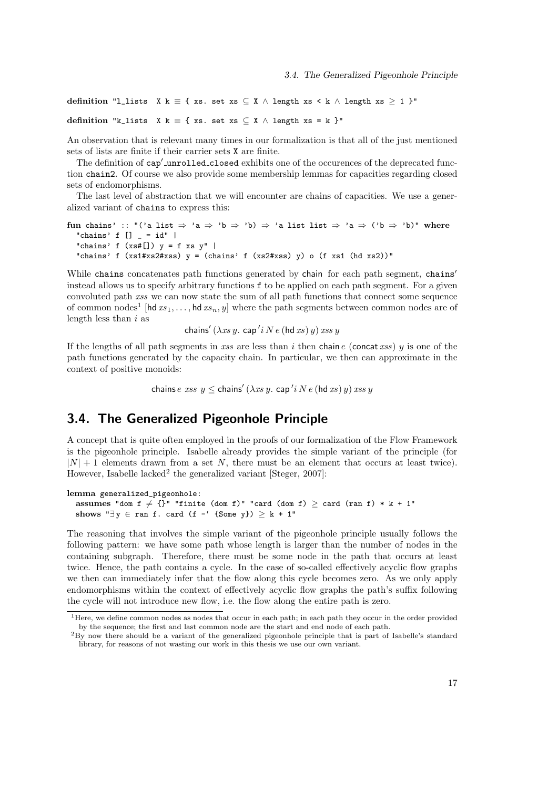definition "l\_lists X k = { xs. set xs  $\subseteq$  X  $\land$  length xs  $\lt k$   $\land$  length xs  $\geq 1$  }"

definition "k\_lists X k = { xs. set xs  $\subset$  X  $\wedge$  length xs = k }"

An observation that is relevant many times in our formalization is that all of the just mentioned sets of lists are finite if their carrier sets X are finite.

The definition of cap'\_unrolled\_closed exhibits one of the occurences of the deprecated function chain2. Of course we also provide some membership lemmas for capacities regarding closed sets of endomorphisms.

The last level of abstraction that we will encounter are chains of capacities. We use a generalized variant of chains to express this:

fun chains' :: "('a list  $\Rightarrow$  'a  $\Rightarrow$  'b  $\Rightarrow$  'b)  $\Rightarrow$  'a list list  $\Rightarrow$  'a  $\Rightarrow$  ('b  $\Rightarrow$  'b)" where "chains' f  $[]$   $=$   $id"$  | "chains' f  $(xs$ #[])  $y = f xs y"$  | "chains' f (xs1#xs2#xss) y = (chains' f (xs2#xss) y) o (f xs1 (hd xs2))"

While chains concatenates path functions generated by chain for each path segment, chains' instead allows us to specify arbitrary functions f to be applied on each path segment. For a given convoluted path xss we can now state the sum of all path functions that connect some sequence of common nodes<sup>1</sup> [hd  $xs_1, \ldots$  , hd  $xs_n, y$ ] where the path segments between common nodes are of length less than  $i$  as

chains'  $(\lambda x s \, y$ . cap ' $i \, N \, e$   $(\text{hd } xs) \, y) \, x s s \, y$ 

If the lengths of all path segments in xss are less than i then chain e (concat xss) y is one of the path functions generated by the capacity chain. In particular, we then can approximate in the context of positive monoids:

chains  $e\; \mathit{xss}\; y \leq$  chains'  $(\lambda \mathit{xs}\; y.\; \mathsf{cap}\; \mathit'i\; N\; e\; (\mathsf{hd}\; \mathit{xs})\; y)\; \mathit{xss}\; y$ 

## 3.4. The Generalized Pigeonhole Principle

A concept that is quite often employed in the proofs of our formalization of the Flow Framework is the pigeonhole principle. Isabelle already provides the simple variant of the principle (for  $|N| + 1$  elements drawn from a set N, there must be an element that occurs at least twice). However, Isabelle lacked<sup>2</sup> the generalized variant [Steger, 2007]:

```
lemma generalized_pigeonhole:
```

```
assumes "dom f \neq {}" "finite (dom f)" "card (dom f) \geq card (ran f) * k + 1"
shows "\exists y \in \text{ran } f. card (f - f \text{ Some } y) \geq k + 1"
```
The reasoning that involves the simple variant of the pigeonhole principle usually follows the following pattern: we have some path whose length is larger than the number of nodes in the containing subgraph. Therefore, there must be some node in the path that occurs at least twice. Hence, the path contains a cycle. In the case of so-called effectively acyclic flow graphs we then can immediately infer that the flow along this cycle becomes zero. As we only apply endomorphisms within the context of effectively acyclic flow graphs the path's suffix following the cycle will not introduce new flow, i.e. the flow along the entire path is zero.

<sup>&</sup>lt;sup>1</sup>Here, we define common nodes as nodes that occur in each path; in each path they occur in the order provided by the sequence; the first and last common node are the start and end node of each path.

<sup>2</sup>By now there should be a variant of the generalized pigeonhole principle that is part of Isabelle's standard library, for reasons of not wasting our work in this thesis we use our own variant.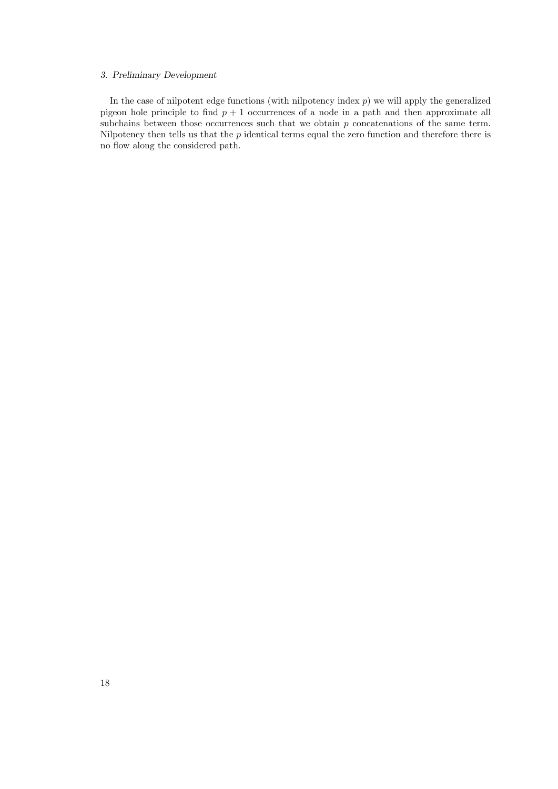#### 3. Preliminary Development

In the case of nilpotent edge functions (with nilpotency index  $p$ ) we will apply the generalized pigeon hole principle to find  $p + 1$  occurrences of a node in a path and then approximate all subchains between those occurrences such that we obtain  $p$  concatenations of the same term. Nilpotency then tells us that the  $p$  identical terms equal the zero function and therefore there is no flow along the considered path.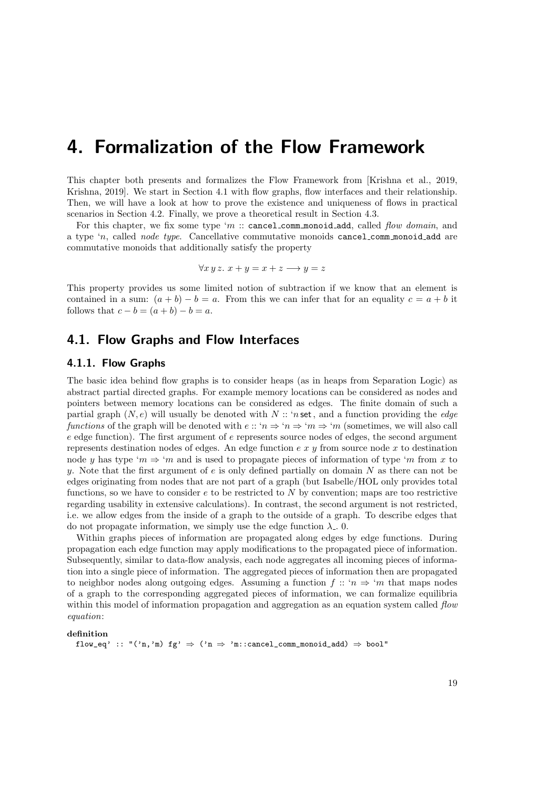## 4. Formalization of the Flow Framework

This chapter both presents and formalizes the Flow Framework from [Krishna et al., 2019, Krishna, 2019. We start in Section 4.1 with flow graphs, flow interfaces and their relationship. Then, we will have a look at how to prove the existence and uniqueness of flows in practical scenarios in Section 4.2. Finally, we prove a theoretical result in Section 4.3.

For this chapter, we fix some type 'm  $::$  cancel comm monoid add, called flow domain, and a type 'n, called node type. Cancellative commutative monoids cancel comm monoid add are commutative monoids that additionally satisfy the property

$$
\forall x \, y \, z. \ x + y = x + z \longrightarrow y = z
$$

This property provides us some limited notion of subtraction if we know that an element is contained in a sum:  $(a + b) - b = a$ . From this we can infer that for an equality  $c = a + b$  it follows that  $c - b = (a + b) - b = a$ .

## 4.1. Flow Graphs and Flow Interfaces

### 4.1.1. Flow Graphs

The basic idea behind flow graphs is to consider heaps (as in heaps from Separation Logic) as abstract partial directed graphs. For example memory locations can be considered as nodes and pointers between memory locations can be considered as edges. The finite domain of such a partial graph  $(N, e)$  will usually be denoted with  $N :: 'n$  set, and a function providing the *edge* functions of the graph will be denoted with  $e$  :: ' $n \Rightarrow 'm \Rightarrow 'm$  (sometimes, we will also call  $e$  edge function). The first argument of  $e$  represents source nodes of edges, the second argument represents destination nodes of edges. An edge function  $e x y$  from source node x to destination node y has type 'm  $\Rightarrow$  'm and is used to propagate pieces of information of type 'm from x to y. Note that the first argument of  $e$  is only defined partially on domain N as there can not be edges originating from nodes that are not part of a graph (but Isabelle/HOL only provides total functions, so we have to consider  $e$  to be restricted to  $N$  by convention; maps are too restrictive regarding usability in extensive calculations). In contrast, the second argument is not restricted, i.e. we allow edges from the inside of a graph to the outside of a graph. To describe edges that do not propagate information, we simply use the edge function  $\lambda$ . 0.

Within graphs pieces of information are propagated along edges by edge functions. During propagation each edge function may apply modifications to the propagated piece of information. Subsequently, similar to data-flow analysis, each node aggregates all incoming pieces of information into a single piece of information. The aggregated pieces of information then are propagated to neighbor nodes along outgoing edges. Assuming a function  $f :: 'n \Rightarrow 'm$  that maps nodes of a graph to the corresponding aggregated pieces of information, we can formalize equilibria within this model of information propagation and aggregation as an equation system called flow equation:

#### definition

flow\_eq' :: "('n,'m) fg'  $\Rightarrow$  ('n  $\Rightarrow$  'm::cancel\_comm\_monoid\_add)  $\Rightarrow$  bool"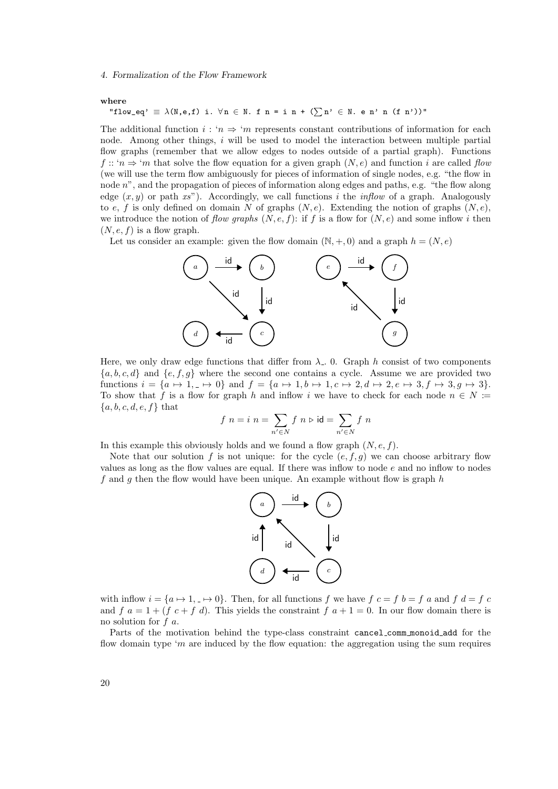#### 4. Formalization of the Flow Framework

where

"flow\_eq' 
$$
\equiv \lambda(N,e,f)
$$
 i.  $\forall n \in \mathbb{N}$ . f  $n = i n + (\sum n' \in \mathbb{N}$ . e n' n (f n'))"

The additional function  $i : 'n \Rightarrow 'm$  represents constant contributions of information for each node. Among other things, i will be used to model the interaction between multiple partial flow graphs (remember that we allow edges to nodes outside of a partial graph). Functions f :: ' $n \Rightarrow$  'm that solve the flow equation for a given graph  $(N, e)$  and function i are called flow (we will use the term flow ambiguously for pieces of information of single nodes, e.g. "the flow in node  $n^{\prime\prime}$ , and the propagation of pieces of information along edges and paths, e.g. "the flow along edge  $(x, y)$  or path xs"). Accordingly, we call functions i the inflow of a graph. Analogously to e, f is only defined on domain N of graphs  $(N, e)$ . Extending the notion of graphs  $(N, e)$ , we introduce the notion of flow graphs  $(N, e, f)$ : if f is a flow for  $(N, e)$  and some inflow i then  $(N, e, f)$  is a flow graph.

Let us consider an example: given the flow domain  $(\mathbb{N}, +, 0)$  and a graph  $h = (N, e)$ 



Here, we only draw edge functions that differ from  $\lambda_{-}$ . 0. Graph h consist of two components  ${a, b, c, d}$  and  ${e, f, g}$  where the second one contains a cycle. Assume we are provided two functions  $i = \{a \mapsto 1, \underline{\ } \mapsto 0\}$  and  $f = \{a \mapsto 1, b \mapsto 1, c \mapsto 2, d \mapsto 2, e \mapsto 3, f \mapsto 3, g \mapsto 3\}.$ To show that f is a flow for graph h and inflow i we have to check for each node  $n \in N$  :=  ${a, b, c, d, e, f} that$ 

$$
f \ n = i \ n = \sum_{n' \in N} f \ n \triangleright \mathsf{id} = \sum_{n' \in N} f \ n
$$

In this example this obviously holds and we found a flow graph  $(N, e, f)$ .

Note that our solution f is not unique: for the cycle  $(e, f, g)$  we can choose arbitrary flow values as long as the flow values are equal. If there was inflow to node  $e$  and no inflow to nodes f and g then the flow would have been unique. An example without flow is graph  $h$ 



with inflow  $i = \{a \mapsto 1, \bot \mapsto 0\}$ . Then, for all functions f we have  $f \ c = f \ b = f \ a$  and  $f \ d = f \ c$ and f  $a = 1 + (f \nc + f \nd)$ . This yields the constraint  $f \nd + 1 = 0$ . In our flow domain there is no solution for f a.

Parts of the motivation behind the type-class constraint cancel comm monoid add for the flow domain type 'm are induced by the flow equation: the aggregation using the sum requires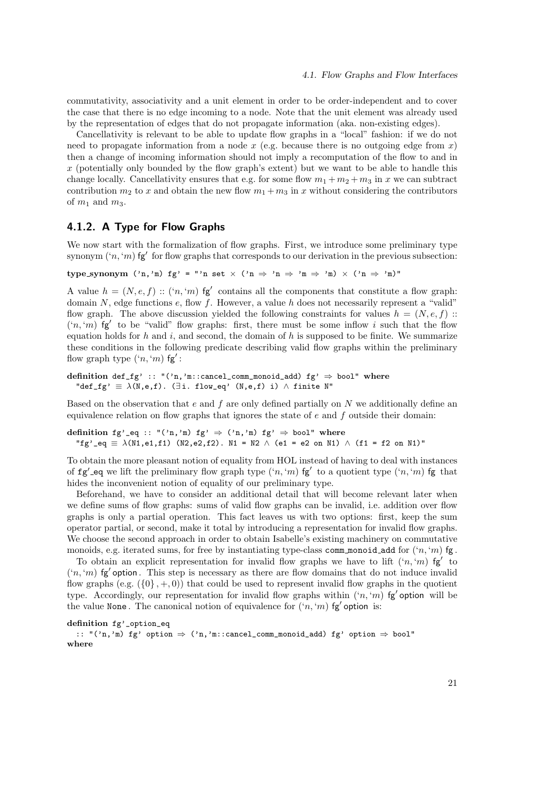commutativity, associativity and a unit element in order to be order-independent and to cover the case that there is no edge incoming to a node. Note that the unit element was already used by the representation of edges that do not propagate information (aka. non-existing edges).

Cancellativity is relevant to be able to update flow graphs in a "local" fashion: if we do not need to propagate information from a node  $x$  (e.g. because there is no outgoing edge from  $x$ ) then a change of incoming information should not imply a recomputation of the flow to and in  $x$  (potentially only bounded by the flow graph's extent) but we want to be able to handle this change locally. Cancellativity ensures that e.g. for some flow  $m_1 + m_2 + m_3$  in x we can subtract contribution  $m_2$  to x and obtain the new flow  $m_1 + m_3$  in x without considering the contributors of  $m_1$  and  $m_3$ .

#### 4.1.2. A Type for Flow Graphs

We now start with the formalization of flow graphs. First, we introduce some preliminary type synonym  $(n, 'm)$  fg' for flow graphs that corresponds to our derivation in the previous subsection:

type synonym  $('n,'m)$  fg' = "'n set  $\times$   $('n \Rightarrow 'n \Rightarrow 'm \Rightarrow 'm) \times ('n \Rightarrow 'm)'$ "

A value  $h = (N, e, f)$ :  $(n, 'm)$  fg' contains all the components that constitute a flow graph: domain  $N$ , edge functions  $e$ , flow  $f$ . However, a value  $h$  does not necessarily represent a "valid" flow graph. The above discussion yielded the following constraints for values  $h = (N, e, f)$ :  $(n, m)$  fg' to be "valid" flow graphs: first, there must be some inflow i such that the flow equation holds for h and i, and second, the domain of h is supposed to be finite. We summarize these conditions in the following predicate describing valid flow graphs within the preliminary flow graph type  $({}^{\iota}n, {}^{\iota}m)$  fg':

definition def\_fg' :: "('n,'m::cancel\_comm\_monoid\_add) fg'  $\Rightarrow$  bool" where "def\_fg'  $\equiv \lambda(N,e,f)$ . ( $\exists i$ . flow\_eq' (N,e,f) i)  $\wedge$  finite N"

Based on the observation that e and f are only defined partially on  $N$  we additionally define an equivalence relation on flow graphs that ignores the state of  $e$  and  $f$  outside their domain:

definition fg'\_eq :: "('n,'m) fg'  $\Rightarrow$  ('n,'m) fg'  $\Rightarrow$  bool" where "fg'\_eq  $\equiv \lambda(N1, e1, f1)$  (N2,e2,f2). N1 = N2  $\wedge$  (e1 = e2 on N1)  $\wedge$  (f1 = f2 on N1)"

To obtain the more pleasant notion of equality from HOL instead of having to deal with instances of  $fg'$  eq we lift the preliminary flow graph type  $( n, 'm)$  fg' to a quotient type  $( n, 'm)$  fg that hides the inconvenient notion of equality of our preliminary type.

Beforehand, we have to consider an additional detail that will become relevant later when we define sums of flow graphs: sums of valid flow graphs can be invalid, i.e. addition over flow graphs is only a partial operation. This fact leaves us with two options: first, keep the sum operator partial, or second, make it total by introducing a representation for invalid flow graphs. We choose the second approach in order to obtain Isabelle's existing machinery on commutative monoids, e.g. iterated sums, for free by instantiating type-class comm monoid add for  $(2n, m)$  fg.

To obtain an explicit representation for invalid flow graphs we have to lift  $({}^{\iota}n,{}^{\iota}m)$  fg' to  $((n, m)$  fg' option. This step is necessary as there are flow domains that do not induce invalid flow graphs (e.g.  $(\{0\}, +, 0)$ ) that could be used to represent invalid flow graphs in the quotient type. Accordingly, our representation for invalid flow graphs within  $({n, m})$  fg' option will be the value None. The canonical notion of equivalence for  $((n, m)$  fg' option is:

definition fg'\_option\_eq

:: "('n,'m) fg' option ⇒ ('n,'m::cancel\_comm\_monoid\_add) fg' option ⇒ bool" where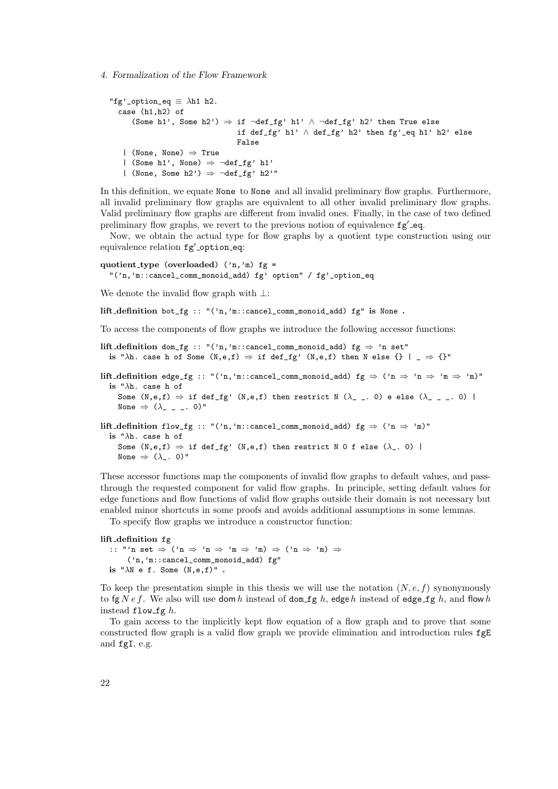#### 4. Formalization of the Flow Framework

```
"fg'_option_eq \equiv \lambdah1 h2.
  case (h1,h2) of
      (Some h1', Some h2') \Rightarrow if \neg def_{fg'} h1' \land \neg def_{fg'} h2' then True else
                                     if def_fg' h1' \land def_fg' h2' then fg'_eq h1' h2' else
                                     False
   | (None, None) ⇒ True
   | (Some h1', None) \Rightarrow \neg \text{def\_fg'} h1'
   | (None, Some h2') \Rightarrow \neg def_{fg'} h2'"
```
In this definition, we equate None to None and all invalid preliminary flow graphs. Furthermore, all invalid preliminary flow graphs are equivalent to all other invalid preliminary flow graphs. Valid preliminary flow graphs are different from invalid ones. Finally, in the case of two defined preliminary flow graphs, we revert to the previous notion of equivalence  $fg'$ -eq.

Now, we obtain the actual type for flow graphs by a quotient type construction using our equivalence relation  $fg'$ -option eq:

quotient type (overloaded)  $('n,'m)$  fg = "('n,'m::cancel\_comm\_monoid\_add) fg' option" / fg'\_option\_eq

We denote the invalid flow graph with ⊥:

lift definition bot\_fg :: "('n,'m::cancel\_comm\_monoid\_add) fg" is None .

To access the components of flow graphs we introduce the following accessor functions:

lift\_definition dom\_fg :: "('n,'m::cancel\_comm\_monoid\_add) fg  $\Rightarrow$  'n set" is " $\lambda$ h. case h of Some (N,e,f)  $\Rightarrow$  if def\_fg' (N,e,f) then N else {} | \_  $\Rightarrow$  {}"

lift\_definition edge\_fg :: "('n,'m::cancel\_comm\_monoid\_add) fg  $\Rightarrow$  ('n  $\Rightarrow$  'n  $\Rightarrow$  'm  $\Rightarrow$  'm)" is "λh. case h of Some (N,e,f)  $\Rightarrow$  if def\_fg' (N,e,f) then restrict N ( $\lambda$ \_ \_. 0) e else ( $\lambda$ \_ \_ \_. 0) |

None  $\Rightarrow$  ( $\lambda$ <sub>--</sub>. 0)"

lift\_definition flow\_fg :: "('n,'m::cancel\_comm\_monoid\_add) fg  $\Rightarrow$  ('n  $\Rightarrow$  'm)" is " $\lambda$ h. case h of Some  $(N,e,f) \Rightarrow$  if def\_fg'  $(N,e,f)$  then restrict N 0 f else  $(\lambda_{-}, 0)$  | None  $\Rightarrow$  ( $\lambda$ <sub>-</sub>. 0)"

These accessor functions map the components of invalid flow graphs to default values, and passthrough the requested component for valid flow graphs. In principle, setting default values for edge functions and flow functions of valid flow graphs outside their domain is not necessary but enabled minor shortcuts in some proofs and avoids additional assumptions in some lemmas.

To specify flow graphs we introduce a constructor function:

#### lift definition fg

:: "'n set ⇒ ('n ⇒ 'n ⇒ 'm ⇒ 'm) ⇒ ('n ⇒ 'm) ⇒ ('n,'m::cancel\_comm\_monoid\_add) fg" is " $\lambda$ N e f. Some  $(N, e, f)$ ".

To keep the presentation simple in this thesis we will use the notation  $(N, e, f)$  synonymously to fg  $N e f$ . We also will use dom h instead of dom fg h, edge h instead of edge fg h, and flow h instead flow  $fg h$ .

To gain access to the implicitly kept flow equation of a flow graph and to prove that some constructed flow graph is a valid flow graph we provide elimination and introduction rules fgE and fgI, e.g.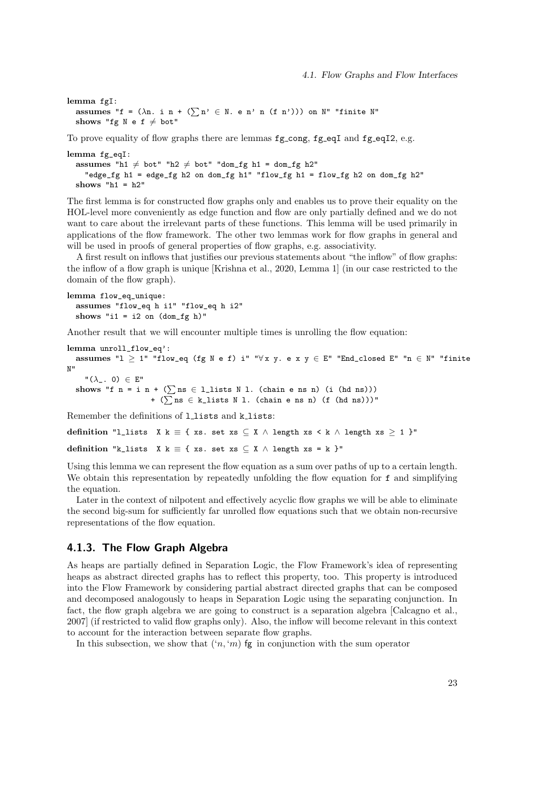lemma fgI: assumes "f =  $(\lambda n. i n + (\sum n' \in N. e n' n (f n')))$  on N" "finite N" shows "fg N e f  $\neq$  bot"

To prove equality of flow graphs there are lemmas  $fg\_{cong, fg\_{eq}I$  and  $fg\_{eq}I2$ , e.g.

```
lemma fg_eqI:
 assumes "h1 \neq bot" "h2 \neq bot" "dom_fg h1 = dom_fg h2"
    "edge_fg h1 = edge_fg h2 on dom_fg h1" "flow_fg h1 = flow_fg h2 on dom_fg h2"
 shows "h1 = h2"
```
The first lemma is for constructed flow graphs only and enables us to prove their equality on the HOL-level more conveniently as edge function and flow are only partially defined and we do not want to care about the irrelevant parts of these functions. This lemma will be used primarily in applications of the flow framework. The other two lemmas work for flow graphs in general and will be used in proofs of general properties of flow graphs, e.g. associativity.

A first result on inflows that justifies our previous statements about "the inflow" of flow graphs: the inflow of a flow graph is unique [Krishna et al., 2020, Lemma 1] (in our case restricted to the domain of the flow graph).

lemma flow\_eq\_unique: assumes "flow\_eq h i1" "flow\_eq h i2" shows "i1 = i2 on  $dom_fg h$ "

Another result that we will encounter multiple times is unrolling the flow equation:

```
lemma unroll_flow_eq':
  assumes "1 \geq 1" "flow_eq (fg N e f) i" "\forall x y. e x y \in E" "End_closed E" "n \in N" "finite
N"
    "(\lambda_-\,.\, 0) \in E"shows "f n = i n + (\sumns \in 1_lists N 1. (chain e ns n) (i (hd ns)))
                     + (\sumns ∈ k_lists N l. (chain e ns n) (f (hd ns)))"
```
Remember the definitions of llists and klists:

```
definition "l_lists X k \equiv { xs. set xs \subseteq X \land length xs \lt k \land length xs \geq 1 }"
```
definition "k\_lists X k = { xs. set xs  $\subseteq$  X  $\land$  length xs = k }"

Using this lemma we can represent the flow equation as a sum over paths of up to a certain length. We obtain this representation by repeatedly unfolding the flow equation for f and simplifying the equation.

Later in the context of nilpotent and effectively acyclic flow graphs we will be able to eliminate the second big-sum for sufficiently far unrolled flow equations such that we obtain non-recursive representations of the flow equation.

### 4.1.3. The Flow Graph Algebra

As heaps are partially defined in Separation Logic, the Flow Framework's idea of representing heaps as abstract directed graphs has to reflect this property, too. This property is introduced into the Flow Framework by considering partial abstract directed graphs that can be composed and decomposed analogously to heaps in Separation Logic using the separating conjunction. In fact, the flow graph algebra we are going to construct is a separation algebra [Calcagno et al., 2007] (if restricted to valid flow graphs only). Also, the inflow will become relevant in this context to account for the interaction between separate flow graphs.

In this subsection, we show that  $(n, m)$  fg in conjunction with the sum operator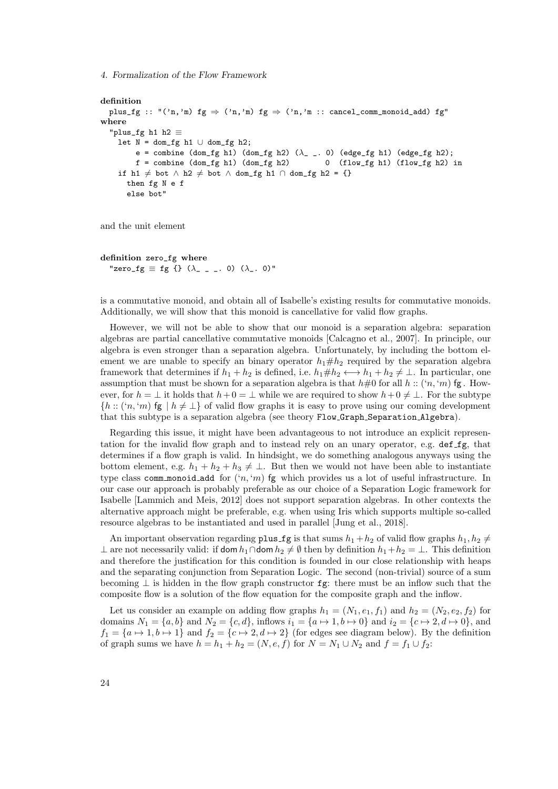4. Formalization of the Flow Framework

```
definition
  plus_fg :: "('n,'m) fg \Rightarrow ('n,'m) fg \Rightarrow ('n,'m :: cancel_comm_monoid_add) fg"
where
  "plus_fg h1 h2 ≡
    let N = dom_fg h1 \cup dom_fg h2;e = combine (dom_fg h1) (dom_fg h2) (\lambda_ _. 0) (edge_fg h1) (edge_fg h2);
        f = combine (dom_fg h1) (dom_fg h2) 0 (flow_fg h1) (flow_fg h2) in
    if h1 \neq bot ∧ h2 \neq bot ∧ dom_fg h1 ∩ dom_fg h2 = {}
      then fg N e f
      else bot"
```
and the unit element

```
definition zero_fg where
  "zero_fg \equiv fg {} (\lambda_ _ _. 0) (\lambda_. 0)"
```
is a commutative monoid, and obtain all of Isabelle's existing results for commutative monoids. Additionally, we will show that this monoid is cancellative for valid flow graphs.

However, we will not be able to show that our monoid is a separation algebra: separation algebras are partial cancellative commutative monoids [Calcagno et al., 2007]. In principle, our algebra is even stronger than a separation algebra. Unfortunately, by including the bottom element we are unable to specify an binary operator  $h_1 \# h_2$  required by the separation algebra framework that determines if  $h_1 + h_2$  is defined, i.e.  $h_1 \# h_2 \leftrightarrow h_1 + h_2 \neq \perp$ . In particular, one assumption that must be shown for a separation algebra is that  $h\#0$  for all  $h$  :: ('n, 'm) fg. However, for  $h = \perp$  it holds that  $h + 0 = \perp$  while we are required to show  $h + 0 \neq \perp$ . For the subtype  $\{h : (n, m)$  fg  $\mid h \neq \perp\}$  of valid flow graphs it is easy to prove using our coming development that this subtype is a separation algebra (see theory Flow Graph Separation Algebra).

Regarding this issue, it might have been advantageous to not introduce an explicit representation for the invalid flow graph and to instead rely on an unary operator, e.g. def fg, that determines if a flow graph is valid. In hindsight, we do something analogous anyways using the bottom element, e.g.  $h_1 + h_2 + h_3 \neq \perp$ . But then we would not have been able to instantiate type class comm monoid add for  $(n, m)$  fg which provides us a lot of useful infrastructure. In our case our approach is probably preferable as our choice of a Separation Logic framework for Isabelle [Lammich and Meis, 2012] does not support separation algebras. In other contexts the alternative approach might be preferable, e.g. when using Iris which supports multiple so-called resource algebras to be instantiated and used in parallel [Jung et al., 2018].

An important observation regarding plus fg is that sums  $h_1 + h_2$  of valid flow graphs  $h_1, h_2 \neq$ ⊥ are not necessarily valid: if dom  $h_1 \cap$ dom  $h_2 \neq \emptyset$  then by definition  $h_1 + h_2 = \bot$ . This definition and therefore the justification for this condition is founded in our close relationship with heaps and the separating conjunction from Separation Logic. The second (non-trivial) source of a sum becoming  $\perp$  is hidden in the flow graph constructor fg: there must be an inflow such that the composite flow is a solution of the flow equation for the composite graph and the inflow.

Let us consider an example on adding flow graphs  $h_1 = (N_1, e_1, f_1)$  and  $h_2 = (N_2, e_2, f_2)$  for domains  $N_1 = \{a, b\}$  and  $N_2 = \{c, d\}$ , inflows  $i_1 = \{a \mapsto 1, b \mapsto 0\}$  and  $i_2 = \{c \mapsto 2, d \mapsto 0\}$ , and  $f_1 = \{a \mapsto 1, b \mapsto 1\}$  and  $f_2 = \{c \mapsto 2, d \mapsto 2\}$  (for edges see diagram below). By the definition of graph sums we have  $h = h_1 + h_2 = (N, e, f)$  for  $N = N_1 \cup N_2$  and  $f = f_1 \cup f_2$ :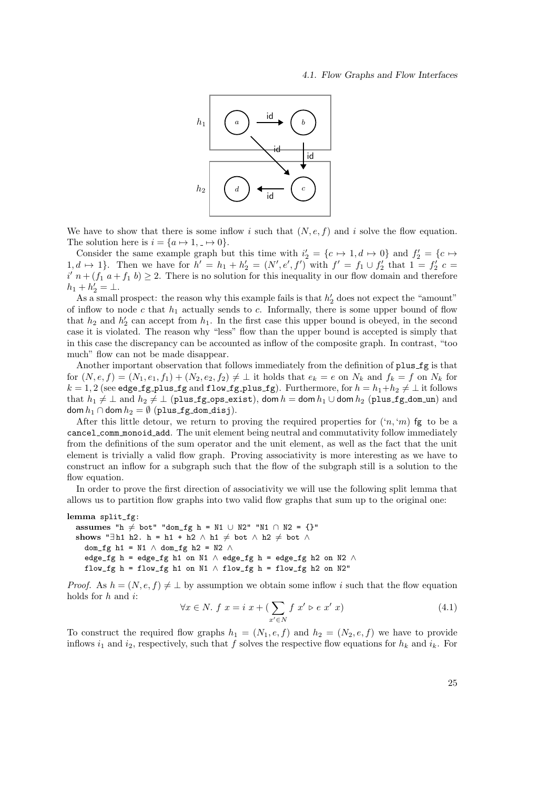#### 4.1. Flow Graphs and Flow Interfaces



We have to show that there is some inflow i such that  $(N, e, f)$  and i solve the flow equation. The solution here is  $i = \{a \mapsto 1, \underline{\ } \mapsto 0\}.$ 

Consider the same example graph but this time with  $i'_2 = \{c \mapsto 1, d \mapsto 0\}$  and  $f'_2 = \{c \mapsto 1, d \mapsto 0\}$ 1,  $d \mapsto 1$ . Then we have for  $h' = h_1 + h'_2 = (N', e', f')$  with  $f' = f_1 \cup f'_2$  that  $1 = f'_2$  c  $i'$   $n + (f_1 \t a + f_1 \t b) \geq 2$ . There is no solution for this inequality in our flow domain and therefore  $h_1 + h'_2 = \perp.$ 

As a small prospect: the reason why this example fails is that  $h'_2$  does not expect the "amount" of inflow to node c that  $h_1$  actually sends to c. Informally, there is some upper bound of flow that  $h_2$  and  $h'_2$  can accept from  $h_1$ . In the first case this upper bound is obeyed, in the second case it is violated. The reason why "less" flow than the upper bound is accepted is simply that in this case the discrepancy can be accounted as inflow of the composite graph. In contrast, "too much" flow can not be made disappear.

Another important observation that follows immediately from the definition of plus fg is that for  $(N, e, f) = (N_1, e_1, f_1) + (N_2, e_2, f_2) \neq \bot$  it holds that  $e_k = e$  on  $N_k$  and  $f_k = f$  on  $N_k$  for  $k = 1, 2$  (see edge fg\_plus\_fg and flow fg\_plus\_fg). Furthermore, for  $h = h_1 + h_2 \neq \perp$  it follows that  $h_1 \neq \bot$  and  $h_2 \neq \bot$  (plus fg ops exist), dom  $h =$  dom  $h_1 \cup$  dom  $h_2$  (plus fg dom un) and dom  $h_1 \cap$  dom  $h_2 = \emptyset$  (plus fg\_dom\_disj).

After this little detour, we return to proving the required properties for  $({n, m)$  fg to be a cancel comm monoid add. The unit element being neutral and commutativity follow immediately from the definitions of the sum operator and the unit element, as well as the fact that the unit element is trivially a valid flow graph. Proving associativity is more interesting as we have to construct an inflow for a subgraph such that the flow of the subgraph still is a solution to the flow equation.

In order to prove the first direction of associativity we will use the following split lemma that allows us to partition flow graphs into two valid flow graphs that sum up to the original one:

lemma split\_fg: assumes "h  $\neq$  bot" "dom\_fg h = N1 ∪ N2" "N1 ∩ N2 = {}" shows "∃h1 h2. h = h1 + h2  $\wedge$  h1  $\neq$  bot  $\wedge$  h2  $\neq$  bot  $\wedge$ dom\_fg h1 = N1  $\land$  dom\_fg h2 = N2  $\land$ edge\_fg h = edge\_fg h1 on N1  $\land$  edge\_fg h = edge\_fg h2 on N2  $\land$ flow\_fg h = flow\_fg h1 on N1  $\land$  flow\_fg h = flow\_fg h2 on N2"

*Proof.* As  $h = (N, e, f) \neq \bot$  by assumption we obtain some inflow i such that the flow equation holds for h and i:

$$
\forall x \in N. \ f \ x = i \ x + \left(\sum_{x' \in N} f \ x' \triangleright e \ x' \ x\right) \tag{4.1}
$$

To construct the required flow graphs  $h_1 = (N_1, e, f)$  and  $h_2 = (N_2, e, f)$  we have to provide inflows  $i_1$  and  $i_2$ , respectively, such that f solves the respective flow equations for  $h_k$  and  $i_k$ . For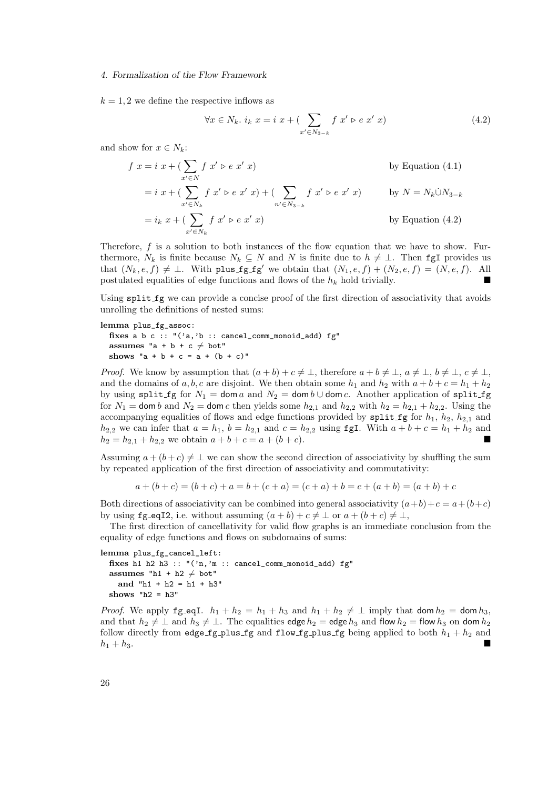$k = 1, 2$  we define the respective inflows as

$$
\forall x \in N_k, \ i_k \ x = i \ x + (\sum_{x' \in N_{3-k}} f \ x' \triangleright e \ x' \ x)
$$
\n(4.2)

and show for  $x \in N_k$ :

$$
f x = i x + (\sum_{x' \in N} f x' \triangleright e x' x)
$$
 by Equation (4.1)  
\n
$$
= i x + (\sum_{x' \in N_k} f x' \triangleright e x' x) + (\sum_{n' \in N_{3-k}} f x' \triangleright e x' x)
$$
 by  $N = N_k \bigcup N_{3-k}$   
\n
$$
= i_k x + (\sum_{x' \in N_k} f x' \triangleright e x' x)
$$
 by Equation (4.2)

Therefore,  $f$  is a solution to both instances of the flow equation that we have to show. Furthermore,  $N_k$  is finite because  $N_k \subseteq N$  and N is finite due to  $h \neq \bot$ . Then fgI provides us that  $(N_k, e, f) \neq \bot$ . With plus fg fg' we obtain that  $(N_1, e, f) + (N_2, e, f) = (N, e, f)$ . All postulated equalities of edge functions and flows of the  $h_k$  hold trivially.

Using split fg we can provide a concise proof of the first direction of associativity that avoids unrolling the definitions of nested sums:

lemma plus\_fg\_assoc: fixes a b c  $:: "('a, 'b :: cancel\_comm\_monoid\_add) fg"$ assumes "a + b + c  $\neq$  bot" shows "a + b + c = a +  $(b + c)$ "

*Proof.* We know by assumption that  $(a + b) + c \neq \bot$ , therefore  $a + b \neq \bot$ ,  $a \neq \bot$ ,  $b \neq \bot$ ,  $c \neq \bot$ , and the domains of a, b, c are disjoint. We then obtain some  $h_1$  and  $h_2$  with  $a + b + c = h_1 + h_2$ by using split fg for  $N_1 = \text{dom } a$  and  $N_2 = \text{dom } b \cup \text{dom } c$ . Another application of split fg for  $N_1$  = dom b and  $N_2$  = dom c then yields some  $h_{2,1}$  and  $h_{2,2}$  with  $h_2 = h_{2,1} + h_{2,2}$ . Using the accompanying equalities of flows and edge functions provided by split fg for  $h_1$ ,  $h_2$ ,  $h_{2,1}$  and  $h_{2,2}$  we can infer that  $a = h_1$ ,  $b = h_{2,1}$  and  $c = h_{2,2}$  using fgI. With  $a + b + c = h_1 + h_2$  and  $h_2 = h_{2,1} + h_{2,2}$  we obtain  $a + b + c = a + (b + c)$ .

Assuming  $a + (b + c) \neq \perp$  we can show the second direction of associativity by shuffling the sum by repeated application of the first direction of associativity and commutativity:

$$
a + (b + c) = (b + c) + a = b + (c + a) = (c + a) + b = c + (a + b) = (a + b) + c
$$

Both directions of associativity can be combined into general associativity  $(a+b)+c = a+(b+c)$ by using  $fg\_eq12$ , i.e. without assuming  $(a + b) + c \neq \bot$  or  $a + (b + c) \neq \bot$ ,

The first direction of cancellativity for valid flow graphs is an immediate conclusion from the equality of edge functions and flows on subdomains of sums:

lemma plus\_fg\_cancel\_left: fixes h1 h2 h3 :: "('n,'m :: cancel\_comm\_monoid\_add) fg" assumes "h1 + h2  $\neq$  bot" and " $h1 + h2 = h1 + h3$ " shows " $h2 = h3$ "

*Proof.* We apply  $fg\_eqI$ .  $h_1 + h_2 = h_1 + h_3$  and  $h_1 + h_2 \neq \perp$  imply that dom  $h_2 = \text{dom } h_3$ , and that  $h_2 \neq \perp$  and  $h_3 \neq \perp$ . The equalities edge  $h_2 =$  edge  $h_3$  and flow  $h_2 =$  flow  $h_3$  on dom  $h_2$ follow directly from edge fg plus fg and flow fg plus fg being applied to both  $h_1 + h_2$  and  $h_1 + h_3$ .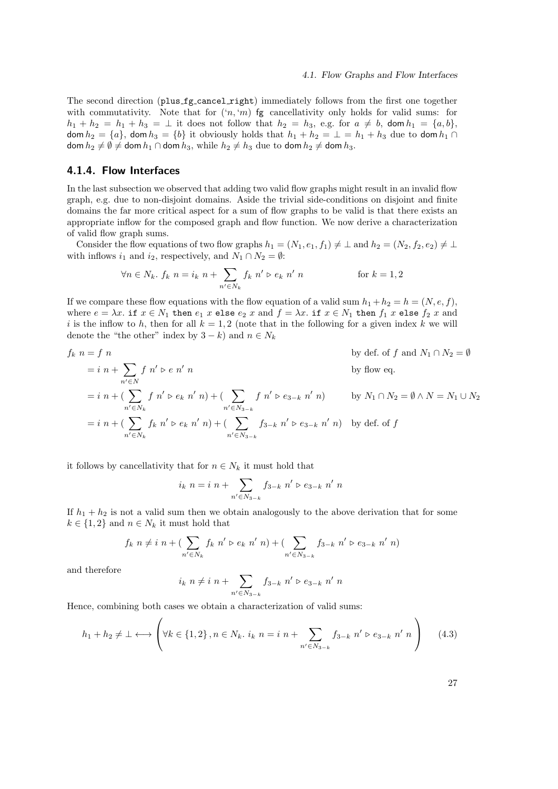The second direction (plus fg cancel right) immediately follows from the first one together with commutativity. Note that for  $(n, m)$  fg cancellativity only holds for valid sums: for  $h_1 + h_2 = h_1 + h_3 = \perp$  it does not follow that  $h_2 = h_3$ , e.g. for  $a \neq b$ , dom  $h_1 = \{a, b\}$ , dom  $h_2 = \{a\}$ , dom  $h_3 = \{b\}$  it obviously holds that  $h_1 + h_2 = \perp = h_1 + h_3$  due to dom  $h_1 \cap$ dom  $h_2 \neq \emptyset \neq$  dom  $h_1 \cap$  dom  $h_3$ , while  $h_2 \neq h_3$  due to dom  $h_2 \neq$  dom  $h_3$ .

# 4.1.4. Flow Interfaces

In the last subsection we observed that adding two valid flow graphs might result in an invalid flow graph, e.g. due to non-disjoint domains. Aside the trivial side-conditions on disjoint and finite domains the far more critical aspect for a sum of flow graphs to be valid is that there exists an appropriate inflow for the composed graph and flow function. We now derive a characterization of valid flow graph sums.

Consider the flow equations of two flow graphs  $h_1 = (N_1, e_1, f_1) \neq \perp$  and  $h_2 = (N_2, f_2, e_2) \neq \perp$ with inflows  $i_1$  and  $i_2$ , respectively, and  $N_1 \cap N_2 = \emptyset$ :

$$
\forall n \in N_k. \ f_k \ n = i_k \ n + \sum_{n' \in N_k} f_k \ n' \triangleright e_k \ n' \ n \qquad \text{for } k = 1, 2
$$

If we compare these flow equations with the flow equation of a valid sum  $h_1 + h_2 = h = (N, e, f)$ , where  $e = \lambda x$ . if  $x \in N_1$  then  $e_1$  x else  $e_2$  x and  $f = \lambda x$ . if  $x \in N_1$  then  $f_1$  x else  $f_2$  x and i is the inflow to h, then for all  $k = 1, 2$  (note that in the following for a given index k we will denote the "the other" index by  $3 - k$ ) and  $n \in N_k$ 

$$
f_k \ n = f \ n \qquad \text{by def. of } f \text{ and } N_1 \cap N_2 = \emptyset
$$
  
\n
$$
= i \ n + \sum_{n' \in N} f n' \triangleright e n' \ n \qquad \text{by flow eq.}
$$
  
\n
$$
= i \ n + (\sum_{n' \in N_k} f n' \triangleright e_k \ n' \ n) + (\sum_{n' \in N_{3-k}} f n' \triangleright e_{3-k} \ n' \ n) \qquad \text{by } N_1 \cap N_2 = \emptyset \land N = N_1 \cup N_2
$$
  
\n
$$
= i \ n + (\sum_{n' \in N_k} f_k \ n' \triangleright e_k \ n' \ n) + (\sum_{n' \in N_{3-k}} f_{3-k} \ n' \triangleright e_{3-k} \ n' \ n) \qquad \text{by def. of } f
$$

it follows by cancellativity that for  $n \in N_k$  it must hold that

$$
i_k \ n = i \ n + \sum_{n' \in N_{3-k}} f_{3-k} \ n' \triangleright e_{3-k} \ n' \ n
$$

If  $h_1 + h_2$  is not a valid sum then we obtain analogously to the above derivation that for some  $k \in \{1, 2\}$  and  $n \in N_k$  it must hold that

$$
f_k \ n \neq i \ n + (\sum_{n' \in N_k} f_k \ n' \rhd e_k \ n' \ n) + (\sum_{n' \in N_{3-k}} f_{3-k} \ n' \rhd e_{3-k} \ n' \ n)
$$

and therefore

$$
i_k \ n \neq i \ n + \sum_{n' \in N_{3-k}} f_{3-k} \ n' \triangleright e_{3-k} \ n' \ n
$$

Hence, combining both cases we obtain a characterization of valid sums:

$$
h_1 + h_2 \neq \bot \longleftrightarrow \left( \forall k \in \{1, 2\}, n \in N_k, i_k \ n = i \ n + \sum_{n' \in N_{3-k}} f_{3-k} \ n' \triangleright e_{3-k} \ n' \ n \right) \tag{4.3}
$$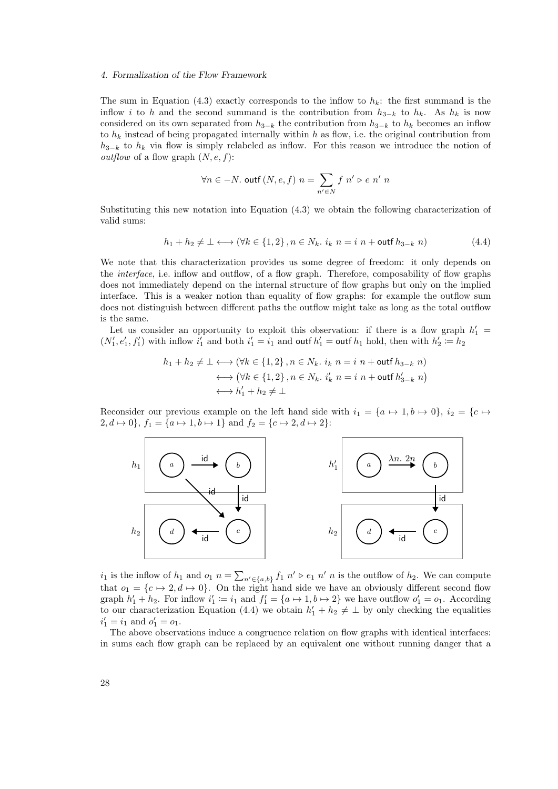The sum in Equation (4.3) exactly corresponds to the inflow to  $h_k$ : the first summand is the inflow i to h and the second summand is the contribution from  $h_{3-k}$  to  $h_k$ . As  $h_k$  is now considered on its own separated from  $h_{3-k}$  the contribution from  $h_{3-k}$  to  $h_k$  becomes an inflow to  $h_k$  instead of being propagated internally within h as flow, i.e. the original contribution from  $h_{3-k}$  to  $h_k$  via flow is simply relabeled as inflow. For this reason we introduce the notion of *outflow* of a flow graph  $(N, e, f)$ :

$$
\forall n \in -N. \text{ outf } (N, e, f) \ n = \sum_{n' \in N} f \ n' \triangleright e \ n' \ n
$$

Substituting this new notation into Equation (4.3) we obtain the following characterization of valid sums:

$$
h_1 + h_2 \neq \bot \longleftrightarrow (\forall k \in \{1, 2\}, n \in N_k, i_k \ n = i \ n + \text{outf } h_{3-k} \ n) \tag{4.4}
$$

We note that this characterization provides us some degree of freedom: it only depends on the *interface*, i.e. inflow and outflow, of a flow graph. Therefore, composability of flow graphs does not immediately depend on the internal structure of flow graphs but only on the implied interface. This is a weaker notion than equality of flow graphs: for example the outflow sum does not distinguish between different paths the outflow might take as long as the total outflow is the same.

Let us consider an opportunity to exploit this observation: if there is a flow graph  $h'_1$  =  $(N'_1, e'_1, f'_1)$  with inflow  $i'_1$  and both  $i'_1 = i_1$  and outf  $h'_1 =$  outf  $h_1$  hold, then with  $h'_2 := h_2$ 

$$
h_1 + h_2 \neq \bot \longleftrightarrow (\forall k \in \{1, 2\}, n \in N_k. \ i_k \ n = i \ n + \text{outf } h_{3-k} \ n)
$$

$$
\longleftrightarrow (\forall k \in \{1, 2\}, n \in N_k. \ i'_k \ n = i \ n + \text{outf } h'_{3-k} \ n)
$$

$$
\longleftrightarrow h'_1 + h_2 \neq \bot
$$

Reconsider our previous example on the left hand side with  $i_1 = \{a \mapsto 1, b \mapsto 0\}, i_2 = \{c \mapsto$  $2, d \mapsto 0$ ,  $f_1 = \{a \mapsto 1, b \mapsto 1\}$  and  $f_2 = \{c \mapsto 2, d \mapsto 2\}$ :



 $i_1$  is the inflow of  $h_1$  and  $o_1$   $n = \sum_{n' \in \{a,b\}} f_1 n' \triangleright e_1 n'$  is the outflow of  $h_2$ . We can compute that  $o_1 = \{c \mapsto 2, d \mapsto 0\}$ . On the right hand side we have an obviously different second flow graph  $h'_1 + h_2$ . For inflow  $i'_1 \coloneqq i_1$  and  $f'_1 = \{a \mapsto 1, b \mapsto 2\}$  we have outflow  $o'_1 = o_1$ . According to our characterization Equation (4.4) we obtain  $h'_1 + h_2 \neq \perp$  by only checking the equalities  $i'_1 = i_1$  and  $o'_1 = o_1$ .

The above observations induce a congruence relation on flow graphs with identical interfaces: in sums each flow graph can be replaced by an equivalent one without running danger that a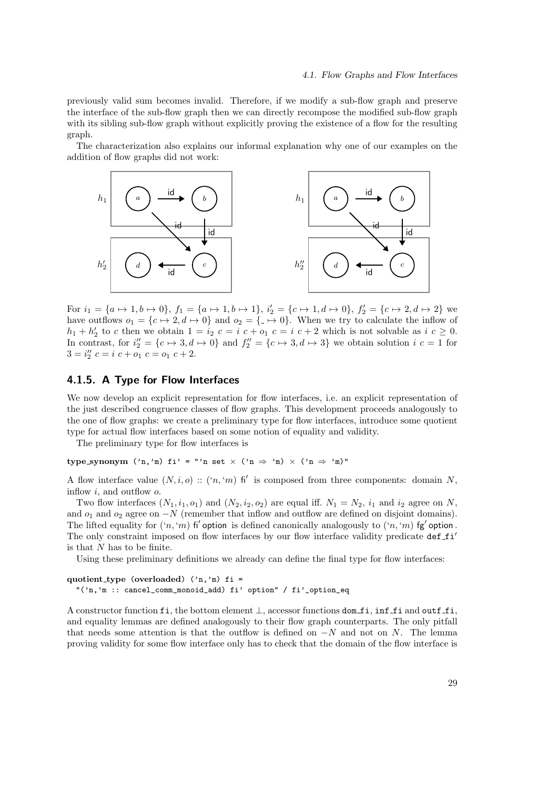previously valid sum becomes invalid. Therefore, if we modify a sub-flow graph and preserve the interface of the sub-flow graph then we can directly recompose the modified sub-flow graph with its sibling sub-flow graph without explicitly proving the existence of a flow for the resulting graph.

The characterization also explains our informal explanation why one of our examples on the addition of flow graphs did not work:



For  $i_1 = \{a \mapsto 1, b \mapsto 0\}$ ,  $f_1 = \{a \mapsto 1, b \mapsto 1\}$ ,  $i_2' = \{c \mapsto 1, d \mapsto 0\}$ ,  $f_2' = \{c \mapsto 2, d \mapsto 2\}$  we have outflows  $o_1 = \{c \mapsto 2, d \mapsto 0\}$  and  $o_2 = \{-\mapsto 0\}$ . When we try to calculate the inflow of  $h_1 + h'_2$  to c then we obtain  $1 = i_2$   $c = i$   $c + o_1$   $c = i$   $c + 2$  which is not solvable as  $i$   $c \geq 0$ . In contrast, for  $i_2'' = \{c \mapsto 3, d \mapsto 0\}$  and  $f_2'' = \{c \mapsto 3, d \mapsto 3\}$  we obtain solution  $i \ c = 1$  for  $3 = i_2''$   $c = i$   $c + o_1$   $c = o_1$   $c + 2$ .

# 4.1.5. A Type for Flow Interfaces

We now develop an explicit representation for flow interfaces, i.e. an explicit representation of the just described congruence classes of flow graphs. This development proceeds analogously to the one of flow graphs: we create a preliminary type for flow interfaces, introduce some quotient type for actual flow interfaces based on some notion of equality and validity.

The preliminary type for flow interfaces is

type\_synonym  $('n,'m)$  fi' = "'n set  $\times$   $('n \Rightarrow 'm) \times ('n \Rightarrow 'm)'$ "

A flow interface value  $(N, i, o)$ :  $({n, 'm})$  fi' is composed from three components: domain N, inflow  $i$ , and outflow  $o$ .

Two flow interfaces  $(N_1, i_1, o_1)$  and  $(N_2, i_2, o_2)$  are equal iff.  $N_1 = N_2$ ,  $i_1$  and  $i_2$  agree on N, and  $o_1$  and  $o_2$  agree on  $-N$  (remember that inflow and outflow are defined on disjoint domains). The lifted equality for  $((n, m)$  fi' option is defined canonically analogously to  $((n, m)$  fg' option. The only constraint imposed on flow interfaces by our flow interface validity predicate def  $_f i'$ is that N has to be finite.

Using these preliminary definitions we already can define the final type for flow interfaces:

quotient type (overloaded)  $('n,'m)$  fi = "('n,'m :: cancel\_comm\_monoid\_add) fi' option" / fi'\_option\_eq

A constructor function fi, the bottom element ⊥, accessor functions dom fi, inf fi and outf fi, and equality lemmas are defined analogously to their flow graph counterparts. The only pitfall that needs some attention is that the outflow is defined on  $-N$  and not on N. The lemma proving validity for some flow interface only has to check that the domain of the flow interface is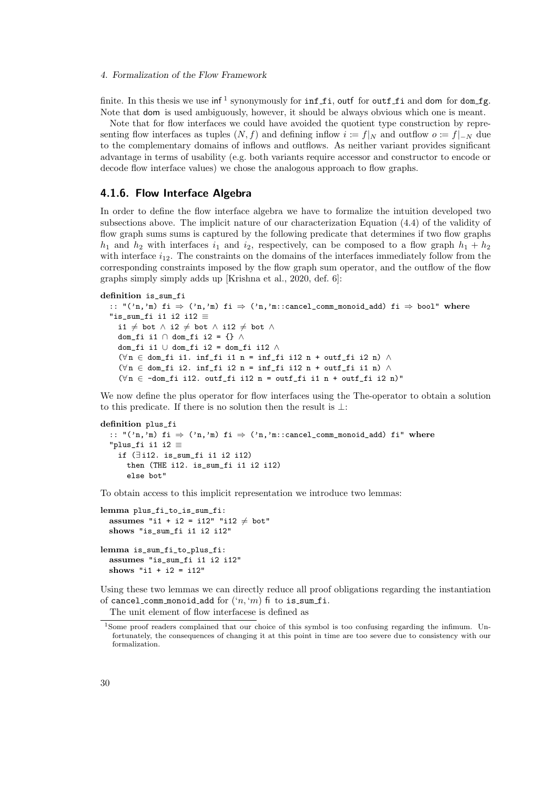finite. In this thesis we use  $\inf^1$  synonymously for  $\inf\texttt{fi}$  outf for  $\texttt{outf}\texttt{fi}$  and  $\texttt{dom} \texttt{fof}$  dom  $\texttt{fg}.$ Note that dom is used ambiguously, however, it should be always obvious which one is meant.

Note that for flow interfaces we could have avoided the quotient type construction by representing flow interfaces as tuples  $(N, f)$  and defining inflow  $i := f|_N$  and outflow  $o := f|_{-N}$  due to the complementary domains of inflows and outflows. As neither variant provides significant advantage in terms of usability (e.g. both variants require accessor and constructor to encode or decode flow interface values) we chose the analogous approach to flow graphs.

### 4.1.6. Flow Interface Algebra

In order to define the flow interface algebra we have to formalize the intuition developed two subsections above. The implicit nature of our characterization Equation (4.4) of the validity of flow graph sums sums is captured by the following predicate that determines if two flow graphs  $h_1$  and  $h_2$  with interfaces  $i_1$  and  $i_2$ , respectively, can be composed to a flow graph  $h_1 + h_2$ with interface  $i_{12}$ . The constraints on the domains of the interfaces immediately follow from the corresponding constraints imposed by the flow graph sum operator, and the outflow of the flow graphs simply simply adds up [Krishna et al., 2020, def. 6]:

definition is\_sum\_fi

```
:: "('n,'m) fi \Rightarrow ('n,'m) fi \Rightarrow ('n,'m::cancel_comm_monoid_add) fi \Rightarrow bool" where
"is sum fi i1 i2 i12 \equivi1 \neq bot ∧ i2 \neq bot ∧ i12 \neq bot ∧
  dom_fi i1 ∩ dom_fi i2 = {} ∧
  dom_fi i1 ∪ dom_fi i2 = dom_fi i12 ∧
  (\forall n \in \text{dom\_fi} i1. inf_fi i1 n = inf_fi i12 n + outf_fi i2 n) \wedge(\forall n \in \text{dom\_fi} i2. inf_fi i2 n = inf_fi i12 n + outf_fi i1 n) \wedge(\forall n \in \neg \text{dom\_fi} i12. outf_fi i12 n = outf_fi i1 n + outf_fi i2 n)"
```
We now define the plus operator for flow interfaces using the The-operator to obtain a solution to this predicate. If there is no solution then the result is ⊥:

```
definition plus_fi
  :: "('n,'m) fi \Rightarrow ('n,'m) fi \Rightarrow ('n,'m::cancel_comm_monoid_add) fi" where
  "plus_fi i1 i2 \equivif (∃ i12. is_sum_fi i1 i2 i12)
      then (THE i12. is_sum_fi i1 i2 i12)
      else bot"
```
To obtain access to this implicit representation we introduce two lemmas:

```
lemma plus fi to is sum fi:
  assumes "i1 + i2 = i12" "i12 \neq bot"
 shows "is_sum_fi i1 i2 i12"
lemma is sum fi to plus fi:
  assumes "is_sum_fi i1 i2 i12"
 shows "i1 + i2 = i12"
```
Using these two lemmas we can directly reduce all proof obligations regarding the instantiation of cancel comm monoid add for  $('n, 'm)$  fi to is sum fi.

The unit element of flow interfacese is defined as

<sup>1</sup>Some proof readers complained that our choice of this symbol is too confusing regarding the infimum. Unfortunately, the consequences of changing it at this point in time are too severe due to consistency with our formalization.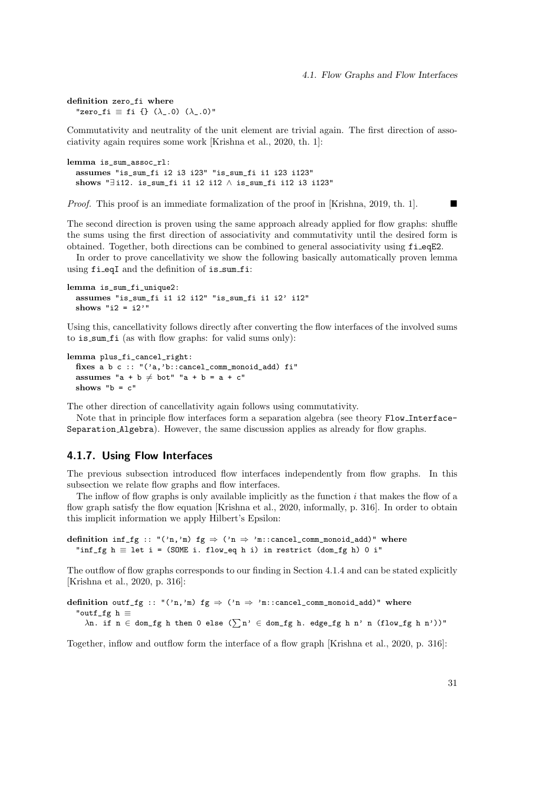definition zero\_fi where "zero\_fi  $\equiv$  fi {} ( $\lambda$ \_.0) ( $\lambda$ \_.0)"

Commutativity and neutrality of the unit element are trivial again. The first direction of associativity again requires some work [Krishna et al., 2020, th. 1]:

lemma is\_sum\_assoc\_rl: assumes "is\_sum\_fi i2 i3 i23" "is\_sum\_fi i1 i23 i123" shows "∃ i12. is\_sum\_fi i1 i2 i12 ∧ is\_sum\_fi i12 i3 i123"

Proof. This proof is an immediate formalization of the proof in [Krishna, 2019, th. 1].

The second direction is proven using the same approach already applied for flow graphs: shuffle the sums using the first direction of associativity and commutativity until the desired form is obtained. Together, both directions can be combined to general associativity using fi eqE2.

In order to prove cancellativity we show the following basically automatically proven lemma using fi\_eqI and the definition of is\_sum\_fi:

```
lemma is_sum_fi_unique2:
 assumes "is_sum_fi i1 i2 i12" "is_sum_fi i1 i2' i12"
 shows "i2 = i2'"
```
Using this, cancellativity follows directly after converting the flow interfaces of the involved sums to is sum fi (as with flow graphs: for valid sums only):

```
lemma plus_fi_cancel_right:
 fixes a b c :: "('a,'b::cancel_comm_monoid_add) fi"
 assumes "a + b \neq bot" "a + b = a + c"
 shows "b = c"
```
The other direction of cancellativity again follows using commutativity.

Note that in principle flow interfaces form a separation algebra (see theory Flow Interface-Separation Algebra). However, the same discussion applies as already for flow graphs.

# 4.1.7. Using Flow Interfaces

The previous subsection introduced flow interfaces independently from flow graphs. In this subsection we relate flow graphs and flow interfaces.

The inflow of flow graphs is only available implicitly as the function  $i$  that makes the flow of a flow graph satisfy the flow equation [Krishna et al., 2020, informally, p. 316]. In order to obtain this implicit information we apply Hilbert's Epsilon:

```
definition inf_fg :: "('n,'m) fg \Rightarrow ('n \Rightarrow 'm::cancel_comm_monoid_add)" where
  "inf_fg h \equiv let i = (SOME i. flow_eq h i) in restrict (dom_fg h) 0 i"
```
The outflow of flow graphs corresponds to our finding in Section 4.1.4 and can be stated explicitly [Krishna et al., 2020, p. 316]:

```
definition outf_fg :: "('n,'m) fg \Rightarrow ('n \Rightarrow 'm::cancel_comm_monoid_add)" where
  "outf_fg h ≡
    \lambdan. if n ∈ dom_fg h then 0 else (\sum n' \in dom_fg h. edge_fg h n' n (flow_fg h n'))"
```
Together, inflow and outflow form the interface of a flow graph [Krishna et al., 2020, p. 316]: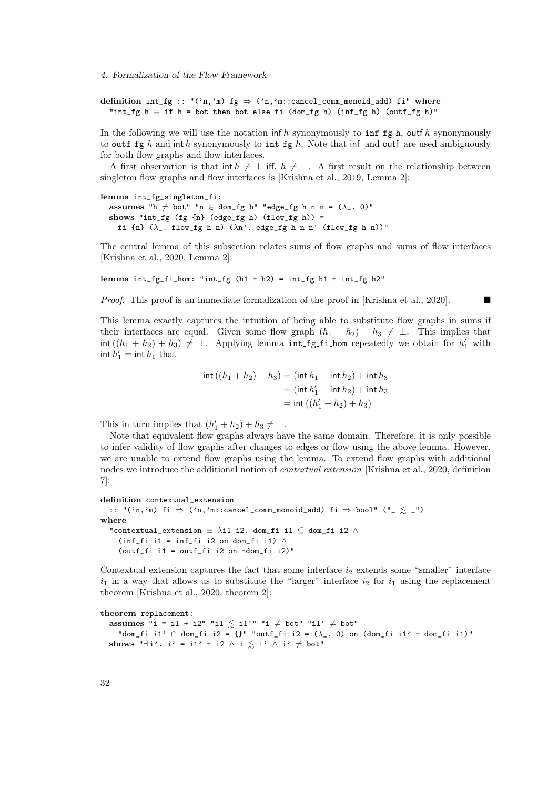definition int\_fg :: "('n,'m) fg  $\Rightarrow$  ('n,'m::cancel\_comm\_monoid\_add) fi" where "int\_fg  $h \equiv$  if  $h$  = bot then bot else fi (dom\_fg h) (inf\_fg h) (outf\_fg h)"

In the following we will use the notation inf h synonymously to  $\inf_{\mathcal{A}} f$ g h, outf h synonymously to outf fg h and inthe synonymously to int fg h. Note that inf and outf are used ambiguously for both flow graphs and flow interfaces.

A first observation is that int  $h \neq \perp$  iff.  $h \neq \perp$ . A first result on the relationship between singleton flow graphs and flow interfaces is [Krishna et al., 2019, Lemma 2]:

lemma int\_fg\_singleton\_fi: assumes "h  $\neq$  bot" "n  $\in$  dom\_fg h" "edge\_fg h n n = ( $\lambda$ \_. 0)" shows "int\_fg  $(fg \{n\})$  (edge\_fg h)  $(flow_fg h)$  = fi {n}  $(\lambda_{-}$ . flow\_fg h n)  $(\lambda n)'$ . edge\_fg h n n' (flow\_fg h n))"

The central lemma of this subsection relates sums of flow graphs and sums of flow interfaces [Krishna et al., 2020, Lemma 2]:

lemma int\_fg\_fi\_hom: "int\_fg (h1 + h2) = int\_fg h1 + int\_fg h2"

Proof. This proof is an immediate formalization of the proof in [Krishna et al., 2020].

This lemma exactly captures the intuition of being able to substitute flow graphs in sums if their interfaces are equal. Given some flow graph  $(h_1 + h_2) + h_3 \neq \bot$ . This implies that  $\text{int}((h_1 + h_2) + h_3) \neq \perp$ . Applying lemma int fg fi hom repeatedly we obtain for  $h'_1$  with  $\text{int } h_1' = \text{int } h_1 \text{ that}$ 

$$
int ((h1 + h2) + h3) = (int h1 + int h2) + int h3
$$
  
= (int h'<sub>1</sub> + int h<sub>2</sub>) + int h<sub>3</sub>  
= int ((h'<sub>1</sub> + h<sub>2</sub>) + h<sub>3</sub>)

This in turn implies that  $(h'_1 + h_2) + h_3 \neq \perp$ .

Note that equivalent flow graphs always have the same domain. Therefore, it is only possible to infer validity of flow graphs after changes to edges or flow using the above lemma. However, we are unable to extend flow graphs using the lemma. To extend flow graphs with additional nodes we introduce the additional notion of *contextual extension* [Krishna et al., 2020, definition 7]:

```
definition contextual_extension
  :: "('n,'m) fi \Rightarrow ('n,'m::cancel_comm_monoid_add) fi \Rightarrow bool" ("_ \lesssim _")
where
  "contextual_extension \equiv \lambdai1 i2. dom_fi i1 \subseteq dom_fi i2 \land(inf_fi i1 = inf_fi i2 on dom_fi i1) \wedge(outf_fi i1 = outf_fi i2 on -dom_fi i2)"
```
Contextual extension captures the fact that some interface  $i_2$  extends some "smaller" interface  $i_1$  in a way that allows us to substitute the "larger" interface  $i_2$  for  $i_1$  using the replacement theorem [Krishna et al., 2020, theorem 2]:

```
theorem replacement:
  assumes "i = i1 + i2" "i1 \leq i1'" "i \neq bot" "i1' \neq bot"
    "dom_fi i1' \cap dom_fi i2 = {}" "outf_fi i2 = (\lambda_. 0) on (dom_fi i1' - dom_fi i1)"
 shows "∃i'. i' = i1' + i2 \land i \leq i' \land i' \neq bot"
```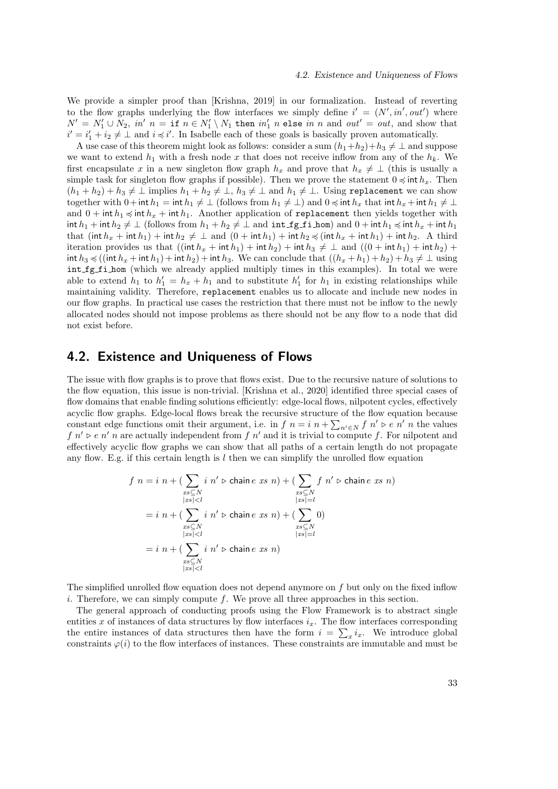We provide a simpler proof than [Krishna, 2019] in our formalization. Instead of reverting to the flow graphs underlying the flow interfaces we simply define  $i' = (N', in', out')$  where  $N' = N_1' \cup N_2$ ,  $in'$   $n =$  if  $n \in N_1' \setminus N_1$  then  $in'_1$  n else  $in$  n and  $out' = out$ , and show that  $i' = i'_1 + i_2 \neq \perp$  and  $i \preccurlyeq i'$ . In Isabelle each of these goals is basically proven automatically.

A use case of this theorem might look as follows: consider a sum  $(h_1+h_2)+h_3 \neq \perp$  and suppose we want to extend  $h_1$  with a fresh node x that does not receive inflow from any of the  $h_k$ . We first encapsulate x in a new singleton flow graph  $h_x$  and prove that  $h_x \neq \perp$  (this is usually a simple task for singleton flow graphs if possible). Then we prove the statement  $0 \le \text{int } h_x$ . Then  $(h_1 + h_2) + h_3 \neq \perp$  implies  $h_1 + h_2 \neq \perp$ ,  $h_3 \neq \perp$  and  $h_1 \neq \perp$ . Using replacement we can show together with  $0+$ int  $h_1 =$ int  $h_1 \neq \perp$  (follows from  $h_1 \neq \perp$ ) and  $0 \leq \text{int } h_x$  that int  $h_x +$ int  $h_1 \neq \perp$ and  $0 + \text{int } h_1 \le \text{int } h_x + \text{int } h_1$ . Another application of replacement then yields together with int  $h_1$  + int  $h_2 \neq \perp$  (follows from  $h_1 + h_2 \neq \perp$  and  $\text{int}_2 f$  into  $h_1$  and  $0 + \text{int } h_1 \leq \text{int } h_x + \text{int } h_1$ that  $(int h_x + int h_1) + int h_2 \neq \perp$  and  $(0 + int h_1) + int h_2 \preccurlyeq (int h_x + int h_1) + int h_2$ . A third iteration provides us that  $((\text{int } h_x + \text{int } h_1) + \text{int } h_2) + \text{int } h_3 \neq \perp \text{ and } ((0 + \text{int } h_1) + \text{int } h_2) +$ int  $h_3 \preccurlyeq ((\text{int } h_x + \text{int } h_1) + \text{int } h_2) + \text{int } h_3$ . We can conclude that  $((h_x + h_1) + h_2) + h_3 \neq \bot$  using int fg fi hom (which we already applied multiply times in this examples). In total we were able to extend  $h_1$  to  $h'_1 = h_x + h_1$  and to substitute  $h'_1$  for  $h_1$  in existing relationships while maintaining validity. Therefore, replacement enables us to allocate and include new nodes in our flow graphs. In practical use cases the restriction that there must not be inflow to the newly allocated nodes should not impose problems as there should not be any flow to a node that did not exist before.

# 4.2. Existence and Uniqueness of Flows

The issue with flow graphs is to prove that flows exist. Due to the recursive nature of solutions to the flow equation, this issue is non-trivial. [Krishna et al., 2020] identified three special cases of flow domains that enable finding solutions efficiently: edge-local flows, nilpotent cycles, effectively acyclic flow graphs. Edge-local flows break the recursive structure of the flow equation because constant edge functions omit their argument, i.e. in  $f \, n = i \, n + \sum_{n' \in N} f \, n' \triangleright e \, n' \, n$  the values  $f\ n' \triangleright e\ n' \ n$  are actually independent from  $f\ n'$  and it is trivial to compute f. For nilpotent and effectively acyclic flow graphs we can show that all paths of a certain length do not propagate any flow. E.g. if this certain length is  $l$  then we can simplify the unrolled flow equation

$$
f n = i n + (\sum_{\substack{x \le N \\ \lvert xs \rvert < l}} i n' \triangleright \text{ chain } e \text{ } xs \text{ } n) + (\sum_{\substack{x \le N \\ \lvert xs \rvert = l}} f n' \triangleright \text{ chain } e \text{ } xs \text{ } n)
$$
\n
$$
= i n + (\sum_{\substack{x \le N \\ \lvert xs \rvert < l}} i n' \triangleright \text{ chain } e \text{ } xs \text{ } n) + (\sum_{\substack{x \le N \\ \lvert xs \rvert = l}} 0)
$$
\n
$$
= i n + (\sum_{\substack{x \le N \\ \lvert xs \rvert < l}} i n' \triangleright \text{ chain } e \text{ } xs \text{ } n)
$$

The simplified unrolled flow equation does not depend anymore on f but only on the fixed inflow i. Therefore, we can simply compute  $f$ . We prove all three approaches in this section.

The general approach of conducting proofs using the Flow Framework is to abstract single entities x of instances of data structures by flow interfaces  $i_x$ . The flow interfaces corresponding the entire instances of data structures then have the form  $i = \sum_x i_x$ . We introduce global constraints  $\varphi(i)$  to the flow interfaces of instances. These constraints are immutable and must be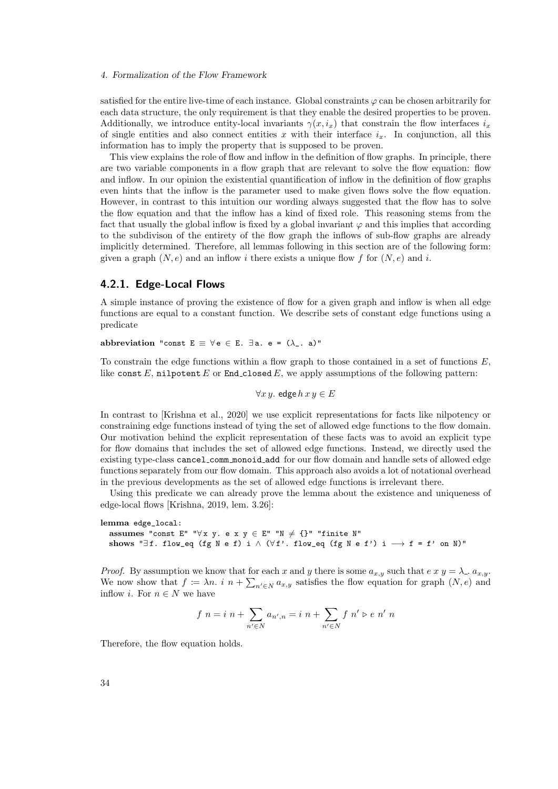satisfied for the entire live-time of each instance. Global constraints  $\varphi$  can be chosen arbitrarily for each data structure, the only requirement is that they enable the desired properties to be proven. Additionally, we introduce entity-local invariants  $\gamma(x, i_x)$  that constrain the flow interfaces  $i_x$ of single entities and also connect entities x with their interface  $i_x$ . In conjunction, all this information has to imply the property that is supposed to be proven.

This view explains the role of flow and inflow in the definition of flow graphs. In principle, there are two variable components in a flow graph that are relevant to solve the flow equation: flow and inflow. In our opinion the existential quantification of inflow in the definition of flow graphs even hints that the inflow is the parameter used to make given flows solve the flow equation. However, in contrast to this intuition our wording always suggested that the flow has to solve the flow equation and that the inflow has a kind of fixed role. This reasoning stems from the fact that usually the global inflow is fixed by a global invariant  $\varphi$  and this implies that according to the subdivison of the entirety of the flow graph the inflows of sub-flow graphs are already implicitly determined. Therefore, all lemmas following in this section are of the following form: given a graph  $(N, e)$  and an inflow i there exists a unique flow f for  $(N, e)$  and i.

# 4.2.1. Edge-Local Flows

A simple instance of proving the existence of flow for a given graph and inflow is when all edge functions are equal to a constant function. We describe sets of constant edge functions using a predicate

abbreviation "const  $E \equiv \forall e \in E$ .  $\exists a$ . e =  $(\lambda_{-}, a)$ "

To constrain the edge functions within a flow graph to those contained in a set of functions  $E$ , like const  $E$ , nilpotent  $E$  or End closed  $E$ , we apply assumptions of the following pattern:

$$
\forall x\,y.\,\, \text{edge}\, h\,x\,y \in E
$$

In contrast to [Krishna et al., 2020] we use explicit representations for facts like nilpotency or constraining edge functions instead of tying the set of allowed edge functions to the flow domain. Our motivation behind the explicit representation of these facts was to avoid an explicit type for flow domains that includes the set of allowed edge functions. Instead, we directly used the existing type-class cancel comm monoid add for our flow domain and handle sets of allowed edge functions separately from our flow domain. This approach also avoids a lot of notational overhead in the previous developments as the set of allowed edge functions is irrelevant there.

Using this predicate we can already prove the lemma about the existence and uniqueness of edge-local flows [Krishna, 2019, lem. 3.26]:

lemma edge\_local: assumes "const E" "∀x y. e x y ∈ E" "N  $\neq$  {}" "finite N" shows "∃f. flow\_eq (fg N e f) i  $\land$  ( $\forall$  f'. flow\_eq (fg N e f') i  $\longrightarrow$  f = f' on N)"

*Proof.* By assumption we know that for each x and y there is some  $a_{x,y}$  such that  $e x y = \lambda_1 a_{x,y}$ . We now show that  $f := \lambda n$ . i  $n + \sum_{n' \in N} a_{x,y}$  satisfies the flow equation for graph  $(N, e)$  and inflow *i*. For  $n \in N$  we have

$$
f n = i n + \sum_{n' \in N} a_{n',n} = i n + \sum_{n' \in N} f n' \triangleright e n' n
$$

Therefore, the flow equation holds.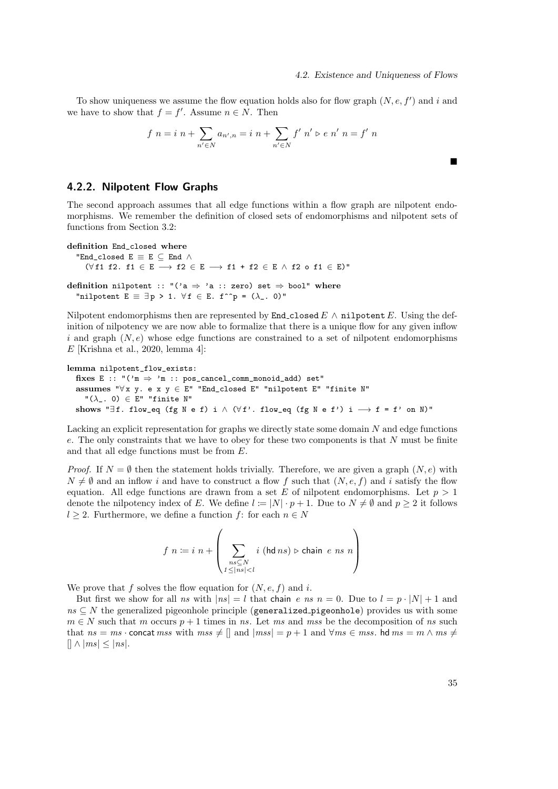$\blacksquare$ 

To show uniqueness we assume the flow equation holds also for flow graph  $(N, e, f')$  and i and we have to show that  $f = f'$ . Assume  $n \in N$ . Then

$$
f n = i n + \sum_{n' \in N} a_{n',n} = i n + \sum_{n' \in N} f' n' \ge e n' n = f' n
$$

# 4.2.2. Nilpotent Flow Graphs

The second approach assumes that all edge functions within a flow graph are nilpotent endomorphisms. We remember the definition of closed sets of endomorphisms and nilpotent sets of functions from Section 3.2:

```
definition End_closed where
```
"End\_closed  $E \equiv E \subseteq$  End  $\wedge$ 

( $\forall$ f1 f2. f1 ∈ E  $\longrightarrow$  f2 ∈ E  $\longrightarrow$  f1 + f2 ∈ E  $\land$  f2 o f1 ∈ E)"

definition nilpotent :: "('a  $\Rightarrow$  'a :: zero) set  $\Rightarrow$  bool" where "nilpotent  $E = \exists p > 1$ .  $\forall f \in E$ . f^^p = ( $\lambda$ \_. 0)"

Nilpotent endomorphisms then are represented by **End\_closed**  $E \wedge \textbf{nilpotent } E$ . Using the definition of nilpotency we are now able to formalize that there is a unique flow for any given inflow i and graph  $(N, e)$  whose edge functions are constrained to a set of nilpotent endomorphisms  $E$  [Krishna et al., 2020, lemma 4]:

```
lemma nilpotent_flow_exists:
```
fixes E :: " $('m \Rightarrow 'm :: pos\_cancel\_comm\_monoid\_add)$  set" assumes " $\forall x, y \in x, y \in E$ " "End\_closed E" "nilpotent E" "finite N"  $"(\lambda_-. 0) \in E"$  "finite N" shows " $\exists$  f. flow\_eq (fg N e f) i  $\land$  ( $\forall$  f'. flow\_eq (fg N e f') i  $\longrightarrow$  f = f' on N)"

Lacking an explicit representation for graphs we directly state some domain N and edge functions e. The only constraints that we have to obey for these two components is that N must be finite and that all edge functions must be from E.

*Proof.* If  $N = \emptyset$  then the statement holds trivially. Therefore, we are given a graph  $(N, e)$  with  $N \neq \emptyset$  and an inflow i and have to construct a flow f such that  $(N, e, f)$  and i satisfy the flow equation. All edge functions are drawn from a set E of nilpotent endomorphisms. Let  $p > 1$ denote the nilpotency index of E. We define  $l := |N| \cdot p + 1$ . Due to  $N \neq \emptyset$  and  $p \geq 2$  it follows  $l \geq 2$ . Furthermore, we define a function f: for each  $n \in N$ 

$$
f n := i n + \left(\sum_{\substack{n \le N \\ 1 \le |n| < l}} i \ (\text{hd } n s) \triangleright \text{chain } e n s n\right)
$$

We prove that f solves the flow equation for  $(N, e, f)$  and i.

But first we show for all ns with  $|ns| = l$  that chain e ns  $n = 0$ . Due to  $l = p \cdot |N| + 1$  and  $ns \subseteq N$  the generalized pigeonhole principle (generalized pigeonhole) provides us with some  $m \in N$  such that m occurs  $p + 1$  times in ns. Let ms and mss be the decomposition of ns such that  $ns = ms \cdot \text{concat} \, \text{mss}$  with  $\text{mss} \neq []$  and  $|\text{mss}| = p + 1$  and  $\forall \text{mss} \in \text{mss}$ . hd  $\text{mss} = m \wedge \text{mss} \neq$  $[|\wedge |ms| \leq |ns|.$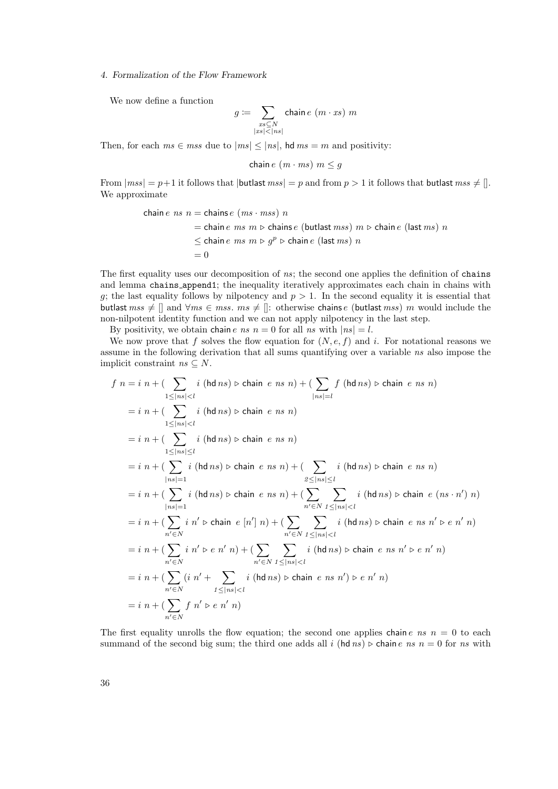We now define a function

$$
g \coloneqq \sum_{\substack{x s \subseteq N \\ |xs| < |ns|}} \text{chain } e\ (m \cdot xs)\ m
$$

Then, for each  $ms \in mss$  due to  $|ms| \leq |ns|$ , hd  $ms = m$  and positivity:

chain  $e(m \cdot ms)$   $m \leq g$ 

From  $|mss| = p+1$  it follows that  $|$ butlast  $mss| = p$  and from  $p > 1$  it follows that butlast  $mss \neq []$ . We approximate

chain *e* ns 
$$
n
$$
 = chains *e* (ms · mss) n  
= chain *e* ms  $m \triangleright$  chains *e* (butlast mss)  $m \triangleright$  chain *e* (last ms) n  
 $\leq$  chain *e* ms  $m \triangleright g^p \triangleright$  chain *e* (last ms) n  
= 0

The first equality uses our decomposition of  $ns$ ; the second one applies the definition of chains and lemma chains append1; the inequality iteratively approximates each chain in chains with g; the last equality follows by nilpotency and  $p > 1$ . In the second equality it is essential that butlast  $ms \neq \parallel$  and  $\forall ms \in ms$ .  $ms \neq \parallel$ : otherwise chains e (butlast mss) m would include the non-nilpotent identity function and we can not apply nilpotency in the last step.

By positivity, we obtain chain e ns  $n = 0$  for all ns with  $|ns| = l$ .

We now prove that f solves the flow equation for  $(N, e, f)$  and i. For notational reasons we assume in the following derivation that all sums quantifying over a variable ns also impose the implicit constraint  $ns \subseteq N$ .

$$
f n = i n + (\sum_{1 \leq |ns| < l} i \text{ (hd } ns) \triangleright \text{ chain } e ns n) + (\sum_{|ns| = l} f \text{ (hd } ns) \triangleright \text{ chain } e ns n)
$$
\n
$$
= i n + (\sum_{1 \leq |ns| < l} i \text{ (hd } ns) \triangleright \text{ chain } e ns n)
$$
\n
$$
= i n + (\sum_{1 \leq |ns| \leq l} i \text{ (hd } ns) \triangleright \text{ chain } e ns n)
$$
\n
$$
= i n + (\sum_{|ns| = 1} i \text{ (hd } ns) \triangleright \text{ chain } e ns n) + (\sum_{2 \leq |ns| \leq l} i \text{ (hd } ns) \triangleright \text{ chain } e ns n)
$$
\n
$$
= i n + (\sum_{|ns| = 1} i \text{ (hd } ns) \triangleright \text{ chain } e ns n) + (\sum_{n' \in N} i \text{ (hd } ns) \triangleright \text{ chain } e (ns \cdot n') n)
$$
\n
$$
= i n + (\sum_{n' \in N} i n' \triangleright \text{ chain } e [n'] n) + (\sum_{n' \in N} \sum_{1 \leq |ns| < l} i \text{ (hd } ns) \triangleright \text{ chain } e ns n' \triangleright e n' n)
$$
\n
$$
= i n + (\sum_{n' \in N} i n' \triangleright e n' n) + (\sum_{n' \in N} \sum_{1 \leq |ns| < l} i \text{ (hd } ns) \triangleright \text{ chain } e ns n' \triangleright e n' n)
$$
\n
$$
= i n + (\sum_{n' \in N} (i n' + \sum_{1 \leq |ns| < l} i \text{ (hd } ns) \triangleright \text{ chain } e ns n') \triangleright e n' n)
$$
\n
$$
= i n + (\sum_{n' \in N} f n' \triangleright e n' n)
$$
\n
$$
= i n + (\sum_{n' \in N} f n' \triangleright e n' n)
$$

The first equality unrolls the flow equation; the second one applies chain  $e$  ns  $n = 0$  to each summand of the second big sum; the third one adds all i (hd ns)  $\triangleright$  chain e ns  $n = 0$  for ns with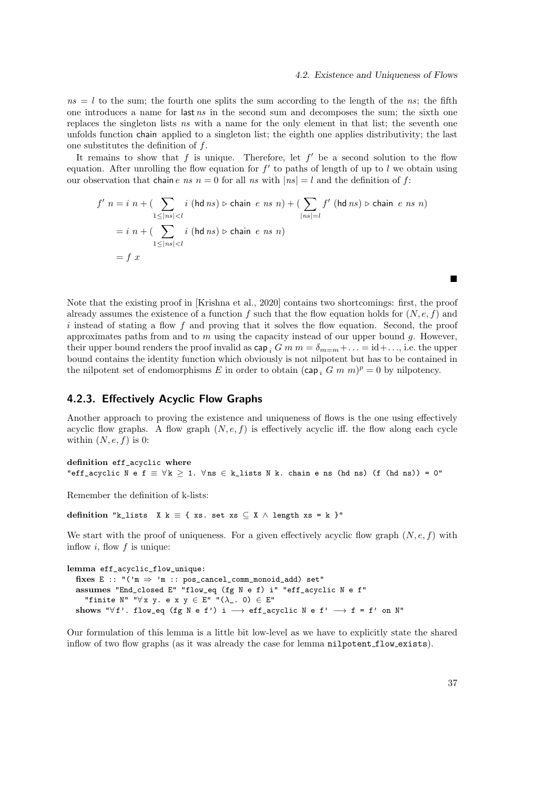$ns = l$  to the sum; the fourth one splits the sum according to the length of the ns; the fifth one introduces a name for last ns in the second sum and decomposes the sum; the sixth one replaces the singleton lists ns with a name for the only element in that list; the seventh one unfolds function chain applied to a singleton list; the eighth one applies distributivity; the last one substitutes the definition of  $f$ .

It remains to show that  $f$  is unique. Therefore, let  $f'$  be a second solution to the flow equation. After unrolling the flow equation for  $f'$  to paths of length of up to l we obtain using our observation that chain e ns  $n = 0$  for all ns with  $|ns| = l$  and the definition of f:

$$
f' n = i n + (\sum_{1 \leq |ns| < l} i \text{ (hd } ns) \triangleright \text{ chain } e ns n) + (\sum_{|ns| = l} f' \text{ (hd } ns) \triangleright \text{ chain } e ns n)
$$
\n
$$
= i n + (\sum_{1 \leq |ns| < l} i \text{ (hd } ns) \triangleright \text{ chain } e ns n)
$$
\n
$$
= f x
$$

Note that the existing proof in [Krishna et al., 2020] contains two shortcomings: first, the proof already assumes the existence of a function f such that the flow equation holds for  $(N, e, f)$  and i instead of stating a flow f and proving that it solves the flow equation. Second, the proof approximates paths from and to  $m$  using the capacity instead of our upper bound  $q$ . However, their upper bound renders the proof invalid as  $\text{cap}_i$  G m  $m = \delta_{m=m} + \ldots = \text{id} + \ldots$ , i.e. the upper bound contains the identity function which obviously is not nilpotent but has to be contained in the nilpotent set of endomorphisms E in order to obtain  $(\text{cap}_i \ G \ m \ m)^p = 0$  by nilpotency.

# 4.2.3. Effectively Acyclic Flow Graphs

Another approach to proving the existence and uniqueness of flows is the one using effectively acyclic flow graphs. A flow graph  $(N, e, f)$  is effectively acyclic iff. the flow along each cycle within  $(N, e, f)$  is 0:

definition eff\_acyclic where "eff\_acyclic N e f  $\equiv \forall k \geq 1$ .  $\forall$ ns  $\in$  k\_lists N k. chain e ns (hd ns) (f (hd ns)) = 0"

Remember the definition of k-lists:

definition "k\_lists X k = { xs. set xs  $\subseteq$  X  $\land$  length xs = k }"

We start with the proof of uniqueness. For a given effectively acyclic flow graph  $(N, e, f)$  with inflow  $i$ , flow  $f$  is unique:

```
lemma eff_acyclic_flow_unique:
  fixes E :: "('m \Rightarrow 'm :: pos\_cancel\_comm\_monoid\_add) set"
  assumes "End_closed E" "flow_eq (fg N e f) i" "eff_acyclic N e f"
     "finite N" "\forall x y. e x y \in E" "(\lambda_-. 0) \in E"
  shows "\forall f'. flow_eq (fg N e f') i \longrightarrow eff_acyclic N e f' \longrightarrow f = f' on N"
```
Our formulation of this lemma is a little bit low-level as we have to explicitly state the shared inflow of two flow graphs (as it was already the case for lemma nilpotent flow exists).

▬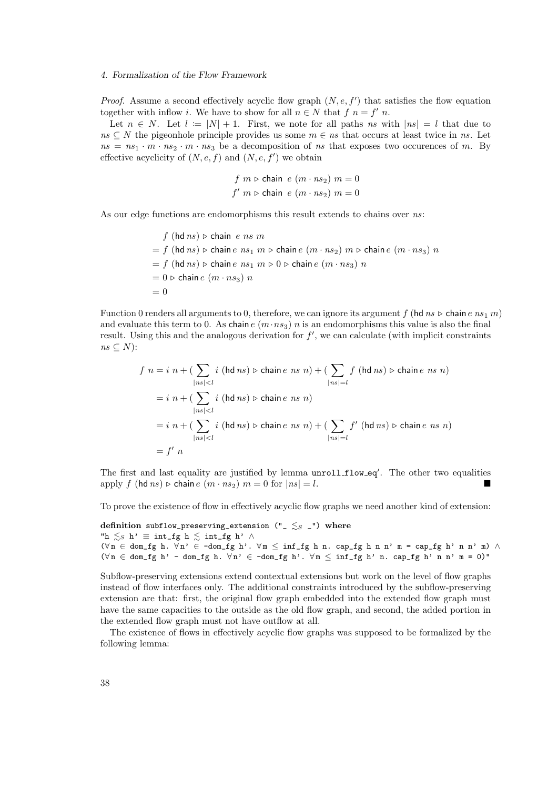*Proof.* Assume a second effectively acyclic flow graph  $(N, e, f')$  that satisfies the flow equation together with inflow *i*. We have to show for all  $n \in N$  that  $f \circ n = f' \circ n$ .

Let  $n \in N$ . Let  $l := |N| + 1$ . First, we note for all paths ns with  $|ns| = l$  that due to ns  $\subseteq$  N the pigeonhole principle provides us some  $m \in ns$  that occurs at least twice in ns. Let  $ns = ns_1 \cdot m \cdot ns_2 \cdot m \cdot ns_3$  be a decomposition of ns that exposes two occurences of m. By effective acyclicity of  $(N, e, f)$  and  $(N, e, f')$  we obtain

$$
f m \triangleright \text{chain } e (m \cdot ns_2) m = 0
$$
  

$$
f' m \triangleright \text{chain } e (m \cdot ns_2) m = 0
$$

As our edge functions are endomorphisms this result extends to chains over ns:

$$
f (hd ns) \triangleright chain \ e \ ns \ m
$$
\n
$$
= f (hd ns) \triangleright chain \ e \ ns_1 \ m \triangleright chain \ e \ (m \cdot ns_2) \ m \triangleright chain \ e \ (m \cdot ns_3) \ n
$$
\n
$$
= f (hd ns) \triangleright chain \ e \ ns_1 \ m \triangleright 0 \triangleright chain \ e \ (m \cdot ns_3) \ n
$$
\n
$$
= 0 \triangleright chain \ e \ (m \cdot ns_3) \ n
$$
\n
$$
= 0
$$

Function 0 renders all arguments to 0, therefore, we can ignore its argument f (hd  $ns \triangleright \text{chain } e \, ns_1 \, m$ ) and evaluate this term to 0. As chain e  $(m \cdot ns_3)$  n is an endomorphisms this value is also the final result. Using this and the analogous derivation for  $f'$ , we can calculate (with implicit constraints  $ns \subset N$ :

$$
f n = i n + (\sum_{|ns| < l} i \text{ (hd } ns) \triangleright \text{ chain } e ns n) + (\sum_{|ns|=l} f \text{ (hd } ns) \triangleright \text{ chain } e ns n)
$$
\n
$$
= i n + (\sum_{|ns| < l} i \text{ (hd } ns) \triangleright \text{ chain } e ns n)
$$
\n
$$
= i n + (\sum_{|ns| < l} i \text{ (hd } ns) \triangleright \text{ chain } e ns n) + (\sum_{|ns|=l} f' \text{ (hd } ns) \triangleright \text{ chain } e ns n)
$$
\n
$$
= f' n
$$

The first and last equality are justified by lemma unroll\_flow\_eq'. The other two equalities apply f (hd ns)  $\triangleright$  chain e  $(m \cdot ns_2)$   $m = 0$  for  $|ns| = l$ .

To prove the existence of flow in effectively acyclic flow graphs we need another kind of extension:

definition subflow\_preserving\_extension ("\_ $\lesssim$ <sub>S</sub> \_") where "h  $\leq_S$  h'  $\equiv$  int\_fg h  $\leq$  int\_fg h'  $\wedge$  $(\forall n \in \text{dom\_fg h. } \forall n' \in \neg \text{dom\_fg h'. } \forall m \leq \inf\_fg h n. \text{ cap\_fg h n n' m = cap\_fg h' n n' m) \land \exists n' \in \neg \text{dom\_fg h. } \forall n' \in \neg \text{dom\_fg h'. } \forall m \leq \inf\_fg h n.$  $(\forall n \in \text{dom\_fg } h' - \text{dom\_fg } h. \ \forall n' \in \text{-dom\_fg } h'. \ \forall m \leq \inf\_fg h' \ n. \ cap\_fg h' \ n \ n' \ m = 0)$ "

Subflow-preserving extensions extend contextual extensions but work on the level of flow graphs instead of flow interfaces only. The additional constraints introduced by the subflow-preserving extension are that: first, the original flow graph embedded into the extended flow graph must have the same capacities to the outside as the old flow graph, and second, the added portion in the extended flow graph must not have outflow at all.

The existence of flows in effectively acyclic flow graphs was supposed to be formalized by the following lemma: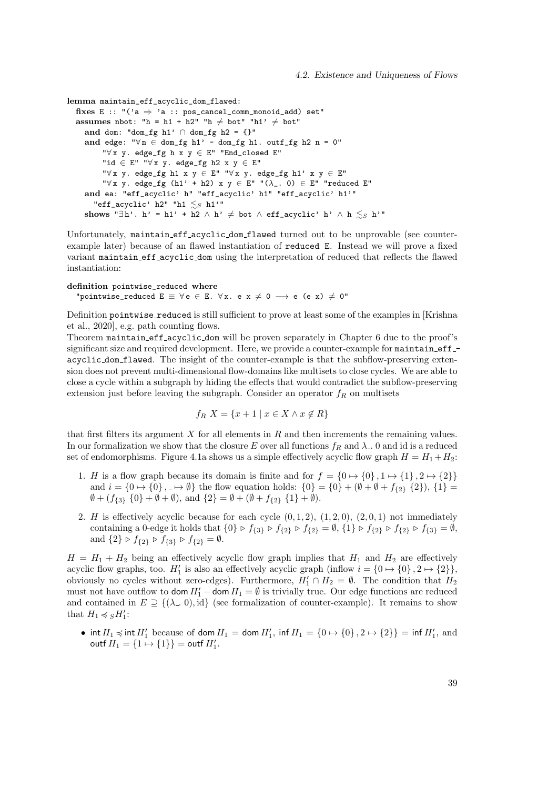```
lemma maintain_eff_acyclic_dom_flawed:
  fixes E :: "(2a \Rightarrow 2a : p \circ s \neq 0 \text{ mod } p \text{ mod } q \text{ mod } q) set"
  assumes nbot: "h = h1 + h2" "h \neq bot" "h1' \neq bot"
     and dom: "dom_fg h1' \cap dom_fg h2 = {}"
     and edge: "\forall n \in \text{dom\_fg } h1' - dom_fg h1. outf_fg h2 n = 0"
          "∀ x y. edge_fg h x y ∈ E" "End_closed E"
           "id \in E" "\forall x y. edge_fg h2 x y \in E"
           "\forall x \ y. edge_fg h1 x y \in E" "\forall x \ y. edge_fg h1' x y \in E"
          \forall x \ y. \ \text{edge\_fg} \text{ (h1'} + h2) \ x \ y \in E' \ \text{''(\lambda_-.0)} \in E'' \ \text{''reduced } E''and ea: "eff_acyclic' h" "eff_acyclic' h1" "eff_acyclic' h1'"
        "eff_acyclic' h2" "h1 \lesssim_S h1'"
     shows "∃h'. h' = h1' + h2 \wedge h' \neq bot \wedge eff_acyclic' h' \wedge h \leq_S h'"
```
Unfortunately, maintain eff acyclic dom flawed turned out to be unprovable (see counterexample later) because of an flawed instantiation of reduced E. Instead we will prove a fixed variant maintain eff acyclic dom using the interpretation of reduced that reflects the flawed instantiation:

definition pointwise\_reduced where

"pointwise\_reduced  $E \equiv \forall e \in E$ .  $\forall x$ . e  $x \neq 0 \longrightarrow e$  (e x)  $\neq 0$ "

Definition pointwise reduced is still sufficient to prove at least some of the examples in [Krishna] et al., 2020], e.g. path counting flows.

Theorem maintain eff acyclic dom will be proven separately in Chapter 6 due to the proof's significant size and required development. Here, we provide a counter-example for maintain effacyclic dom flawed. The insight of the counter-example is that the subflow-preserving extension does not prevent multi-dimensional flow-domains like multisets to close cycles. We are able to close a cycle within a subgraph by hiding the effects that would contradict the subflow-preserving extension just before leaving the subgraph. Consider an operator  $f_R$  on multisets

$$
f_R X = \{x + 1 \mid x \in X \land x \notin R\}
$$

that first filters its argument  $X$  for all elements in  $R$  and then increments the remaining values. In our formalization we show that the closure E over all functions  $f_R$  and  $\lambda$ . 0 and id is a reduced set of endomorphisms. Figure 4.1a shows us a simple effectively acyclic flow graph  $H = H_1 + H_2$ :

- 1. H is a flow graph because its domain is finite and for  $f = \{0 \mapsto \{0\}, 1 \mapsto \{1\}, 2 \mapsto \{2\}\}\$ and  $i = \{0 \mapsto \{0\}, \dots \mapsto \emptyset\}$  the flow equation holds:  $\{0\} = \{0\} + (\emptyset + \emptyset + f_{\{2\}} \{2\}), \{1\} =$  $\emptyset + (f_{\{3\}} \{0\} + \emptyset + \emptyset)$ , and  $\{2\} = \emptyset + (\emptyset + f_{\{2\}} \{1\} + \emptyset)$ .
- 2. H is effectively acyclic because for each cycle  $(0, 1, 2)$ ,  $(1, 2, 0)$ ,  $(2, 0, 1)$  not immediately containing a 0-edge it holds that  $\{0\} \triangleright f_{\{3\}} \triangleright f_{\{2\}} \triangleright f_{\{2\}} = \emptyset$ ,  $\{1\} \triangleright f_{\{2\}} \triangleright f_{\{2\}} \triangleright f_{\{3\}} = \emptyset$ , and  $\{2\} \triangleright f_{\{2\}} \triangleright f_{\{3\}} \triangleright f_{\{2\}} = \emptyset.$

 $H = H_1 + H_2$  being an effectively acyclic flow graph implies that  $H_1$  and  $H_2$  are effectively acyclic flow graphs, too.  $H'_1$  is also an effectively acyclic graph (inflow  $i = \{0 \mapsto \{0\}, 2 \mapsto \{2\}\},\$ obviously no cycles without zero-edges). Furthermore,  $H'_1 \cap H_2 = \emptyset$ . The condition that  $H_2$ must not have outflow to  $\textsf{dom}\, H_1 - \textsf{dom}\, H_1 = \emptyset$  is trivially true. Our edge functions are reduced and contained in  $E \supseteq {\{\lambda_-, 0\}}, \text{id}$  (see formalization of counter-example). It remains to show that  $H_1 \preccurlyeq_S H_1'$ :

• int  $H_1 \preccurlyeq$  int  $H'_1$  because of dom  $H_1 =$  dom  $H'_1$ , inf  $H_1 = \{0 \mapsto \{0\}, 2 \mapsto \{2\}\} = \inf H'_1$ , and outf  $H_1 = \{1 \mapsto \{1\}\} = \text{outf } H_1'.$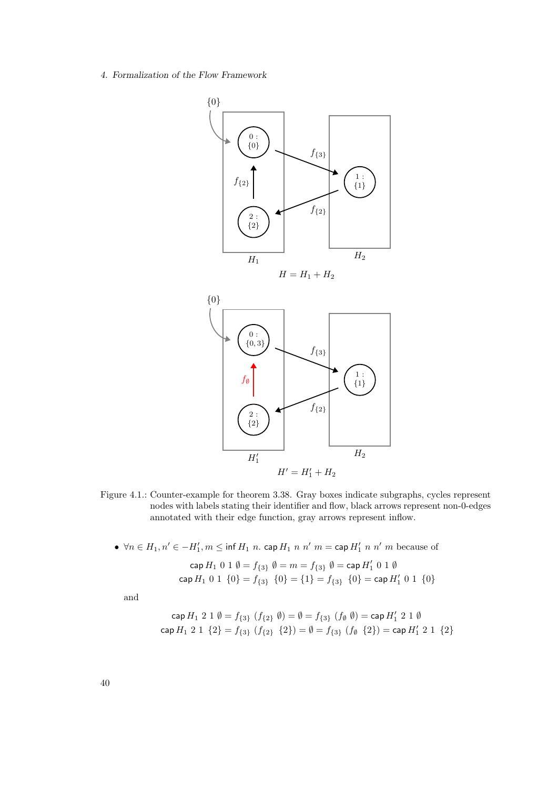

- Figure 4.1.: Counter-example for theorem 3.38. Gray boxes indicate subgraphs, cycles represent nodes with labels stating their identifier and flow, black arrows represent non-0-edges annotated with their edge function, gray arrows represent inflow.
	- $\forall n \in H_1, n' \in -H'_1, m \leq \inf H_1 n$ . cap  $H_1 n n'$   $m =$  cap  $H'_1 n n'$  m because of

$$
\operatorname{cap} H_1 \ 0 \ 1 \ \emptyset = f_{\{3\}} \ \emptyset = m = f_{\{3\}} \ \emptyset = \operatorname{cap} H'_1 \ 0 \ 1 \ \emptyset
$$
\n
$$
\operatorname{cap} H_1 \ 0 \ 1 \ \{0\} = f_{\{3\}} \ \{0\} = \{1\} = f_{\{3\}} \ \{0\} = \operatorname{cap} H'_1 \ 0 \ 1 \ \{0\}
$$

and

$$
\operatorname{cap} H_1 2 1 \emptyset = f_{\{3\}} (f_{\{2\}} \emptyset) = \emptyset = f_{\{3\}} (f_{\emptyset} \emptyset) = \operatorname{cap} H'_1 2 1 \emptyset
$$
  

$$
\operatorname{cap} H_1 2 1 \{2\} = f_{\{3\}} (f_{\{2\}} \{2\}) = \emptyset = f_{\{3\}} (f_{\emptyset} \{2\}) = \operatorname{cap} H'_1 2 1 \{2\}
$$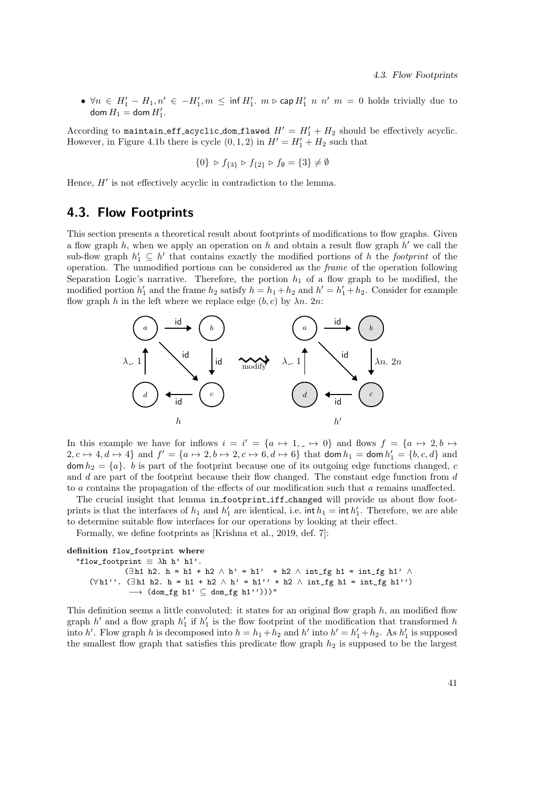•  $\forall n \in H'_1 - H_1, n' \in -H'_1, m \leq \inf H'_1$ .  $m \triangleright \mathsf{cap} H'_1$   $n \neq n'$   $m = 0$  holds trivially due to  $\operatorname{dom} H_1 = \operatorname{dom} H_1'.$ 

According to maintain eff acyclic dom flawed  $H' = H_1' + H_2$  should be effectively acyclic. However, in Figure 4.1b there is cycle  $(0, 1, 2)$  in  $H' = H'_1 + H_2$  such that

$$
\{0\} \, \triangleright \, f_{\{3\}} \, \triangleright \, f_{\{2\}} \, \triangleright \, f_{\emptyset} = \{3\} \neq \emptyset
$$

Hence,  $H'$  is not effectively acyclic in contradiction to the lemma.

# 4.3. Flow Footprints

This section presents a theoretical result about footprints of modifications to flow graphs. Given a flow graph  $h$ , when we apply an operation on  $h$  and obtain a result flow graph  $h'$  we call the sub-flow graph  $h'_1 \subseteq h'$  that contains exactly the modified portions of h the footprint of the operation. The unmodified portions can be considered as the frame of the operation following Separation Logic's narrative. Therefore, the portion  $h_1$  of a flow graph to be modified, the modified portion  $h'_1$  and the frame  $h_2$  satisfy  $h = h_1 + h_2$  and  $h' = h'_1 + h_2$ . Consider for example flow graph h in the left where we replace edge  $(b, c)$  by  $\lambda n$ . 2n:



In this example we have for inflows  $i = i' = \{a \mapsto 1, \dots \mapsto 0\}$  and flows  $f = \{a \mapsto 2, b \mapsto a\}$  $2, c \mapsto 4, d \mapsto 4$  and  $f' = \{a \mapsto 2, b \mapsto 2, c \mapsto 6, d \mapsto 6\}$  that dom  $h_1 =$  dom  $h'_1 = \{b, c, d\}$  and  $\text{dom } h_2 = \{a\}.$  b is part of the footprint because one of its outgoing edge functions changed, c and  $d$  are part of the footprint because their flow changed. The constant edge function from  $d$ to a contains the propagation of the effects of our modification such that a remains unaffected.

The crucial insight that lemma in footprint iff changed will provide us about flow footprints is that the interfaces of  $h_1$  and  $h'_1$  are identical, i.e. int  $h_1 = \text{int } h'_1$ . Therefore, we are able to determine suitable flow interfaces for our operations by looking at their effect.

Formally, we define footprints as [Krishna et al., 2019, def. 7]:

#### definition flow\_footprint where

"flow\_footprint  $\equiv \lambda h h' h1'.$  $(\exists$ h1 h2. h = h1 + h2 ∧ h' = h1' + h2 ∧ int\_fg h1 = int\_fg h1' ∧ ( $\forall$ h1''. (∃h1 h2. h = h1 + h2 ∧ h' = h1'' + h2 ∧ int\_fg h1 = int\_fg h1'')  $\rightarrow$  (dom\_fg h1'  $\subseteq$  dom\_fg h1'')))"

This definition seems a little convoluted: it states for an original flow graph  $h$ , an modified flow graph  $h'$  and a flow graph  $h'_1$  if  $h'_1$  is the flow footprint of the modification that transformed h into h'. Flow graph h is decomposed into  $h = h_1 + h_2$  and h' into  $h' = h'_1 + h_2$ . As  $h'_1$  is supposed the smallest flow graph that satisfies this predicate flow graph  $h_2$  is supposed to be the largest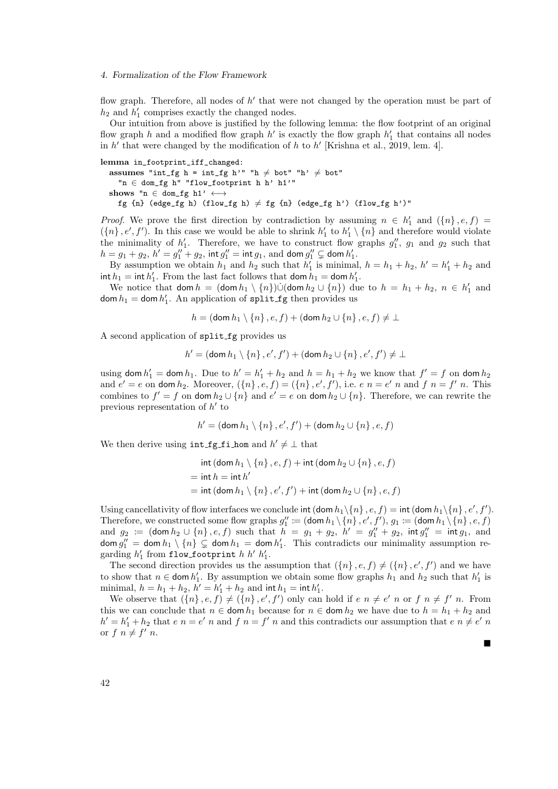flow graph. Therefore, all nodes of  $h'$  that were not changed by the operation must be part of  $h_2$  and  $h'_1$  comprises exactly the changed nodes.

Our intuition from above is justified by the following lemma: the flow footprint of an original flow graph h and a modified flow graph  $h'$  is exactly the flow graph  $h'_1$  that contains all nodes in  $h'$  that were changed by the modification of h to  $h'$  [Krishna et al., 2019, lem. 4].

lemma in\_footprint\_iff\_changed:

assumes "int\_fg h = int\_fg h'" "h  $\neq$  bot" "h'  $\neq$  bot" "n ∈ dom\_fg h" "flow\_footprint h h' h1'" shows "n  $\in$  dom\_fg h1'  $\longleftrightarrow$ fg {n} (edge\_fg h) (flow\_fg h)  $\neq$  fg {n} (edge\_fg h') (flow\_fg h')"

*Proof.* We prove the first direction by contradiction by assuming  $n \in h'_1$  and  $(\{n\}, e, f)$  $(\lbrace n \rbrace, e', f')$ . In this case we would be able to shrink  $h'_1$  to  $h'_1 \setminus \lbrace n \rbrace$  and therefore would violate the minimality of  $h'_1$ . Therefore, we have to construct flow graphs  $g''_1$ ,  $g_1$  and  $g_2$  such that  $h = g_1 + g_2, h' = g''_1 + g_2$ , int  $g''_1 = \text{int } g_1$ , and dom  $g''_1 \subsetneq$  dom  $h'_1$ .

By assumption we obtain  $h_1$  and  $h_2$  such that  $h'_1$  is minimal,  $h = h_1 + h_2$ ,  $h' = h'_1 + h_2$  and  $\int \ln h_1 = \ln h_1'.$  From the last fact follows that  $\ln h_1 = \ln h_1'.$ 

We notice that  $\text{dom } h = (\text{dom } h_1 \setminus \{n\}) \cup (\text{dom } h_2 \cup \{n\})$  due to  $h = h_1 + h_2, n \in h'_1$  and dom  $h_1 =$  dom  $h'_1$ . An application of split fg then provides us

$$
h = (\text{dom } h_1 \setminus \{n\}, e, f) + (\text{dom } h_2 \cup \{n\}, e, f) \neq \bot
$$

A second application of split fg provides us

$$
h' = (\text{dom } h_1 \setminus \{n\}, e', f') + (\text{dom } h_2 \cup \{n\}, e', f') \neq \bot
$$

using dom  $h'_1 =$  dom  $h_1$ . Due to  $h' = h'_1 + h_2$  and  $h = h_1 + h_2$  we know that  $f' = f$  on dom  $h_2$ and  $e' = e$  on dom  $h_2$ . Moreover,  $(\lbrace n \rbrace, e, f) = (\lbrace n \rbrace, e', f')$ , i.e.  $e \neq n = e' \neq n$  and  $f \neq n$ . This combines to  $f' = f$  on dom  $h_2 \cup \{n\}$  and  $e' = e$  on dom  $h_2 \cup \{n\}$ . Therefore, we can rewrite the previous representation of  $h'$  to

$$
h' = (\text{dom } h_1 \setminus \{n\}, e', f') + (\text{dom } h_2 \cup \{n\}, e, f)
$$

We then derive using  $int_f$ g fi hom and  $h' \neq \perp$  that

$$
\begin{aligned}\n\text{int}(\text{dom } h_1 \setminus \{n\}, e, f) + \text{int}(\text{dom } h_2 \cup \{n\}, e, f) \\
&= \text{int } h = \text{int } h' \\
&= \text{int}(\text{dom } h_1 \setminus \{n\}, e', f') + \text{int}(\text{dom } h_2 \cup \{n\}, e, f)\n\end{aligned}
$$

Using cancellativity of flow interfaces we conclude int  $(\text{dom } h_1 \setminus \{n\}, e, f) = \text{int } (\text{dom } h_1 \setminus \{n\}, e', f').$ Therefore, we constructed some flow graphs  $g''_1 \coloneqq (\text{dom } h_1 \setminus \{n\}, e', f'), g_1 \coloneqq (\text{dom } h_1 \setminus \{n\}, e, f)$ and  $g_2 := (\text{dom } h_2 \cup \{n\}, e, f)$  such that  $h = g_1 + g_2$ ,  $h' = g''_1 + g_2$ ,  $\text{int } g''_1 = \text{int } g_1$ , and  $\text{dom } g''_1 = \text{dom } h_1 \setminus \{n\} \subsetneq \text{dom } h_1 = \text{dom } h'_1$ . This contradicts our minimality assumption regarding  $h'_1$  from flow\_footprint  $h h' h'_1$ .

The second direction provides us the assumption that  $({n}, e, f) \neq ({n}, e', f')$  and we have to show that  $n \in \text{dom } h'_1$ . By assumption we obtain some flow graphs  $h_1$  and  $h_2$  such that  $h'_1$  is minimal,  $h = h_1 + h_2$ ,  $h' = h'_1 + h_2$  and  $\int h_1 = \int h'_1$ .

We observe that  $(\lbrace n \rbrace, e, f) \neq (\lbrace n \rbrace, e', f')$  only can hold if  $e \neq e' \neq n$  or  $f \neq f' \neq n$ . From this we can conclude that  $n \in \text{dom } h_1$  because for  $n \in \text{dom } h_2$  we have due to  $h = h_1 + h_2$  and  $h' = h'_1 + h_2$  that  $e \neq e' \neq n$  and  $f \neq f' \neq n$  and this contradicts our assumption that  $e \neq e' \neq n$ or  $f n \neq f' n$ . Ė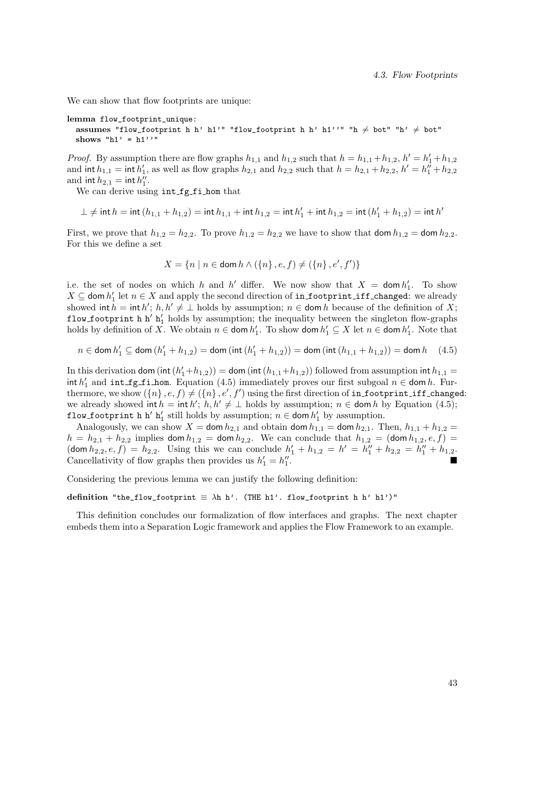We can show that flow footprints are unique:

```
lemma flow_footprint_unique:
```
assumes "flow\_footprint h h' h1'" "flow\_footprint h h' h1''" "h  $\neq$  bot" "h'  $\neq$  bot" shows " $h1' = h1'$ "

*Proof.* By assumption there are flow graphs  $h_{1,1}$  and  $h_{1,2}$  such that  $h = h_{1,1} + h_{1,2}$ ,  $h' = h'_1 + h_{1,2}$ and  $\text{int } h_{1,1} = \text{int } h'_1$ , as well as flow graphs  $h_{2,1}$  and  $h_{2,2}$  such that  $h = h_{2,1} + h_{2,2}$ ,  $h' = h''_1 + h_{2,2}$ and  $\int h_{2,1} = \int h''_1$ .

We can derive using int fg fi hom that

$$
\bot \neq \mathsf{int}\, h = \mathsf{int}\, (h_{1,1} + h_{1,2}) = \mathsf{int}\, h_{1,1} + \mathsf{int}\, h_{1,2} = \mathsf{int}\, h'_1 + \mathsf{int}\, h_{1,2} = \mathsf{int}\, (h'_1 + h_{1,2}) = \mathsf{int}\, h'
$$

First, we prove that  $h_{1,2} = h_{2,2}$ . To prove  $h_{1,2} = h_{2,2}$  we have to show that dom  $h_{1,2} =$  dom  $h_{2,2}$ . For this we define a set

$$
X = \{ n \mid n \in \text{dom } h \land (\{n\}, e, f) \neq (\{n\}, e', f') \}
$$

i.e. the set of nodes on which h and h' differ. We now show that  $X = \text{dom } h'_1$ . To show  $X \subseteq$  dom  $h'_1$  let  $n \in X$  and apply the second direction of in footprint iff changed: we already showed int  $h = \text{int } h'$ ;  $h, h' \neq \perp$  holds by assumption;  $n \in \text{dom } h$  because of the definition of X; flow footprint h h'  $h'_1$  holds by assumption; the inequality between the singleton flow-graphs holds by definition of X. We obtain  $n \in \text{dom } h'_1$ . To show dom  $h'_1 \subseteq X$  let  $n \in \text{dom } h'_1$ . Note that

$$
n \in \text{dom } h'_1 \subseteq \text{dom }(h'_1 + h_{1,2}) = \text{dom } (\text{int } (h'_1 + h_{1,2})) = \text{dom } (\text{int } (h_{1,1} + h_{1,2})) = \text{dom } h \quad (4.5)
$$

In this derivation dom (int  $(h'_1 + h_{1,2})$ ) = dom (int  $(h_{1,1} + h_{1,2})$ ) followed from assumption int  $h_{1,1}$  =  $\int h'_1$  and  $\int f$  fi hom. Equation (4.5) immediately proves our first subgoal  $n \in \text{dom } h$ . Furthermore, we show  $(\{n\} , e, f) \neq (\{n\} , e', f')$  using the first direction of  $\verb|infootprint_iffj$  changed: we already showed int  $h = \text{int } h'$ ;  $h, h' \neq \perp$  holds by assumption;  $n \in \text{dom } h$  by Equation (4.5); flow footprint h h' h' still holds by assumption;  $n \in \text{dom } h'_1$  by assumption.

Analogously, we can show  $X = \text{dom } h_{2,1}$  and obtain  $\text{dom } h_{1,1} = \text{dom } h_{2,1}$ . Then,  $h_{1,1} + h_{1,2} =$  $h = h_{2,1} + h_{2,2}$  implies dom  $h_{1,2} =$  dom  $h_{2,2}$ . We can conclude that  $h_{1,2} =$  (dom  $h_{1,2}, e, f$ )  $(\text{dom } h_{2,2}, e, f) = h_{2,2}.$  Using this we can conclude  $h'_1 + h_{1,2} = h' = h''_1 + h_{2,2} = h''_1 + h_{1,2}.$ Cancellativity of flow graphs then provides us  $h'_1 = h''_1$ .

Considering the previous lemma we can justify the following definition:

#### definition "the\_flow\_footprint  $\equiv \lambda h h'$ . (THE h1'. flow\_footprint h h' h1')"

This definition concludes our formalization of flow interfaces and graphs. The next chapter embeds them into a Separation Logic framework and applies the Flow Framework to an example.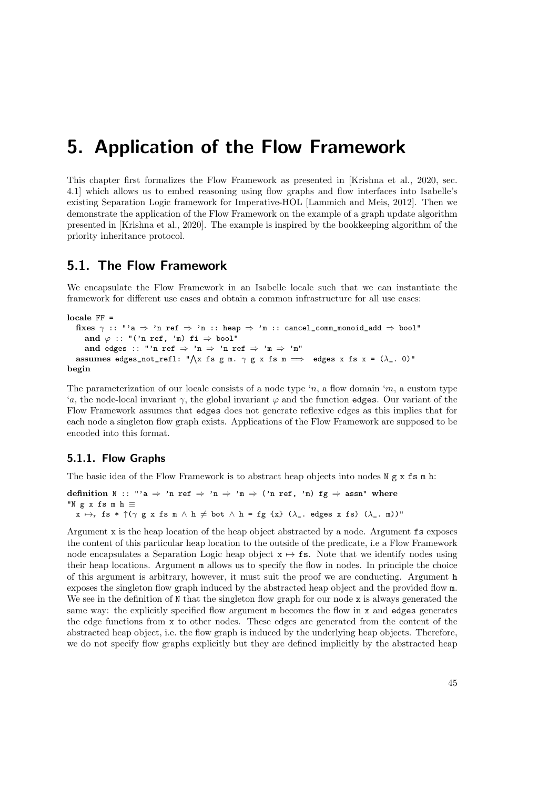This chapter first formalizes the Flow Framework as presented in [Krishna et al., 2020, sec. 4.1] which allows us to embed reasoning using flow graphs and flow interfaces into Isabelle's existing Separation Logic framework for Imperative-HOL [Lammich and Meis, 2012]. Then we demonstrate the application of the Flow Framework on the example of a graph update algorithm presented in [Krishna et al., 2020]. The example is inspired by the bookkeeping algorithm of the priority inheritance protocol.

# 5.1. The Flow Framework

We encapsulate the Flow Framework in an Isabelle locale such that we can instantiate the framework for different use cases and obtain a common infrastructure for all use cases:

```
locale FF =
```

```
fixes \gamma :: "'a \Rightarrow 'n ref \Rightarrow 'n :: heap \Rightarrow 'm :: cancel_comm_monoid_add \Rightarrow bool"
     and \varphi :: "('n ref, 'm) fi \Rightarrow bool"
     and edges :: "'n ref \Rightarrow 'n \Rightarrow 'n ref \Rightarrow 'm \Rightarrow 'm"
   assumes edges_not_refl: "\bigwedge x fs g m. \gamma g x fs m \implies edges x fs x = (\lambda_. 0)"
begin
```
The parameterization of our locale consists of a node type 'n, a flow domain 'm, a custom type 'a, the node-local invariant  $\gamma$ , the global invariant  $\varphi$  and the function edges. Our variant of the Flow Framework assumes that edges does not generate reflexive edges as this implies that for each node a singleton flow graph exists. Applications of the Flow Framework are supposed to be encoded into this format.

# 5.1.1. Flow Graphs

The basic idea of the Flow Framework is to abstract heap objects into nodes  $N g x$  fs m h:

```
definition N :: "'a \Rightarrow 'n ref \Rightarrow 'n \Rightarrow 'm \Rightarrow ('n ref, 'm) fg \Rightarrow assn" where
"N g x fs m h \equivx \mapsto_r \text{fs } * \uparrow (\gamma \text{ g } x \text{ fs } \text{m } \wedge \text{ h } \neq \text{ bot } \wedge \text{ h } = \text{fg } \{x\} \ (\lambda_-\text{. edges } x \text{ fs } ) \ (\lambda_-\text{. m} )"
```
Argument x is the heap location of the heap object abstracted by a node. Argument fs exposes the content of this particular heap location to the outside of the predicate, i.e a Flow Framework node encapsulates a Separation Logic heap object  $x \mapsto fs$ . Note that we identify nodes using their heap locations. Argument m allows us to specify the flow in nodes. In principle the choice of this argument is arbitrary, however, it must suit the proof we are conducting. Argument h exposes the singleton flow graph induced by the abstracted heap object and the provided flow m. We see in the definition of N that the singleton flow graph for our node x is always generated the same way: the explicitly specified flow argument m becomes the flow in x and edges generates the edge functions from x to other nodes. These edges are generated from the content of the abstracted heap object, i.e. the flow graph is induced by the underlying heap objects. Therefore, we do not specify flow graphs explicitly but they are defined implicitly by the abstracted heap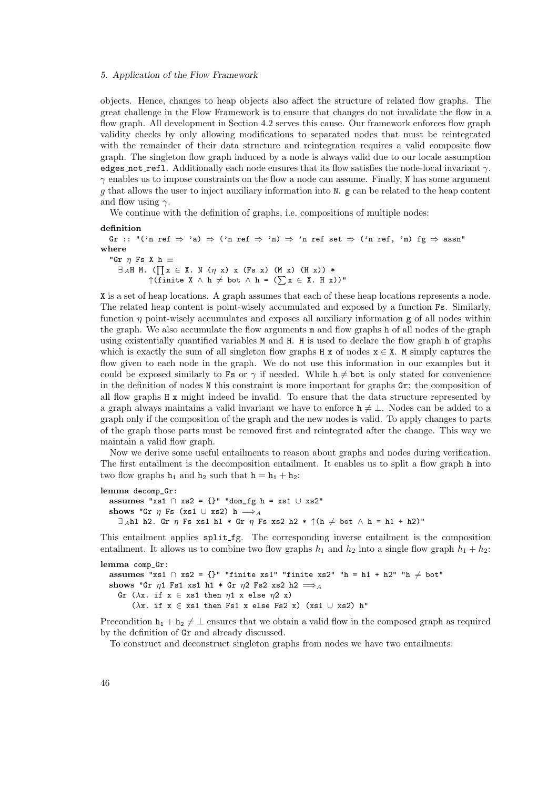objects. Hence, changes to heap objects also affect the structure of related flow graphs. The great challenge in the Flow Framework is to ensure that changes do not invalidate the flow in a flow graph. All development in Section 4.2 serves this cause. Our framework enforces flow graph validity checks by only allowing modifications to separated nodes that must be reintegrated with the remainder of their data structure and reintegration requires a valid composite flow graph. The singleton flow graph induced by a node is always valid due to our locale assumption edges not refl. Additionally each node ensures that its flow satisfies the node-local invariant  $\gamma$ .  $\gamma$  enables us to impose constraints on the flow a node can assume. Finally, N has some argument g that allows the user to inject auxiliary information into N. g can be related to the heap content and flow using  $\gamma$ .

We continue with the definition of graphs, i.e. compositions of multiple nodes:

```
definition
```
Gr :: "('n ref  $\Rightarrow$  'a)  $\Rightarrow$  ('n ref  $\Rightarrow$  'n)  $\Rightarrow$  'n ref set  $\Rightarrow$  ('n ref, 'm) fg  $\Rightarrow$  assn" where "Gr  $\eta$  Fs X h  $\equiv$  $\exists A$ H M. ( $\prod x \in X$ . N ( $\eta$  x) x (Fs x) (M x) (H x)) \*  $\uparrow$ (finite X  $\wedge$  h  $\neq$  bot  $\wedge$  h = ( $\sum x \in X$ . H x))"

X is a set of heap locations. A graph assumes that each of these heap locations represents a node. The related heap content is point-wisely accumulated and exposed by a function Fs. Similarly, function  $\eta$  point-wisely accumulates and exposes all auxiliary information  $g$  of all nodes within the graph. We also accumulate the flow arguments m and flow graphs h of all nodes of the graph using existentially quantified variables M and H. H is used to declare the flow graph h of graphs which is exactly the sum of all singleton flow graphs  $H \times$  of nodes  $x \in X$ . M simply captures the flow given to each node in the graph. We do not use this information in our examples but it could be exposed similarly to Fs or  $\gamma$  if needed. While  $h \neq bot$  is only stated for convenience in the definition of nodes N this constraint is more important for graphs Gr: the composition of all flow graphs H x might indeed be invalid. To ensure that the data structure represented by a graph always maintains a valid invariant we have to enforce  $h \neq \perp$ . Nodes can be added to a graph only if the composition of the graph and the new nodes is valid. To apply changes to parts of the graph those parts must be removed first and reintegrated after the change. This way we maintain a valid flow graph.

Now we derive some useful entailments to reason about graphs and nodes during verification. The first entailment is the decomposition entailment. It enables us to split a flow graph h into two flow graphs  $h_1$  and  $h_2$  such that  $h = h_1 + h_2$ :

```
lemma decomp_Gr:
  assumes "xs1 ∩ xs2 = {}" "dom_fg h = xs1 ∪ xs2"
  shows "Gr \eta Fs (xs1 ∪ xs2) h \LongrightarrowA
    \exists Ah1 h2. Gr \eta Fs xs1 h1 * Gr \eta Fs xs2 h2 * \uparrow (h \neq bot \wedge h = h1 + h2)"
```
This entailment applies split fg. The corresponding inverse entailment is the composition entailment. It allows us to combine two flow graphs  $h_1$  and  $h_2$  into a single flow graph  $h_1 + h_2$ :

```
lemma comp_Gr:
  assumes "xs1 ∩ xs2 = {}" "finite xs1" "finite xs2" "h = h1 + h2" "h \neq bot"
  shows "Gr \eta1 Fs1 xs1 h1 * Gr \eta2 Fs2 xs2 h2 \LongrightarrowA
    Gr (\lambdax. if x \in xs1 then \eta1 x else \eta2 x)
        (\lambdax. if x \in xs1 then Fs1 x else Fs2 x) (xs1 ∪ xs2) h"
```
Precondition  $h_1 + h_2 \neq \perp$  ensures that we obtain a valid flow in the composed graph as required by the definition of Gr and already discussed.

To construct and deconstruct singleton graphs from nodes we have two entailments: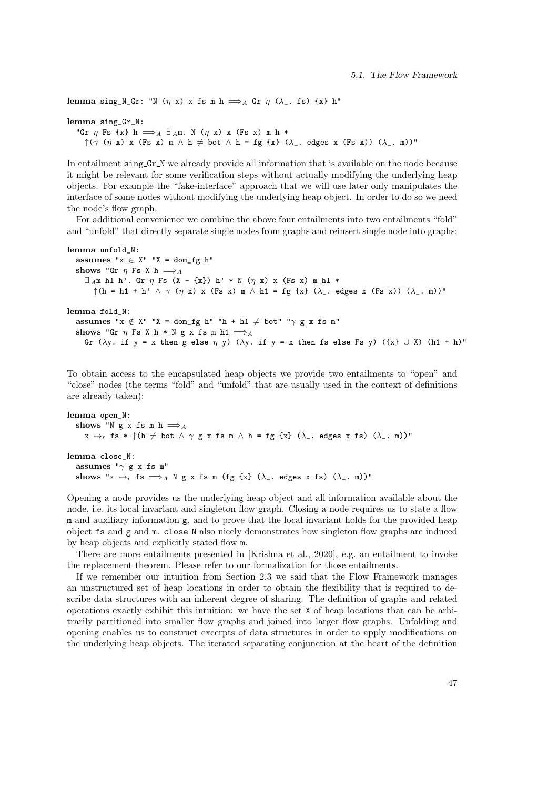lemma sing\_N\_Gr: "N  $(\eta x)$  x fs m h  $\Longrightarrow_A$  Gr  $\eta$  ( $\lambda$ \_. fs) {x} h" lemma sing\_Gr\_N: "Gr  $\eta$  Fs {x} h  $\Longrightarrow_A \exists_A m$ . N ( $\eta$  x) x (Fs x) m h \*

 $\uparrow$ ( $\gamma$  ( $\eta$  x) x (Fs x) m  $\land$  h  $\neq$  bot  $\land$  h = fg {x} ( $\lambda$ <sub>-</sub>. edges x (Fs x)) ( $\lambda$ <sub>-</sub>. m))"

In entailment sing Gr<sub>N</sub> we already provide all information that is available on the node because it might be relevant for some verification steps without actually modifying the underlying heap objects. For example the "fake-interface" approach that we will use later only manipulates the interface of some nodes without modifying the underlying heap object. In order to do so we need the node's flow graph.

For additional convenience we combine the above four entailments into two entailments "fold" and "unfold" that directly separate single nodes from graphs and reinsert single node into graphs:

```
lemma unfold_N:
  assumes "x \in X'' "X = dom_f g h''shows "Gr \eta Fs X h \Longrightarrow A
     \exists Am h1 h'. Gr \eta Fs (X - {x}) h' * N (\eta x) x (Fs x) m h1 *
       \uparrow(h = h1 + h' \wedge \gamma (\eta x) x (Fs x) m \wedge h1 = fg {x} (\lambda_. edges x (Fs x)) (\lambda_. m))"
lemma fold_N:
  assumes "x \notin X" "X = dom_fg h" "h + h1 \neq bot" "\gamma g x fs m"
  shows "Gr \eta Fs X h * N g x fs m h1 \LongrightarrowA
     Gr (\lambday. if y = x then g else \eta y) (\lambday. if y = x then fs else Fs y) (\{x\} \cup X) (h1 + h)"
```
To obtain access to the encapsulated heap objects we provide two entailments to "open" and "close" nodes (the terms "fold" and "unfold" that are usually used in the context of definitions are already taken):

```
lemma open_N:
  shows "N g x fs m h \LongrightarrowA
     x \mapsto_r fs * \uparrow(h \neq bot \wedge \gamma g x fs m \wedge h = fg \{x\} (\lambda_-. edges x fs) (\lambda_-. m))"
lemma close_N:
  assumes "\gamma g x fs m"
  shows "x \mapsto_r fs \Longrightarrow_A N g x fs m (fg {x} (\lambda_. edges x fs) (\lambda_. m))"
```
Opening a node provides us the underlying heap object and all information available about the node, i.e. its local invariant and singleton flow graph. Closing a node requires us to state a flow m and auxiliary information g, and to prove that the local invariant holds for the provided heap object fs and g and m. close N also nicely demonstrates how singleton flow graphs are induced by heap objects and explicitly stated flow m.

There are more entailments presented in [Krishna et al., 2020], e.g. an entailment to invoke the replacement theorem. Please refer to our formalization for those entailments.

If we remember our intuition from Section 2.3 we said that the Flow Framework manages an unstructured set of heap locations in order to obtain the flexibility that is required to describe data structures with an inherent degree of sharing. The definition of graphs and related operations exactly exhibit this intuition: we have the set X of heap locations that can be arbitrarily partitioned into smaller flow graphs and joined into larger flow graphs. Unfolding and opening enables us to construct excerpts of data structures in order to apply modifications on the underlying heap objects. The iterated separating conjunction at the heart of the definition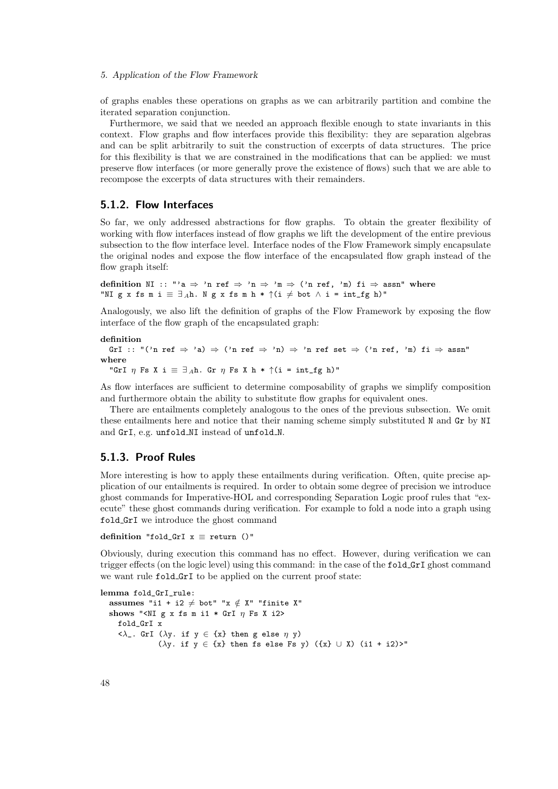of graphs enables these operations on graphs as we can arbitrarily partition and combine the iterated separation conjunction.

Furthermore, we said that we needed an approach flexible enough to state invariants in this context. Flow graphs and flow interfaces provide this flexibility: they are separation algebras and can be split arbitrarily to suit the construction of excerpts of data structures. The price for this flexibility is that we are constrained in the modifications that can be applied: we must preserve flow interfaces (or more generally prove the existence of flows) such that we are able to recompose the excerpts of data structures with their remainders.

# 5.1.2. Flow Interfaces

So far, we only addressed abstractions for flow graphs. To obtain the greater flexibility of working with flow interfaces instead of flow graphs we lift the development of the entire previous subsection to the flow interface level. Interface nodes of the Flow Framework simply encapsulate the original nodes and expose the flow interface of the encapsulated flow graph instead of the flow graph itself:

definition NI :: "'a  $\Rightarrow$  'n ref  $\Rightarrow$  'n  $\Rightarrow$  'm  $\Rightarrow$  ('n ref, 'm) fi  $\Rightarrow$  assn" where "NI g x fs m i  $\equiv \exists_A h$ . N g x fs m h \*  $\uparrow$  (i  $\neq$  bot  $\wedge$  i = int\_fg h)"

Analogously, we also lift the definition of graphs of the Flow Framework by exposing the flow interface of the flow graph of the encapsulated graph:

#### definition

```
GrI :: "('n ref \Rightarrow 'a) \Rightarrow ('n ref \Rightarrow 'n) \Rightarrow 'n ref set \Rightarrow ('n ref, 'm) fi \Rightarrow assn"
where
   "GrI \eta Fs X i \equiv \exists_A h. Gr \eta Fs X h * \uparrow (i = int_fg h)"
```
As flow interfaces are sufficient to determine composability of graphs we simplify composition and furthermore obtain the ability to substitute flow graphs for equivalent ones.

There are entailments completely analogous to the ones of the previous subsection. We omit these entailments here and notice that their naming scheme simply substituted N and Gr by NI and GrI, e.g. unfold\_NI instead of unfold\_N.

# 5.1.3. Proof Rules

More interesting is how to apply these entailments during verification. Often, quite precise application of our entailments is required. In order to obtain some degree of precision we introduce ghost commands for Imperative-HOL and corresponding Separation Logic proof rules that "execute" these ghost commands during verification. For example to fold a node into a graph using fold GrI we introduce the ghost command

definition "fold\_GrI  $x \equiv$  return ()"

Obviously, during execution this command has no effect. However, during verification we can trigger effects (on the logic level) using this command: in the case of the fold GrI ghost command we want rule fold GrI to be applied on the current proof state:

lemma fold\_GrI\_rule: assumes "i1 + i2  $\neq$  bot" "x  $\notin$  X" "finite X" shows "<NI g x fs m i1 \* GrI  $\eta$  Fs X i2> fold\_GrI x  $\langle \lambda \rangle$ . GrI ( $\lambda$ y. if y  $\in$  {x} then g else  $\eta$  y) ( $\lambda$ y. if  $y \in \{x\}$  then fs else Fs y) ( $\{x\} \cup X$ ) (i1 + i2)>"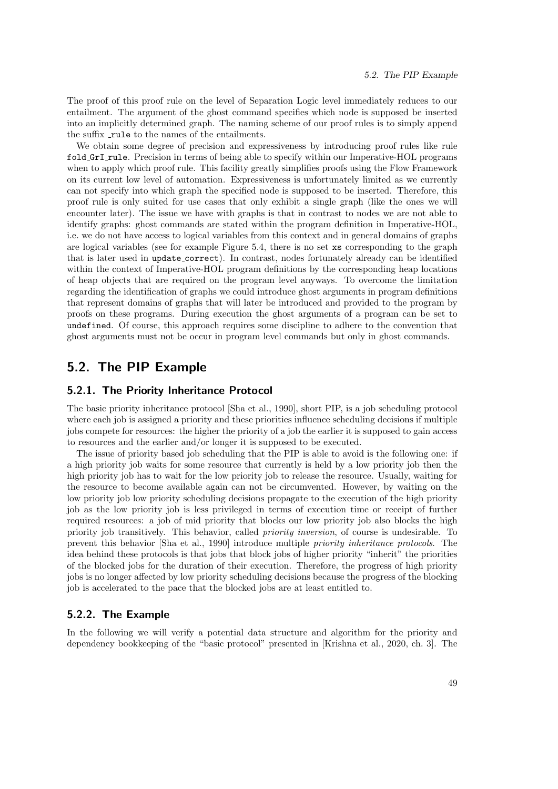The proof of this proof rule on the level of Separation Logic level immediately reduces to our entailment. The argument of the ghost command specifies which node is supposed be inserted into an implicitly determined graph. The naming scheme of our proof rules is to simply append the suffix rule to the names of the entailments.

We obtain some degree of precision and expressiveness by introducing proof rules like rule fold GrI rule. Precision in terms of being able to specify within our Imperative-HOL programs when to apply which proof rule. This facility greatly simplifies proofs using the Flow Framework on its current low level of automation. Expressiveness is unfortunately limited as we currently can not specify into which graph the specified node is supposed to be inserted. Therefore, this proof rule is only suited for use cases that only exhibit a single graph (like the ones we will encounter later). The issue we have with graphs is that in contrast to nodes we are not able to identify graphs: ghost commands are stated within the program definition in Imperative-HOL, i.e. we do not have access to logical variables from this context and in general domains of graphs are logical variables (see for example Figure 5.4, there is no set xs corresponding to the graph that is later used in update correct). In contrast, nodes fortunately already can be identified within the context of Imperative-HOL program definitions by the corresponding heap locations of heap objects that are required on the program level anyways. To overcome the limitation regarding the identification of graphs we could introduce ghost arguments in program definitions that represent domains of graphs that will later be introduced and provided to the program by proofs on these programs. During execution the ghost arguments of a program can be set to undefined. Of course, this approach requires some discipline to adhere to the convention that ghost arguments must not be occur in program level commands but only in ghost commands.

# 5.2. The PIP Example

# 5.2.1. The Priority Inheritance Protocol

The basic priority inheritance protocol [Sha et al., 1990], short PIP, is a job scheduling protocol where each job is assigned a priority and these priorities influence scheduling decisions if multiple jobs compete for resources: the higher the priority of a job the earlier it is supposed to gain access to resources and the earlier and/or longer it is supposed to be executed.

The issue of priority based job scheduling that the PIP is able to avoid is the following one: if a high priority job waits for some resource that currently is held by a low priority job then the high priority job has to wait for the low priority job to release the resource. Usually, waiting for the resource to become available again can not be circumvented. However, by waiting on the low priority job low priority scheduling decisions propagate to the execution of the high priority job as the low priority job is less privileged in terms of execution time or receipt of further required resources: a job of mid priority that blocks our low priority job also blocks the high priority job transitively. This behavior, called priority inversion, of course is undesirable. To prevent this behavior [Sha et al., 1990] introduce multiple priority inheritance protocols. The idea behind these protocols is that jobs that block jobs of higher priority "inherit" the priorities of the blocked jobs for the duration of their execution. Therefore, the progress of high priority jobs is no longer affected by low priority scheduling decisions because the progress of the blocking job is accelerated to the pace that the blocked jobs are at least entitled to.

# 5.2.2. The Example

In the following we will verify a potential data structure and algorithm for the priority and dependency bookkeeping of the "basic protocol" presented in [Krishna et al., 2020, ch. 3]. The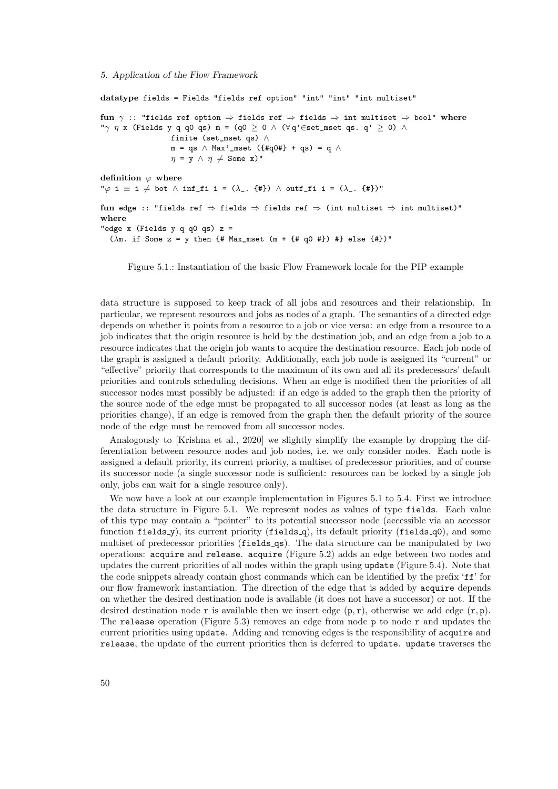datatype fields = Fields "fields ref option" "int" "int" "int multiset" fun  $\gamma$  :: "fields ref option  $\Rightarrow$  fields ref  $\Rightarrow$  fields  $\Rightarrow$  int multiset  $\Rightarrow$  bool" where "γ η x (Fields y q q0 qs) m = (q0  $\ge$  0  $\land$  ( $\forall$  q' $\in$ set\_mset qs. q'  $\ge$  0)  $\land$ finite (set\_mset qs) ∧ m = qs  $\land$  Max'\_mset ({#q0#} + qs) = q  $\land$  $\eta = y \land \eta \neq$  Some x)" definition  $\varphi$  where " $\varphi$  i  $\equiv$  i  $\neq$  bot  $\wedge$  inf\_fi i = ( $\lambda$ \_. {#})  $\wedge$  outf\_fi i = ( $\lambda$ \_. {#})" fun edge :: "fields ref  $\Rightarrow$  fields  $\Rightarrow$  fields ref  $\Rightarrow$  (int multiset  $\Rightarrow$  int multiset)" where "edge  $x$  (Fields  $y$  q q0 qs)  $z =$ ( $\lambda$ m. if Some z = y then {# Max\_mset (m + {# q0 #}) #} else {#})"

Figure 5.1.: Instantiation of the basic Flow Framework locale for the PIP example

data structure is supposed to keep track of all jobs and resources and their relationship. In particular, we represent resources and jobs as nodes of a graph. The semantics of a directed edge depends on whether it points from a resource to a job or vice versa: an edge from a resource to a job indicates that the origin resource is held by the destination job, and an edge from a job to a resource indicates that the origin job wants to acquire the destination resource. Each job node of the graph is assigned a default priority. Additionally, each job node is assigned its "current" or "effective" priority that corresponds to the maximum of its own and all its predecessors' default priorities and controls scheduling decisions. When an edge is modified then the priorities of all successor nodes must possibly be adjusted: if an edge is added to the graph then the priority of the source node of the edge must be propagated to all successor nodes (at least as long as the priorities change), if an edge is removed from the graph then the default priority of the source node of the edge must be removed from all successor nodes.

Analogously to [Krishna et al., 2020] we slightly simplify the example by dropping the differentiation between resource nodes and job nodes, i.e. we only consider nodes. Each node is assigned a default priority, its current priority, a multiset of predecessor priorities, and of course its successor node (a single successor node is sufficient: resources can be locked by a single job only, jobs can wait for a single resource only).

We now have a look at our example implementation in Figures 5.1 to 5.4. First we introduce the data structure in Figure 5.1. We represent nodes as values of type fields. Each value of this type may contain a "pointer" to its potential successor node (accessible via an accessor function fields  $y$ ), its current priority (fields  $q$ ), its default priority (fields  $q$ 0), and some multiset of predecessor priorities (fields qs). The data structure can be manipulated by two operations: acquire and release. acquire (Figure 5.2) adds an edge between two nodes and updates the current priorities of all nodes within the graph using update (Figure 5.4). Note that the code snippets already contain ghost commands which can be identified by the prefix 'ff' for our flow framework instantiation. The direction of the edge that is added by acquire depends on whether the desired destination node is available (it does not have a successor) or not. If the desired destination node r is available then we insert edge  $(p, r)$ , otherwise we add edge  $(r, p)$ . The release operation (Figure 5.3) removes an edge from node  $p$  to node  $r$  and updates the current priorities using update. Adding and removing edges is the responsibility of acquire and release, the update of the current priorities then is deferred to update. update traverses the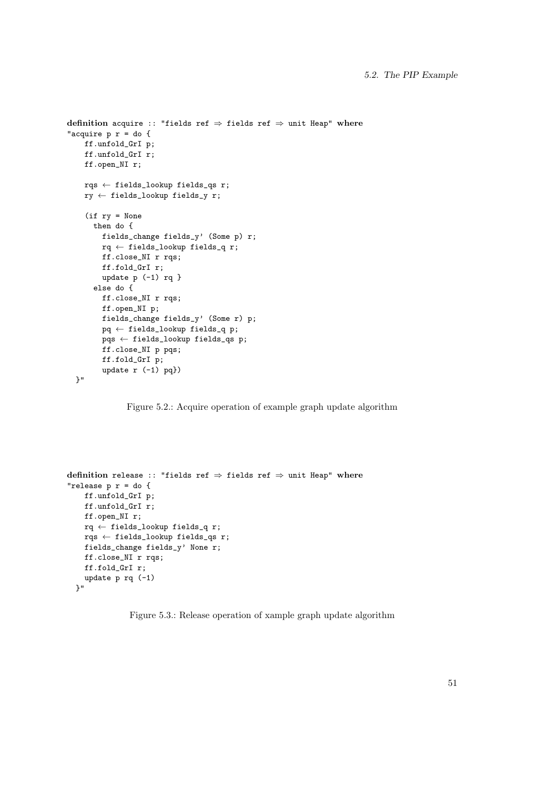```
definition acquire :: "fields ref \Rightarrow fields ref \Rightarrow unit Heap" where
"acquire p r = do {
    ff.unfold_GrI p;
    ff.unfold_GrI r;
    ff.open_NI r;
    rqs ← fields_lookup fields_qs r;
    ry ← fields_lookup fields_y r;
    (if ry = None
      then do {
        fields_change fields_y' (Some p) r;
        rq \leftarrow fields_lookup fields_q r;
        ff.close_NI r rqs;
        ff.fold_GrI r;
        update p (-1) rq }
      else do {
        ff.close_NI r rqs;
        ff.open_NI p;
        fields_change fields_y' (Some r) p;
        pq ← fields_lookup fields_q p;
        pqs ← fields_lookup fields_qs p;
        ff.close_NI p pqs;
        ff.fold_GrI p;
        update r (-1) pq})
  }"
```
Figure 5.2.: Acquire operation of example graph update algorithm

```
definition release :: "fields ref \Rightarrow fields ref \Rightarrow unit Heap" where
"release p r = do {
   ff.unfold_GrI p;
    ff.unfold_GrI r;
    ff.open_NI r;
    rq \leftarrow fields_lookup fields_q r;
    rqs ← fields_lookup fields_qs r;
    fields_change fields_y' None r;
    ff.close_NI r rqs;
    ff.fold_GrI r;
    update p rq (-1)
  }"
```
Figure 5.3.: Release operation of xample graph update algorithm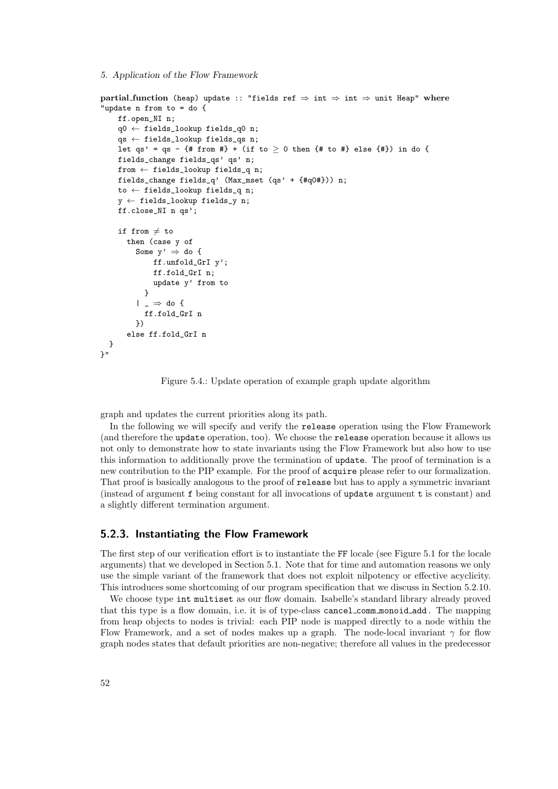5. Application of the Flow Framework

```
partial function (heap) update :: "fields ref \Rightarrow int \Rightarrow int \Rightarrow unit Heap" where
"update n from to = do {
    ff.open_NI n;
    q0 ← fields_lookup fields_q0 n;
    qs ← fields_lookup fields_qs n;
    let qs' = qs - {# from #} + (if to \ge 0 then {# to #} else {#}) in do {
    fields_change fields_qs' qs' n;
    from ← fields_lookup fields_q n;
    fields_change fields_q' (Max_mset (qs' + {#q0#})) n;
    to ← fields_lookup fields_q n;
    y \leftarrow fields_lookup fields_y n;
    ff.close_NI n qs';
    if from \neq to
      then (case y of
        Some y' \Rightarrow do {
            ff.unfold_GrI y';
             ff.fold_GrI n;
             update y' from to
           }
         | \_ \Rightarrow do {
           ff.fold_GrI n
        })
      else ff.fold_GrI n
 }
}"
```
Figure 5.4.: Update operation of example graph update algorithm

graph and updates the current priorities along its path.

In the following we will specify and verify the release operation using the Flow Framework (and therefore the update operation, too). We choose the release operation because it allows us not only to demonstrate how to state invariants using the Flow Framework but also how to use this information to additionally prove the termination of update. The proof of termination is a new contribution to the PIP example. For the proof of acquire please refer to our formalization. That proof is basically analogous to the proof of release but has to apply a symmetric invariant (instead of argument f being constant for all invocations of update argument t is constant) and a slightly different termination argument.

### 5.2.3. Instantiating the Flow Framework

The first step of our verification effort is to instantiate the FF locale (see Figure 5.1 for the locale arguments) that we developed in Section 5.1. Note that for time and automation reasons we only use the simple variant of the framework that does not exploit nilpotency or effective acyclicity. This introduces some shortcoming of our program specification that we discuss in Section 5.2.10.

We choose type int multiset as our flow domain. Isabelle's standard library already proved that this type is a flow domain, i.e. it is of type-class cancel comm monoid add . The mapping from heap objects to nodes is trivial: each PIP node is mapped directly to a node within the Flow Framework, and a set of nodes makes up a graph. The node-local invariant  $\gamma$  for flow graph nodes states that default priorities are non-negative; therefore all values in the predecessor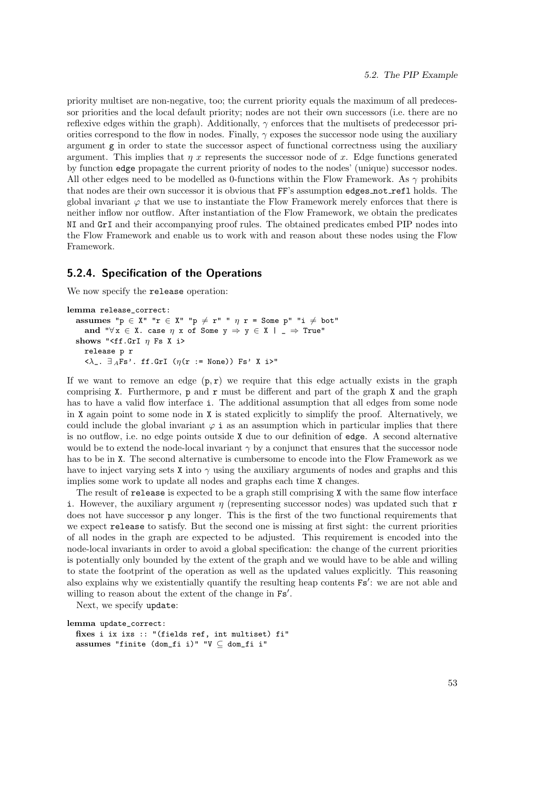priority multiset are non-negative, too; the current priority equals the maximum of all predecessor priorities and the local default priority; nodes are not their own successors (i.e. there are no reflexive edges within the graph). Additionally,  $\gamma$  enforces that the multisets of predecessor priorities correspond to the flow in nodes. Finally,  $\gamma$  exposes the successor node using the auxiliary argument g in order to state the successor aspect of functional correctness using the auxiliary argument. This implies that  $\eta$  x represents the successor node of x. Edge functions generated by function edge propagate the current priority of nodes to the nodes' (unique) successor nodes. All other edges need to be modelled as 0-functions within the Flow Framework. As  $\gamma$  prohibits that nodes are their own successor it is obvious that FF's assumption edges not refl holds. The global invariant  $\varphi$  that we use to instantiate the Flow Framework merely enforces that there is neither inflow nor outflow. After instantiation of the Flow Framework, we obtain the predicates NI and GrI and their accompanying proof rules. The obtained predicates embed PIP nodes into the Flow Framework and enable us to work with and reason about these nodes using the Flow Framework.

# 5.2.4. Specification of the Operations

We now specify the release operation:

```
lemma release_correct:
   assumes "p \in X" "r \in X" "p \neq r" " \eta r = Some p" "i \neq bot"
       and "\forall x \in X. case \eta x of Some y \Rightarrow y \in X | _ \Rightarrow True"
   shows "<ff.GrI \eta Fs X i>
       release p r
       \langle \lambda_-. \ \exists_A \mathrm{Fs}^\prime \cdot \ \mathrm{ff}. \mathrm{GrI} \ \ (\eta(\mathtt{r} \ := \ \mathtt{None})) \ \mathrm{Fs}^\prime \ \ \mathtt{X} \ \mathtt{i}^{\prime}
```
If we want to remove an edge  $(p, r)$  we require that this edge actually exists in the graph comprising  $X$ . Furthermore,  $p$  and  $r$  must be different and part of the graph  $X$  and the graph has to have a valid flow interface i. The additional assumption that all edges from some node in X again point to some node in X is stated explicitly to simplify the proof. Alternatively, we could include the global invariant  $\varphi$  i as an assumption which in particular implies that there is no outflow, i.e. no edge points outside X due to our definition of edge. A second alternative would be to extend the node-local invariant  $\gamma$  by a conjunct that ensures that the successor node has to be in X. The second alternative is cumbersome to encode into the Flow Framework as we have to inject varying sets X into  $\gamma$  using the auxiliary arguments of nodes and graphs and this implies some work to update all nodes and graphs each time X changes.

The result of release is expected to be a graph still comprising X with the same flow interface i. However, the auxiliary argument  $\eta$  (representing successor nodes) was updated such that r does not have successor p any longer. This is the first of the two functional requirements that we expect release to satisfy. But the second one is missing at first sight: the current priorities of all nodes in the graph are expected to be adjusted. This requirement is encoded into the node-local invariants in order to avoid a global specification: the change of the current priorities is potentially only bounded by the extent of the graph and we would have to be able and willing to state the footprint of the operation as well as the updated values explicitly. This reasoning also explains why we existentially quantify the resulting heap contents  $Fs'$ : we are not able and willing to reason about the extent of the change in  $Fs'$ .

Next, we specify update:

```
lemma update_correct:
  fixes i ix ixs :: "(fields ref, int multiset) fi"
  assumes "finite (dom_fi i)" "V ⊆ dom_fi i"
```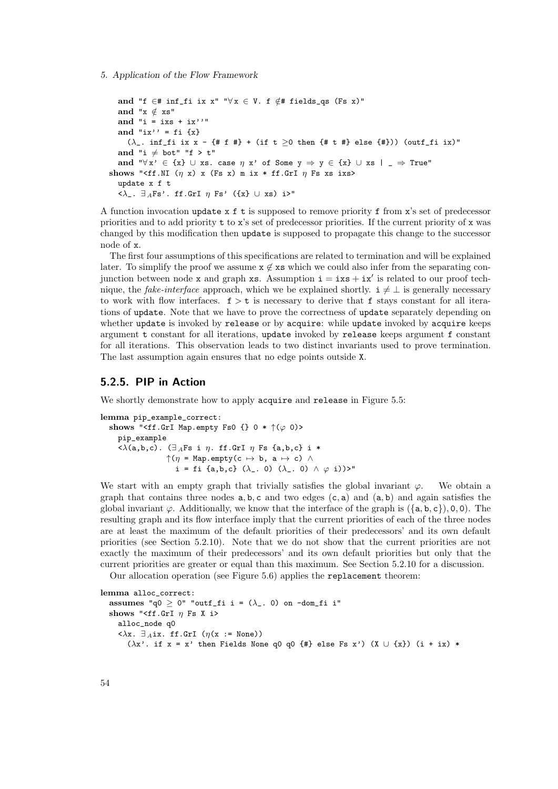```
and "f ∈# inf_fi ix x" "\forall x \in V. f \notin# fields_qs (Fs x)"
  and "x \notin xs"
  and "i = ixs + ix''"
  and "ix'' = fi \{x\}(\lambda_{-} \cdot \inf_{-} f i \, ix \, x - \{ # f \, # \} + (if \, t \geq 0 \, then \, \{ # t \, # \} \, else \, \{ # \})) (outf_fi ix)"
  and "i \neq bot" "f > t"
  and "\forall x' \in \{x\} \cup xs. case \eta x' of Some y \Rightarrow y \in \{x\} \cup xs \mid \bot \Rightarrow True'"
shows "<ff.NI (\eta x) x (Fs x) m ix * ff.GrI \eta Fs xs ixs>
  update x f t
  \langle \lambda_-. \ \exists_A \text{Fs'}. ff.GrI \eta Fs' ({x} \cup xs) i>"
```
A function invocation update  $x f t$  is supposed to remove priority f from  $x$ 's set of predecessor priorities and to add priority t to x's set of predecessor priorities. If the current priority of x was changed by this modification then update is supposed to propagate this change to the successor node of x.

The first four assumptions of this specifications are related to termination and will be explained later. To simplify the proof we assume  $x \notin xs$  which we could also infer from the separating conjunction between node x and graph xs. Assumption  $i = i x s + i x'$  is related to our proof technique, the *fake-interface* approach, which we be explained shortly.  $i \neq \bot$  is generally necessary to work with flow interfaces.  $f > t$  is necessary to derive that f stays constant for all iterations of update. Note that we have to prove the correctness of update separately depending on whether update is invoked by release or by acquire: while update invoked by acquire keeps argument t constant for all iterations, update invoked by release keeps argument f constant for all iterations. This observation leads to two distinct invariants used to prove termination. The last assumption again ensures that no edge points outside X.

# 5.2.5. PIP in Action

We shortly demonstrate how to apply acquire and release in Figure 5.5:

```
lemma pip_example_correct:
  shows "<ff.GrI Map.empty Fs0 {} 0 * \uparrow(\varphi) 0)>
     pip_example
     \langle \lambda(a,b,c) \rangle. (\exists_AFs i \eta. ff.GrI \eta Fs {a,b,c} i *
                     \uparrow(\eta = Map.empty(c \mapsto b, a \mapsto c) \wedgei = fi {a,b,c} (\lambda_. 0) (\lambda_. 0) \land \varphi i))>"
```
We start with an empty graph that trivially satisfies the global invariant  $\varphi$ . We obtain a graph that contains three nodes  $a, b, c$  and two edges  $(c, a)$  and  $(a, b)$  and again satisfies the global invariant  $\varphi$ . Additionally, we know that the interface of the graph is  $(\{a, b, c\})$ , 0, 0). The resulting graph and its flow interface imply that the current priorities of each of the three nodes are at least the maximum of the default priorities of their predecessors' and its own default priorities (see Section 5.2.10). Note that we do not show that the current priorities are not exactly the maximum of their predecessors' and its own default priorities but only that the current priorities are greater or equal than this maximum. See Section 5.2.10 for a discussion.

Our allocation operation (see Figure 5.6) applies the replacement theorem:

lemma alloc\_correct: assumes "q $0 > 0$ " "outf\_fi i =  $(\lambda_{-}$ . 0) on -dom\_fi i" shows "<ff.GrI  $\eta$  Fs X i> alloc\_node q0  $\langle \lambda x. \ \exists A \text{ix. ff.GrI} \ (\eta(x := \text{None}))$  $(\lambda x'$ . if  $x = x'$  then Fields None q0 q0 {#} else Fs x') (X  $\cup$  {x}) (i + ix) \*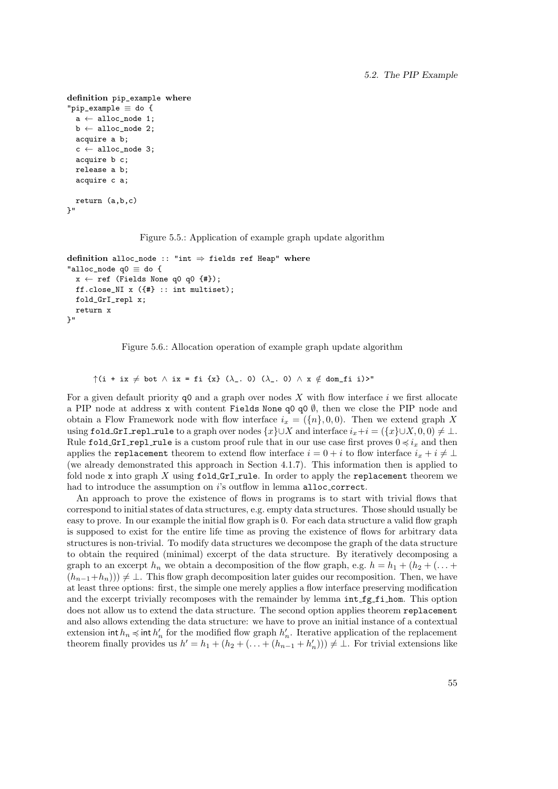```
definition pip_example where
"pip_example \equiv do {
  a \leftarrow \text{alloc\_node 1};b \leftarrow \text{alloc\_node 2};acquire a b;
  c \leftarrow \text{alloc\_node} 3;
  acquire b c;
  release a b;
  acquire c a;
  return (a,b,c)
\mathcal{V} !!
```
Figure 5.5.: Application of example graph update algorithm

```
definition alloc_node :: "int \Rightarrow fields ref Heap" where
"alloc_node q0 \equiv do {
  x \leftarrow ref (Fields None q0 q0 {#});
  ff.close_NI x ({#} :: int multiset);
  fold_GrI_repl x;
  return x
}"
```
Figure 5.6.: Allocation operation of example graph update algorithm

 $\uparrow$ (i + ix  $\neq$  bot  $\wedge$  ix = fi {x} ( $\lambda$ , 0) ( $\lambda$ , 0)  $\wedge$  x  $\notin$  dom\_fi i)>"

For a given default priority  $\varphi$  and a graph over nodes X with flow interface i we first allocate a PIP node at address x with content Fields None q0 q0  $\emptyset$ , then we close the PIP node and obtain a Flow Framework node with flow interface  $i_x = (\{n\}, 0, 0)$ . Then we extend graph X using fold GrI repl rule to a graph over nodes  $\{x\} \cup X$  and interface  $i_x+i = (\{x\} \cup X, 0, 0) \neq \bot$ . Rule fold GrI repl rule is a custom proof rule that in our use case first proves  $0 \preccurlyeq i_x$  and then applies the replacement theorem to extend flow interface  $i = 0 + i$  to flow interface  $i_x + i \neq \perp$ (we already demonstrated this approach in Section 4.1.7). This information then is applied to fold node x into graph  $X$  using  $fold.GrI_rule$ . In order to apply the replacement theorem we had to introduce the assumption on i's outflow in lemma alloc\_correct.

An approach to prove the existence of flows in programs is to start with trivial flows that correspond to initial states of data structures, e.g. empty data structures. Those should usually be easy to prove. In our example the initial flow graph is 0. For each data structure a valid flow graph is supposed to exist for the entire life time as proving the existence of flows for arbitrary data structures is non-trivial. To modify data structures we decompose the graph of the data structure to obtain the required (minimal) excerpt of the data structure. By iteratively decomposing a graph to an excerpt  $h_n$  we obtain a decomposition of the flow graph, e.g.  $h = h_1 + (h_2 + (\dots +$  $(h_{n-1}+h_n)) \neq \bot$ . This flow graph decomposition later guides our recomposition. Then, we have at least three options: first, the simple one merely applies a flow interface preserving modification and the excerpt trivially recomposes with the remainder by lemma int fg fi hom. This option does not allow us to extend the data structure. The second option applies theorem replacement and also allows extending the data structure: we have to prove an initial instance of a contextual extension int  $h_n \preccurlyeq$  int  $h'_n$  for the modified flow graph  $h'_n$ . Iterative application of the replacement theorem finally provides us  $h' = h_1 + (h_2 + (\ldots + (h_{n-1} + h'_n))) \neq \bot$ . For trivial extensions like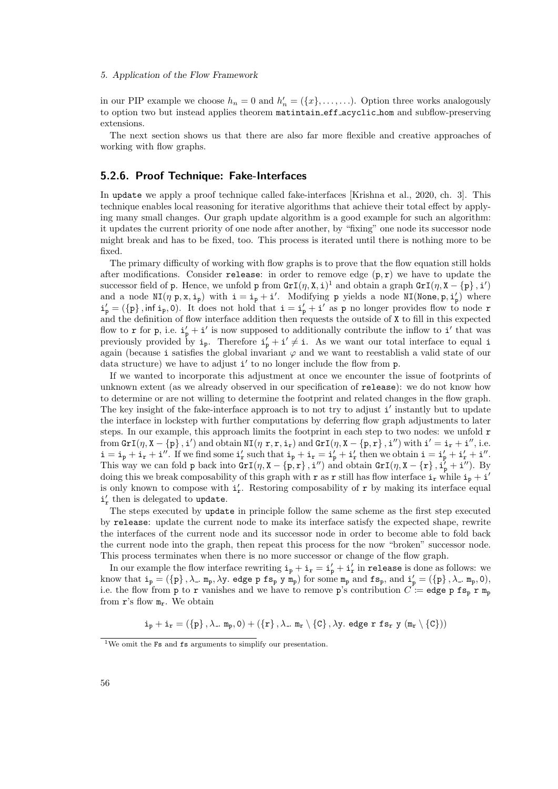in our PIP example we choose  $h_n = 0$  and  $h'_n = (\{x\}, \ldots, \ldots)$ . Option three works analogously to option two but instead applies theorem matintain eff acyclic hom and subflow-preserving extensions.

The next section shows us that there are also far more flexible and creative approaches of working with flow graphs.

### 5.2.6. Proof Technique: Fake-Interfaces

In update we apply a proof technique called fake-interfaces [Krishna et al., 2020, ch. 3]. This technique enables local reasoning for iterative algorithms that achieve their total effect by applying many small changes. Our graph update algorithm is a good example for such an algorithm: it updates the current priority of one node after another, by "fixing" one node its successor node might break and has to be fixed, too. This process is iterated until there is nothing more to be fixed.

The primary difficulty of working with flow graphs is to prove that the flow equation still holds after modifications. Consider release: in order to remove edge  $(p, r)$  we have to update the successor field of p. Hence, we unfold p from  $\text{GrI}(\eta, X, i)^{1}$  and obtain a graph  $\text{GrI}(\eta, X - \{p\}, i')$ and a node  $NI(\eta p, x, i_p)$  with  $i = i_p + i'$ . Modifying p yields a node  $NI(\text{None}, p, i'_p)$  where  $i'_{p} = (\{p\}, \inf i_{p}, 0)$ . It does not hold that  $i = i'_{p} + i'$  as p no longer provides flow to node r and the definition of flow interface addition then requests the outside of X to fill in this expected flow to r for p, i.e.  $i'_{p} + i'$  is now supposed to additionally contribute the inflow to i' that was previously provided by  $i_p$ . Therefore  $i'_p + i' \neq i$ . As we want our total interface to equal i again (because i satisfies the global invariant  $\varphi$  and we want to reestablish a valid state of our data structure) we have to adjust i' to no longer include the flow from p.

If we wanted to incorporate this adjustment at once we encounter the issue of footprints of unknown extent (as we already observed in our specification of release): we do not know how to determine or are not willing to determine the footprint and related changes in the flow graph. The key insight of the fake-interface approach is to not try to adjust i' instantly but to update the interface in lockstep with further computations by deferring flow graph adjustments to later steps. In our example, this approach limits the footprint in each step to two nodes: we unfold r from  $\texttt{GrI}(\eta, X - \{p\}, i')$  and obtain  $\texttt{NI}(\eta, \mathbf{r}, \mathbf{r}, i_{\mathbf{r}})$  and  $\texttt{GrI}(\eta, X - \{p, \mathbf{r}\}, i'')$  with  $i' = i_{\mathbf{r}} + i''$ , i.e.  $i = i_p + i_r + i''$ . If we find some  $i'_r$  such that  $i_p + i_r = i'_p + i'_r$  then we obtain  $i = i'_p + i'_r + i''$ . This way we can fold p back into  $\text{GrI}(\eta, X - \{p, r\}, i'')$  and obtain  $\text{GrI}(\eta, X - \{r\}, i'_{p} + i'')$ . By doing this we break composability of this graph with r as r still has flow interface  $i_r$  while  $i_p + i'$ is only known to compose with  $i'_r$ . Restoring composability of  $r$  by making its interface equal  $i'_r$  then is delegated to update.

The steps executed by update in principle follow the same scheme as the first step executed by release: update the current node to make its interface satisfy the expected shape, rewrite the interfaces of the current node and its successor node in order to become able to fold back the current node into the graph, then repeat this process for the now "broken" successor node. This process terminates when there is no more successor or change of the flow graph.

In our example the flow interface rewriting  $i_p + i_r = i'_p + i'_r$  in release is done as follows: we know that  $i_p = (\{p\}, \lambda_-, m_p, \lambda y, \text{ edge } p \text{ fs}_p y m_p)$  for some  $m_p$  and  $fs_p$ , and  $i'_p = (\{p\}, \lambda_-, m_p, 0)$ , i.e. the flow from p to r vanishes and we have to remove p's contribution  $C =$  edge p fs<sub>p</sub> r m<sub>p</sub> from  $\mathbf{r}$ 's flow  $m_{\mathbf{r}}$ . We obtain

 $i_{p} + i_{r} = (\{p\}, \lambda_{-}, m_{p}, 0) + (\{r\}, \lambda_{-}, m_{r} \setminus {\{C\}}, \lambda_{y}, \text{ edge } r \text{ fs}_{r} \text{ y } (m_{r} \setminus {\{C\}}))$ 

<sup>&</sup>lt;sup>1</sup>We omit the **Fs** and **fs** arguments to simplify our presentation.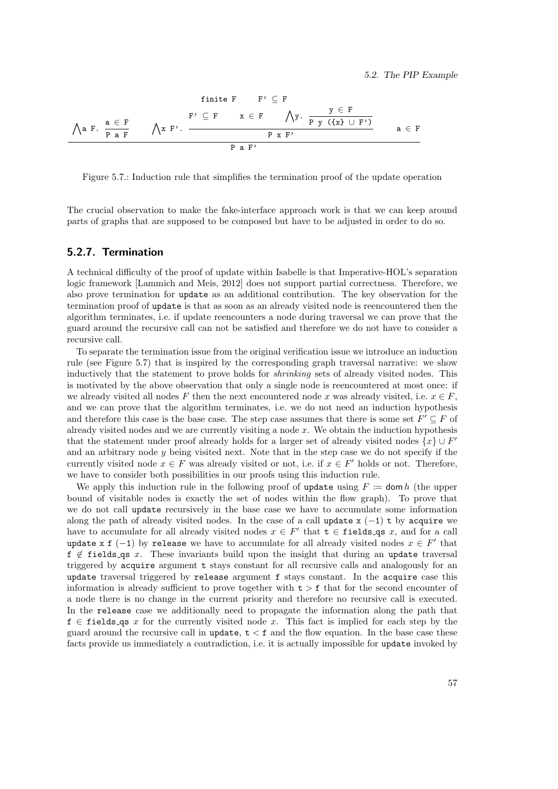finite F F' ⊆ F ^ a F. a ∈ F P a F ^ x F'. F' ⊆ F x ∈ F ^ y. y ∈ F P y ({x} ∪ F') P x F' a ∈ F P a F'

Figure 5.7.: Induction rule that simplifies the termination proof of the update operation

The crucial observation to make the fake-interface approach work is that we can keep around parts of graphs that are supposed to be composed but have to be adjusted in order to do so.

# 5.2.7. Termination

A technical difficulty of the proof of update within Isabelle is that Imperative-HOL's separation logic framework [Lammich and Meis, 2012] does not support partial correctness. Therefore, we also prove termination for update as an additional contribution. The key observation for the termination proof of update is that as soon as an already visited node is reencountered then the algorithm terminates, i.e. if update reencounters a node during traversal we can prove that the guard around the recursive call can not be satisfied and therefore we do not have to consider a recursive call.

To separate the termination issue from the original verification issue we introduce an induction rule (see Figure 5.7) that is inspired by the corresponding graph traversal narrative: we show inductively that the statement to prove holds for *shrinking* sets of already visited nodes. This is motivated by the above observation that only a single node is reencountered at most once: if we already visited all nodes F then the next encountered node x was already visited, i.e.  $x \in F$ , and we can prove that the algorithm terminates, i.e. we do not need an induction hypothesis and therefore this case is the base case. The step case assumes that there is some set  $F' \subseteq F$  of already visited nodes and we are currently visiting a node  $x$ . We obtain the induction hypothesis that the statement under proof already holds for a larger set of already visited nodes  $\{x\} \cup F'$ and an arbitrary node  $\eta$  being visited next. Note that in the step case we do not specify if the currently visited node  $x \in F$  was already visited or not, i.e. if  $x \in F'$  holds or not. Therefore, we have to consider both possibilities in our proofs using this induction rule.

We apply this induction rule in the following proof of update using  $F \coloneqq \text{dom } h$  (the upper bound of visitable nodes is exactly the set of nodes within the flow graph). To prove that we do not call update recursively in the base case we have to accumulate some information along the path of already visited nodes. In the case of a call update  $x$  (−1) t by acquire we have to accumulate for all already visited nodes  $x \in F'$  that  $t \in$  fields qs x, and for a call update x f  $(-1)$  by release we have to accumulate for all already visited nodes  $x \in F'$  that  $f \notin$  fields qs x. These invariants build upon the insight that during an update traversal triggered by acquire argument t stays constant for all recursive calls and analogously for an update traversal triggered by release argument f stays constant. In the acquire case this information is already sufficient to prove together with  $t > f$  that for the second encounter of a node there is no change in the current priority and therefore no recursive call is executed. In the release case we additionally need to propagate the information along the path that  $f \in$  fields qs x for the currently visited node x. This fact is implied for each step by the guard around the recursive call in update,  $t < f$  and the flow equation. In the base case these facts provide us immediately a contradiction, i.e. it is actually impossible for update invoked by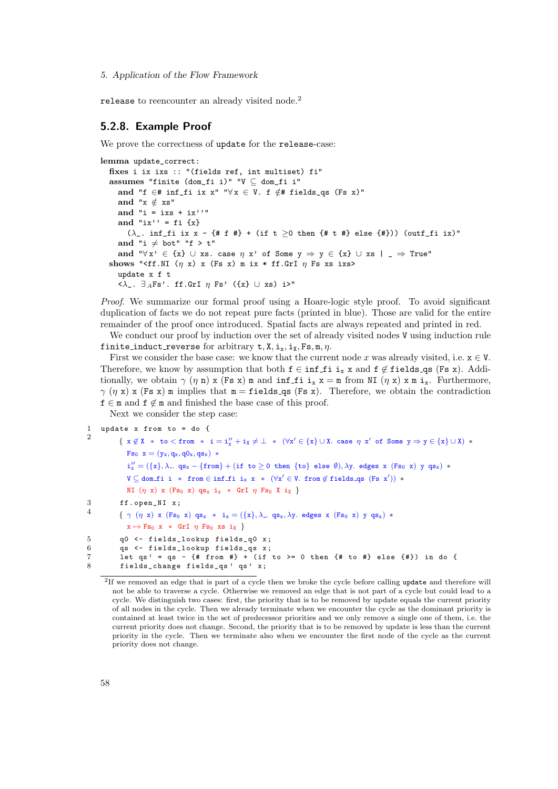release to reencounter an already visited node.<sup>2</sup>

### 5.2.8. Example Proof

We prove the correctness of update for the release-case:

```
lemma update correct:
  fixes i ix ixs :: "(fields ref, int multiset) fi"
  assumes "finite (dom_fi i)" "V ⊆ dom_fi i"
     and "f ∈# inf_fi ix x" "\forall x \in V. f ∉# fields_qs (Fs x)"
     and "x \notin xs"
     and "i = ixs + ix''"
     and "ix'' = fi {x}
        (\lambda_{-} \cdot \inf_{-} f i \, ix \, x - \{ # f \, # \} + (if \, t \geq 0 \, then \, \{ # t \, # \} \, else \, \{ # \})) (outf_fi ix)"
     and "i \neq bot" "f > t"
     and "\forall x' \in \{x\} \cup xs. case \eta x' of Some y \Rightarrow y \in \{x\} \cup xs \mid \bot \Rightarrow True'"
  shows "<ff.NI (\eta x) x (Fs x) m ix * ff.GrI \eta Fs xs ixs>
     update x f t
     \langle \lambda_-. \ \exists_A \text{Fs'}. ff.GrI \eta Fs' ({x} \cup xs) i>"
```
Proof. We summarize our formal proof using a Hoare-logic style proof. To avoid significant duplication of facts we do not repeat pure facts (printed in blue). Those are valid for the entire remainder of the proof once introduced. Spatial facts are always repeated and printed in red.

We conduct our proof by induction over the set of already visited nodes V using induction rule finite induct reverse for arbitrary  $t, X, i_x, i_y, Fs, m, \eta$ .

First we consider the base case: we know that the current node x was already visited, i.e.  $x \in V$ . Therefore, we know by assumption that both  $f \in \inf_{\mathcal{I}} f_i$  is x and  $f \notin \text{fields\_qs}$  (Fs x). Additionally, we obtain  $\gamma$  ( $\eta$  n) x (Fs x) m and inf fi  $i_x$  x = m from NI ( $\eta$  x) x m  $i_x$ . Furthermore,  $\gamma$  (η x) x (Fs x) m implies that m = fields qs (Fs x). Therefore, we obtain the contradiction  $f \in \mathfrak{m}$  and  $f \notin \mathfrak{m}$  and finished the base case of this proof.

Next we consider the step case:

```
1 update x from to = do {
```

```
\overline{2}\{ x \not\in X \ * \ to \ <\ from \ * \ i = i''_x + i_X \neq \bot \ * \ (\forall x' \in \{x\} \cup X. \ \textit{case} \ \eta \ x' \ \textit{of} \ \textit{Some} \ y \Rightarrow y \in \{x\} \cup X) \ *Fs_0 x = (y_x, q_x, q0_x, qs_x) *i''_x = (\{x\}, \lambda_-. qs_x - \{from\} + (if\ to\geq 0\ then\ \{to\} \text{ else } \emptyset), \lambda y.\text{ edges } x \text{ (Fs0 x) y qs x}) *{\tt V} \subseteq {\tt dom\_fi} i * from \in \tt inf\_fi i<sub>x</sub> {\tt x} * (\forall {\tt x}' \in {\tt V}. from \not\in fields_qs ({\tt Fs}\ \tt x')) *NI (\eta \times) \times (Fs_0 \times) qs<sub>x</sub> i<sub>x</sub> * GrI \eta Fs<sub>0</sub> X i<sub>X</sub> }
3 ff . open_NI x;
4
              { \gamma (\eta x) x (Fs<sub>0</sub> x) qs<sub>x</sub> * i<sub>x</sub> = ({x}, \lambda<sub>-</sub> qs<sub>x</sub>, \lambday. edges x (Fs<sub>0</sub> x) y qs<sub>x</sub>) *
                 x \mapsto Fs_0 x * GrI \eta Fs_0 xs i_X5 q0 <- fields_lookup fields_q0 x;<br>6 as <- fields lookup fields as x:
6 qs \zeta- fields_lookup fields_qs x;<br>7 let qs ' = qs - {# from #} + (if
              let qs' = qs - {# from #} + (if to >= 0 then {# to #} else {#}) in do {
8 fields_change fields_qs' qs' x;
```
<sup>&</sup>lt;sup>2</sup>If we removed an edge that is part of a cycle then we broke the cycle before calling update and therefore will not be able to traverse a cycle. Otherwise we removed an edge that is not part of a cycle but could lead to a cycle. We distinguish two cases: first, the priority that is to be removed by update equals the current priority of all nodes in the cycle. Then we already terminate when we encounter the cycle as the dominant priority is contained at least twice in the set of predecessor priorities and we only remove a single one of them, i.e. the current priority does not change. Second, the priority that is to be removed by update is less than the current priority in the cycle. Then we terminate also when we encounter the first node of the cycle as the current priority does not change.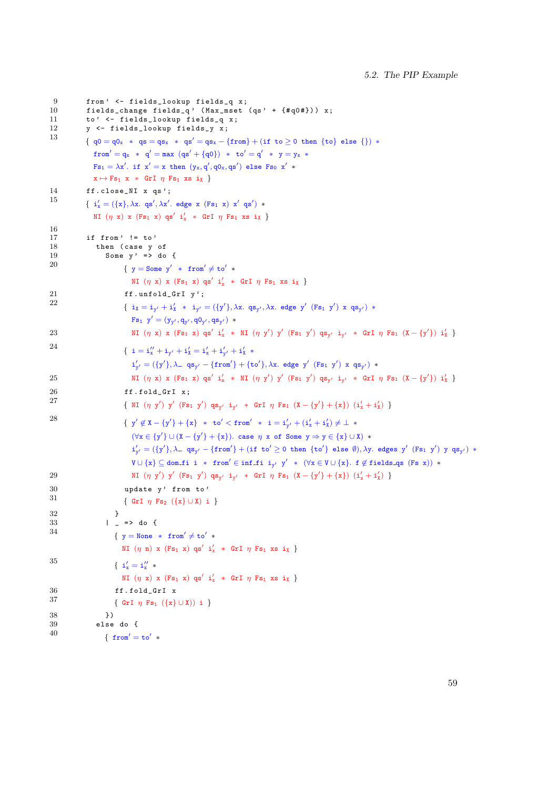```
9 from ' <- fields_lookup fields_q x;<br>10 fields change fields q ' (Max mset
10 fields_change fields_q ' ( Max_mset (qs ' + {# q0 #}) ) x;
11 to' <- fields_lookup fields_q x;
12 y \leftarrow fields_lookup fields_y x;<br>13
              {q0 = q0_x * qs = qs_x * qs' = qs_x - {from} + (if to ≥ 0 then {to} else )) *from' = q_x * q' = max (qs' + {q0}) * to' = q' * y = y_x *Fs_1 = \lambda x'. if x' = x then (y_x, q', q0_x, qs') else Fs_0 x' *x \mapsto Fs_1 \ x \ * \ GrI \ \eta \ Fs_1 \ xs \ i \chi \}14 ff.close_NI x qs';
15 { i'_x = (\{x\}, \lambda x. qs', \lambda x'. edge x (Fs_1 x) x' qs') *NI (\eta x) x (Fs_1 x) qs' i'<sub>x</sub> * GrI \eta Fs<sub>1</sub> xs i<sub>X</sub> }
16
17 if from ' != to '<br>18 then (case y
18 then (case y of \sin \theta y \sin \theta y \sin \theta y \sin \theta and \sin \theta y \sin \theta and \sin \theta y \sin \theta and \sin \theta y \sin \theta and \sin \theta and \sin \theta and \sin \theta and \sin \theta and \sin \theta and \sin \theta and \sin \theta and \sin \theta and \sin \theta and \sin \thetaSome v' = > d_0 {
20 { y = Some \, y' * from' \neq to' *NI (\eta x) x (Fs_1 x) qs' i'<sub>x</sub> * GrI \eta Fs<sub>1</sub> xs i<sub>X</sub> }
21 ff.unfold_GrI y';<br>
22
22 { i_X = i_{y'} + i'_X * i_{y'} = (\{y'\}, \lambda_X. q_{S_{y'}}, \lambda_X. edge y' (Fs_1 \ y') \ x \ q_{S_{y'}}) *Fs_1 y' = (y_{y'}, q_{y'}, q0_{y'}, qs_{y'}) *23 MI (\eta x) x (Fs_1 x) qs' i'_x * M (n y') y' (Fs_1 y') qs' j'_x * Gr I \eta Fs_1 (X - {y'}) i'_x24 \{ i = i''_x + i_{y'} + i'_{x} = i'_{x} + i'_{y'} + i'_{x}i'_{y'} = (\{y'\}, \lambda_-, q s_{y'} - \{from'\} + \{to'\}, \lambda x, \text{ edge } y' \text{ (Fs}_1 \text{ y'}) \text{ x } q s_{y'})25 N I(\eta x) x (Fs_1 x) q s' i'_{x} * NI(\eta y') y' (Fs_1 y') q s_{y'} i_{y'} * G r I \eta Fs_1 (X - {y'}) i'_{x}26 ff.fold_GrI x;
27 { NI (\eta \ y') y' (Fs_1 \ y') q s_{y'} i_{y'} * GTI \ \eta Fs_1 (X - {y'} + {x}) (i_x' + i_x')28 { y' \not\in X - \{y'\} + \{x\} * to' < from' * i = i'_{y'} + (i'_x + i'_x) \neq \bot *(\forall x \in \{y'\} \cup (\mathbf{X} - \{y'\} + \{\mathbf{x}\}). case \eta x of Some y \Rightarrow y \in \{\mathbf{x}\} \cup \mathbf{X}) *
                                i'_{y'} = (\{y'\}, \lambda_-, q s_{y'} - \{from'\} + (if\ to'\geq 0\ then\ \{to'\} \ \text{else}\ \emptyset), \lambda y.\ \text{edges}\ y'\ \text{(Fs}_1\ y')\ y\ q s_{y'})\ *\{\tt V} \cup \{{\tt x}\} \subseteq {\tt dom\_fi} i * from'\in {\tt inf\_fi} i_{{\tt y}'} \tt y' * (\forall {\tt x} \in {\tt V} \cup \{{\tt x}\} . f\not\in {\tt fields\_qs} ({\tt Fs}\ \tt x)) *29 NI (\eta \ y') \ y' (Fs_1 \ y') \ qs_{y'} i_{y'} * GTI \ \eta \ Fs_1 \ (X - \{y'\} + \{x\}) \ (i'_x + i'_x) \}30 update y' from to'<br>31 (5.7 - 7) (6.1)(1)\{ GrI \eta Fs<sub>2</sub> (\{x\} \cup X) i }
32 }
33 | = > do {<br>34
34 { y = None * from' \neq to' *NI (\eta n) x (Fs_1 x) qs' i'<sub>x</sub> * GrI \eta Fs<sub>1</sub> xs i<sub>X</sub> }
35 { i_x' = i_x'' *
                            NI (\eta x) x (Fs_1 x) qs' i'<sub>x</sub> * GrI \eta Fs<sub>1</sub> xs i<sub>X</sub> }
36 ff.fold_GrI x<br>37 f C \rightarrow \mathbb{F} F_{\alpha} (F)\{ \text{GrI } n \text{ Fs}_{1} (\{x\} \cup X)) i \}\begin{array}{ccc} 38 & & & \end{array}<br>39 else
                 39 else do {
40 { {\tt from}' = {\tt to}' *
```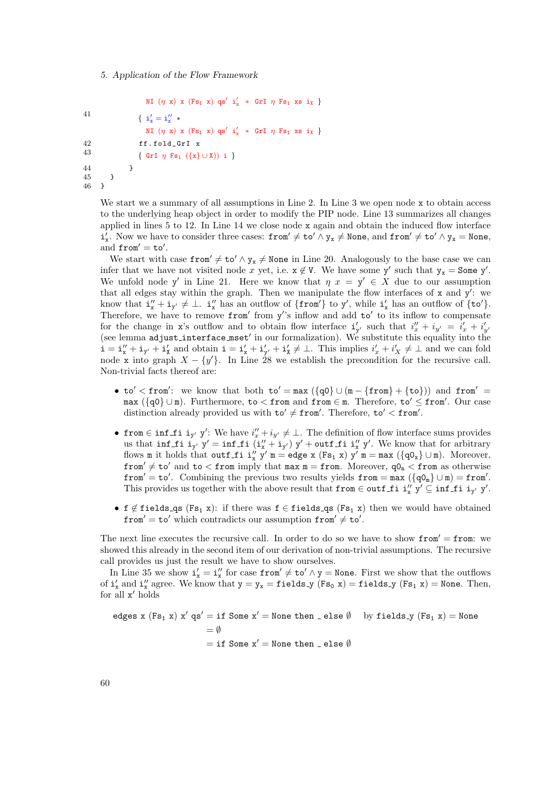46 }

```
NI (\eta x) x (Fs_1 x) qs' i'<sub>x</sub> * GrI \eta Fs<sub>1</sub> xs i<sub>X</sub> }
 41 \{ i'_x = i''_x *NI (\eta x) x (Fs_1 x) qs' i'<sub>x</sub> * GrI \eta Fs<sub>1</sub> xs i<sub>X</sub> }
42 ff.fold_GrI x<br>43 f G_{\mathbf{r}} \mathbf{r} \mathbf{r} \mathbf{r} \mathbf{r} \mathbf{r} \mathbf{r} \mathbf{r} \mathbf{r} \mathbf{r} \mathbf{r} \mathbf{r} \mathbf{r} \mathbf{r} \mathbf{r} \mathbf{r} \mathbf{r} \mathbf{r} \mathbf{r} \mathbf{r} \mathbf{r} \mathbf{r}\{ GrI \eta Fs<sub>1</sub> ({x} ∪ X)) i }
44 }
\begin{matrix}45 & & \\ 46 & & \end{matrix}
```
We start we a summary of all assumptions in Line 2. In Line 3 we open node x to obtain access to the underlying heap object in order to modify the PIP node. Line 13 summarizes all changes applied in lines  $5$  to  $12$ . In Line  $14$  we close node x again and obtain the induced flow interface  $i'_x$ . Now we have to consider three cases: from'  $\neq$  to'  $\land$  y<sub>x</sub>  $\neq$  None, and from'  $\neq$  to'  $\land$  y<sub>x</sub> = None, and  $from' = to'.$ 

We start with case from  $\neq$  to'  $\land$  y<sub>x</sub>  $\neq$  None in Line 20. Analogously to the base case we can infer that we have not visited node x yet, i.e.  $x \notin V$ . We have some y' such that  $y_x = S$ ome y'. We unfold node y' in Line 21. Here we know that  $\eta x = y' \in X$  due to our assumption that all edges stay within the graph. Then we manipulate the flow interfaces of  $x$  and  $y'$ : we know that  $i''_x + i_{y'} \neq \bot$ .  $i''_x$  has an outflow of  $\{ \text{from'} \}$  to  $y'$ , while  $i'_x$  has an outflow of  $\{ \text{to'} \}$ . Therefore, we have to remove from' from y''s inflow and add to' to its inflow to compensate for the change in x's outflow and to obtain flow interface  $\mathbf{i}'_{y'}$  such that  $i''_x + i_{y'} = i'_x + i'_{y'}$ (see lemma adjust interface  $m$ set' in our formalization). We substitute this equality into the  $\mathbf{i} = \mathbf{i}_{x}'' + \mathbf{i}_{y'} + \mathbf{i}_{x}'$  and obtain  $\mathbf{i} = \mathbf{i}_{x} + \mathbf{i}_{y'} + \mathbf{i}_{x} \neq \bot$ . This implies  $i'_{x} + i'_{x} \neq \bot$  and we can fold node x into graph  $X - \{y'\}$ . In Line 28 we establish the precondition for the recursive call. Non-trivial facts thereof are:

- to' < from': we know that both to' = max  $({q0} \cup (m {from} + {to}))$  and from' =  $\max (\{ \mathsf{q0} \} \cup \mathtt{m})$ . Furthermore, to  $<$  from and from  $\in \mathtt{m}$ . Therefore, to'  $\leq$  from'. Our case distinction already provided us with  $\texttt{to}' \neq \texttt{from}'$ . Therefore,  $\texttt{to}' < \texttt{from}'$ .
- from  $\in$  inf\_fi i<sub>y'</sub> y': We have  $i''_x + i_{y'} \neq \perp$ . The definition of flow interface sums provides us that inf fi  $i_{y'}$   $y' = \inf f$  i  $(i''_x + i_{y'})$   $y' + \text{outf}$  fi  $i''_x$   $y'$ . We know that for arbitrary flows m it holds that outf\_fi  $i''_x$  y' m = edge x (Fs<sub>1</sub> x) y' m = max ( $\{q0_x\} \cup m$ ). Moreover, from'  $\neq$  to' and to  $<$  from imply that max m = from. Moreover,  $qO_n <$  from as otherwise  $from' = to'.$  Combining the previous two results yields  $from = max (\lbrace q0_m \rbrace \cup m) = from'.$ This provides us together with the above result that  ${\tt from} \in {\tt outf\_fi}$  i'<sub>x</sub> y'  $\subseteq {\tt inf\_fi}$  i<sub>y'</sub> y'.
- f  $\notin$  fields qs (Fs<sub>1</sub> x): if there was f  $\in$  fields qs (Fs<sub>1</sub> x) then we would have obtained  $from' = to'$  which contradicts our assumption  $from' \neq to'$ .

The next line executes the recursive call. In order to do so we have to show  $from' = from:$  we showed this already in the second item of our derivation of non-trivial assumptions. The recursive call provides us just the result we have to show ourselves.

In Line 35 we show  $i'_x = i''_x$  for case from'  $\neq$  to'  $\land$  y = None. First we show that the outflows of  $i'_x$  and  $i''_x$  agree. We know that  $y = y_x = \texttt{fields}\_y$   $(Fs_0 x) = \texttt{fields}\_y$   $(Fs_1 x) = \texttt{None}$ . Then, for all  $x'$  holds

edges x  $(Fs_1 x) x'$  qs' = if Some  $x'$  = None then \_ else Ø by fields y  $(Fs_1 x)$  = None  $= \emptyset$  $=$  if Some  $x'$  = None then  $=$  else  $\emptyset$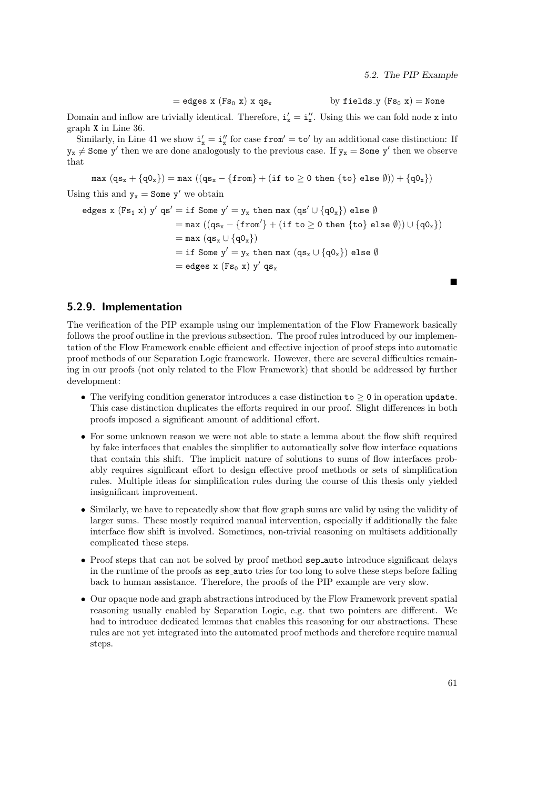5.2. The PIP Example

 $=$  edges x  $(Fs_0 x)$  x  $qs_x$  by fields y  $(Fs_0 x)$  = None

Domain and inflow are trivially identical. Therefore,  $\mathbf{i}'_{x} = \mathbf{i}''_{x}$ . Using this we can fold node x into graph X in Line 36.

Similarly, in Line 41 we show  $\mathbf{i}'_{\mathbf{x}} = \mathbf{i}''_{\mathbf{x}}$  for case from' = to' by an additional case distinction: If  $y_x \neq$  Some y' then we are done analogously to the previous case. If  $y_x =$  Some y' then we observe that

$$
\max (qs_x + \{q0_x\}) = \max ((qs_x - \{from\} + (if\ to \geq 0\ then\ \{to\} \ else\ \emptyset)) + \{q0_x\})
$$

Using this and  $y_x =$  Some y' we obtain

$$
\begin{aligned} \text{edges x (Fs}_1 \text{ x}) \text{ y}' \text{ qs}' &= \text{if Some y}' = \text{y}_x \text{ then } \text{max (qs'} \cup \{q0_x\}) \text{ else } \emptyset \\ &= \text{max ((qs}_x - \{\text{from'}\} + (\text{if to} \geq 0 \text{ then } \{\text{to}\} \text{ else } \emptyset)) \cup \{q0_x\}) \\ &= \text{max (qs}_x \cup \{q0_x\}) \\ &= \text{if Some y}' = \text{y}_x \text{ then } \text{max (qs}_x \cup \{q0_x\}) \text{ else } \emptyset \\ &= \text{edges x (Fs}_0 \text{ x}) \text{ y}' \text{ qs}_x \end{aligned}
$$

## 5.2.9. Implementation

The verification of the PIP example using our implementation of the Flow Framework basically follows the proof outline in the previous subsection. The proof rules introduced by our implementation of the Flow Framework enable efficient and effective injection of proof steps into automatic proof methods of our Separation Logic framework. However, there are several difficulties remaining in our proofs (not only related to the Flow Framework) that should be addressed by further development:

- The verifying condition generator introduces a case distinction to  $> 0$  in operation update. This case distinction duplicates the efforts required in our proof. Slight differences in both proofs imposed a significant amount of additional effort.
- For some unknown reason we were not able to state a lemma about the flow shift required by fake interfaces that enables the simplifier to automatically solve flow interface equations that contain this shift. The implicit nature of solutions to sums of flow interfaces probably requires significant effort to design effective proof methods or sets of simplification rules. Multiple ideas for simplification rules during the course of this thesis only yielded insignificant improvement.
- Similarly, we have to repeatedly show that flow graph sums are valid by using the validity of larger sums. These mostly required manual intervention, especially if additionally the fake interface flow shift is involved. Sometimes, non-trivial reasoning on multisets additionally complicated these steps.
- Proof steps that can not be solved by proof method sep auto introduce significant delays in the runtime of the proofs as sep auto tries for too long to solve these steps before falling back to human assistance. Therefore, the proofs of the PIP example are very slow.
- Our opaque node and graph abstractions introduced by the Flow Framework prevent spatial reasoning usually enabled by Separation Logic, e.g. that two pointers are different. We had to introduce dedicated lemmas that enables this reasoning for our abstractions. These rules are not yet integrated into the automated proof methods and therefore require manual steps.

 $\blacksquare$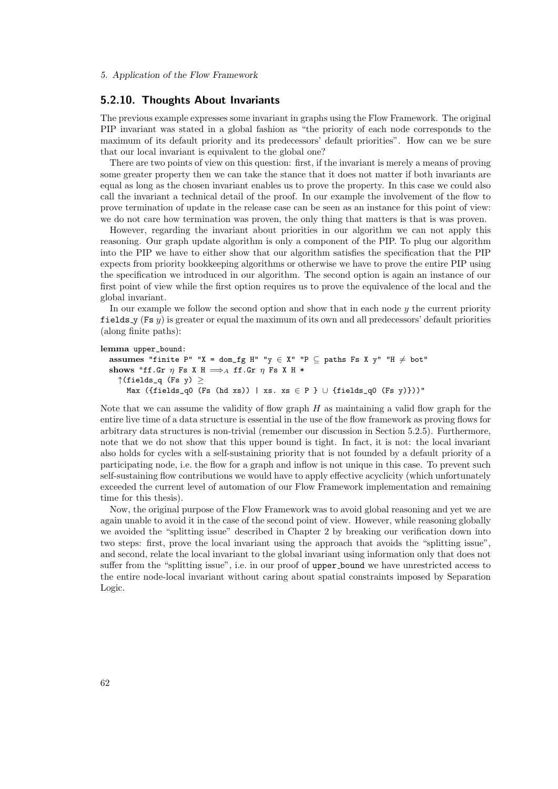# 5.2.10. Thoughts About Invariants

The previous example expresses some invariant in graphs using the Flow Framework. The original PIP invariant was stated in a global fashion as "the priority of each node corresponds to the maximum of its default priority and its predecessors' default priorities". How can we be sure that our local invariant is equivalent to the global one?

There are two points of view on this question: first, if the invariant is merely a means of proving some greater property then we can take the stance that it does not matter if both invariants are equal as long as the chosen invariant enables us to prove the property. In this case we could also call the invariant a technical detail of the proof. In our example the involvement of the flow to prove termination of update in the release case can be seen as an instance for this point of view: we do not care how termination was proven, the only thing that matters is that is was proven.

However, regarding the invariant about priorities in our algorithm we can not apply this reasoning. Our graph update algorithm is only a component of the PIP. To plug our algorithm into the PIP we have to either show that our algorithm satisfies the specification that the PIP expects from priority bookkeeping algorithms or otherwise we have to prove the entire PIP using the specification we introduced in our algorithm. The second option is again an instance of our first point of view while the first option requires us to prove the equivalence of the local and the global invariant.

In our example we follow the second option and show that in each node y the current priority fields  $\mathbf{y}$  (Fs  $\mathbf{y}$ ) is greater or equal the maximum of its own and all predecessors' default priorities (along finite paths):

```
lemma upper_bound:
```

```
assumes "finite P" "X = dom_fg H" "y \in X" "P \subseteq paths Fs X y" "H \neq bot"
shows "ff.Gr \eta Fs X H \Longrightarrow_A ff.Gr \eta Fs X H *\uparrow(fields_q (Fs y) \geqMax ({fields_q0 (Fs (hd xs)) | xs. xs \in P } \cup {fields_q0 (Fs y)}))"
```
Note that we can assume the validity of flow graph  $H$  as maintaining a valid flow graph for the entire live time of a data structure is essential in the use of the flow framework as proving flows for arbitrary data structures is non-trivial (remember our discussion in Section 5.2.5). Furthermore, note that we do not show that this upper bound is tight. In fact, it is not: the local invariant also holds for cycles with a self-sustaining priority that is not founded by a default priority of a participating node, i.e. the flow for a graph and inflow is not unique in this case. To prevent such self-sustaining flow contributions we would have to apply effective acyclicity (which unfortunately exceeded the current level of automation of our Flow Framework implementation and remaining time for this thesis).

Now, the original purpose of the Flow Framework was to avoid global reasoning and yet we are again unable to avoid it in the case of the second point of view. However, while reasoning globally we avoided the "splitting issue" described in Chapter 2 by breaking our verification down into two steps: first, prove the local invariant using the approach that avoids the "splitting issue", and second, relate the local invariant to the global invariant using information only that does not suffer from the "splitting issue", i.e. in our proof of upper bound we have unrestricted access to the entire node-local invariant without caring about spatial constraints imposed by Separation Logic.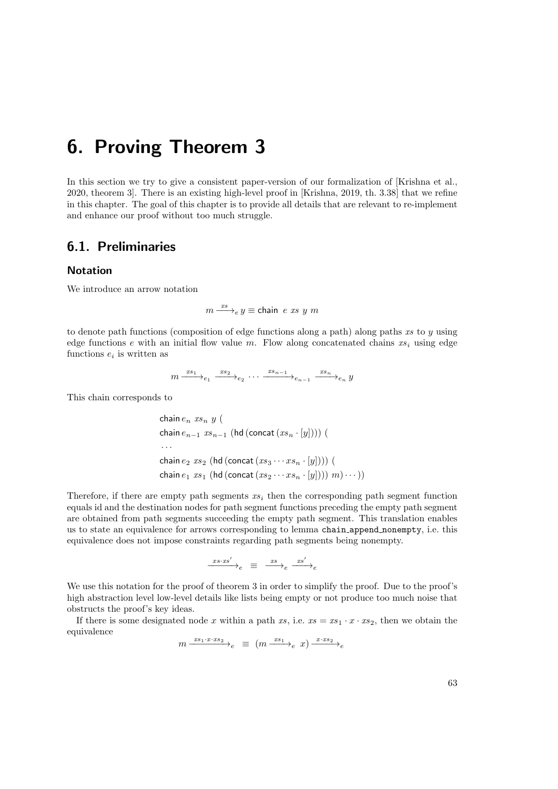In this section we try to give a consistent paper-version of our formalization of [Krishna et al., 2020, theorem 3]. There is an existing high-level proof in [Krishna, 2019, th. 3.38] that we refine in this chapter. The goal of this chapter is to provide all details that are relevant to re-implement and enhance our proof without too much struggle.

# 6.1. Preliminaries

## Notation

We introduce an arrow notation

 $m \stackrel{xs}{\longrightarrow}_e y \equiv$  chain e xs y m

to denote path functions (composition of edge functions along a path) along paths  $xs$  to  $y$  using edge functions  $e$  with an initial flow value m. Flow along concatenated chains  $xs_i$  using edge functions  $e_i$  is written as

$$
m \xrightarrow{xs_1} e_1 \xrightarrow{xs_2} e_2 \cdots \xrightarrow{xs_{n-1}} e_{n-1} \xrightarrow{xs_n} e_n y
$$

This chain corresponds to

chain  $e_n$  xs<sub>n</sub> y ( chain  $e_{n-1}$   $xs_{n-1}$  (hd (concat  $(xs_n \cdot [y]))$ ) ( · · · chain  $e_2$   $xs_2$  (hd (concat  $(xs_3 \cdots xs_n \cdot [y]))$ ) ( chain  $e_1$   $xs_1$  (hd (concat  $(xs_2 \cdots xs_n \cdot [y]))$ )  $m) \cdots$ ))

Therefore, if there are empty path segments  $xs<sub>i</sub>$  then the corresponding path segment function equals id and the destination nodes for path segment functions preceding the empty path segment are obtained from path segments succeeding the empty path segment. This translation enables us to state an equivalence for arrows corresponding to lemma chain append nonempty, i.e. this equivalence does not impose constraints regarding path segments being nonempty.

xs·xs<sup>0</sup> −−−−−→<sup>e</sup> ≡ xs −−→<sup>e</sup> xs<sup>0</sup> −−−→<sup>e</sup>

We use this notation for the proof of theorem 3 in order to simplify the proof. Due to the proof's high abstraction level low-level details like lists being empty or not produce too much noise that obstructs the proof's key ideas.

If there is some designated node x within a path xs, i.e.  $xs = xs_1 \cdot x \cdot xs_2$ , then we obtain the equivalence

 $m \xrightarrow{xs_1 \cdot x \cdot xs_2} e \equiv (m \xrightarrow{xs_1} e x) \xrightarrow{x \cdot xs_2} e$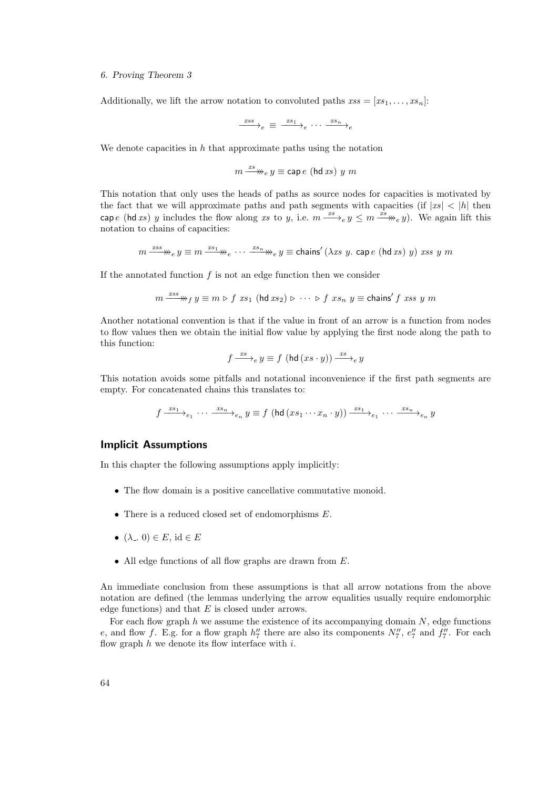Additionally, we lift the arrow notation to convoluted paths  $xss = [xs_1, \ldots, xs_n]$ :

$$
\xrightarrow{xss}e \equiv \xrightarrow{xs_1}e \cdots \xrightarrow{xs_n}e
$$

We denote capacities in  $h$  that approximate paths using the notation

$$
m \xrightarrow{x s} e y \equiv \text{cap } e \text{ (hd } xs) y m
$$

This notation that only uses the heads of paths as source nodes for capacities is motivated by the fact that we will approximate paths and path segments with capacities (if  $|xs| < |h|$  then cape (hd xs) y includes the flow along xs to y, i.e.  $m \xrightarrow{xs} e y \leq m \xrightarrow{xs} e y$ ). We again lift this notation to chains of capacities:

$$
m \xrightarrow{xss} y \equiv m \xrightarrow{x s_1} e \cdots \xrightarrow{x s_n} e y \equiv \text{chains}' (\lambda x s y. \text{ cap } e (\text{hd } x s) y) x s s y m
$$

If the annotated function  $f$  is not an edge function then we consider

$$
m \xrightarrow{xss} y \equiv m \triangleright f \ xs_1 \ (\text{hd } xs_2) \triangleright \ \cdots \ \triangleright f \ xs_n \ y \equiv \text{chains}' \ f \ xss \ y \ m
$$

Another notational convention is that if the value in front of an arrow is a function from nodes to flow values then we obtain the initial flow value by applying the first node along the path to this function:

$$
f \xrightarrow{xs} e y \equiv f \text{ (hd } (xs \cdot y)) \xrightarrow{xs} e y
$$

This notation avoids some pitfalls and notational inconvenience if the first path segments are empty. For concatenated chains this translates to:

$$
f \xrightarrow{x s_1} e_1 \cdots \xrightarrow{x s_n} e_n y \equiv f \left(\text{hd} \left(x s_1 \cdots x_n \cdot y \right)\right) \xrightarrow{x s_1} e_1 \cdots \xrightarrow{x s_n} e_n y
$$

## Implicit Assumptions

In this chapter the following assumptions apply implicitly:

- The flow domain is a positive cancellative commutative monoid.
- $\bullet$  There is a reduced closed set of endomorphisms  $E$ .
- $(\lambda_-, 0) \in E$ , id  $\in E$
- All edge functions of all flow graphs are drawn from E.

An immediate conclusion from these assumptions is that all arrow notations from the above notation are defined (the lemmas underlying the arrow equalities usually require endomorphic edge functions) and that  $E$  is closed under arrows.

For each flow graph  $h$  we assume the existence of its accompanying domain  $N$ , edge functions e, and flow f. E.g. for a flow graph  $h''_7$  there are also its components  $N''_7$ ,  $e''_7$  and  $f''_7$ . For each flow graph  $h$  we denote its flow interface with  $i$ .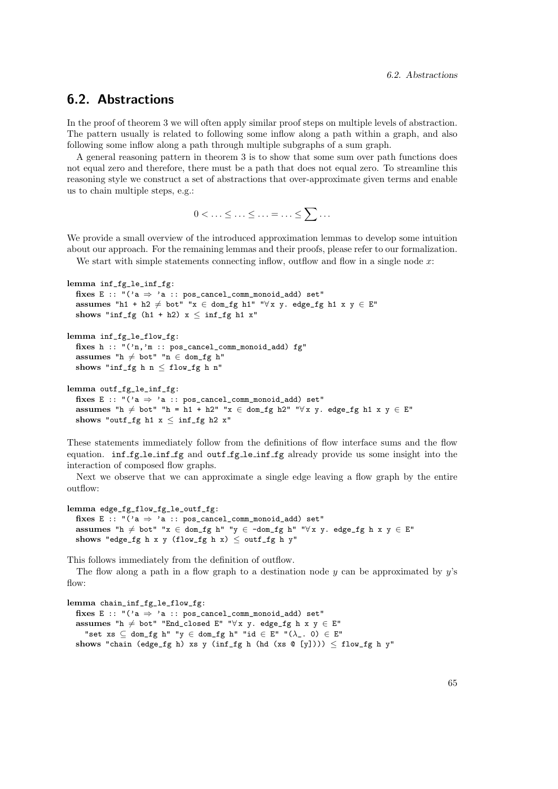# 6.2. Abstractions

In the proof of theorem 3 we will often apply similar proof steps on multiple levels of abstraction. The pattern usually is related to following some inflow along a path within a graph, and also following some inflow along a path through multiple subgraphs of a sum graph.

A general reasoning pattern in theorem 3 is to show that some sum over path functions does not equal zero and therefore, there must be a path that does not equal zero. To streamline this reasoning style we construct a set of abstractions that over-approximate given terms and enable us to chain multiple steps, e.g.:

$$
0<\ldots\leq\ldots\leq\ldots=\ldots\leq\sum\ldots
$$

We provide a small overview of the introduced approximation lemmas to develop some intuition about our approach. For the remaining lemmas and their proofs, please refer to our formalization.

We start with simple statements connecting inflow, outflow and flow in a single node  $x$ :

```
lemma inf_fg_le_inf_fg:
  fixes E :: "(2a \Rightarrow 2a :: pos\_cancel\_comm\_monoid\_add) set"
  assumes "h1 + h2 \neq bot" "x ∈ dom_fg h1" "\forall x y. edge_fg h1 x y ∈ E"
  shows "inf_fg (h1 + h2) x \le inf_fg h1 x"
lemma inf_fg_le_flow_fg:
  fixes h :: "('n,'m :: pos_cancel_comm_monoid_add) fg"
```

```
assumes "h \neq bot" "n \in dom\_fg h"
shows "inf_fg h n \leq flow_fg h n"
```

```
lemma outf_fg_le_inf_fg:
  fixes E :: "(2a \Rightarrow 2a): pos_cancel_comm_monoid_add) set"
  assumes "h \neq bot" "h = h1 + h2" "x ∈ dom_fg h2" "\forall x y. edge_fg h1 x y ∈ E"
  shows "outf_fg h1 x \le inf_fg h2 x"
```
These statements immediately follow from the definitions of flow interface sums and the flow equation. inf fg le inf fg and outf fg le inf fg already provide us some insight into the interaction of composed flow graphs.

Next we observe that we can approximate a single edge leaving a flow graph by the entire outflow:

```
lemma edge_fg_flow_fg_le_outf_fg:
  fixes E :: "(2a \Rightarrow 2a : p \circ s \text{-} \text{cancel\_comm\_monoid\_add}) set"
  assumes "h \neq bot" "x ∈ dom_fg h" "y ∈ -dom_fg h" "\forall x y. edge_fg h x y ∈ E"
  shows "edge_fg h x y (flow_fg h x) \leq outf_fg h y"
```
This follows immediately from the definition of outflow.

The flow along a path in a flow graph to a destination node  $y$  can be approximated by  $y$ 's  $flow:$ 

lemma chain\_inf\_fg\_le\_flow\_fg: fixes E :: " $(2a \Rightarrow 2a :: pos\_cancel\_comm\_monoid\_add)$  set" assumes "h  $\neq$  bot" "End\_closed E" "∀x y. edge\_fg h x y  $\in$  E" "set xs  $\subseteq$  dom\_fg h" "y  $\in$  dom\_fg h" "id  $\in$  E" " $(\lambda_-, 0) \in$  E" shows "chain (edge\_fg h) xs y (inf\_fg h (hd (xs  $\mathcal{C}$  [y])))  $\leq$  flow\_fg h y"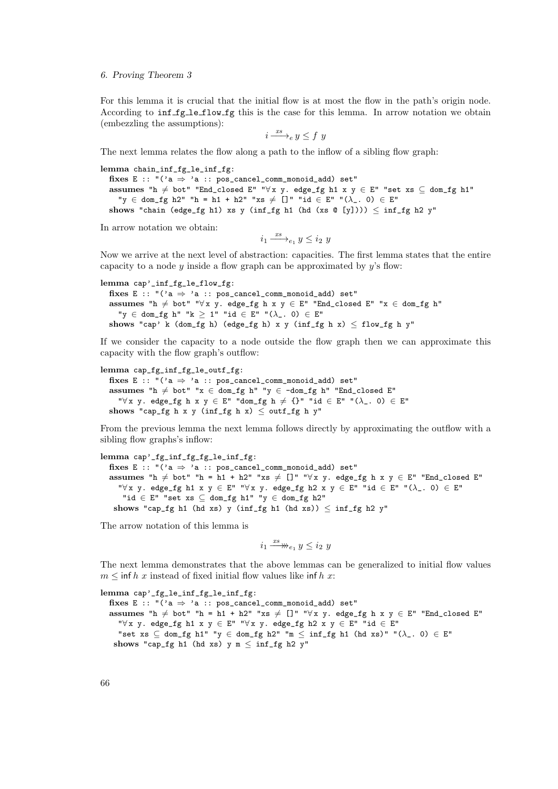For this lemma it is crucial that the initial flow is at most the flow in the path's origin node. According to inf fg le flow fg this is the case for this lemma. In arrow notation we obtain (embezzling the assumptions):

$$
i \xrightarrow{xs} e y \leq f y
$$

The next lemma relates the flow along a path to the inflow of a sibling flow graph:

lemma chain\_inf\_fg\_le\_inf\_fg: fixes E :: " $(2a \Rightarrow 2a)$ : pos\_cancel\_comm\_monoid\_add) set" assumes "h  $\neq$  bot" "End\_closed E" "∀x y. edge\_fg h1 x y  $\in$  E" "set xs  $\subseteq$  dom\_fg h1" "y ∈ dom\_fg h2" "h = h1 + h2" "xs  $\neq$  []" "id ∈ E" "( $\lambda$ \_. 0) ∈ E" shows "chain (edge\_fg h1) xs y (inf\_fg h1 (hd (xs @ [y])))  $\leq$  inf\_fg h2 y"

In arrow notation we obtain:

 $i_1 \xrightarrow{xs} e_1 y \leq i_2 y$ 

Now we arrive at the next level of abstraction: capacities. The first lemma states that the entire capacity to a node  $y$  inside a flow graph can be approximated by  $y$ 's flow:

```
lemma cap'_inf_fg_le_flow_fg:
  fixes E :: "(2a \Rightarrow 2a :: pos\_cancel\_comm\_monoid\_add) set"
  assumes "h \neq bot" "\forall x \space y. edge_fg h x y \in E" "End_closed E" "x \in dom_fg h"
    "y ∈ dom_fg h" "k \geq 1" "id ∈ E" "(\lambda_-, 0) \in E"
  shows "cap' k (dom_fg h) (edge_fg h) x y (inf_fg h x) \leq flow_fg h y"
```
If we consider the capacity to a node outside the flow graph then we can approximate this capacity with the flow graph's outflow:

```
lemma cap_fg_inf_fg_le_outf_fg:
```
fixes E :: " $(2a \Rightarrow 2a : p \circ s \neq 0 \text{ mod } p \text{ mod } q \text{ mod } q)$  set" assumes "h $\neq$  bot" "x ∈ dom\_fg h" "y ∈ -dom\_fg h" "End\_closed E" " $\forall x$  y. edge\_fg h x y  $\in$  E" "dom\_fg h  $\neq$  {}" "id  $\in$  E" " $(\lambda_{-}. 0) \in$  E" shows "cap\_fg h x y (inf\_fg h x)  $\leq$  outf\_fg h y"

From the previous lemma the next lemma follows directly by approximating the outflow with a sibling flow graphs's inflow:

lemma cap'\_fg\_inf\_fg\_fg\_le\_inf\_fg: fixes E :: " $(2a \Rightarrow 2a :: pos\_cancel\_comm\_monoid\_add)$  set" assumes "h  $\neq$  bot" "h = h1 + h2" "xs  $\neq$  []" " $\forall$ x y. edge\_fg h x y  $\in$  E" "End\_closed E" " $\forall x, y \in \mathbb{R}$ " " $\forall x, y \in \mathbb{R}$ " " $\forall x, y \in \mathbb{R}$ " "id  $\in \mathbb{R}$ " " $(\lambda_-, 0) \in \mathbb{R}$ " "id  $\in$  E" "set xs  $\subseteq$  dom\_fg h1" "y  $\in$  dom\_fg h2" shows "cap\_fg h1 (hd xs) y (inf\_fg h1 (hd xs))  $\leq$  inf\_fg h2 y"

The arrow notation of this lemma is

$$
i_1 \xrightarrow{xs} u_{e_1} y \leq i_2 y
$$

The next lemma demonstrates that the above lemmas can be generalized to initial flow values  $m \leq \inf h \, x$  instead of fixed initial flow values like inf h x:

lemma cap'\_fg\_le\_inf\_fg\_le\_inf\_fg: fixes E :: " $(2a \Rightarrow 2a)$ : pos\_cancel\_comm\_monoid\_add) set" assumes "h  $\neq$  bot" "h = h1 + h2" "xs  $\neq$  []" " $\forall$  x y. edge\_fg h x y  $\in$  E" "End\_closed E" " $\forall x \ y.$  edge\_fg h1 x y  $\in$  E" " $\forall x \ y.$  edge\_fg h2 x y  $\in$  E" "id  $\in$  E" "set xs  $\subseteq$  dom\_fg h1" "y  $\in$  dom\_fg h2" "m  $\leq$  inf\_fg h1 (hd xs)" " $(\lambda_-.0) \in E$ " shows "cap\_fg h1 (hd xs) y m  $\leq$  inf\_fg h2 y"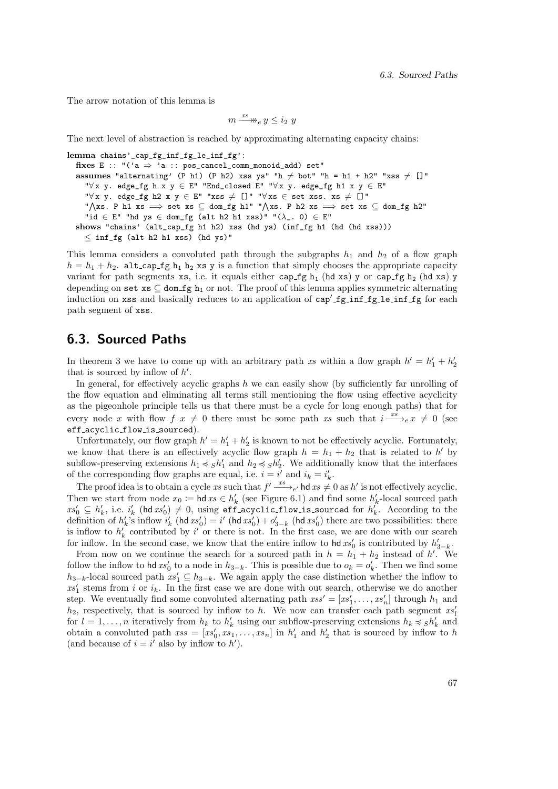The arrow notation of this lemma is

$$
m \xrightarrow{xs} w \leq i_2 y
$$

The next level of abstraction is reached by approximating alternating capacity chains:

lemma chains'\_cap\_fg\_inf\_fg\_le\_inf\_fg': fixes E :: "('a  $\Rightarrow$  'a :: pos\_cancel\_comm\_monoid\_add) set" assumes "alternating' (P h1) (P h2) xss ys" "h  $\neq$  bot" "h = h1 + h2" "xss  $\neq$  []" " $\forall x \ y.$  edge\_fg h x  $y \in E$ " "End\_closed E" " $\forall x \ y.$  edge\_fg h1 x  $y \in E$ " " $\forall x \ y.$  edge\_fg h2  $x \ y \in E$ " "xss  $\neq$  []" " $\forall x s \in$  set xss. xs  $\neq$  []"  $\sqrt{X}$ xs. P h1 xs  $\implies$  set xs  $\subseteq$  dom\_fg h1" " $\sqrt{X}$ xs. P h2 xs  $\implies$  set xs  $\subseteq$  dom\_fg h2" "id  $\in$  E" "hd ys  $\in$  dom\_fg (alt h2 h1 xss)" " $(\lambda_-.0) \in$  E" shows "chains' (alt\_cap\_fg h1 h2) xss (hd ys) (inf\_fg h1 (hd (hd xss)))  $\leq$  inf\_fg (alt h2 h1 xss) (hd ys)"

This lemma considers a convoluted path through the subgraphs  $h_1$  and  $h_2$  of a flow graph  $h = h_1 + h_2$ . alt\_cap\_fg  $h_1$   $h_2$  xs y is a function that simply chooses the appropriate capacity variant for path segments xs, i.e. it equals either cap  $fg h_1$  (hd xs) y or cap  $fg h_2$  (hd xs) y depending on set xs  $\subseteq$  dom fg h<sub>1</sub> or not. The proof of this lemma applies symmetric alternating induction on xss and basically reduces to an application of cap' fg inf fg le inf fg for each path segment of xss.

# 6.3. Sourced Paths

In theorem 3 we have to come up with an arbitrary path xs within a flow graph  $h' = h'_1 + h'_2$ that is sourced by inflow of  $h'$ .

In general, for effectively acyclic graphs  $h$  we can easily show (by sufficiently far unrolling of the flow equation and eliminating all terms still mentioning the flow using effective acyclicity as the pigeonhole principle tells us that there must be a cycle for long enough paths) that for every node x with flow  $f(x) \neq 0$  there must be some path xs such that  $i \frac{xs}{x}$   $\neq 0$  (see eff acyclic flow is sourced).

Unfortunately, our flow graph  $h' = h'_1 + h'_2$  is known to not be effectively acyclic. Fortunately, we know that there is an effectively acyclic flow graph  $h = h_1 + h_2$  that is related to h' by subflow-preserving extensions  $h_1 \preccurlyeq_S h'_1$  and  $h_2 \preccurlyeq_S h'_2$ . We additionally know that the interfaces of the corresponding flow graphs are equal, i.e.  $i = i'$  and  $i_k = i'_k$ .

The proof idea is to obtain a cycle xs such that  $f' \xrightarrow{xs} e'$  hd  $xs \neq 0$  as  $h'$  is not effectively acyclic. Then we start from node  $x_0 := \text{hd } xs \in h'_k$  (see Figure 6.1) and find some  $h'_k$ -local sourced path  $xs'_0 \subseteq h'_k$ , i.e.  $i'_k$  (hd  $xs'_0$ )  $\neq 0$ , using eff acyclic flow is sourced for  $h'_k$ . According to the definition of  $h'_k$ 's inflow  $i'_k$  (hd  $xs'_0$ ) = i' (hd  $xs'_0$ ) +  $o'_{3-k}$  (hd  $xs'_0$ ) there are two possibilities: there is inflow to  $h'_k$  contributed by i' or there is not. In the first case, we are done with our search for inflow. In the second case, we know that the entire inflow to hd  $xs'_0$  is contributed by  $h'_{3-k}$ .

From now on we continue the search for a sourced path in  $h = h_1 + h_2$  instead of h'. We follow the inflow to hd  $xs'_0$  to a node in  $h_{3-k}$ . This is possible due to  $o_k = o'_k$ . Then we find some  $h_{3-k}$ -local sourced path  $xs'_1 \subseteq h_{3-k}$ . We again apply the case distinction whether the inflow to  $xs'_1$  stems from i or  $i_k$ . In the first case we are done with out search, otherwise we do another step. We eventually find some convoluted alternating path  $\mathit{rss}' = [\mathit{xs}'_1, \ldots, \mathit{xs}'_n]$  through  $h_1$  and  $h_2$ , respectively, that is sourced by inflow to h. We now can transfer each path segment  $xs'_l$ for  $l = 1, \ldots, n$  iteratively from  $h_k$  to  $h'_k$  using our subflow-preserving extensions  $h_k \preccurlyeq Sh'_k$  and obtain a convoluted path  $xss = [xs'_0, xs_1, \ldots, xs_n]$  in  $h'_1$  and  $h'_2$  that is sourced by inflow to h (and because of  $i = i'$  also by inflow to  $h'$ ).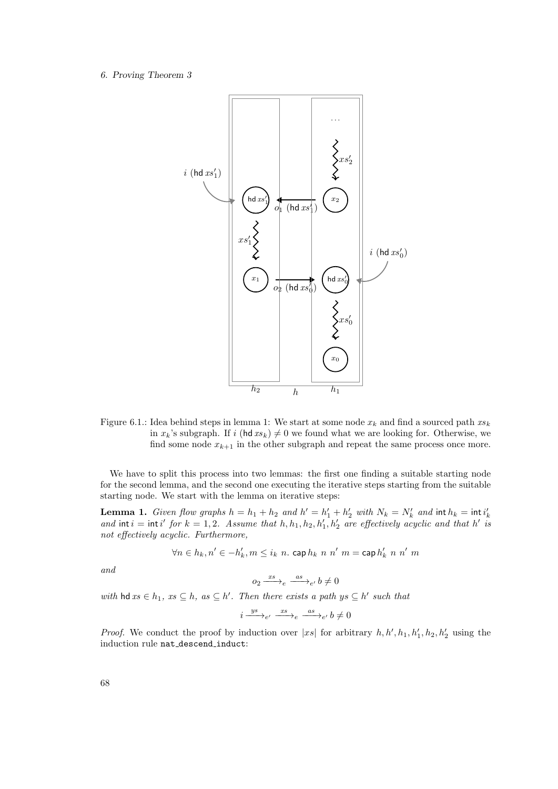

Figure 6.1.: Idea behind steps in lemma 1: We start at some node  $x_k$  and find a sourced path  $xs_k$ in  $x_k$ 's subgraph. If i (hd  $xs_k \neq 0$  we found what we are looking for. Otherwise, we find some node  $x_{k+1}$  in the other subgraph and repeat the same process once more.

We have to split this process into two lemmas: the first one finding a suitable starting node for the second lemma, and the second one executing the iterative steps starting from the suitable starting node. We start with the lemma on iterative steps:

**Lemma 1.** Given flow graphs  $h = h_1 + h_2$  and  $h' = h'_1 + h'_2$  with  $N_k = N'_k$  and  $\text{int } h_k = \text{int } i'_k$ <br>and  $\text{int } i = \text{int } i'$  for  $k = 1, 2$ . Assume that  $h, h_1, h_2, h'_1, h'_2$  are effectively acyclic and that  $h'$  is not effectively acyclic. Furthermore,

$$
\forall n \in h_k, n' \in -h'_k, m \leq i_k \ n. \ \operatorname{cap} h_k \ n \ n' \ m = \operatorname{cap} h'_k \ n \ n' \ m
$$

and

 $o_2 \xrightarrow{xs} e \xrightarrow{as} e' b \neq 0$ 

with  $\mathsf{hd} \, \mathit{xs} \in h_1, \, \mathit{xs} \subseteq h, \, \mathit{as} \subseteq h'$ . Then there exists a path  $\mathit{ys} \subseteq h'$  such that

$$
i \xrightarrow{ys}_{e'} \xrightarrow{xs}_{e} \xrightarrow{as}_{e'} b \neq 0
$$

*Proof.* We conduct the proof by induction over  $|x_s|$  for arbitrary  $h, h', h_1, h'_1, h_2, h'_2$  using the induction rule nat descend induct: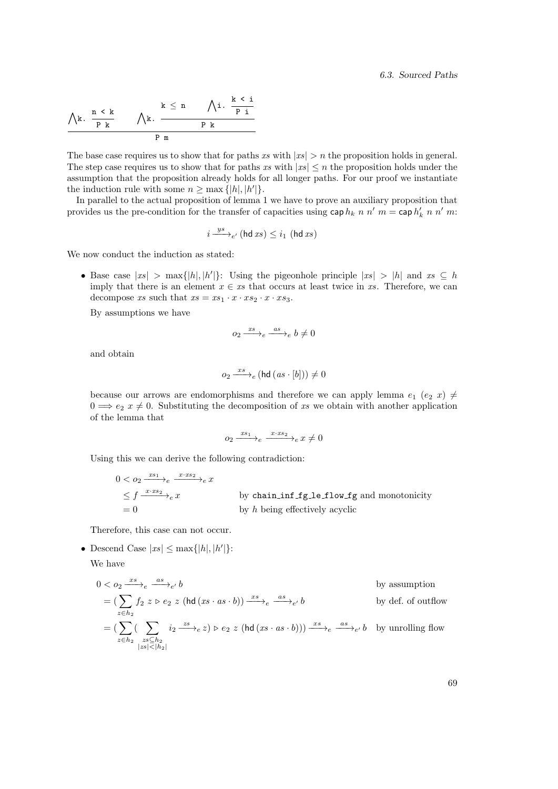$$
\begin{array}{c|ccccc}\lambda^k. & \frac{n\ <\ k} & \quad & \lambda^k. & \frac{k\ <\ n} & \quad & \lambda^i. & \frac{k\ <\ i} & \\\hline \text{$P$ } & k & & & \text{$P$ } & \text{$R$} & \\\hline & & & & \text{$P$ } & \text{$R$} & \\\hline \end{array}
$$

The base case requires us to show that for paths xs with  $|xs| > n$  the proposition holds in general. The step case requires us to show that for paths xs with  $|x_s| \leq n$  the proposition holds under the assumption that the proposition already holds for all longer paths. For our proof we instantiate the induction rule with some  $n \geq \max\{|h|, |h'|\}.$ 

In parallel to the actual proposition of lemma 1 we have to prove an auxiliary proposition that provides us the pre-condition for the transfer of capacities using  $\cosh k$  n n' m = cap  $h'_k$  n n' m:

$$
i \xrightarrow{ys}_{e'} (\text{hd } xs) \leq i_1 (\text{hd } xs)
$$

We now conduct the induction as stated:

• Base case  $|x_s| > \max\{|h|, |h'|\}$ : Using the pigeonhole principle  $|x_s| > |h|$  and  $xs \subseteq h$ imply that there is an element  $x \in xs$  that occurs at least twice in xs. Therefore, we can decompose xs such that  $xs = xs_1 \cdot x \cdot xs_2 \cdot x \cdot xs_3$ .

By assumptions we have

$$
o_2 \xrightarrow{xs} e \xrightarrow{as} e b \neq 0
$$

and obtain

$$
o_2 \xrightarrow{xs} e (\text{hd} (as \cdot [b])) \neq 0
$$

because our arrows are endomorphisms and therefore we can apply lemma  $e_1$  ( $e_2$  x)  $\neq$  $0 \Longrightarrow e_2$   $x \neq 0$ . Substituting the decomposition of xs we obtain with another application of the lemma that

$$
o_2 \xrightarrow{x s_1} e \xrightarrow{x \cdot xs_2} e x \neq 0
$$

Using this we can derive the following contradiction:

$$
0 < o_2 \xrightarrow{x_{s1}} e \xrightarrow{x \cdot xs_2} e x
$$
\n
$$
\leq f \xrightarrow{x \cdot xs_2} e x
$$
\nby chain\_inf\_f\_l = 0 by a bin\_inf\_f\_l = 0 by a bining effectively acyclic

Therefore, this case can not occur.

• Descend Case  $|x_s| \leq \max\{|h|, |h'|\}$ :

We have

$$
0 < o_2 \xrightarrow{x_s} e \xrightarrow{as} e'
$$
\n
$$
= \left( \sum_{z \in h_2} f_2 \ z \triangleright e_2 \ z \ (\text{hd} \ (xs \cdot as \cdot b)) \xrightarrow{x_s} e \xrightarrow{as} e' \ b
$$
\n
$$
= \left( \sum_{z \in h_2} \left( \sum_{\substack{zs \subseteq h_2 \\ |zs| < |h_2|}} i_2 \xrightarrow{zs} e z \right) \triangleright e_2 \ z \ (\text{hd} \ (xs \cdot as \cdot b)) \right) \xrightarrow{x_s} e \xrightarrow{as} e'
$$
\n
$$
b \ \text{by der. of outflow}
$$
\n
$$
= \left( \sum_{z \in h_2} \left( \sum_{\substack{zs \subseteq h_2 \\ |zs| < |h_2|}} i_2 \xrightarrow{zs} e z \right) \triangleright e_2 \ z \ (\text{hd} \ (xs \cdot as \cdot b)) \right) \xrightarrow{x_s} e \xrightarrow{as} e'
$$
\n
$$
b \ \text{by unrolling flow}
$$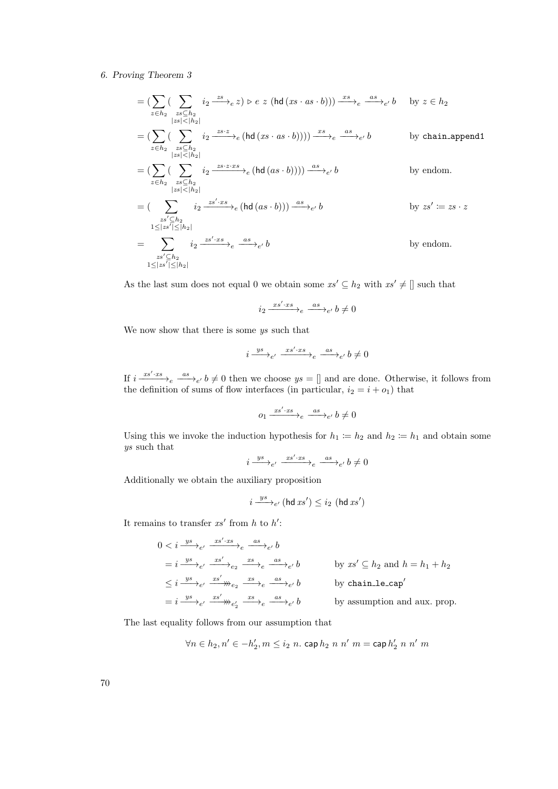$$
= \left(\sum_{z \in h_2} \left(\sum_{\substack{zs \subseteq h_2 \\ |zs| < |h_2|}} i_2 \xrightarrow{zs} e z\right) \triangleright e z \left(hd(xs \cdot as \cdot b)\right)\right) \xrightarrow{xs} e \xrightarrow{as} e' b \quad \text{by } z \in h_2
$$
\n
$$
= \left(\sum_{z \in h_2} \left(\sum_{\substack{zs \subseteq h_2 \\ |zs| < |h_2|}} i_2 \xrightarrow{zs \cdot z} e\left(hd(xs \cdot as \cdot b)\right)\right)\right) \xrightarrow{xs} e \xrightarrow{as} e' b \quad \text{by chain.append1}
$$
\n
$$
= \left(\sum_{z \in h_2} \left(\sum_{\substack{zs \subseteq h_2 \\ |zs| < |h_2|}} i_2 \xrightarrow{zs \cdot xs} e\left(hd(a s \cdot b)\right)\right)\right) \xrightarrow{as} e' b \quad \text{by endom.}
$$
\n
$$
= \left(\sum_{\substack{zs' \subseteq h_2 \\ |zs| \le |h_2|}} i_2 \xrightarrow{zs' \cdot xs} e \left(hd(a s \cdot b)\right)\right) \xrightarrow{as} e' b \quad \text{by } zs' := zs \cdot z
$$
\n
$$
= \sum_{\substack{zs' \subseteq h_2 \\ 1 \le |zs'| \le |h_2|}} i_2 \xrightarrow{zs' \cdot xs} e \xrightarrow{as} e' b \quad \text{by endom.}
$$

As the last sum does not equal 0 we obtain some  $xs' \subseteq h_2$  with  $xs' \neq []$  such that

 $i_2 \xrightarrow{xs'\cdot xs} e \xrightarrow{as} e' b \neq 0$ 

We now show that there is some  $ys$  such that

i ys −−→<sup>e</sup> 0 xs<sup>0</sup> ·xs −−−−−→<sup>e</sup> as −−−→<sup>e</sup> <sup>0</sup> b 6= 0

If  $i \frac{xs' \cdot xs}{\longrightarrow}e \stackrel{as}{\longrightarrow}e' b \neq 0$  then we choose  $ys = []$  and are done. Otherwise, it follows from the definition of sums of flow interfaces (in particular,  $i_2 = i + o_1$ ) that

$$
o_1 \xrightarrow{xs' \cdot xs} e \xrightarrow{as} e' b \neq 0
$$

Using this we invoke the induction hypothesis for  $h_1 := h_2$  and  $h_2 := h_1$  and obtain some ys such that

$$
i \xrightarrow{ys}_{e'} \xrightarrow{xs' \cdot xs}{}_e \xrightarrow{as}_{e'} b \neq 0
$$

Additionally we obtain the auxiliary proposition

 $\overline{a}$ 

$$
i \xrightarrow{ys}_{e'} (\text{hd } xs') \leq i_2 (\text{hd } xs')
$$

It remains to transfer  $xs'$  from h to h':

$$
0 < i \xrightarrow{ys}_{e'} \xrightarrow{xs' \cdot xs} e \xrightarrow{as}_{e'} b
$$
\n
$$
= i \xrightarrow{ys}_{e'} \xrightarrow{xs'} e_2 \xrightarrow{xs}_{e} e \xrightarrow{as}_{e'} b
$$
\n
$$
\leq i \xrightarrow{ys}_{e'} \xrightarrow{xs'} \xrightarrow{xs} e \xrightarrow{xs}_{e} \xrightarrow{as}_{e'} b
$$
\nby  $xs' \subseteq h_2$  and  $h = h_1 + h_2$ \n
$$
\leq i \xrightarrow{ys}_{e'} \xrightarrow{xs'} \xrightarrow{xs} e \xrightarrow{as}_{e'} b
$$
\nby chain-le-cap'\n
$$
= i \xrightarrow{ys}_{e'} \xrightarrow{xs'} \xrightarrow{xs} e \xrightarrow{as}_{e'} b
$$
\nby assumption and aux. prop.

The last equality follows from our assumption that

$$
\forall n \in h_2, n' \in -h'_2, m \leq i_2 \ n. \ \text{cap} \ h_2 \ n \ n' \ m = \text{cap} \ h'_2 \ n \ n' \ m
$$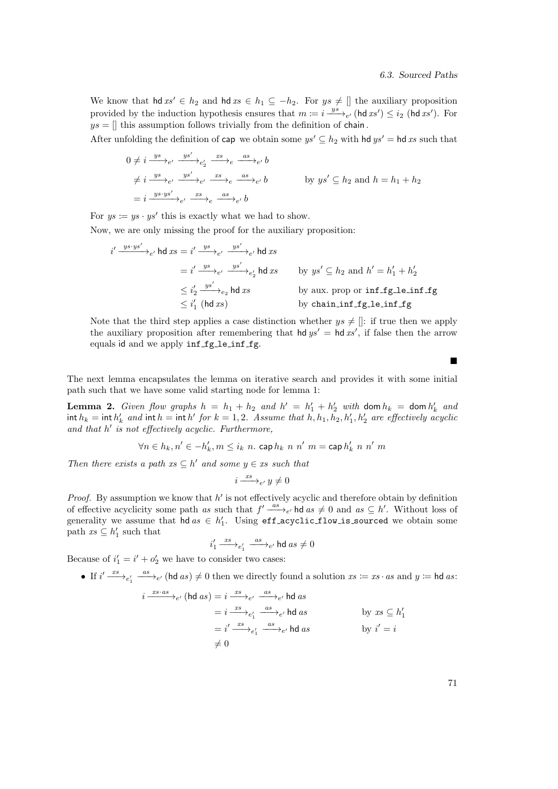We know that  $\mathsf{hd} x s' \in h_2$  and  $\mathsf{hd} x s \in h_1 \subseteq -h_2$ . For  $y s \neq \mathbb{I}$  the auxiliary proposition provided by the induction hypothesis ensures that  $m := i \frac{ys}{-g}$  (hd xs')  $\leq i_2$  (hd xs'). For  $ys = []$  this assumption follows trivially from the definition of chain.

After unfolding the definition of cap we obtain some  $ys' \subseteq h_2$  with hd  $ys' =$  hd xs such that

$$
0 \neq i \xrightarrow{ys} e' \xrightarrow{ys'} e' \xrightarrow{xs} e \xrightarrow{as} e \xrightarrow{as} e' b
$$
  
\n
$$
\neq i \xrightarrow{ys} e' \xrightarrow{ys'} e' \xrightarrow{xs} e \xrightarrow{as} e' b
$$
 by  $ys' \subseteq h_2$  and  $h = h_1 + h_2$   
\n
$$
= i \xrightarrow{ys \cdot ys'} e' \xrightarrow{xs} e \xrightarrow{as} e' b
$$

For  $ys := ys \cdot ys'$  this is exactly what we had to show.

Now, we are only missing the proof for the auxiliary proposition:

$$
i' \xrightarrow{ys \cdot ys'} \rightarrow_{e'} \text{hd } xs = i' \xrightarrow{ys'} \rightarrow_{e'} \xrightarrow{ys'} \rightarrow_{e'} \text{hd } xs
$$
  
\n
$$
= i' \xrightarrow{ys} \rightarrow_{e'} \xrightarrow{ys'} \rightarrow_{e'} \text{hd } xs
$$
  
\n
$$
\leq i'_{2} \xrightarrow{ys'} \rightarrow_{e_{2}} \text{hd } xs
$$
  
\n
$$
\leq i'_{2} \xrightarrow{ys'} \rightarrow_{e_{2}} \text{hd } xs
$$
  
\nby  $ys' \subseteq h_{2}$  and  $h' = h'_{1} + h'_{2}$   
\nby aux. prop or inf\_fg\_le\_inf\_fg  
\nby chain\_infg\_le\_inf\_fg

Note that the third step applies a case distinction whether  $ys \neq []$ : if true then we apply the auxiliary proposition after remembering that  $\mathsf{hd} y s' = \mathsf{hd} x s'$ , if false then the arrow equals id and we apply inf fg<sub>-le-inf-fg</sub>.

The next lemma encapsulates the lemma on iterative search and provides it with some initial path such that we have some valid starting node for lemma 1:

**Lemma 2.** Given flow graphs  $h = h_1 + h_2$  and  $h' = h'_1 + h'_2$  with dom  $h_k = \text{dom } h'_k$  and int  $h_k = \text{int } h'_k$  and  $\text{int } h = \text{int } h'$  for  $k = 1, 2$ . Assume that  $h, h_1, h_2, h'_1, h'_2$  are effectively acyclic and that  $h'$  is not effectively acyclic. Furthermore,

$$
\forall n \in h_k, n' \in -h'_k, m \leq i_k \ n. \ \operatorname{cap} h_k \ n \ n' \ m = \operatorname{cap} h'_k \ n \ n' \ m
$$

Then there exists a path  $xs \subseteq h'$  and some  $y \in xs$  such that

$$
i \xrightarrow{xs} e' y \neq 0
$$

*Proof.* By assumption we know that  $h'$  is not effectively acyclic and therefore obtain by definition of effective acyclicity some path as such that  $f' \stackrel{as}{\longrightarrow}_{e'}$  hd as  $\neq 0$  and as  $\subseteq h'$ . Without loss of generality we assume that  $hd \ as \in h'_1$ . Using eff\_acyclic\_flow\_is\_sourced we obtain some path  $xs \subseteq h'_1$  such that

$$
i_1' \xrightarrow{\;\; x s \;\;} e_1' \xrightarrow{\;\; a s \;\;} e' \; \text{hd} \; a s \neq 0
$$

Because of  $i'_1 = i' + o'_2$  we have to consider two cases:

• If  $i' \frac{xs}{s} \rightarrow_{e'} \text{ (hd } as) \neq 0$  then we directly found a solution  $xs := xs \cdot as$  and  $y := \text{hd } as$ :

$$
i \xrightarrow{xs\cdot as} e^{\prime} \text{ (hd } as) = i \xrightarrow{xs} e^{\prime} \xrightarrow{as} e^{\prime} \text{ hd } as
$$
  
\n
$$
= i \xrightarrow{xs} e^{\prime}_1 \xrightarrow{as} e^{\prime} \text{ hd } as
$$
  
\n
$$
= i^{\prime} \xrightarrow{xs} e^{\prime}_1 \xrightarrow{as} e^{\prime} \text{ hd } as
$$
  
\n
$$
\neq 0
$$
  
\nby  $xs \subseteq h'_1$   
\nby  $i' = i$ 

71

 $\blacksquare$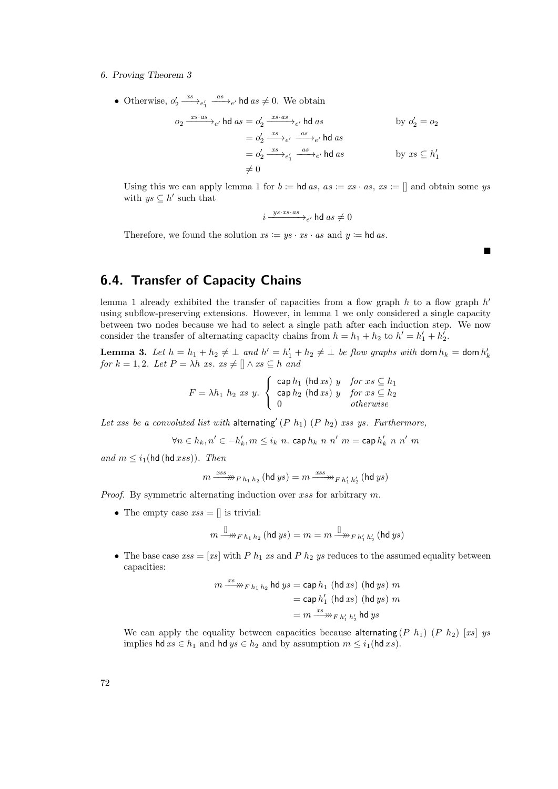• Otherwise,  $o'_2 \xrightarrow{xs} e'_1 \xrightarrow{as} e'_i$  hd  $as \neq 0$ . We obtain

$$
o_2 \xrightarrow{xs \cdot as} e^{\prime} \text{ hd } as = o'_2 \xrightarrow{xs \cdot as} e^{\prime} \text{ hd } as
$$
  
\n
$$
= o'_2 \xrightarrow{xs} e^{\prime} \xrightarrow{as} e^{\prime} \text{ hd } as
$$
  
\n
$$
= o'_2 \xrightarrow{xs} e'_1 \xrightarrow{as} e^{\prime} \text{ hd } as
$$
  
\n
$$
\neq 0
$$
  
\nby  $o'_2 = o_2$   
\nby  $o'_2 = o_2$   
\nby  $o'_3 = o_3$ 

Using this we can apply lemma 1 for  $b := \text{hd } as$ ,  $as := xs \cdot as$ ,  $xs := []$  and obtain some ys with  $ys \subseteq h'$  such that

$$
i \xrightarrow{ys\cdot xs\cdot as}{}_{e'} \mathsf{hd} \; as \neq 0
$$

 $\blacksquare$ 

Therefore, we found the solution  $xs := ys \cdot xs \cdot as$  and  $y := \text{hd } as$ .

# 6.4. Transfer of Capacity Chains

lemma 1 already exhibited the transfer of capacities from a flow graph  $h$  to a flow graph  $h'$ using subflow-preserving extensions. However, in lemma 1 we only considered a single capacity between two nodes because we had to select a single path after each induction step. We now consider the transfer of alternating capacity chains from  $h = h_1 + h_2$  to  $h' = h'_1 + h'_2$ .

**Lemma 3.** Let  $h = h_1 + h_2 \neq \perp$  and  $h' = h'_1 + h_2 \neq \perp$  be flow graphs with dom  $h_k =$  dom  $h'_k$ for  $k = 1, 2$ . Let  $P = \lambda h$  xs.  $xs \neq \lceil \n \wedge xs \subseteq h \rceil$ 

$$
F = \lambda h_1 \ h_2 \ xs \ y. \begin{cases} \cosh_1 (\text{hd } xs) \ y & \text{for } xs \subseteq h_1 \\ \cosh_2 (\text{hd } xs) \ y & \text{for } xs \subseteq h_2 \\ 0 & \text{otherwise} \end{cases}
$$

Let xss be a convoluted list with alternating  $(P h_1)$   $(P h_2)$  xss ys. Furthermore,

$$
\forall n \in h_k, n' \in -h'_k, m \leq i_k \ n. \ \operatorname{cap} h_k \ n \ n' \ m = \operatorname{cap} h'_k \ n \ n' \ m
$$

and  $m \leq i_1$ (hd (hd  $xss$ )). Then

$$
m \xrightarrow{xss} \mathbb{W}_{F\,h_1\,h_2} \,(\text{hd}\,ys) = m \xrightarrow{xss} _{F\,h'_1\,h'_2} \,(\text{hd}\,ys)
$$

Proof. By symmetric alternating induction over xss for arbitrary m.

• The empty case  $xs = []$  is trivial:

$$
m \xrightarrow{\parallel} \mathcal{W}_{F \, h_1 \, h_2} (\mathsf{hd} \, ys) = m = m \xrightarrow{\parallel} \mathcal{W}_{F \, h_1' \, h_2'} (\mathsf{hd} \, ys)
$$

• The base case  $xss = [xs]$  with P  $h_1$  xs and P  $h_2$  ys reduces to the assumed equality between capacities:

$$
m \xrightarrow{xs} \mathbb{W}_{F h_1 h_2} \text{hd } ys = \text{cap } h_1 \text{ (hd } xs) \text{ (hd } ys) m
$$

$$
= \text{cap } h'_1 \text{ (hd } xs) \text{ (hd } ys) m
$$

$$
= m \xrightarrow{xs} \mathbb{W}_{F h'_1 h'_2} \text{hd } ys
$$

We can apply the equality between capacities because alternating  $(P h_1) (P h_2)$  [xs] ys implies hd  $xs \in h_1$  and hd  $ys \in h_2$  and by assumption  $m \leq i_1$ (hd  $xs$ ).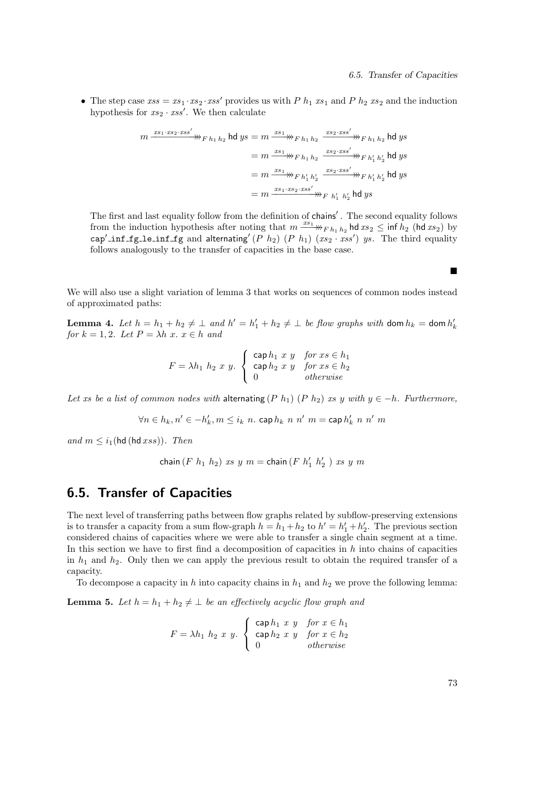• The step case  $xs = xs_1 \cdot xs_2 \cdot xs'$  provides us with P  $h_1$   $xs_1$  and P  $h_2$   $xs_2$  and the induction hypothesis for  $xs_2 \cdot xss'$ . We then calculate

$$
m \xrightarrow{xs_1 \cdot xs_2 \cdot xss'} m_{F h_1 h_2} \text{hd } ys = m \xrightarrow{xs_1} m_{F h_1 h_2} \xrightarrow{xs_2 \cdot xs'} m_{F h_1 h_2} \text{hd } ys
$$
  
=  $m \xrightarrow{xs_1} m_{F h_1 h_2} \xrightarrow{xs_2 \cdot xs'} m_{F h'_1 h'_2} \text{hd } ys$   
=  $m \xrightarrow{xs_1} m_{F h'_1 h'_2} \xrightarrow{xs_2 \cdot xs'} m_{F h'_1 h'_2} \text{hd } ys$   
=  $m \xrightarrow{xs_1 \cdot xs_2 \cdot xs'} m_{F h'_1 h'_2} \text{hd } ys$ 

The first and last equality follow from the definition of chains'. The second equality follows from the induction hypothesis after noting that  $m \xrightarrow{x_{s_1}}_{F h_1 h_2}$  hd  $xs_2 \leq \inf h_2$  (hd  $xs_2$ ) by cap' inf fg le inf fg and alternating (P  $h_2$ ) (P  $h_1$ ) (xs<sub>2</sub> · xss') ys. The third equality follows analogously to the transfer of capacities in the base case.

We will also use a slight variation of lemma 3 that works on sequences of common nodes instead of approximated paths:

**Lemma 4.** Let  $h = h_1 + h_2 \neq \perp$  and  $h' = h'_1 + h_2 \neq \perp$  be flow graphs with dom  $h_k =$  dom  $h'_k$ for  $k = 1, 2$ . Let  $P = \lambda h \, x \, x \in h$  and

$$
F = \lambda h_1 \ h_2 \ x \ y. \begin{cases} \n\text{cap } h_1 \ x \ y & \text{for } x \in h_1 \\ \n\text{cap } h_2 \ x \ y & \text{for } x \in h_2 \\ \n0 & \text{otherwise} \n\end{cases}
$$

Let xs be a list of common nodes with alternating (P h<sub>1</sub>) (P h<sub>2</sub>) xs y with  $y \in -h$ . Furthermore,

 $\forall n \in h_k, n' \in -h'_k, m \leq i_k \ n$ . cap  $h_k \ n \ n' \ m =$  cap  $h'_k \ n \ n' \ m$ 

and  $m \leq i_1$ (hd (hd  $xss$ )). Then

chain  $(F h_1 h_2)$  xs  $y m =$ chain  $(F h'_1 h'_2)$  xs  $y m$ 

# 6.5. Transfer of Capacities

The next level of transferring paths between flow graphs related by subflow-preserving extensions is to transfer a capacity from a sum flow-graph  $h = h_1 + h_2$  to  $h' = h'_1 + h'_2$ . The previous section considered chains of capacities where we were able to transfer a single chain segment at a time. In this section we have to first find a decomposition of capacities in  $h$  into chains of capacities in  $h_1$  and  $h_2$ . Only then we can apply the previous result to obtain the required transfer of a capacity.

To decompose a capacity in h into capacity chains in  $h_1$  and  $h_2$  we prove the following lemma:

**Lemma 5.** Let  $h = h_1 + h_2 \neq \perp$  be an effectively acyclic flow graph and

$$
F = \lambda h_1 \ h_2 \ x \ y. \begin{cases} \n\text{cap } h_1 \ x \ y & \text{for } x \in h_1 \\ \n\text{cap } h_2 \ x \ y & \text{for } x \in h_2 \\ \n0 & \text{otherwise} \n\end{cases}
$$

73

 $\blacksquare$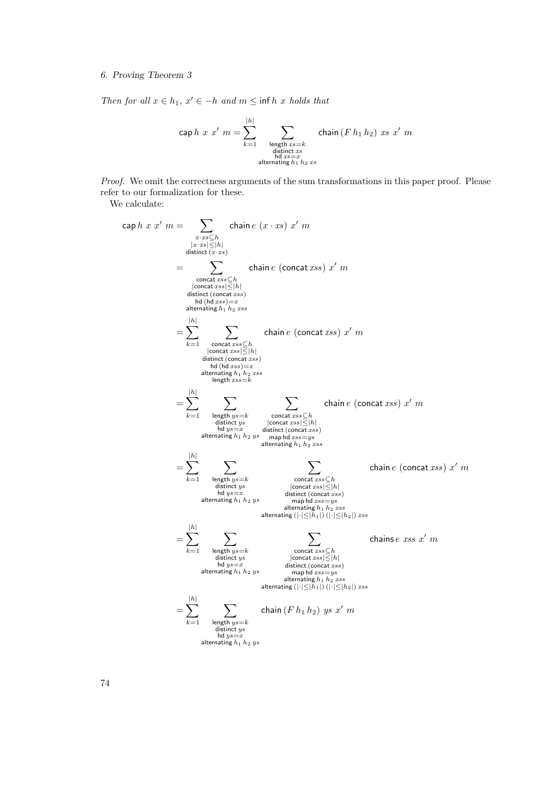Then for all  $x \in h_1$ ,  $x' \in -h$  and  $m \leq \inf h x$  holds that

$$
\mathsf{cap}\,h\,\,x\,\,x'\,\,m = \sum_{k=1}^{|h|} \sum_{\substack{\text{length }xs=k \\ \text{distinct }xs \\ \text{ind }xs=x \\ \text{alternating }h_1\,h_2\,xs}} \text{chain}\,(F\,h_1\,h_2)\,\,xs\,\,x'\,\,m
$$

Proof. We omit the correctness arguments of the sum transformations in this paper proof. Please refer to our formalization for these.

We calculate:

cap h x x<sup>0</sup> m = X x·xs⊆h |x·xs|≤|h| distinct (x·xs) chain e (x · xs) x <sup>0</sup> m = X concat xss⊆h |concat xss|≤|h| distinct (concat xss) hd (hd xss)=x alternating h<sup>1</sup> h<sup>2</sup> xss chain e (concat xss) x <sup>0</sup> m = X |h| k=1 X concat xss⊆h |concat xss|≤|h| distinct (concat xss) hd (hd xss)=x alternating h<sup>1</sup> h<sup>2</sup> xss length xss=k chain e (concat xss) x <sup>0</sup> m = X |h| k=1 X length ys=k distinct ys hd ys=x alternating h<sup>1</sup> h<sup>2</sup> ys X concat xss⊆h |concat xss|≤|h| distinct (concat xss) map hd xss=ys alternating h<sup>1</sup> h<sup>2</sup> xss chain e (concat xss) x <sup>0</sup> m = X |h| k=1 X length ys=k distinct ys hd ys=x alternating h<sup>1</sup> h<sup>2</sup> ys X concat xss⊆h |concat xss|≤|h| distinct (concat xss) map hd xss=ys alternating h<sup>1</sup> h<sup>2</sup> xss alternating (|·|≤|h1|) (|·|≤|h2|) xss chain e (concat xss) x <sup>0</sup> m = X |h| k=1 X length ys=k distinct ys hd ys=x alternating h<sup>1</sup> h<sup>2</sup> ys X concat xss⊆h |concat xss|≤|h| distinct (concat xss) map hd xss=ys alternating h<sup>1</sup> h<sup>2</sup> xss alternating (|·|≤|h1|) (|·|≤|h2|) xss chains e xss x <sup>0</sup> m = X |h| k=1 X length ys=k distinct ys hd ys=x alternating h<sup>1</sup> h<sup>2</sup> ys chain (F h<sup>1</sup> h2) ys x <sup>0</sup> m

74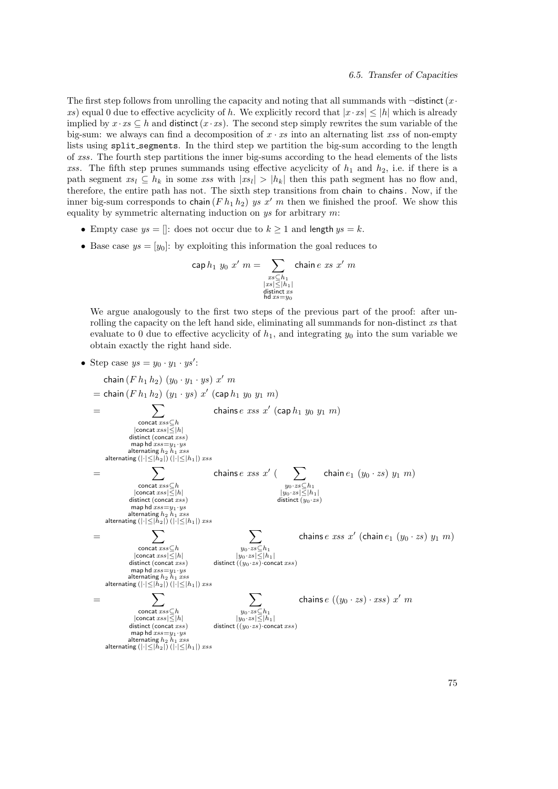The first step follows from unrolling the capacity and noting that all summands with  $\neg$ distinct (x  $\cdot$ xs) equal 0 due to effective acyclicity of h. We explicitly record that  $|x \cdot xs| \leq |h|$  which is already implied by  $x \cdot xs \subseteq h$  and distinct  $(x \cdot xs)$ . The second step simply rewrites the sum variable of the big-sum: we always can find a decomposition of  $x \cdot xs$  into an alternating list xss of non-empty lists using split segments. In the third step we partition the big-sum according to the length of xss. The fourth step partitions the inner big-sums according to the head elements of the lists xss. The fifth step prunes summands using effective acyclicity of  $h_1$  and  $h_2$ , i.e. if there is a path segment  $xs_l \subseteq h_k$  in some xss with  $|xs_l| > |h_k|$  then this path segment has no flow and, therefore, the entire path has not. The sixth step transitions from chain to chains. Now, if the inner big-sum corresponds to chain  $(F h_1 h_2)$  *ys x' m* then we finished the proof. We show this equality by symmetric alternating induction on  $ys$  for arbitrary  $m$ :

- Empty case  $ys = []$ : does not occur due to  $k \ge 1$  and length  $ys = k$ .
- Base case  $ys = [y_0]$ : by exploiting this information the goal reduces to

$$
\mathop{\rm cap}\nolimits h_1\ y_0\ x'\ m=\sum_{\substack{x\leq h_1\\|x\leq\lfloor h_1\rfloor\\ \text{distinct}\ xs\\ \text{hd}\ xs=y_0}}\mathop{\rm chain}\nolimits e\ xs\ x'\ m
$$

We argue analogously to the first two steps of the previous part of the proof: after unrolling the capacity on the left hand side, eliminating all summands for non-distinct xs that evaluate to 0 due to effective acyclicity of  $h_1$ , and integrating  $y_0$  into the sum variable we obtain exactly the right hand side.

• Step case  $ys = y_0 \cdot y_1 \cdot ys'$ :

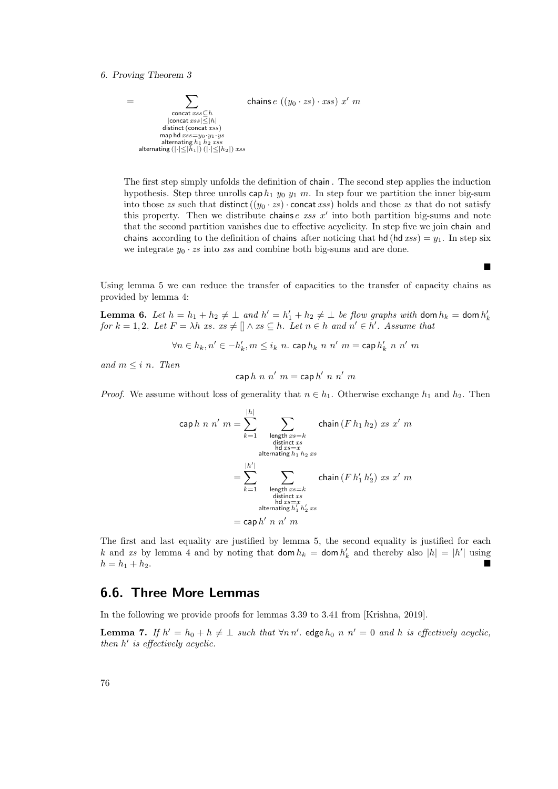

The first step simply unfolds the definition of chain . The second step applies the induction hypothesis. Step three unrolls cap  $h_1$   $y_0$   $y_1$   $m$ . In step four we partition the inner big-sum into those zs such that distinct  $((y_0 \cdot zs) \cdot \text{concat} xss)$  holds and those zs that do not satisfy this property. Then we distribute chains  $e$  ass  $x'$  into both partition big-sums and note that the second partition vanishes due to effective acyclicity. In step five we join chain and chains according to the definition of chains after noticing that hd (hd  $xss$ ) =  $y_1$ . In step six we integrate  $y_0 \cdot zs$  into zss and combine both big-sums and are done.

Ē

Using lemma 5 we can reduce the transfer of capacities to the transfer of capacity chains as provided by lemma 4:

**Lemma 6.** Let  $h = h_1 + h_2 \neq \perp$  and  $h' = h'_1 + h_2 \neq \perp$  be flow graphs with dom  $h_k =$  dom  $h'_k$ for  $k = 1, 2$ . Let  $F = \lambda h$  xs.  $xs \neq \emptyset \wedge xs \subseteq h$ . Let  $n \in h$  and  $n' \in h'$ . Assume that

 $\forall n \in h_k, n' \in -h'_k, m \leq i_k \ n$ . cap  $h_k \ n \ n' \ m =$  cap  $h'_k \ n \ n' \ m$ 

and  $m \leq i$  n. Then

$$
\mathsf{cap}\,h\,\,n\,\,n'\,\,m=\mathsf{cap}\,h'\,\,n\,\,n'\,\,m
$$

*Proof.* We assume without loss of generality that  $n \in h_1$ . Otherwise exchange  $h_1$  and  $h_2$ . Then

$$
\begin{aligned}\n\text{cap } h \ n \ n' \ m &= \sum_{k=1}^{|h|} \sum_{\substack{\text{length } x s = k \\ \text{distinct } xs \\ \text{alternating } h_1 h_2 x s}} \text{chain } (F \ h_1 \ h_2) \ x s \ x' \ m \\
&= \sum_{k=1}^{|h'|} \sum_{\substack{\text{length } x s = k \\ \text{distinct } xs \\ \text{distinct } ts \\ \text{other } x s = k \\ \text{distribet } xs}} \text{chain } (F \ h_1' \ h_2') \ x s \ x' \ m \\
&= \sum_{\substack{\text{length } x s = k \\ \text{distribet } x s = x \\ \text{alternating } h_1' h_2' x s}} \end{aligned}
$$

The first and last equality are justified by lemma 5, the second equality is justified for each k and xs by lemma 4 and by noting that  $\text{dom } h_k = \text{dom } h'_k$  and thereby also  $|h| = |h'|$  using  $h = h_1 + h_2.$ 

# 6.6. Three More Lemmas

In the following we provide proofs for lemmas 3.39 to 3.41 from [Krishna, 2019].

**Lemma 7.** If  $h' = h_0 + h \neq \perp$  such that  $\forall n \, n'$  edge  $h_0 \, n \, n' = 0$  and h is effectively acyclic, then  $h'$  is effectively acyclic.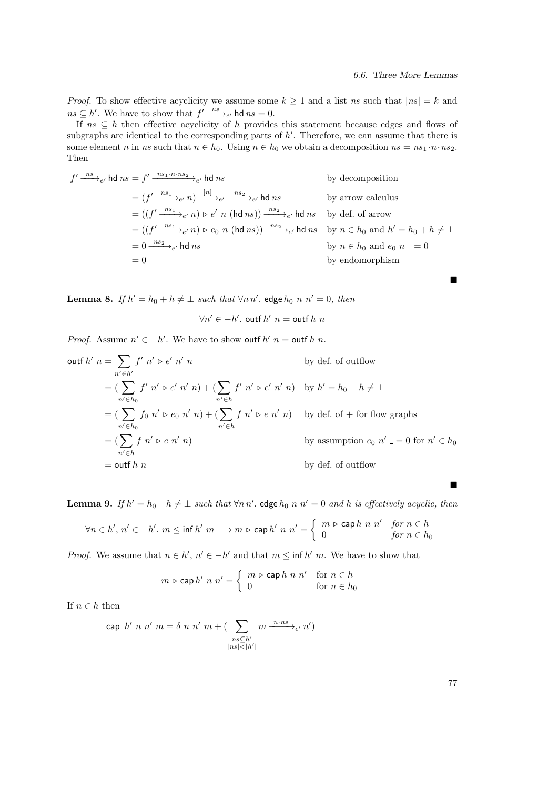*Proof.* To show effective acyclicity we assume some  $k \ge 1$  and a list ns such that  $|ns| = k$  and  $ns \subseteq h'$ . We have to show that  $f' \xrightarrow{ns}_{e'}$  hd  $ns = 0$ .

If  $ns \subseteq h$  then effective acyclicity of h provides this statement because edges and flows of subgraphs are identical to the corresponding parts of  $h'$ . Therefore, we can assume that there is some element n in ns such that  $n \in h_0$ . Using  $n \in h_0$  we obtain a decomposition  $ns = ns_1 \cdot n \cdot ns_2$ . Then

$$
f' \xrightarrow{ns} e'
$$
hd ns =  $f' \xrightarrow{ns_1 \cdot n \cdot ns_2} e'$ hd ns by decomposition  
\n=  $(f' \xrightarrow{ns_1} e'$  n)  $\xrightarrow{[n]} e'$   $\xrightarrow{ns_2} e'$  hd ns by arrow calculus  
\n=  $((f' \xrightarrow{ns_1} e'$  n)  $\triangleright e'$  n (hd ns))  $\xrightarrow{ns_2} e'$  hd ns by def. of arrow  
\n=  $((f' \xrightarrow{ns_1} e'$  n)  $\triangleright e_0$  n (hd ns))  $\xrightarrow{ns_2} e'$  hd ns by n  $\in h_0$  and  $h' = h_0 + h \neq \bot$   
\n=  $0 \xrightarrow{ns_2} e'$  hd ns  
\n= 0  
\nby endomorphism

**Lemma 8.** If  $h' = h_0 + h \neq \perp$  such that  $\forall n \, n'$  edge  $h_0 \, n \, n' = 0$ , then

$$
\forall n' \in -h'.\text{ outf } h' \ n = \text{outf } h \ n
$$

*Proof.* Assume  $n' \in -h'$ . We have to show outf  $h'$   $n =$  outf  $h n$ .

outf 
$$
h' = \sum_{n' \in h'} f' n' \triangleright e' n' n
$$
 by def. of outflow

\n
$$
= \left( \sum_{n' \in h_0} f' n' \triangleright e' n' n \right) + \left( \sum_{n' \in h} f' n' \triangleright e' n' n \right) \quad \text{by } h' = h_0 + h \neq \bot
$$
\n
$$
= \left( \sum_{n' \in h_0} f_0 n' \triangleright e_0 n' n \right) + \left( \sum_{n' \in h} f n' \triangleright e n' n \right) \quad \text{by def. of } + \text{ for flow graphs}
$$
\n
$$
= \left( \sum_{n' \in h} f n' \triangleright e n' n \right) \quad \text{by assumption } e_0 n' = 0 \quad \text{for } n' \in h_0
$$
\n
$$
= \text{outf } h \quad n \quad \text{by def. of outflow}
$$

**Lemma 9.** If  $h' = h_0 + h \neq \perp$  such that  $\forall n \, n'$ . edge  $h_0 \, n \, n' = 0$  and h is effectively acyclic, then

$$
\forall n \in h', \, n' \in -h'. \ m \leq \inf h' \ m \longrightarrow m \,\, \triangleright \, \mathop{\rm cap}\nolimits h' \ n \ n' = \left\{ \begin{array}{ll} m \,\, \triangleright \, \mathop{\rm cap}\nolimits h \ n \ n' & \hbox{for} \ n \in h \\ 0 & \hbox{for} \ n \in h_0 \end{array} \right.
$$

*Proof.* We assume that  $n \in h'$ ,  $n' \in -h'$  and that  $m \leq \inf h'$  m. We have to show that

$$
m \triangleright \mathsf{cap} \, h' \, n \, n' = \left\{ \begin{array}{ll} m \triangleright \mathsf{cap} \, h \, n \, n' & \text{for } n \in h \\ 0 & \text{for } n \in h_0 \end{array} \right.
$$

If  $n \in h$  then

$$
\text{cap } h' \ n \ n' \ m = \delta \ n \ n' \ m + \left( \sum_{\substack{n \leq h' \\ |n s| < |h'|}} m \xrightarrow{n \cdot ns} e' \ n' \right)
$$

77

 $\blacksquare$ 

 $\blacksquare$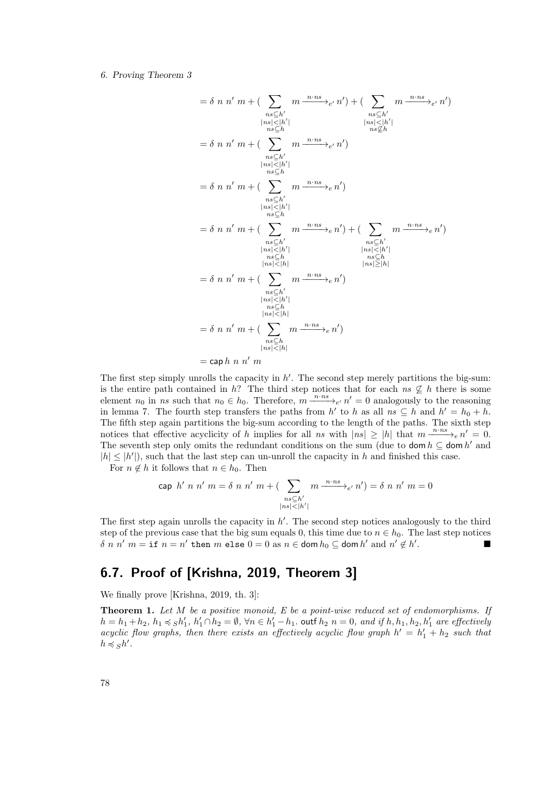$$
= \delta n n' m + \left(\sum_{\substack{n \leq h' \\ n \leq h' \\ n \leq h' \\ n \leq h'}} m \frac{n \cdot ns}{\left|\frac{n!}{\left|\frac{n!}{\left|\frac{n!}{\left|\frac{n!}{\left|\frac{n!}{\left|\frac{n!}{\left|\frac{n!}{\left|\frac{n!}{\left|\frac{n!}{\left|\frac{n!}{\left|\frac{n!}{\left|\frac{n!}{\left|\frac{n!}{\left|\frac{n!}{\left|\frac{n!}{\left|\frac{n!}{\left|\frac{n!}{\left|\frac{n!}{\left|\frac{n!}{\left|\frac{n!}{\left|\frac{n!}{\left|\frac{n!}{\left|\frac{n!}{\left|\frac{n!}{\left|\frac{n!}{\left|\frac{n!}{\left|\frac{n!}{\left|\frac{n!}{\left|\frac{n!}{\left|\frac{n!}{\left|\frac{n!}{\left|\frac{n!}{\left|\frac{n!}{\left|\frac{n!}{\left|\frac{n!}{\left|\frac{n!}{\left|\frac{n!}{\left|\frac{n!}{\left|\frac{n!}{\left|\frac{n!}{\left|\frac{n!}{\left|\frac{n!}{\left|\frac{n!}{\left|\frac{n!}{\left|\frac{n!}{\left|\frac{n!}{\left|\frac{n!}{\left|\frac{n!}{\left|\frac{n!}{\left|\frac{n!}{\left|\frac{n!}{\left|\frac{n!}{\left|\frac{n!}{\left|\frac{n!}{\left|\frac{n!}{\left|\frac{n!}{\left|\frac{n!}{\left|\frac{n!}{\left|\frac{n!}{\left|\frac{n!}{\left|\frac{n!}{\left|\frac{n!}{\left|\frac{n!}{\left|\frac{n!}{\left|\frac{n!}{\left|\frac{n!}{\left|\frac{n!}{\left|\frac{n!}{\left|\frac{n!}{\left|\frac{n!}{\left|\frac{n!}{\left|\frac{n!}{\left|\frac{n!}{\left|\frac{n!}{\left|\frac{n!}{\left|\frac{n!}{\left|\frac{n!}{\left|\frac{n!}{\left|\frac{n!}{\left|\frac{n!}{\left|\frac{n!}{\left|\frac{n!}{\left|\frac{n!}{\left|\frac{n!}{\left|\frac{n!}{\left|\frac{n!}{\left|\frac{n!}{\left|\frac{n!}{\left|\frac{n!}{\left|\frac{n!}{\left|\frac{n!}{\left|\frac{n!}{\left|\frac{n!}{\left|\frac{n!}{\left|\frac{n!}{\left|\frac{n!}{\left|\frac{n!}{\left|\frac{n!}{\left|\frac{n!}{\left|\frac{n!}{\left|\frac{n!}{\
$$

 $\cosh n n' m$ 

The first step simply unrolls the capacity in  $h'$ . The second step merely partitions the big-sum: is the entire path contained in h? The third step notices that for each  $ns \nsubseteq h$  there is some element  $n_0$  in ns such that  $n_0 \in h_0$ . Therefore,  $m \xrightarrow{n \cdot ns}_{e'} n' = 0$  analogously to the reasoning in lemma 7. The fourth step transfers the paths from h' to h as all  $ns \subseteq h$  and  $h' = h_0 + h$ . The fifth step again partitions the big-sum according to the length of the paths. The sixth step notices that effective acyclicity of h implies for all ns with  $|ns| \ge |h|$  that  $m \xrightarrow{n \cdot ns} e n' = 0$ . The seventh step only omits the redundant conditions on the sum (due to dom  $h \subseteq$  dom  $h'$  and  $|h| \leq |h'|$ , such that the last step can un-unroll the capacity in h and finished this case.

For  $n \notin h$  it follows that  $n \in h_0$ . Then

$$
\text{cap } h' \ n \ n' \ m = \delta \ n \ n' \ m + \left( \sum_{\substack{n \leq h' \\ |ns| < |h'|}} m \xrightarrow{n \cdot ns} e^n n' \right) = \delta \ n \ n' \ m = 0
$$

The first step again unrolls the capacity in  $h'$ . The second step notices analogously to the third step of the previous case that the big sum equals 0, this time due to  $n \in h_0$ . The last step notices  $\delta$  n n'  $m = \texttt{if} \; n = n'$  then m else  $0 = 0$  as  $n \in \text{dom } h_0 \subseteq \text{dom } h'$  and  $n' \notin h'$ .

# 6.7. Proof of [Krishna, 2019, Theorem 3]

We finally prove [Krishna, 2019, th. 3]:

**Theorem 1.** Let  $M$  be a positive monoid,  $E$  be a point-wise reduced set of endomorphisms. If  $h = h_1 + h_2$ ,  $h_1 \preccurlyeq_S h'_1$ ,  $h'_1 \cap h_2 = \emptyset$ ,  $\forall n \in h'_1 - h_1$ . outf  $h_2$   $n = 0$ , and if  $h, h_1, h_2, h'_1$  are effectively acyclic flow graphs, then there exists an effectively acyclic flow graph  $h' = h'_1 + h_2$  such that  $h \preccurlyeq_S h'.$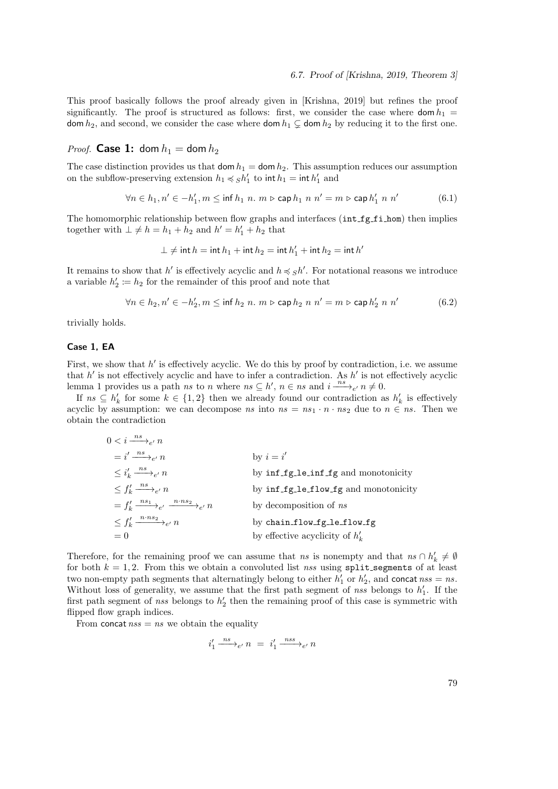This proof basically follows the proof already given in [Krishna, 2019] but refines the proof significantly. The proof is structured as follows: first, we consider the case where  $\text{dom } h_1 =$ dom  $h_2$ , and second, we consider the case where dom  $h_1 \subsetneq$  dom  $h_2$  by reducing it to the first one.

## *Proof.* **Case 1:** dom  $h_1 =$  dom  $h_2$

The case distinction provides us that dom  $h_1 =$  dom  $h_2$ . This assumption reduces our assumption on the subflow-preserving extension  $h_1 \preccurlyeq_S h'_1$  to  $\text{int } h_1 = \text{int } h'_1$  and

$$
\forall n \in h_1, n' \in -h'_1, m \le \inf h_1 \ n. \ m \triangleright \mathsf{cap} \ h_1 \ n \ n' = m \triangleright \mathsf{cap} \ h'_1 \ n \ n' \tag{6.1}
$$

The homomorphic relationship between flow graphs and interfaces  $(int_f_f_i)$  then implies together with  $\bot \neq h = h_1 + h_2$  and  $h' = h'_1 + h_2$  that

$$
\bot\neq\mathsf{int}\, h=\mathsf{int}\, h_1+\mathsf{int}\, h_2=\mathsf{int}\, h_1'+\mathsf{int}\, h_2=\mathsf{int}\, h'
$$

It remains to show that  $h'$  is effectively acyclic and  $h \preccurlyeq_S h'$ . For notational reasons we introduce a variable  $h'_2 := h_2$  for the remainder of this proof and note that

$$
\forall n \in h_2, n' \in -h'_2, m \le \inf h_2 \ n. \ m \triangleright \mathsf{cap} \ h_2 \ n \ n' = m \triangleright \mathsf{cap} \ h'_2 \ n \ n' \tag{6.2}
$$

trivially holds.

## Case 1, EA

First, we show that  $h'$  is effectively acyclic. We do this by proof by contradiction, i.e. we assume that  $h'$  is not effectively acyclic and have to infer a contradiction. As  $h'$  is not effectively acyclic lemma 1 provides us a path ns to n where  $ns \subseteq h'$ ,  $n \in ns$  and  $i \stackrel{ns}{\longrightarrow}_{e'} n \neq 0$ .

If  $ns \subseteq h'_k$  for some  $k \in \{1,2\}$  then we already found our contradiction as  $h'_k$  is effectively acyclic by assumption: we can decompose ns into  $ns = ns_1 \cdot n \cdot ns_2$  due to  $n \in ns$ . Then we obtain the contradiction

| $0 < i \xrightarrow{ns} e^n$                                     |                                       |
|------------------------------------------------------------------|---------------------------------------|
| $i' \stackrel{ns}{\longrightarrow}_{e'} n$                       | by $i = i'$                           |
| $\leq i'_{k} \xrightarrow{n s} e' n$                             | by inf fg le_inf fg and monotonicity  |
| $\langle f'_k \xrightarrow{n s} e' n \rangle$                    | by inf_fg_le_flow_fg and monotonicity |
| $= f'_k \xrightarrow{n s_1} e' \xrightarrow{n \cdot n s_2} e' n$ | by decomposition of ns                |
| $\leq f'_k \xrightarrow{n \cdot ns_2} e' n$                      | by chain_flow_fg_le_flow_fg           |
| $= 0$                                                            | by effective acyclicity of $h'_{k}$   |

Therefore, for the remaining proof we can assume that ns is nonempty and that  $ns \cap h'_k \neq \emptyset$ for both  $k = 1, 2$ . From this we obtain a convoluted list nss using split segments of at least two non-empty path segments that alternatingly belong to either  $h'_1$  or  $h'_2$ , and concat  $nss = ns$ . Without loss of generality, we assume that the first path segment of nss belongs to  $h'_1$ . If the first path segment of nss belongs to  $h'_2$  then the remaining proof of this case is symmetric with flipped flow graph indices.

From concat  $nss = ns$  we obtain the equality

$$
i'_1 \xrightarrow{\;\; n s \;\;} e' \; n \;\; = \;\; i'_1 \xrightarrow{\;\; n s s \;\;} e' \; n
$$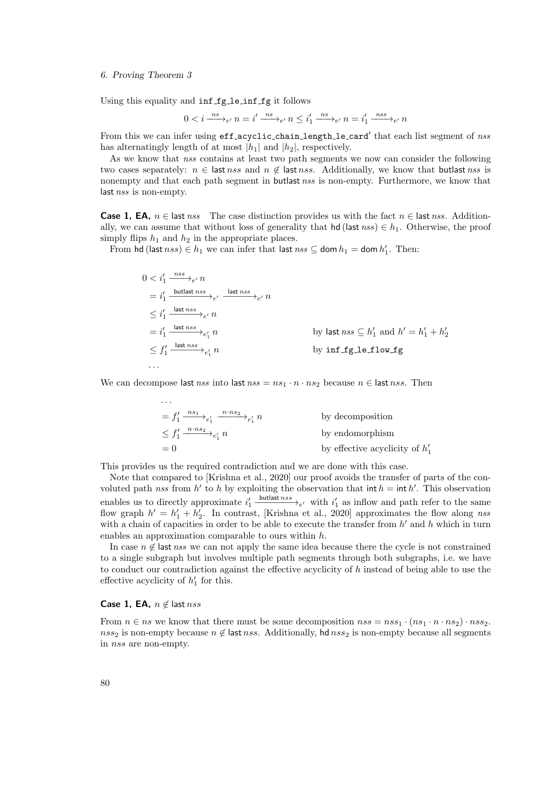Using this equality and inf fg le inf fg it follows

$$
0 < i \xrightarrow{\text{ns}} e^{\prime} \text{ } n = i' \xrightarrow{\text{ns}} e^{\prime} \text{ } n \leq i'_1 \xrightarrow{\text{ns}} e^{\prime} \text{ } n = i'_1 \xrightarrow{\text{ns}} e^{\prime} \text{ } n
$$

From this we can infer using eff acyclic chain length le card' that each list segment of nss has alternatingly length of at most  $|h_1|$  and  $|h_2|$ , respectively.

As we know that nss contains at least two path segments we now can consider the following two cases separately:  $n \in$  last nss and  $n \notin$  last nss. Additionally, we know that butlast nss is nonempty and that each path segment in butlast nss is non-empty. Furthermore, we know that last nss is non-empty.

**Case 1, EA,**  $n \in$  last nss The case distinction provides us with the fact  $n \in$  last nss. Additionally, we can assume that without loss of generality that hd (last nss)  $\in h_1$ . Otherwise, the proof simply flips  $h_1$  and  $h_2$  in the appropriate places.

From hd (last  $nss$ )  $\in h_1$  we can infer that last  $nss \subseteq$  dom  $h_1 =$  dom  $h'_1$ . Then:

$$
0 < i'_1 \xrightarrow{nss} e' n
$$
\n
$$
= i'_1 \xrightarrow{\text{butlast nss}} e' \xrightarrow{\text{last nss}} e' n
$$
\n
$$
\leq i'_1 \xrightarrow{\text{last nss}} e' n
$$
\n
$$
= i'_1 \xrightarrow{\text{last nss}} e'_1 n
$$
\n
$$
\leq f'_1 \xrightarrow{\text{last nss}} e'_1 n
$$
\nby last nss  $\subseteq h'_1$  and  $h' = h'_1 + h'_2$ \n
$$
\leq f'_1 \xrightarrow{\text{last nss}} e'_1 n
$$
\nby inf\_f =10w\_f

We can decompose last nss into last nss =  $ns_1 \cdot n \cdot ns_2$  because  $n \in$  last nss. Then

$$
= f'_1 \xrightarrow{n \cdot n_1} e'_1 \xrightarrow{n \cdot n_2} e'_1 n
$$
 by decomposition  
\n
$$
\leq f'_1 \xrightarrow{n \cdot n_3} e'_1 n
$$
 by endomorphism  
\n
$$
= 0
$$
 by effective acyclicity of  $h'_1$ 

This provides us the required contradiction and we are done with this case.

Note that compared to [Krishna et al., 2020] our proof avoids the transfer of parts of the convoluted path nss from h' to h by exploiting the observation that  $\int h = \int h'$ . This observation enables us to directly approximate  $i'_1 \xrightarrow{\text{butlast } nss} e'$  with  $i'_1$  as inflow and path refer to the same flow graph  $h' = h'_1 + h'_2$ . In contrast, [Krishna et al., 2020] approximates the flow along nss with a chain of capacities in order to be able to execute the transfer from  $h'$  and h which in turn enables an approximation comparable to ours within h.

In case  $n \notin \text{last } nss$  we can not apply the same idea because there the cycle is not constrained to a single subgraph but involves multiple path segments through both subgraphs, i.e. we have to conduct our contradiction against the effective acyclicity of  $h$  instead of being able to use the effective acyclicity of  $h'_1$  for this.

### **Case 1, EA,**  $n \notin$  last nss

From  $n \in ns$  we know that there must be some decomposition  $nss = nss_1 \cdot (ns_1 \cdot n \cdot ns_2) \cdot nss_2$ . nss<sub>2</sub> is non-empty because  $n \notin$  last nss. Additionally, hd nss<sub>2</sub> is non-empty because all segments in nss are non-empty.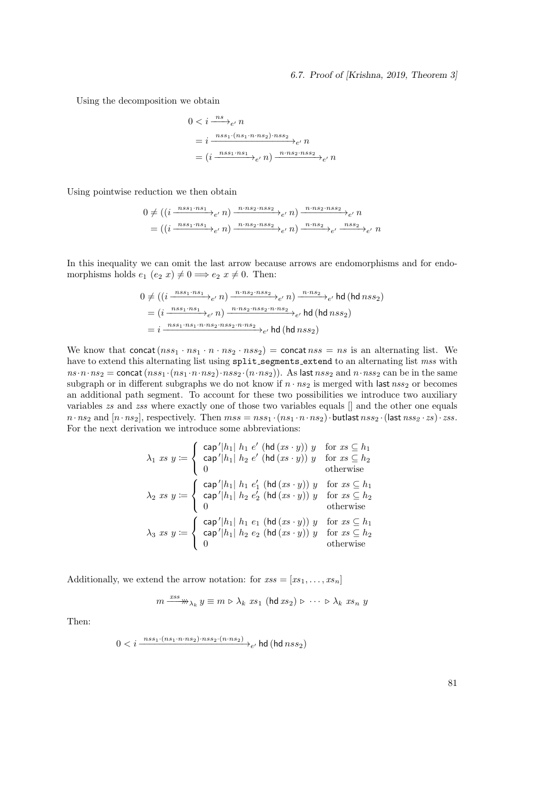## 6.7. Proof of [Krishna, 2019, Theorem 3]

Using the decomposition we obtain

$$
0 < i \frac{ns}{\cdot}e' n
$$
\n
$$
= i \frac{nss_1 \cdot (ns_1 \cdot n \cdot ns_2) \cdot nss_2}{\cdot}e' n
$$
\n
$$
= (i \frac{nss_1 \cdot ns_1}{\cdot}e' n) \frac{n \cdot ns_2 \cdot nss_2}{\cdot}e' n
$$

Using pointwise reduction we then obtain

$$
0 \neq ((i \xrightarrow{ns_{1} \cdot ns_{1}} e_{e'} n) \xrightarrow{n \cdot ns_{2} \cdot ns_{3}} e_{e'} n) \xrightarrow{n \cdot ns_{2} \cdot ns_{3}} e_{e'} n
$$

$$
= ((i \xrightarrow{ns_{1} \cdot ns_{1}} e_{e'} n) \xrightarrow{n \cdot ns_{2} \cdot ns_{3}} e_{e'} n) \xrightarrow{n \cdot ns_{2}} e_{e'} \xrightarrow{n \cdot ns_{2}} e_{e'} n
$$

In this inequality we can omit the last arrow because arrows are endomorphisms and for endomorphisms holds  $e_1$   $(e_2 x) \neq 0 \implies e_2 x \neq 0$ . Then:

$$
0 \neq ((i \xrightarrow{nss_1 \cdot ns_1} \cdot e, n) \xrightarrow{n \cdot ns_2 \cdot nss_2} \cdot e, n) \xrightarrow{n \cdot ns_2} \cdot e, \text{hd} \text{ (hd} n s s_2)
$$
  
= 
$$
(i \xrightarrow{nss_1 \cdot ns_1} \cdot e, n) \xrightarrow{n \cdot ns_2 \cdot nss_2 \cdot n \cdot ns_2} \cdot e, \text{hd} \text{ (hd} n s s_2)
$$
  
= 
$$
i \xrightarrow{nss_1 \cdot ns_1 \cdot n \cdot ns_2 \cdot nss_2 \cdot n \cdot ns_2} \cdot e, \text{hd} \text{ (hd} n s s_2)
$$

We know that concat  $(nss_1 \cdot ns_1 \cdot n \cdot ns_2 \cdot nss_2)$  = concat  $nss = ns$  is an alternating list. We have to extend this alternating list using  $split$  segments extend to an alternating list mss with  $ns \cdot n \cdot ns_2 = \text{concat}(n s_1 \cdot (ns_1 \cdot n \cdot ns_2) \cdot n s_2 \cdot (n \cdot ns_2)).$  As last  $n s_2$  and  $n \cdot n s_2$  can be in the same subgraph or in different subgraphs we do not know if  $n \cdot ns_2$  is merged with last  $nss_2$  or becomes an additional path segment. To account for these two possibilities we introduce two auxiliary variables zs and zss where exactly one of those two variables equals  $[]$  and the other one equals  $n \cdot ns_2$  and  $[n \cdot ns_2]$ , respectively. Then  $mss = nss_1 \cdot (ns_1 \cdot n \cdot ns_2) \cdot \text{butlast } nss_2 \cdot (last nss_2 \cdot zs) \cdot zss.$ For the next derivation we introduce some abbreviations:

$$
\lambda_1 \; xs \; y := \begin{cases}\n\text{ cap }'|h_1| \; h_1 \; e' \; (\text{hd } (xs \cdot y)) \; y & \text{for } xs \subseteq h_1 \\
\text{ cap }'|h_1| \; h_2 \; e' \; (\text{hd } (xs \cdot y)) \; y & \text{for } xs \subseteq h_2 \\
0 & \text{otherwise}\n\end{cases}
$$
\n
$$
\lambda_2 \; xs \; y := \begin{cases}\n\text{ cap }'|h_1| \; h_1 \; e'_1 \; (\text{hd } (xs \cdot y)) \; y & \text{for } xs \subseteq h_1 \\
\text{ cap }'|h_1| \; h_2 \; e'_2 \; (\text{hd } (xs \cdot y)) \; y & \text{for } xs \subseteq h_2 \\
0 & \text{otherwise}\n\end{cases}
$$
\n
$$
\lambda_3 \; xs \; y := \begin{cases}\n\text{ cap }'|h_1| \; h_1 \; e_1 \; (\text{hd } (xs \cdot y)) \; y & \text{for } xs \subseteq h_1 \\
\text{ cap }'|h_1| \; h_2 \; e_2 \; (\text{hd } (xs \cdot y)) \; y & \text{for } xs \subseteq h_2 \\
0 & \text{otherwise}\n\end{cases}
$$

Additionally, we extend the arrow notation: for  $xss = [xs_1, \ldots, xs_n]$ 

$$
m \xrightarrow{xss} \mathbb{W}_{\lambda_k} y \equiv m \triangleright \lambda_k \ x s_1 \ (\text{hd } x s_2) \triangleright \ \cdots \ \triangleright \lambda_k \ x s_n \ y
$$

Then:

$$
0
$$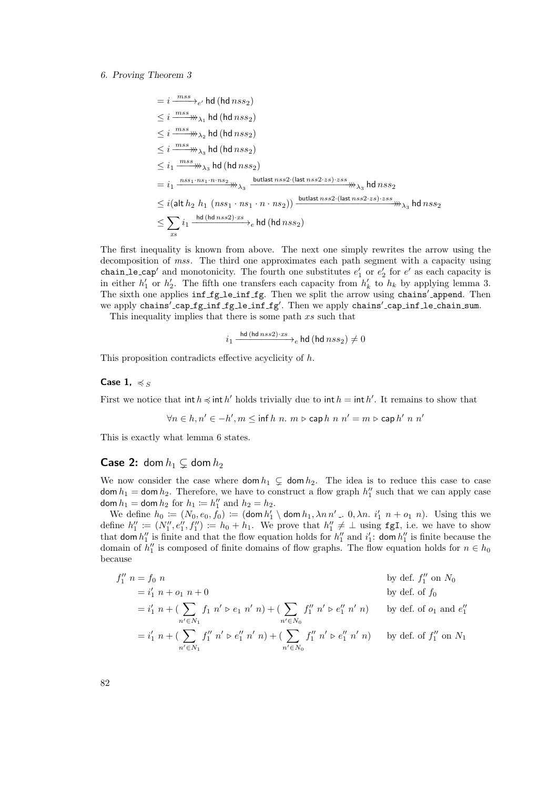$$
= i \frac{mss}{\text{m}} \rightarrow e' \text{ hd (hd nss2)}
$$
\n
$$
\leq i \frac{mss}{\text{m}} \rightarrow \text{A}_1 \text{ hd (hd nss2)}
$$
\n
$$
\leq i \frac{mss}{\text{m}} \rightarrow \text{A}_2 \text{ hd (hd nss2)}
$$
\n
$$
\leq i \frac{mss}{\text{m}} \rightarrow \text{A}_3 \text{ hd (hd nss2)}
$$
\n
$$
\leq i_1 \frac{mss}{\text{m}} \rightarrow \text{A}_3 \text{ hd (hd nss2)}
$$
\n
$$
= i_1 \frac{nss_1 \cdot ns_1 \cdot n \cdot ns_2}{\text{m}} \rightarrow \text{A}_3 \frac{\text{butlast nss2} \cdot (\text{last nss2} \cdot zs) \cdot zs \cdot ss_2}{\text{butlast nss2} \cdot (\text{last nss2} \cdot zs) \cdot xs_3} \text{ hd nss2}
$$
\n
$$
\leq i (\text{alt } h_2 \ h_1 \ (nss_1 \cdot ns_1 \cdot n \cdot ns_2)) \xrightarrow{\text{butlast nss2} \cdot (\text{last nss2} \cdot zs) \cdot xs_3} \text{hd nss_2}
$$
\n
$$
\leq \sum_{xs} i_1 \frac{\text{hd (hd nss2)} \cdot xs}{\text{d}} \text{hd (hd nss_2)}
$$

The first inequality is known from above. The next one simply rewrites the arrow using the decomposition of mss. The third one approximates each path segment with a capacity using chain le cap<sup>'</sup> and monotonicity. The fourth one substitutes  $e'_1$  or  $e'_2$  for  $e'$  as each capacity is in either  $h'_1$  or  $h'_2$ . The fifth one transfers each capacity from  $h'_k$  to  $h_k$  by applying lemma 3. The sixth one applies inf fg le inf fg. Then we split the arrow using chains' append. Then we apply chains'\_cap\_fg\_inf\_fg\_le\_inf\_fg'. Then we apply chains'\_cap\_inf\_le\_chain\_sum.

This inequality implies that there is some path  $xs$  such that

$$
i_1 \xrightarrow{\text{hd (hd nss2)\cdot xs}} e \text{hd (hd nss_2)} \neq 0
$$

This proposition contradicts effective acyclicity of h.

## Case 1,  $\preccurlyeq$  S

First we notice that  $\text{int } h \preccurlyeq \text{int } h'$  holds trivially due to  $\text{int } h = \text{int } h'$ . It remains to show that

$$
\forall n \in h, n' \in -h', m \le \inf h \ n. \ m \triangleright \operatorname{cap} h \ n \ n' = m \triangleright \operatorname{cap} h' \ n \ n'
$$

This is exactly what lemma 6 states.

## **Case 2:** dom  $h_1 \subsetneq$  dom  $h_2$

We now consider the case where  $\text{dom } h_1 \subsetneq \text{dom } h_2$ . The idea is to reduce this case to case dom  $h_1 =$  dom  $h_2$ . Therefore, we have to construct a flow graph  $h''_1$  such that we can apply case dom  $h_1 =$  dom  $h_2$  for  $h_1 \coloneqq h''_1$  and  $h_2 = h_2$ .

We define  $h_0 := (N_0, e_0, f_0) := (\text{dom } h'_1 \setminus \text{dom } h_1, \lambda n n' = 0, \lambda n \cdot i'_1 n + o_1 n)$ . Using this we define  $h''_1 := (N''_1, e''_1, f''_1) := h_0 + h_1$ . We prove that  $h''_1 \neq \perp$  using **fgI**, i.e. we have to show that dom  $h''_1$  is finite and that the flow equation holds for  $h''_1$  and  $i'_1$ : dom  $h''_1$  is finite because the domain of  $h''_1$  is composed of finite domains of flow graphs. The flow equation holds for  $n \in h_0$ because

$$
f_1'' n = f_0 n
$$
 by def.  $f_1''$  on  $N_0$   
\n
$$
= i'_1 n + o_1 n + 0
$$
 by def. of  $f_0$   
\n
$$
= i'_1 n + (\sum_{n' \in N_1} f_1 n' \triangleright e_1 n' n) + (\sum_{n' \in N_0} f_1'' n' \triangleright e_1'' n' n)
$$
 by def. of  $o_1$  and  $e_1''$   
\n
$$
= i'_1 n + (\sum_{n' \in N_1} f_1'' n' \triangleright e_1'' n' n) + (\sum_{n' \in N_0} f_1'' n' \triangleright e_1'' n' n)
$$
 by def. of  $f_1''$  on  $N_1$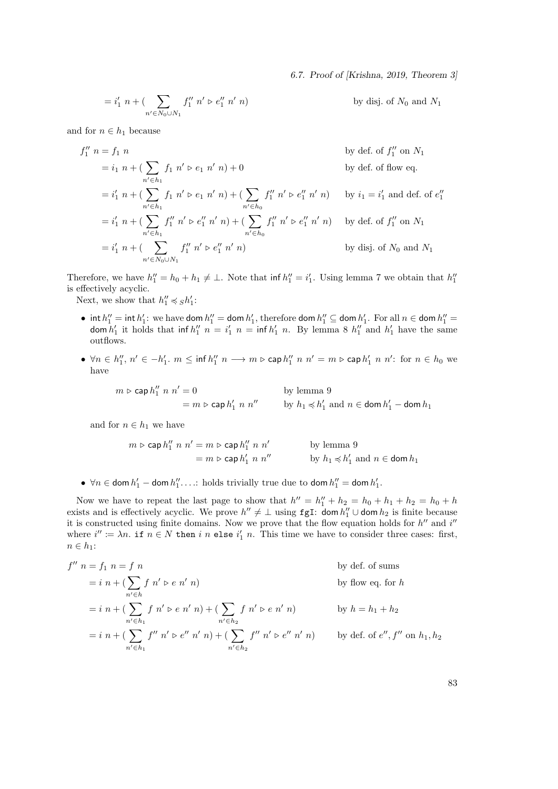6.7. Proof of [Krishna, 2019, Theorem 3]

$$
=i'_1 \ n + (\sum_{n' \in N_0 \cup N_1} f''_1 \ n' \triangleright e''_1 \ n' \ n)
$$

by disj. of  $N_0$  and  $N_1$ 

and for  $n \in h_1$  because

$$
f_1'' n = f_1 n
$$
 by def. of  $f_1''$  on  $N_1$   
\n
$$
= i_1 n + (\sum_{n' \in h_1} f_1 n' \triangleright e_1 n' n) + 0
$$
 by def. of flow eq.  
\n
$$
= i'_1 n + (\sum_{n' \in h_1} f_1 n' \triangleright e_1 n' n) + (\sum_{n' \in h_0} f_1'' n' \triangleright e_1'' n' n)
$$
 by  $i_1 = i'_1$  and def. of  $e_1''$   
\n
$$
= i'_1 n + (\sum_{n' \in h_1} f_1'' n' \triangleright e_1'' n' n) + (\sum_{n' \in h_0} f_1'' n' \triangleright e_1'' n' n)
$$
 by def. of  $f_1''$  on  $N_1$   
\n
$$
= i'_1 n + (\sum_{n' \in N_0 \cup N_1} f_1'' n' \triangleright e_1'' n' n)
$$
 by disj. of  $N_0$  and  $N_1$ 

Therefore, we have  $h''_1 = h_0 + h_1 \neq \perp$ . Note that  $\inf h''_1 = i'_1$ . Using lemma 7 we obtain that  $h''_1$ is effectively acyclic.

Next, we show that  $h''_1 \preccurlyeq_S h'_1$ :

- int  $h''_1 =$  int  $h'_1$ : we have dom  $h''_1 =$  dom  $h'_1$ , therefore dom  $h''_1 \subseteq$  dom  $h'_1$ . For all  $n \in$  dom  $h''_1 =$ dom  $h'_1$  it holds that inf  $h''_1$   $n = i'_1$   $n = \inf h'_1$   $n$ . By lemma 8  $h''_1$  and  $h'_1$  have the same outflows.
- $\forall n \in h''_1, n' \in -h'_1$ .  $m \leq \inf h''_1 \ n \longrightarrow m \triangleright \mathsf{cap} \ h''_1 \ n \ n' = m \triangleright \mathsf{cap} \ h'_1 \ n \ n'$ : for  $n \in h_0$  we have

 $m \triangleright$  cap  $h_1''$  $''_1$  n  $n' = 0$  by lemma 9  $= m \triangleright \mathsf{cap}\, h'_1\ n\ n''$  by  $h_1 \preccurlyeq h'_1$  and  $n \in \mathsf{dom}\, h'_1 - \mathsf{dom}\, h_1$ 

and for  $n \in h_1$  we have

$$
m \triangleright \mathsf{cap}\, h_1'' \ n \ n' = m \triangleright \mathsf{cap}\, h_1'' \ n \ n' \qquad \qquad \text{by lemma 9}
$$
\n
$$
= m \triangleright \mathsf{cap}\, h_1' \ n \ n'' \qquad \qquad \text{by } h_1 \preccurlyeq h_1' \text{ and } n \in \mathsf{dom}\, h_1
$$

•  $\forall n \in \text{dom } h'_1 - \text{dom } h''_1 \dots$ : holds trivially true due to  $\text{dom } h''_1 = \text{dom } h'_1$ .

Now we have to repeat the last page to show that  $h'' = h''_1 + h_2 = h_0 + h_1 + h_2 = h_0 + h_1$ exists and is effectively acyclic. We prove  $h'' \neq \perp$  using fgI: dom  $h''_1 \cup$  dom  $h_2$  is finite because it is constructed using finite domains. Now we prove that the flow equation holds for  $h''$  and  $i''$ where  $i'' \coloneqq \lambda n$ . if  $n \in N$  then i n else  $i'_1$  n. This time we have to consider three cases: first,  $n \in h_1$ :

$$
f'' \ n = f_1 \ n = f \ n
$$
\n
$$
= i \ n + (\sum_{n' \in h} f n' \triangleright e n' \ n)
$$
\n
$$
= i \ n + (\sum_{n' \in h_1} f n' \triangleright e n' \ n) + (\sum_{n' \in h_2} f n' \triangleright e n' \ n)
$$
\n
$$
= i \ n + (\sum_{n' \in h_1} f n' \triangleright e n' \ n) + (\sum_{n' \in h_2} f n' \triangleright e n' \ n)
$$
\n
$$
= i \ n + (\sum_{n' \in h_1} f'' \ n' \triangleright e n' \ n') + (\sum_{n' \in h_2} f'' \ n' \triangleright e n' \ n) \quad \text{by def. of } e'', f'' \text{ on } h_1, h_2
$$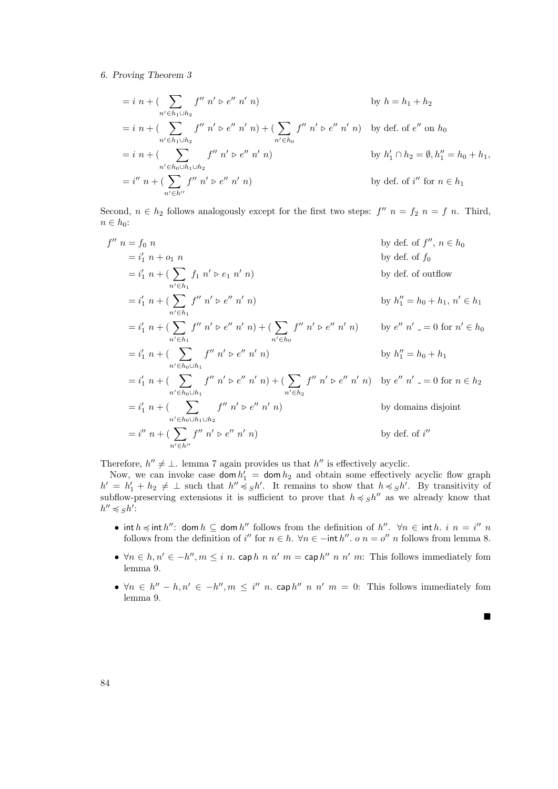$$
= i n + (\sum_{n' \in h_1 \cup h_2} f'' n' \triangleright e'' n' n)
$$
 by  $h = h_1 + h_2$   
\n
$$
= i n + (\sum_{n' \in h_1 \cup h_2} f'' n' \triangleright e'' n' n) + (\sum_{n' \in h_0} f'' n' \triangleright e'' n' n)
$$
 by def. of  $e''$  on  $h_0$   
\n
$$
= i n + (\sum_{n' \in h_0 \cup h_1 \cup h_2} f'' n' \triangleright e'' n' n)
$$
 by  $h'_1 \cap h_2 = \emptyset, h''_1 = h_0 + h_1,$   
\n
$$
= i'' n + (\sum_{n' \in h''} f'' n' \triangleright e'' n' n)
$$
 by def. of  $i''$  for  $n \in h_1$ 

Second,  $n \in h_2$  follows analogously except for the first two steps:  $f''$   $n = f_2$   $n = f$  n. Third,  $n \in h_0$ :

$$
f'' \ n = f_0 \ n
$$
\n
$$
= i'_1 \ n + o_1 \ n
$$
\n
$$
= i'_1 \ n + (\sum_{n' \in h_1} f_1 \ n' \triangleright e_1 \ n' \ n)
$$
\n
$$
= i'_1 \ n + (\sum_{n' \in h_1} f'' \ n' \triangleright e'' \ n' \ n)
$$
\n
$$
= i'_1 \ n + (\sum_{n' \in h_1} f'' \ n' \triangleright e'' \ n' \ n)
$$
\n
$$
= i'_1 \ n + (\sum_{n' \in h_1} f'' \ n' \triangleright e'' \ n' \ n) + (\sum_{n' \in h_0} f'' \ n' \triangleright e'' \ n' \ n)
$$
\n
$$
= i'_1 \ n + (\sum_{n' \in h_0 \cup h_1} f'' \ n' \triangleright e'' \ n' \ n)
$$
\n
$$
= i'_1 \ n + (\sum_{n' \in h_0 \cup h_1} f'' \ n' \triangleright e'' \ n' \ n)
$$
\n
$$
= i'_1 \ n + (\sum_{n' \in h_0 \cup h_1} f'' \ n' \triangleright e'' \ n' \ n) + (\sum_{n' \in h_2} f'' \ n' \triangleright e'' \ n' \ n)
$$
\n
$$
= i'_1 \ n + (\sum_{n' \in h_0 \cup h_1 \cup h_2} f'' \ n' \triangleright e'' \ n' \ n)
$$
\n
$$
= i'_1 \ n + (\sum_{n' \in h_0 \cup h_1 \cup h_2} f'' \ n' \triangleright e'' \ n' \ n)
$$
\n
$$
= i'' \ n + (\sum_{n' \in h''} f'' \ n' \triangleright e'' \ n' \ n)
$$
\n
$$
= i'' \ n + (\sum_{n' \in h''} f'' \ n' \triangleright e'' \ n' \ n)
$$
\n
$$
= i'' \ n + (\sum_{n' \in h''} f'' \ n' \triangleright e'' \ n' \ n)
$$
\n
$$
= i'' \ n + (\sum_{n' \in h''} f'' \ n' \triangleright e'' \ n' \ n)
$$
\n
$$
= i'' \ n + (\sum_{n' \in h''} f'' \ n' \triangleright e'' \ n' \ n)
$$
\n
$$
= i'' \ n + (\sum_{n' \in h''}
$$

Therefore,  $h'' \neq \bot$ . lemma 7 again provides us that  $h''$  is effectively acyclic.

Now, we can invoke case  $\text{dom } h'_1 = \text{dom } h_2$  and obtain some effectively acyclic flow graph  $h' = h'_1 + h_2 \neq \perp$  such that  $h'' \preccurlyeq_S h'$ . It remains to show that  $h \preccurlyeq_S h'$ . By transitivity of subflow-preserving extensions it is sufficient to prove that  $h \preccurlyeq Sh''$  as we already know that  $h'' \preccurlyeq_S h'$ :

- int  $h \preccurlyeq$  int  $h''$ : dom  $h \subseteq$  dom  $h''$  follows from the definition of  $h''$ .  $\forall n \in$  int  $h$ .  $i \neq n = i''$  m follows from the definition of i'' for  $n \in h$ .  $\forall n \in -$ int h''. o  $n = o''$  n follows from lemma 8.
- $\forall n \in h, n' \in -h'', m \leq i \ n$ . cap  $h \ n \ n' \ m =$  cap  $h'' \ n \ n' \ m$ : This follows immediately fom lemma 9.
- $\forall n \in h'' h, n' \in -h'', m \leq i''$  *n*. cap  $h''$  *n*  $n'$  *m* = 0: This follows immediately fom lemma 9.

 $\blacksquare$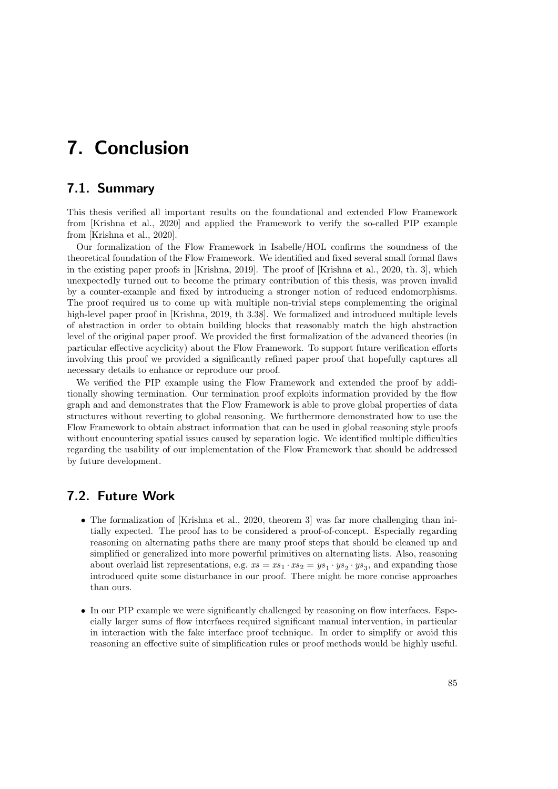# 7. Conclusion

# 7.1. Summary

This thesis verified all important results on the foundational and extended Flow Framework from [Krishna et al., 2020] and applied the Framework to verify the so-called PIP example from [Krishna et al., 2020].

Our formalization of the Flow Framework in Isabelle/HOL confirms the soundness of the theoretical foundation of the Flow Framework. We identified and fixed several small formal flaws in the existing paper proofs in [Krishna, 2019]. The proof of [Krishna et al., 2020, th. 3], which unexpectedly turned out to become the primary contribution of this thesis, was proven invalid by a counter-example and fixed by introducing a stronger notion of reduced endomorphisms. The proof required us to come up with multiple non-trivial steps complementing the original high-level paper proof in [Krishna, 2019, th 3.38]. We formalized and introduced multiple levels of abstraction in order to obtain building blocks that reasonably match the high abstraction level of the original paper proof. We provided the first formalization of the advanced theories (in particular effective acyclicity) about the Flow Framework. To support future verification efforts involving this proof we provided a significantly refined paper proof that hopefully captures all necessary details to enhance or reproduce our proof.

We verified the PIP example using the Flow Framework and extended the proof by additionally showing termination. Our termination proof exploits information provided by the flow graph and and demonstrates that the Flow Framework is able to prove global properties of data structures without reverting to global reasoning. We furthermore demonstrated how to use the Flow Framework to obtain abstract information that can be used in global reasoning style proofs without encountering spatial issues caused by separation logic. We identified multiple difficulties regarding the usability of our implementation of the Flow Framework that should be addressed by future development.

# 7.2. Future Work

- The formalization of [Krishna et al., 2020, theorem 3] was far more challenging than initially expected. The proof has to be considered a proof-of-concept. Especially regarding reasoning on alternating paths there are many proof steps that should be cleaned up and simplified or generalized into more powerful primitives on alternating lists. Also, reasoning about overlaid list representations, e.g.  $xs = xs_1 \cdot xs_2 = ys_1 \cdot ys_2 \cdot ys_3$ , and expanding those introduced quite some disturbance in our proof. There might be more concise approaches than ours.
- In our PIP example we were significantly challenged by reasoning on flow interfaces. Especially larger sums of flow interfaces required significant manual intervention, in particular in interaction with the fake interface proof technique. In order to simplify or avoid this reasoning an effective suite of simplification rules or proof methods would be highly useful.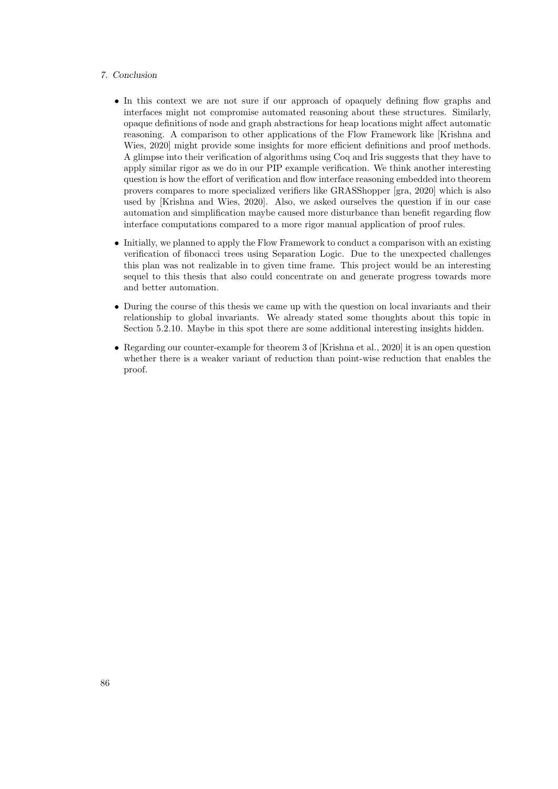### 7. Conclusion

- In this context we are not sure if our approach of opaquely defining flow graphs and interfaces might not compromise automated reasoning about these structures. Similarly, opaque definitions of node and graph abstractions for heap locations might affect automatic reasoning. A comparison to other applications of the Flow Framework like [Krishna and Wies, 2020] might provide some insights for more efficient definitions and proof methods. A glimpse into their verification of algorithms using Coq and Iris suggests that they have to apply similar rigor as we do in our PIP example verification. We think another interesting question is how the effort of verification and flow interface reasoning embedded into theorem provers compares to more specialized verifiers like GRASShopper [gra, 2020] which is also used by [Krishna and Wies, 2020]. Also, we asked ourselves the question if in our case automation and simplification maybe caused more disturbance than benefit regarding flow interface computations compared to a more rigor manual application of proof rules.
- Initially, we planned to apply the Flow Framework to conduct a comparison with an existing verification of fibonacci trees using Separation Logic. Due to the unexpected challenges this plan was not realizable in to given time frame. This project would be an interesting sequel to this thesis that also could concentrate on and generate progress towards more and better automation.
- During the course of this thesis we came up with the question on local invariants and their relationship to global invariants. We already stated some thoughts about this topic in Section 5.2.10. Maybe in this spot there are some additional interesting insights hidden.
- Regarding our counter-example for theorem 3 of [Krishna et al., 2020] it is an open question whether there is a weaker variant of reduction than point-wise reduction that enables the proof.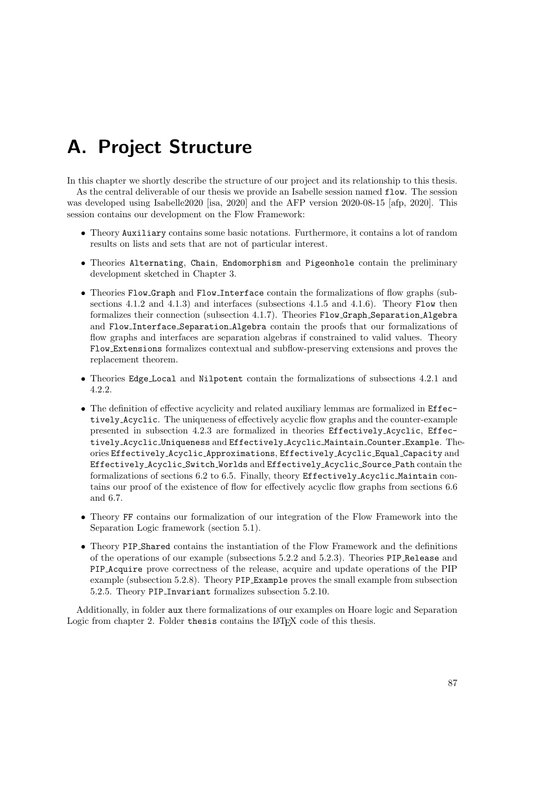# A. Project Structure

In this chapter we shortly describe the structure of our project and its relationship to this thesis. As the central deliverable of our thesis we provide an Isabelle session named flow. The session was developed using Isabelle2020 [isa, 2020] and the AFP version 2020-08-15 [afp, 2020]. This session contains our development on the Flow Framework:

- Theory Auxiliary contains some basic notations. Furthermore, it contains a lot of random results on lists and sets that are not of particular interest.
- Theories Alternating, Chain, Endomorphism and Pigeonhole contain the preliminary development sketched in Chapter 3.
- Theories Flow Graph and Flow Interface contain the formalizations of flow graphs (subsections 4.1.2 and 4.1.3) and interfaces (subsections 4.1.5 and 4.1.6). Theory Flow then formalizes their connection (subsection 4.1.7). Theories Flow Graph Separation Algebra and Flow Interface Separation Algebra contain the proofs that our formalizations of flow graphs and interfaces are separation algebras if constrained to valid values. Theory Flow Extensions formalizes contextual and subflow-preserving extensions and proves the replacement theorem.
- Theories Edge Local and Nilpotent contain the formalizations of subsections 4.2.1 and 4.2.2.
- The definition of effective acyclicity and related auxiliary lemmas are formalized in Effectively Acyclic. The uniqueness of effectively acyclic flow graphs and the counter-example presented in subsection 4.2.3 are formalized in theories Effectively Acyclic, Effectively Acyclic Uniqueness and Effectively Acyclic Maintain Counter Example. Theories Effectively Acyclic Approximations, Effectively Acyclic Equal Capacity and Effectively Acyclic Switch Worlds and Effectively Acyclic Source Path contain the formalizations of sections 6.2 to 6.5. Finally, theory Effectively Acyclic Maintain contains our proof of the existence of flow for effectively acyclic flow graphs from sections 6.6 and 6.7.
- Theory FF contains our formalization of our integration of the Flow Framework into the Separation Logic framework (section 5.1).
- Theory PIP Shared contains the instantiation of the Flow Framework and the definitions of the operations of our example (subsections 5.2.2 and 5.2.3). Theories PIP Release and PIP Acquire prove correctness of the release, acquire and update operations of the PIP example (subsection 5.2.8). Theory PIP Example proves the small example from subsection 5.2.5. Theory PIP Invariant formalizes subsection 5.2.10.

Additionally, in folder aux there formalizations of our examples on Hoare logic and Separation Logic from chapter 2. Folder thesis contains the LATEX code of this thesis.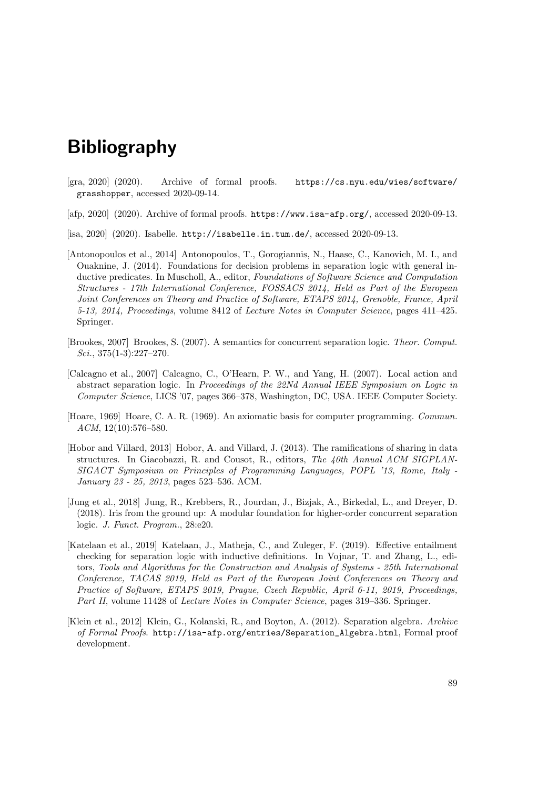# Bibliography

- [gra, 2020] (2020). Archive of formal proofs. https://cs.nyu.edu/wies/software/ grasshopper, accessed 2020-09-14.
- [afp, 2020] (2020). Archive of formal proofs. https://www.isa-afp.org/, accessed 2020-09-13.
- [isa, 2020] (2020). Isabelle. http://isabelle.in.tum.de/, accessed 2020-09-13.
- [Antonopoulos et al., 2014] Antonopoulos, T., Gorogiannis, N., Haase, C., Kanovich, M. I., and Ouaknine, J. (2014). Foundations for decision problems in separation logic with general inductive predicates. In Muscholl, A., editor, Foundations of Software Science and Computation Structures - 17th International Conference, FOSSACS 2014, Held as Part of the European Joint Conferences on Theory and Practice of Software, ETAPS 2014, Grenoble, France, April 5-13, 2014, Proceedings, volume 8412 of Lecture Notes in Computer Science, pages 411–425. Springer.
- [Brookes, 2007] Brookes, S. (2007). A semantics for concurrent separation logic. Theor. Comput. Sci., 375(1-3):227–270.
- [Calcagno et al., 2007] Calcagno, C., O'Hearn, P. W., and Yang, H. (2007). Local action and abstract separation logic. In Proceedings of the 22Nd Annual IEEE Symposium on Logic in Computer Science, LICS '07, pages 366–378, Washington, DC, USA. IEEE Computer Society.
- [Hoare, 1969] Hoare, C. A. R. (1969). An axiomatic basis for computer programming. Commun. ACM, 12(10):576–580.
- [Hobor and Villard, 2013] Hobor, A. and Villard, J. (2013). The ramifications of sharing in data structures. In Giacobazzi, R. and Cousot, R., editors, The 40th Annual ACM SIGPLAN-SIGACT Symposium on Principles of Programming Languages, POPL '13, Rome, Italy - January 23 - 25, 2013, pages 523–536. ACM.
- [Jung et al., 2018] Jung, R., Krebbers, R., Jourdan, J., Bizjak, A., Birkedal, L., and Dreyer, D. (2018). Iris from the ground up: A modular foundation for higher-order concurrent separation logic. J. Funct. Program., 28:e20.
- [Katelaan et al., 2019] Katelaan, J., Matheja, C., and Zuleger, F. (2019). Effective entailment checking for separation logic with inductive definitions. In Vojnar, T. and Zhang, L., editors, Tools and Algorithms for the Construction and Analysis of Systems - 25th International Conference, TACAS 2019, Held as Part of the European Joint Conferences on Theory and Practice of Software, ETAPS 2019, Prague, Czech Republic, April 6-11, 2019, Proceedings, Part II, volume 11428 of Lecture Notes in Computer Science, pages 319–336. Springer.
- [Klein et al., 2012] Klein, G., Kolanski, R., and Boyton, A. (2012). Separation algebra. Archive of Formal Proofs. http://isa-afp.org/entries/Separation\_Algebra.html, Formal proof development.